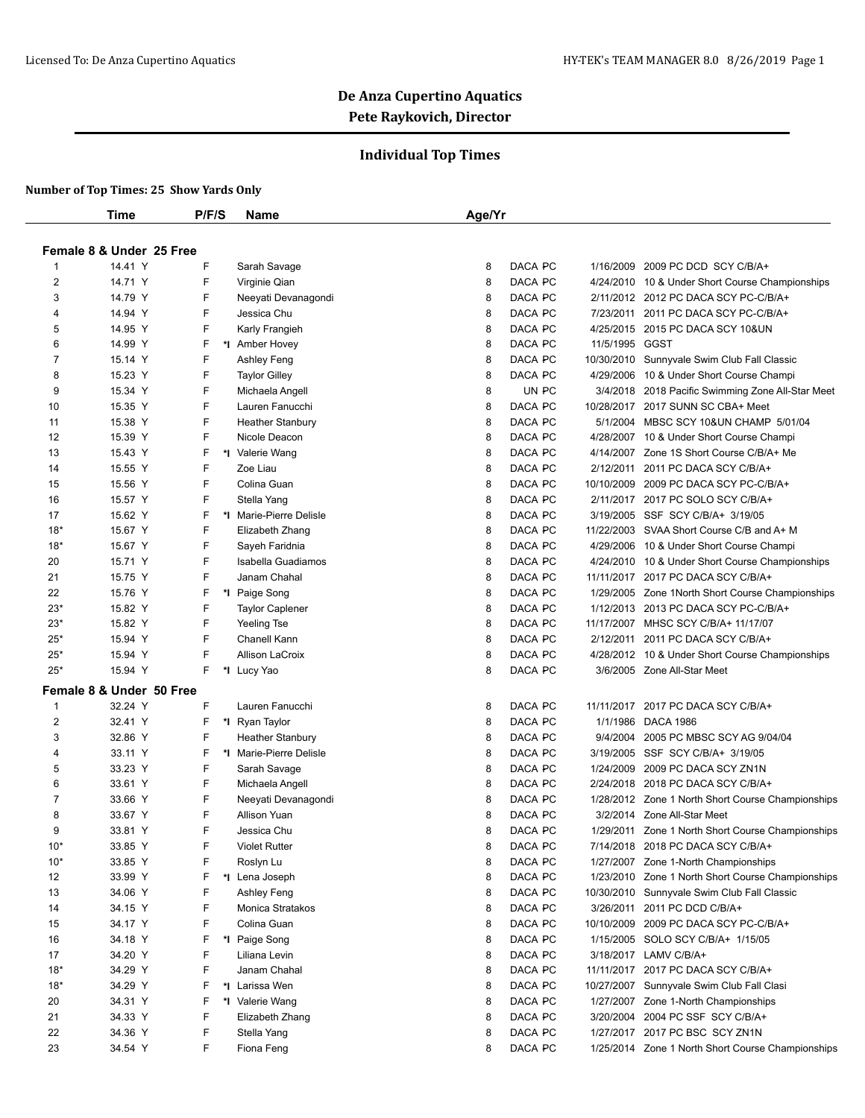## **Individual Top Times**

|                          | Time                     | P/F/S | <b>Name</b>             | Age/Yr |         |            |                                                   |  |
|--------------------------|--------------------------|-------|-------------------------|--------|---------|------------|---------------------------------------------------|--|
|                          |                          |       |                         |        |         |            |                                                   |  |
| Female 8 & Under 25 Free |                          |       |                         |        |         |            |                                                   |  |
|                          | 14.41 Y                  | F     | Sarah Savage            | 8      | DACA PC | 1/16/2009  | 2009 PC DCD SCY C/B/A+                            |  |
| $\overline{2}$           | 14.71 Y                  | F     | Virginie Qian           | 8      | DACA PC | 4/24/2010  | 10 & Under Short Course Championships             |  |
| 3                        | 14.79 Y                  | F     | Neeyati Devanagondi     | 8      | DACA PC |            | 2/11/2012 2012 PC DACA SCY PC-C/B/A+              |  |
| 4                        | 14.94 Y                  | F     | Jessica Chu             | 8      | DACA PC |            | 7/23/2011 2011 PC DACA SCY PC-C/B/A+              |  |
| 5                        | 14.95 Y                  | F     | Karly Frangieh          | 8      | DACA PC | 4/25/2015  | 2015 PC DACA SCY 10&UN                            |  |
| 6                        | 14.99 Y                  | F     | *1 Amber Hovey          | 8      | DACA PC | 11/5/1995  | GGST                                              |  |
| $\overline{7}$           | 15.14 Y                  | F     | Ashley Feng             | 8      | DACA PC | 10/30/2010 | Sunnyvale Swim Club Fall Classic                  |  |
| 8                        | 15.23 Y                  | F     | <b>Taylor Gilley</b>    | 8      | DACA PC | 4/29/2006  | 10 & Under Short Course Champi                    |  |
| 9                        | 15.34 Y                  | F     | Michaela Angell         | 8      | UN PC   | 3/4/2018   | 2018 Pacific Swimming Zone All-Star Meet          |  |
| 10                       | 15.35 Y                  | F     | Lauren Fanucchi         | 8      | DACA PC |            | 10/28/2017 2017 SUNN SC CBA+ Meet                 |  |
| 11                       | 15.38 Y                  | F     | <b>Heather Stanbury</b> | 8      | DACA PC | 5/1/2004   | MBSC SCY 10&UN CHAMP 5/01/04                      |  |
| 12                       | 15.39 Y                  | F     | Nicole Deacon           | 8      | DACA PC | 4/28/2007  | 10 & Under Short Course Champi                    |  |
| 13                       | 15.43 Y                  | F     | *I Valerie Wang         | 8      | DACA PC | 4/14/2007  | Zone 1S Short Course C/B/A+ Me                    |  |
| 14                       | 15.55 Y                  | F     | Zoe Liau                | 8      | DACA PC | 2/12/2011  | 2011 PC DACA SCY C/B/A+                           |  |
| 15                       | 15.56 Y                  | F     | Colina Guan             | 8      | DACA PC | 10/10/2009 | 2009 PC DACA SCY PC-C/B/A+                        |  |
| 16                       | 15.57 Y                  | F     | Stella Yang             | 8      | DACA PC |            | 2/11/2017 2017 PC SOLO SCY C/B/A+                 |  |
| 17                       | 15.62 Y                  | F     | *I Marie-Pierre Delisle | 8      | DACA PC | 3/19/2005  | SSF SCY C/B/A+ 3/19/05                            |  |
| $18*$                    | 15.67 Y                  | F     | Elizabeth Zhang         | 8      | DACA PC | 11/22/2003 | SVAA Short Course C/B and A+ M                    |  |
| $18*$                    | 15.67 Y                  | F     | Sayeh Faridnia          | 8      | DACA PC | 4/29/2006  | 10 & Under Short Course Champi                    |  |
| 20                       | 15.71 Y                  | F     | Isabella Guadiamos      | 8      | DACA PC | 4/24/2010  | 10 & Under Short Course Championships             |  |
| 21                       | 15.75 Y                  | F     | Janam Chahal            | 8      | DACA PC |            | 11/11/2017 2017 PC DACA SCY C/B/A+                |  |
| 22                       | 15.76 Y                  | F     | *I Paige Song           | 8      | DACA PC | 1/29/2005  | Zone 1North Short Course Championships            |  |
| $23*$                    | 15.82 Y                  | F     | <b>Taylor Caplener</b>  | 8      | DACA PC |            | 1/12/2013 2013 PC DACA SCY PC-C/B/A+              |  |
| $23*$                    | 15.82 Y                  | F     | Yeeling Tse             | 8      | DACA PC |            | 11/17/2007 MHSC SCY C/B/A+ 11/17/07               |  |
| $25*$                    | 15.94 Y                  | F     | Chanell Kann            | 8      | DACA PC |            | 2/12/2011 2011 PC DACA SCY C/B/A+                 |  |
| $25*$                    | 15.94 Y                  | F     | <b>Allison LaCroix</b>  | 8      | DACA PC |            | 4/28/2012 10 & Under Short Course Championships   |  |
| $25*$                    | 15.94 Y                  | F     | *I Lucy Yao             | 8      | DACA PC |            | 3/6/2005 Zone All-Star Meet                       |  |
|                          | Female 8 & Under 50 Free |       |                         |        |         |            |                                                   |  |
| 1                        | 32.24 Y                  | F     | Lauren Fanucchi         | 8      | DACA PC | 11/11/2017 | 2017 PC DACA SCY C/B/A+                           |  |
| $\overline{2}$           | 32.41 Y                  | F     | *I Ryan Taylor          | 8      | DACA PC | 1/1/1986   | <b>DACA 1986</b>                                  |  |
| 3                        | 32.86 Y                  | F     | <b>Heather Stanbury</b> | 8      | DACA PC | 9/4/2004   | 2005 PC MBSC SCY AG 9/04/04                       |  |
| 4                        | 33.11 Y                  | F     | *I Marie-Pierre Delisle | 8      | DACA PC | 3/19/2005  | SSF SCY C/B/A+ 3/19/05                            |  |
| 5                        | 33.23 Y                  | F     | Sarah Savage            | 8      | DACA PC | 1/24/2009  | 2009 PC DACA SCY ZN1N                             |  |
| 6                        | 33.61 Y                  | F     | Michaela Angell         | 8      | DACA PC | 2/24/2018  | 2018 PC DACA SCY C/B/A+                           |  |
| 7                        | 33.66 Y                  | F     | Neeyati Devanagondi     | 8      | DACA PC |            | 1/28/2012 Zone 1 North Short Course Championships |  |
| 8                        | 33.67 Y                  | F     | Allison Yuan            | 8      | DACA PC | 3/2/2014   | Zone All-Star Meet                                |  |
| 9                        | 33.81 Y                  | F     | Jessica Chu             | 8      | DACA PC |            | 1/29/2011 Zone 1 North Short Course Championships |  |
| $10*$                    | 33.85 Y                  | F     | <b>Violet Rutter</b>    | 8      | DACA PC | 7/14/2018  | 2018 PC DACA SCY C/B/A+                           |  |
| $10*$                    | 33.85 Y                  | F     | Roslyn Lu               | 8      | DACA PC |            | 1/27/2007 Zone 1-North Championships              |  |
| 12                       | 33.99 Y                  | F     | *I Lena Joseph          | 8      | DACA PC | 1/23/2010  | Zone 1 North Short Course Championships           |  |
| 13                       | 34.06 Y                  | F     | Ashley Feng             | 8      | DACA PC | 10/30/2010 | Sunnyvale Swim Club Fall Classic                  |  |
| 14                       | 34.15 Y                  | F     | Monica Stratakos        | 8      | DACA PC | 3/26/2011  | 2011 PC DCD C/B/A+                                |  |
| 15                       | 34.17 Y                  | F     | Colina Guan             | 8      | DACA PC | 10/10/2009 | 2009 PC DACA SCY PC-C/B/A+                        |  |
| 16                       | 34.18 Y                  | F     | *I Paige Song           | 8      | DACA PC | 1/15/2005  | SOLO SCY C/B/A+ 1/15/05                           |  |
| 17                       | 34.20 Y                  | F     | Liliana Levin           | 8      | DACA PC |            | 3/18/2017 LAMV C/B/A+                             |  |
| $18*$                    | 34.29 Y                  | F     | Janam Chahal            | 8      | DACA PC |            | 11/11/2017 2017 PC DACA SCY C/B/A+                |  |
| $18*$                    | 34.29 Y                  | F     | *I Larissa Wen          | 8      | DACA PC |            | 10/27/2007 Sunnyvale Swim Club Fall Clasi         |  |
| 20                       | 34.31 Y                  | F     | *I Valerie Wang         | 8      | DACA PC | 1/27/2007  | Zone 1-North Championships                        |  |
|                          |                          | F     |                         |        | DACA PC |            | 3/20/2004 2004 PC SSF SCY C/B/A+                  |  |
| 21                       | 34.33 Y                  |       | Elizabeth Zhang         | 8      |         |            |                                                   |  |
| 22                       | 34.36 Y                  | F     | Stella Yang             | 8      | DACA PC |            | 1/27/2017 2017 PC BSC SCY ZN1N                    |  |
| 23                       | 34.54 Y                  | F     | Fiona Feng              | 8      | DACA PC |            | 1/25/2014 Zone 1 North Short Course Championships |  |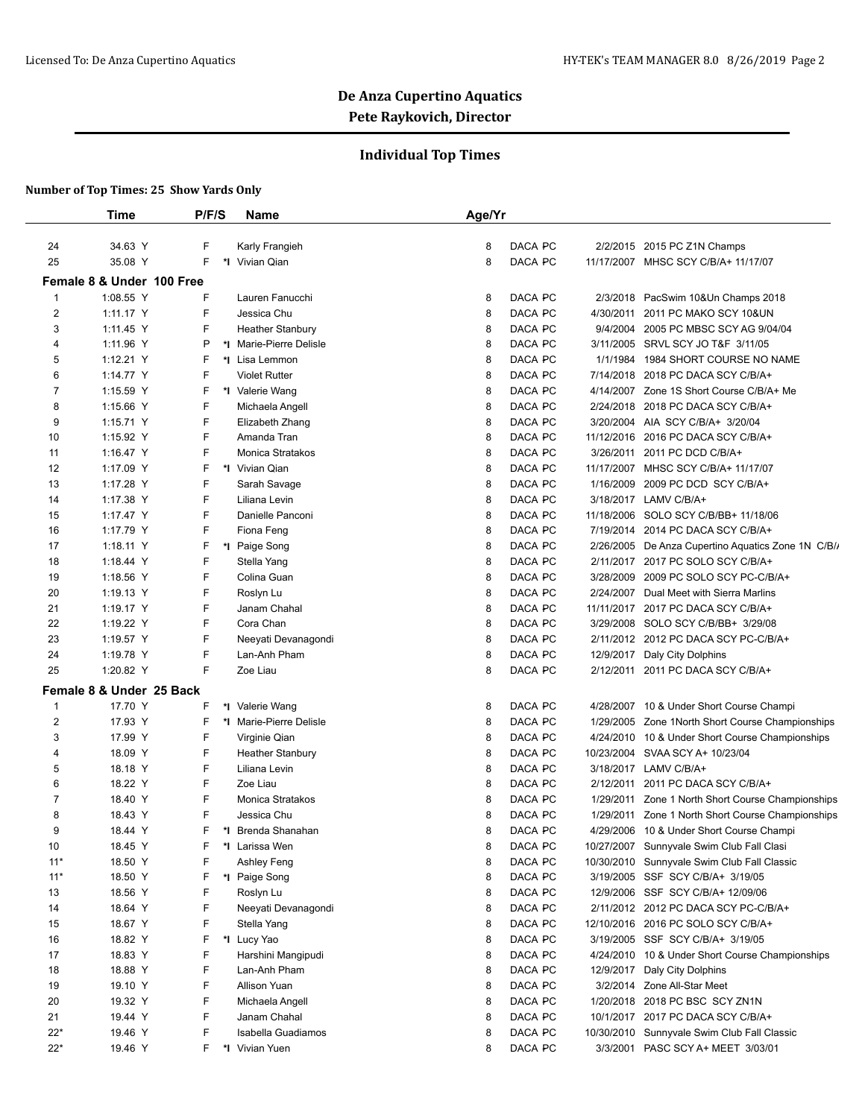## **Individual Top Times**

|                | Time                      | P/F/S | Name                    | Age/Yr |         |          |                                                    |
|----------------|---------------------------|-------|-------------------------|--------|---------|----------|----------------------------------------------------|
| 24             | 34.63 Y                   | F     | Karly Frangieh          | 8      | DACA PC |          | 2/2/2015 2015 PC Z1N Champs                        |
| 25             | 35.08 Y                   | F     | *I Vivian Qian          | 8      | DACA PC |          | 11/17/2007 MHSC SCY C/B/A+ 11/17/07                |
|                |                           |       |                         |        |         |          |                                                    |
|                | Female 8 & Under 100 Free |       |                         |        |         |          |                                                    |
| $\mathbf{1}$   | 1:08.55 Y                 | F     | Lauren Fanucchi         | 8      | DACA PC | 2/3/2018 | PacSwim 10&Un Champs 2018                          |
| $\overline{2}$ | 1:11.17 Y                 | F     | Jessica Chu             | 8      | DACA PC |          | 4/30/2011 2011 PC MAKO SCY 10&UN                   |
| 3              | 1:11.45 Y                 | F     | <b>Heather Stanbury</b> | 8      | DACA PC |          | 9/4/2004 2005 PC MBSC SCY AG 9/04/04               |
| 4              | 1:11.96 Y                 | P     | *I Marie-Pierre Delisle | 8      | DACA PC |          | 3/11/2005 SRVL SCY JO T&F 3/11/05                  |
| 5              | 1:12.21 Y                 | F     | *I Lisa Lemmon          | 8      | DACA PC |          | 1/1/1984 1984 SHORT COURSE NO NAME                 |
| 6              | 1:14.77 Y                 | F     | <b>Violet Rutter</b>    | 8      | DACA PC |          | 7/14/2018 2018 PC DACA SCY C/B/A+                  |
| 7              | 1:15.59 Y                 | F     | *I Valerie Wang         | 8      | DACA PC |          | 4/14/2007 Zone 1S Short Course C/B/A+ Me           |
| 8              | 1:15.66 Y                 | F     | Michaela Angell         | 8      | DACA PC |          | 2/24/2018 2018 PC DACA SCY C/B/A+                  |
| 9              | 1:15.71 Y                 | F     | Elizabeth Zhang         | 8      | DACA PC |          | 3/20/2004 AIA SCY C/B/A+ 3/20/04                   |
| 10             | 1:15.92 Y                 | F     | Amanda Tran             | 8      | DACA PC |          | 11/12/2016 2016 PC DACA SCY C/B/A+                 |
| 11             | 1:16.47 Y                 | F     | Monica Stratakos        | 8      | DACA PC |          | 3/26/2011 2011 PC DCD C/B/A+                       |
| 12             | 1:17.09 Y                 | F     | *I Vivian Qian          | 8      | DACA PC |          | 11/17/2007 MHSC SCY C/B/A+ 11/17/07                |
| 13             | 1:17.28 Y                 | F     | Sarah Savage            | 8      | DACA PC |          | 1/16/2009 2009 PC DCD SCY C/B/A+                   |
| 14             | 1:17.38 Y                 | F     | Liliana Levin           | 8      | DACA PC |          | 3/18/2017 LAMV C/B/A+                              |
| 15             | 1:17.47 Y                 | F     | Danielle Panconi        | 8      | DACA PC |          | 11/18/2006 SOLO SCY C/B/BB+ 11/18/06               |
| 16             | 1:17.79 Y                 | F     | Fiona Feng              | 8      | DACA PC |          | 7/19/2014 2014 PC DACA SCY C/B/A+                  |
| 17             | 1:18.11 Y                 | F     | *I Paige Song           | 8      | DACA PC |          | 2/26/2005 De Anza Cupertino Aquatics Zone 1N C/B// |
| 18             | 1:18.44 Y                 | F     | Stella Yang             | 8      | DACA PC |          | 2/11/2017 2017 PC SOLO SCY C/B/A+                  |
| 19             | 1:18.56 Y                 | F     | Colina Guan             | 8      | DACA PC |          | 3/28/2009 2009 PC SOLO SCY PC-C/B/A+               |
| 20             | 1:19.13 Y                 | F     | Roslyn Lu               | 8      | DACA PC |          | 2/24/2007 Dual Meet with Sierra Marlins            |
| 21             | 1:19.17 Y                 | F     | Janam Chahal            | 8      | DACA PC |          | 11/11/2017 2017 PC DACA SCY C/B/A+                 |
| 22             | 1:19.22 Y                 | F     | Cora Chan               | 8      | DACA PC |          | 3/29/2008 SOLO SCY C/B/BB+ 3/29/08                 |
| 23             | 1:19.57 Y                 | F     | Neeyati Devanagondi     | 8      | DACA PC |          | 2/11/2012 2012 PC DACA SCY PC-C/B/A+               |
| 24             | 1:19.78 Y                 | F     | Lan-Anh Pham            | 8      | DACA PC |          | 12/9/2017 Daly City Dolphins                       |
| 25             | 1:20.82 Y                 | F     | Zoe Liau                | 8      | DACA PC |          | 2/12/2011 2011 PC DACA SCY C/B/A+                  |
|                | Female 8 & Under 25 Back  |       |                         |        |         |          |                                                    |
| $\mathbf{1}$   | 17.70 Y                   | F     | *I Valerie Wang         | 8      | DACA PC |          | 4/28/2007 10 & Under Short Course Champi           |
| $\overline{c}$ | 17.93 Y                   | F     | *I Marie-Pierre Delisle | 8      | DACA PC |          | 1/29/2005 Zone 1 North Short Course Championships  |
| 3              | 17.99 Y                   | F     | Virginie Qian           | 8      | DACA PC |          | 4/24/2010 10 & Under Short Course Championships    |
| 4              | 18.09 Y                   | F     | <b>Heather Stanbury</b> | 8      | DACA PC |          | 10/23/2004 SVAA SCY A+ 10/23/04                    |
| 5              | 18.18 Y                   | F     | Liliana Levin           | 8      | DACA PC |          | 3/18/2017 LAMV C/B/A+                              |
| 6              | 18.22 Y                   | F     | Zoe Liau                | 8      | DACA PC |          | 2/12/2011 2011 PC DACA SCY C/B/A+                  |
| 7              | 18.40 Y                   | F     | Monica Stratakos        | 8      | DACA PC |          | 1/29/2011 Zone 1 North Short Course Championships  |
| 8              | 18.43 Y                   | F     | Jessica Chu             | 8      | DACA PC |          | 1/29/2011 Zone 1 North Short Course Championships  |
| 9              | 18.44 Y                   | F     | *I Brenda Shanahan      | 8      | DACA PC |          | 4/29/2006 10 & Under Short Course Champi           |
| 10             | 18.45 Y                   | F     | *I Larissa Wen          | 8      | DACA PC |          | 10/27/2007 Sunnyvale Swim Club Fall Clasi          |
| $11*$          | 18.50 Y                   | F     | Ashley Feng             | 8      | DACA PC |          | 10/30/2010 Sunnyvale Swim Club Fall Classic        |
| $11*$          | 18.50 Y                   | F     | *I Paige Song           | 8      | DACA PC |          | 3/19/2005 SSF SCY C/B/A+ 3/19/05                   |
| 13             | 18.56 Y                   | F     | Roslyn Lu               | 8      | DACA PC |          | 12/9/2006 SSF SCY C/B/A+ 12/09/06                  |
| 14             | 18.64 Y                   | F     | Neeyati Devanagondi     | 8      | DACA PC |          | 2/11/2012 2012 PC DACA SCY PC-C/B/A+               |
| 15             | 18.67 Y                   | F     | Stella Yang             | 8      | DACA PC |          | 12/10/2016 2016 PC SOLO SCY C/B/A+                 |
| 16             | 18.82 Y                   | F     | *I Lucy Yao             | 8      | DACA PC |          | 3/19/2005 SSF SCY C/B/A+ 3/19/05                   |
| 17             | 18.83 Y                   | F     | Harshini Mangipudi      | 8      | DACA PC |          | 4/24/2010 10 & Under Short Course Championships    |
| 18             | 18.88 Y                   | F     | Lan-Anh Pham            | 8      | DACA PC |          | 12/9/2017 Daly City Dolphins                       |
| 19             | 19.10 Y                   | F     | Allison Yuan            | 8      | DACA PC |          | 3/2/2014 Zone All-Star Meet                        |
| 20             | 19.32 Y                   | F     | Michaela Angell         | 8      | DACA PC |          | 1/20/2018 2018 PC BSC SCY ZN1N                     |
| 21             | 19.44 Y                   | F     | Janam Chahal            | 8      | DACA PC |          | 10/1/2017 2017 PC DACA SCY C/B/A+                  |
| $22*$          | 19.46 Y                   | F     | Isabella Guadiamos      | 8      | DACA PC |          | 10/30/2010 Sunnyvale Swim Club Fall Classic        |
|                |                           | F     |                         |        |         |          |                                                    |
| $22^*$         | 19.46 Y                   |       | *I Vivian Yuen          | 8      | DACA PC |          | 3/3/2001 PASC SCY A+ MEET 3/03/01                  |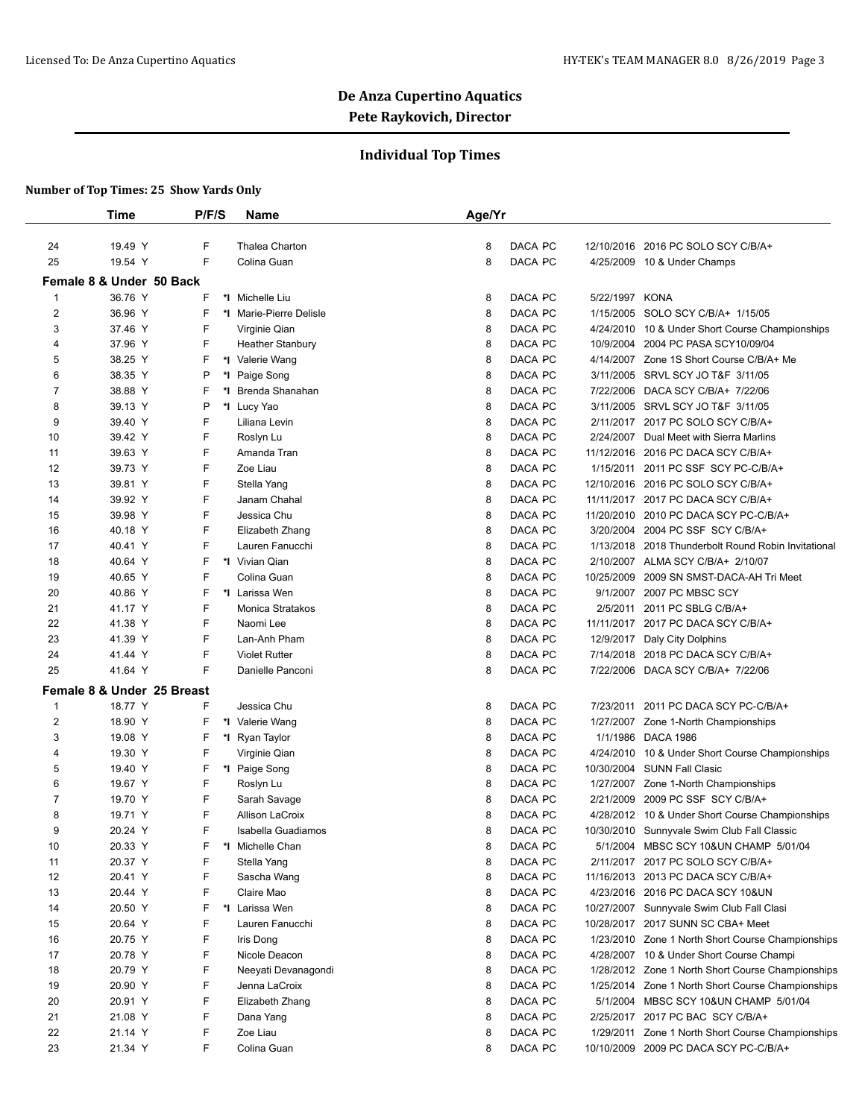## **Individual Top Times**

|                         | <b>Time</b>                | P/F/S | Name                    | Age/Yr |         |            |                                                   |
|-------------------------|----------------------------|-------|-------------------------|--------|---------|------------|---------------------------------------------------|
| 24                      | 19.49 Y                    | F     | Thalea Charton          | 8      | DACA PC |            | 12/10/2016 2016 PC SOLO SCY C/B/A+                |
| 25                      | 19.54 Y                    | F     | Colina Guan             | 8      | DACA PC |            | 4/25/2009 10 & Under Champs                       |
|                         | Female 8 & Under 50 Back   |       |                         |        |         |            |                                                   |
| 1                       | 36.76 Y                    | F     | *1 Michelle Liu         | 8      | DACA PC | 5/22/1997  | <b>KONA</b>                                       |
| 2                       | 36.96 Y                    | F     | *I Marie-Pierre Delisle | 8      | DACA PC |            | 1/15/2005 SOLO SCY C/B/A+ 1/15/05                 |
| 3                       | 37.46 Y                    | F     | Virginie Qian           | 8      | DACA PC |            | 4/24/2010 10 & Under Short Course Championships   |
| 4                       | 37.96 Y                    | F     | <b>Heather Stanbury</b> | 8      | DACA PC |            | 10/9/2004 2004 PC PASA SCY10/09/04                |
| 5                       | 38.25 Y                    | F     | *I Valerie Wang         | 8      | DACA PC |            | 4/14/2007 Zone 1S Short Course C/B/A+ Me          |
| 6                       | 38.35 Y                    | P     | *I Paige Song           | 8      | DACA PC |            | 3/11/2005 SRVL SCY JO T&F 3/11/05                 |
| 7                       | 38.88 Y                    | F     | *I Brenda Shanahan      | 8      | DACA PC | 7/22/2006  | DACA SCY C/B/A+ 7/22/06                           |
| 8                       | 39.13 Y                    | P     | *I Lucy Yao             | 8      | DACA PC |            | 3/11/2005 SRVL SCY JO T&F 3/11/05                 |
| 9                       | 39.40 Y                    | F     | Liliana Levin           | 8      | DACA PC |            | 2/11/2017 2017 PC SOLO SCY C/B/A+                 |
| 10                      | 39.42 Y                    | F     | Roslyn Lu               | 8      | DACA PC | 2/24/2007  | Dual Meet with Sierra Marlins                     |
| 11                      | 39.63 Y                    | F     | Amanda Tran             | 8      | DACA PC |            | 11/12/2016 2016 PC DACA SCY C/B/A+                |
| 12                      | 39.73 Y                    | F     | Zoe Liau                | 8      | DACA PC |            | 1/15/2011 2011 PC SSF SCY PC-C/B/A+               |
| 13                      | 39.81 Y                    | F     | Stella Yang             | 8      | DACA PC |            | 12/10/2016 2016 PC SOLO SCY C/B/A+                |
| 14                      | 39.92 Y                    | F     | Janam Chahal            | 8      | DACA PC |            | 11/11/2017 2017 PC DACA SCY C/B/A+                |
| 15                      | 39.98 Y                    | F     | Jessica Chu             | 8      | DACA PC |            | 11/20/2010 2010 PC DACA SCY PC-C/B/A+             |
| 16                      | 40.18 Y                    | F     | Elizabeth Zhang         | 8      | DACA PC |            | 3/20/2004 2004 PC SSF SCY C/B/A+                  |
| 17                      | 40.41 Y                    | F     | Lauren Fanucchi         | 8      | DACA PC | 1/13/2018  | 2018 Thunderbolt Round Robin Invitational         |
| 18                      | 40.64 Y                    | F     | *I Vivian Qian          | 8      | DACA PC |            | 2/10/2007 ALMA SCY C/B/A+ 2/10/07                 |
| 19                      | 40.65 Y                    | F     | Colina Guan             | 8      | DACA PC | 10/25/2009 | 2009 SN SMST-DACA-AH Tri Meet                     |
| 20                      | 40.86 Y                    | F     | *I Larissa Wen          | 8      | DACA PC |            | 9/1/2007 2007 PC MBSC SCY                         |
| 21                      | 41.17 Y                    | F     | Monica Stratakos        | 8      | DACA PC |            | 2/5/2011 2011 PC SBLG C/B/A+                      |
| 22                      | 41.38 Y                    | F     | Naomi Lee               | 8      | DACA PC |            | 11/11/2017 2017 PC DACA SCY C/B/A+                |
| 23                      | 41.39 Y                    | F     | Lan-Anh Pham            | 8      | DACA PC |            | 12/9/2017 Daly City Dolphins                      |
| 24                      | 41.44 Y                    | F     | <b>Violet Rutter</b>    | 8      | DACA PC |            | 7/14/2018 2018 PC DACA SCY C/B/A+                 |
| 25                      | 41.64 Y                    | F     | Danielle Panconi        | 8      | DACA PC |            | 7/22/2006 DACA SCY C/B/A+ 7/22/06                 |
|                         | Female 8 & Under 25 Breast |       |                         |        |         |            |                                                   |
| -1                      | 18.77 Y                    | F     | Jessica Chu             | 8      | DACA PC |            | 7/23/2011 2011 PC DACA SCY PC-C/B/A+              |
| $\overline{\mathbf{c}}$ | 18.90 Y                    | F     | *I Valerie Wang         | 8      | DACA PC |            | 1/27/2007 Zone 1-North Championships              |
| 3                       | 19.08 Y                    | F     | *I Ryan Taylor          | 8      | DACA PC | 1/1/1986   | <b>DACA 1986</b>                                  |
| 4                       | 19.30 Y                    | F     | Virginie Qian           | 8      | DACA PC |            | 4/24/2010 10 & Under Short Course Championships   |
| 5                       | 19.40 Y                    | F     | *I Paige Song           | 8      | DACA PC |            | 10/30/2004 SUNN Fall Clasic                       |
| 6                       | 19.67 Y                    | F     | Roslyn Lu               | 8      | DACA PC |            | 1/27/2007 Zone 1-North Championships              |
| 7                       | 19.70 Y                    | F     | Sarah Savage            | 8      | DACA PC |            | 2/21/2009 2009 PC SSF SCY C/B/A+                  |
| 8                       | 19.71 Y                    | F     | Allison LaCroix         | 8      | DACA PC |            | 4/28/2012 10 & Under Short Course Championships   |
| 9                       | 20.24 Y                    | F     | Isabella Guadiamos      | 8      | DACA PC |            | 10/30/2010 Sunnyvale Swim Club Fall Classic       |
| 10                      | 20.33 Y                    | F     | *I Michelle Chan        | 8      | DACA PC |            | 5/1/2004 MBSC SCY 10&UN CHAMP 5/01/04             |
| 11                      | 20.37 Y                    | F     | Stella Yang             | 8      | DACA PC |            | 2/11/2017 2017 PC SOLO SCY C/B/A+                 |
| 12                      | 20.41 Y                    | F     | Sascha Wang             | 8      | DACA PC |            | 11/16/2013 2013 PC DACA SCY C/B/A+                |
| 13                      | 20.44 Y                    | F     | Claire Mao              | 8      | DACA PC |            | 4/23/2016 2016 PC DACA SCY 10&UN                  |
| 14                      | 20.50 Y                    | F     | *I Larissa Wen          | 8      | DACA PC |            | 10/27/2007 Sunnyvale Swim Club Fall Clasi         |
| 15                      | 20.64 Y                    | F     | Lauren Fanucchi         | 8      | DACA PC |            | 10/28/2017 2017 SUNN SC CBA+ Meet                 |
| 16                      | 20.75 Y                    | F     | Iris Dong               | 8      | DACA PC |            | 1/23/2010 Zone 1 North Short Course Championships |
| 17                      | 20.78 Y                    | F     | Nicole Deacon           | 8      | DACA PC |            | 4/28/2007 10 & Under Short Course Champi          |
| 18                      | 20.79 Y                    | F     | Neeyati Devanagondi     | 8      | DACA PC |            | 1/28/2012 Zone 1 North Short Course Championships |
| 19                      | 20.90 Y                    | F     | Jenna LaCroix           | 8      | DACA PC |            | 1/25/2014 Zone 1 North Short Course Championships |
| 20                      | 20.91 Y                    | F     | Elizabeth Zhang         | 8      | DACA PC |            | 5/1/2004 MBSC SCY 10&UN CHAMP 5/01/04             |
| 21                      | 21.08 Y                    | F     | Dana Yang               | 8      | DACA PC |            | 2/25/2017 2017 PC BAC SCY C/B/A+                  |
| 22                      | 21.14 Y                    | F     | Zoe Liau                | 8      | DACA PC |            | 1/29/2011 Zone 1 North Short Course Championships |
| 23                      | 21.34 Y                    | F     | Colina Guan             | 8      | DACA PC |            | 10/10/2009 2009 PC DACA SCY PC-C/B/A+             |
|                         |                            |       |                         |        |         |            |                                                   |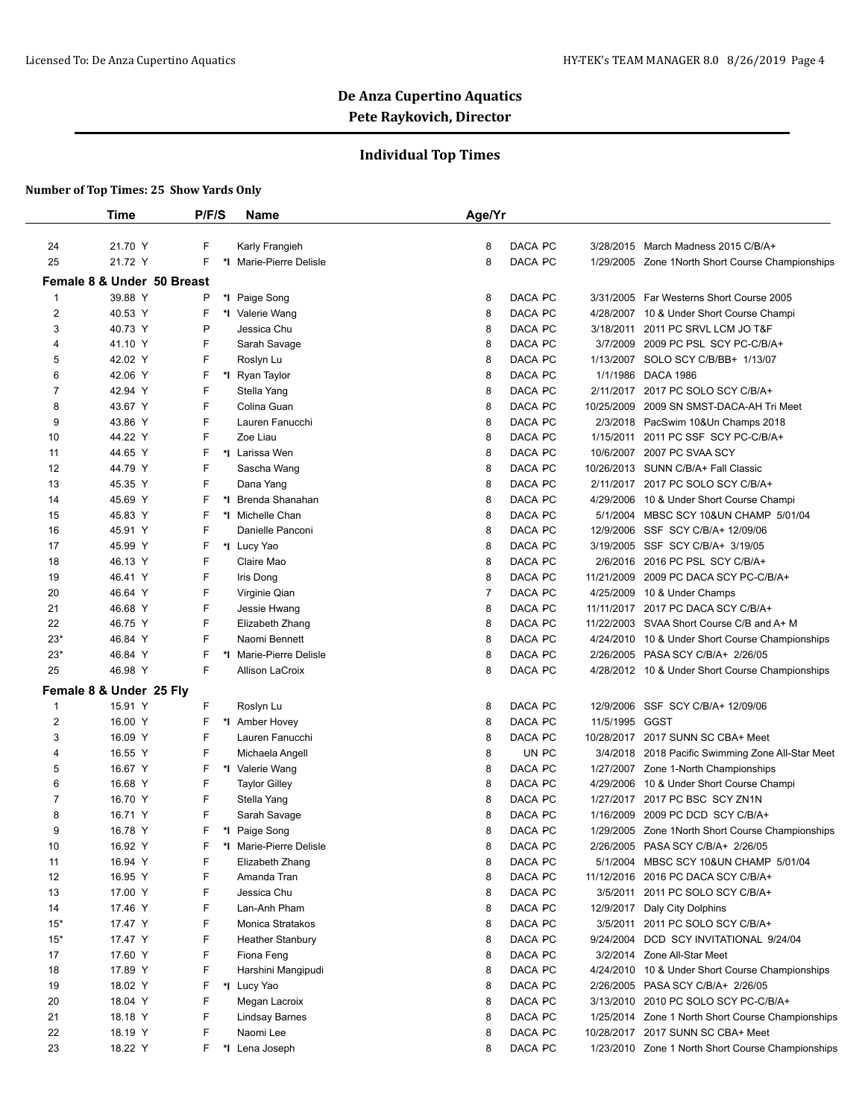## **Individual Top Times**

|                  | Time                                  | P/F/S  | <b>Name</b>                    | Age/Yr         |         |                        |                                                           |
|------------------|---------------------------------------|--------|--------------------------------|----------------|---------|------------------------|-----------------------------------------------------------|
| 24               | 21.70 Y                               | F      | Karly Frangieh                 | 8              | DACA PC |                        | 3/28/2015 March Madness 2015 C/B/A+                       |
| 25               | 21.72 Y                               | F      | *I Marie-Pierre Delisle        | 8              | DACA PC |                        | 1/29/2005 Zone 1 North Short Course Championships         |
|                  |                                       |        |                                |                |         |                        |                                                           |
| $\mathbf{1}$     | Female 8 & Under 50 Breast<br>39.88 Y |        |                                |                | DACA PC | 3/31/2005              | Far Westerns Short Course 2005                            |
| $\overline{2}$   |                                       | P      | *1 Paige Song                  | 8              | DACA PC |                        |                                                           |
| 3                | 40.53 Y<br>40.73 Y                    | F<br>P | *I Valerie Wang<br>Jessica Chu | 8<br>8         | DACA PC | 4/28/2007<br>3/18/2011 | 10 & Under Short Course Champi<br>2011 PC SRVL LCM JO T&F |
| 4                | 41.10 Y                               | F      | Sarah Savage                   | 8              | DACA PC | 3/7/2009               | 2009 PC PSL SCY PC-C/B/A+                                 |
| 5                | 42.02 Y                               | F      | Roslyn Lu                      | 8              | DACA PC | 1/13/2007              | SOLO SCY C/B/BB+ 1/13/07                                  |
| 6                | 42.06 Y                               | F      | *I Ryan Taylor                 | 8              | DACA PC | 1/1/1986               | <b>DACA 1986</b>                                          |
| $\overline{7}$   | 42.94 Y                               | F      | Stella Yang                    | 8              | DACA PC |                        | 2/11/2017 2017 PC SOLO SCY C/B/A+                         |
| 8                | 43.67 Y                               | F      | Colina Guan                    | 8              | DACA PC | 10/25/2009             | 2009 SN SMST-DACA-AH Tri Meet                             |
| 9                | 43.86 Y                               | F      | Lauren Fanucchi                | 8              | DACA PC | 2/3/2018               | PacSwim 10&Un Champs 2018                                 |
| 10               | 44.22 Y                               | F      | Zoe Liau                       | 8              | DACA PC | 1/15/2011              | 2011 PC SSF SCY PC-C/B/A+                                 |
| 11               | 44.65 Y                               | F      | *I Larissa Wen                 | 8              | DACA PC |                        | 10/6/2007 2007 PC SVAA SCY                                |
| 12               | 44.79 Y                               | F      | Sascha Wang                    | 8              | DACA PC |                        | 10/26/2013 SUNN C/B/A+ Fall Classic                       |
| 13               | 45.35 Y                               | F      | Dana Yang                      | 8              | DACA PC |                        | 2/11/2017 2017 PC SOLO SCY C/B/A+                         |
| 14               | 45.69 Y                               | F      | *I Brenda Shanahan             | 8              | DACA PC | 4/29/2006              | 10 & Under Short Course Champi                            |
| 15               | 45.83 Y                               | F      | *1 Michelle Chan               | 8              | DACA PC |                        | 5/1/2004 MBSC SCY 10&UN CHAMP 5/01/04                     |
| 16               | 45.91 Y                               | F      | Danielle Panconi               | 8              | DACA PC | 12/9/2006              | SSF SCY C/B/A+ 12/09/06                                   |
| 17               | 45.99 Y                               | F      | *I Lucy Yao                    | 8              | DACA PC | 3/19/2005              | SSF SCY C/B/A+ 3/19/05                                    |
| 18               | 46.13 Y                               | F      | Claire Mao                     | 8              | DACA PC | 2/6/2016               | 2016 PC PSL SCY C/B/A+                                    |
| 19               | 46.41 Y                               | F      | Iris Dong                      | 8              | DACA PC | 11/21/2009             | 2009 PC DACA SCY PC-C/B/A+                                |
| 20               | 46.64 Y                               | F      | Virginie Qian                  | $\overline{7}$ | DACA PC | 4/25/2009              | 10 & Under Champs                                         |
| 21               | 46.68 Y                               | F      | Jessie Hwang                   | 8              | DACA PC |                        | 11/11/2017 2017 PC DACA SCY C/B/A+                        |
| 22               | 46.75 Y                               | F      | Elizabeth Zhang                | 8              | DACA PC |                        | 11/22/2003 SVAA Short Course C/B and A+ M                 |
| $23*$            | 46.84 Y                               | F      | Naomi Bennett                  | 8              | DACA PC | 4/24/2010              | 10 & Under Short Course Championships                     |
| $23*$            | 46.84 Y                               | F      | *I Marie-Pierre Delisle        | 8              | DACA PC | 2/26/2005              | PASA SCY C/B/A+ 2/26/05                                   |
| 25               | 46.98 Y                               | F      | <b>Allison LaCroix</b>         | 8              | DACA PC |                        | 4/28/2012 10 & Under Short Course Championships           |
|                  | Female 8 & Under 25 Fly               |        |                                |                |         |                        |                                                           |
| -1               | 15.91 Y                               | F      | Roslyn Lu                      | 8              | DACA PC | 12/9/2006              | SSF SCY C/B/A+ 12/09/06                                   |
| $\boldsymbol{2}$ | 16.00 Y                               | F      | *I Amber Hovey                 | 8              | DACA PC | 11/5/1995              | GGST                                                      |
| 3                | 16.09 Y                               | F      | Lauren Fanucchi                | 8              | DACA PC |                        | 10/28/2017 2017 SUNN SC CBA+ Meet                         |
| 4                | 16.55 Y                               | F      | Michaela Angell                | 8              | UN PC   |                        | 3/4/2018 2018 Pacific Swimming Zone All-Star Meet         |
| 5                | 16.67 Y                               | F      | *I Valerie Wang                | 8              | DACA PC |                        | 1/27/2007 Zone 1-North Championships                      |
| 6                | 16.68 Y                               | F      | <b>Taylor Gilley</b>           | 8              | DACA PC | 4/29/2006              | 10 & Under Short Course Champi                            |
| 7                | 16.70 Y                               | F      | Stella Yang                    | 8              | DACA PC |                        | 1/27/2017 2017 PC BSC SCY ZN1N                            |
| 8                | 16.71 Y                               | F      | Sarah Savage                   | 8              | DACA PC | 1/16/2009              | 2009 PC DCD SCY C/B/A+                                    |
| 9                | 16.78 Y                               | F      | *I Paige Song                  | 8              | DACA PC |                        | 1/29/2005 Zone 1 North Short Course Championships         |
| 10               | 16.92 Y                               | F      | *I Marie-Pierre Delisle        | 8              | DACA PC | 2/26/2005              | PASA SCY C/B/A+ 2/26/05                                   |
| 11               | 16.94 Y                               | F      | Elizabeth Zhang                | 8              | DACA PC |                        | 5/1/2004 MBSC SCY 10&UN CHAMP 5/01/04                     |
| 12               | 16.95 Y                               | F      | Amanda Tran                    | 8              | DACA PC | 11/12/2016             | 2016 PC DACA SCY C/B/A+                                   |
| 13               | 17.00 Y                               | F      | Jessica Chu                    | 8              | DACA PC | 3/5/2011               | 2011 PC SOLO SCY C/B/A+                                   |
| 14               | 17.46 Y                               | F      | Lan-Anh Pham                   | 8              | DACA PC |                        | 12/9/2017 Daly City Dolphins                              |
| $15*$            | 17.47 Y                               | F      | Monica Stratakos               | 8              | DACA PC | 3/5/2011               | 2011 PC SOLO SCY C/B/A+                                   |
| $15*$            | 17.47 Y                               | F      | <b>Heather Stanbury</b>        | 8              | DACA PC |                        | 9/24/2004 DCD SCY INVITATIONAL 9/24/04                    |
| 17               | 17.60 Y                               | F      | Fiona Feng                     | 8              | DACA PC |                        | 3/2/2014 Zone All-Star Meet                               |
| 18               | 17.89 Y                               | F      | Harshini Mangipudi             | 8              | DACA PC | 4/24/2010              | 10 & Under Short Course Championships                     |
| 19               | 18.02 Y                               | F      | *I Lucy Yao                    | 8              | DACA PC | 2/26/2005              | PASA SCY C/B/A+ 2/26/05                                   |
| 20               | 18.04 Y                               | F      | Megan Lacroix                  | 8              | DACA PC |                        | 3/13/2010 2010 PC SOLO SCY PC-C/B/A+                      |
| 21               | 18.18 Y                               | F      | <b>Lindsay Barnes</b>          | 8              | DACA PC |                        | 1/25/2014 Zone 1 North Short Course Championships         |
| 22               | 18.19 Y                               | F      | Naomi Lee                      | 8              | DACA PC |                        | 10/28/2017 2017 SUNN SC CBA+ Meet                         |
| 23               | 18.22 Y                               | F      | *I Lena Joseph                 | 8              | DACA PC |                        | 1/23/2010 Zone 1 North Short Course Championships         |
|                  |                                       |        |                                |                |         |                        |                                                           |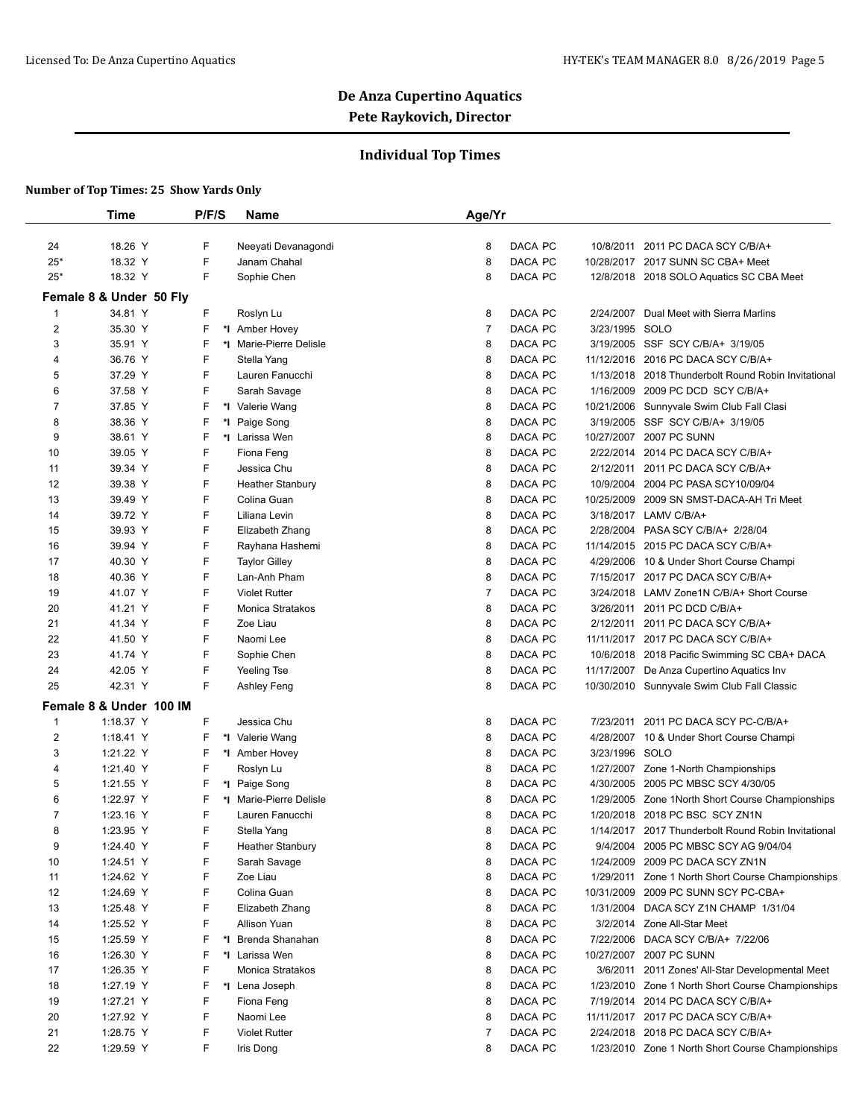## **Individual Top Times**

|                | Time                    | P/F/S | Name                    | Age/Yr         |                    |            |                                                     |
|----------------|-------------------------|-------|-------------------------|----------------|--------------------|------------|-----------------------------------------------------|
|                |                         |       |                         |                |                    |            |                                                     |
| 24             | 18.26 Y                 | F     | Neeyati Devanagondi     | 8              | DACA PC            |            | 10/8/2011 2011 PC DACA SCY C/B/A+                   |
| $25*$          | 18.32 Y                 | F     | Janam Chahal            | 8              | DACA PC            |            | 10/28/2017 2017 SUNN SC CBA+ Meet                   |
| $25*$          | 18.32 Y                 | F     | Sophie Chen             | 8              | DACA PC            |            | 12/8/2018 2018 SOLO Aquatics SC CBA Meet            |
|                | Female 8 & Under 50 Fly |       |                         |                |                    |            |                                                     |
| $\mathbf{1}$   | 34.81 Y                 | F     | Roslyn Lu               | 8              | DACA PC            | 2/24/2007  | Dual Meet with Sierra Marlins                       |
| $\overline{2}$ | 35.30 Y                 | F     | *1 Amber Hovey          | $\overline{7}$ | DACA PC            | 3/23/1995  | SOLO                                                |
| 3              | 35.91 Y                 | F     | *I Marie-Pierre Delisle | 8              | DACA PC            |            | 3/19/2005 SSF SCY C/B/A+ 3/19/05                    |
| 4              | 36.76 Y                 | F     | Stella Yang             | 8              | DACA PC            | 11/12/2016 | 2016 PC DACA SCY C/B/A+                             |
| 5              | 37.29 Y                 | F     | Lauren Fanucchi         | 8              | DACA PC            | 1/13/2018  | 2018 Thunderbolt Round Robin Invitational           |
| 6              | 37.58 Y                 | F     | Sarah Savage            | 8              | DACA PC            | 1/16/2009  | 2009 PC DCD SCY C/B/A+                              |
| 7              | 37.85 Y                 | F     | *I Valerie Wang         | 8              | DACA PC            | 10/21/2006 | Sunnyvale Swim Club Fall Clasi                      |
| 8              | 38.36 Y                 | F     | *I Paige Song           | 8              | DACA PC            | 3/19/2005  | SSF SCY C/B/A+ 3/19/05                              |
| 9              | 38.61 Y                 | F     | *1 Larissa Wen          | 8              | DACA PC            |            | 10/27/2007 2007 PC SUNN                             |
| 10             | 39.05 Y                 | F     | Fiona Feng              | 8              | DACA PC            | 2/22/2014  | 2014 PC DACA SCY C/B/A+                             |
| 11             | 39.34 Y                 | F     | Jessica Chu             | 8              | DACA PC            | 2/12/2011  | 2011 PC DACA SCY C/B/A+                             |
| 12             | 39.38 Y                 | F     | <b>Heather Stanbury</b> | 8              | DACA PC            | 10/9/2004  | 2004 PC PASA SCY10/09/04                            |
| 13             | 39.49 Y                 | F     | Colina Guan             | 8              | DACA PC            | 10/25/2009 | 2009 SN SMST-DACA-AH Tri Meet                       |
| 14             | 39.72 Y                 | F     | Liliana Levin           | 8              | DACA PC            | 3/18/2017  | LAMV C/B/A+                                         |
| 15             | 39.93 Y                 | F     | Elizabeth Zhang         | 8              | DACA PC            | 2/28/2004  | PASA SCY C/B/A+ 2/28/04                             |
| 16             | 39.94 Y                 | F     | Rayhana Hashemi         | 8              | DACA PC            |            | 11/14/2015 2015 PC DACA SCY C/B/A+                  |
| 17             | 40.30 Y                 | F     | <b>Taylor Gilley</b>    | 8              | DACA PC            | 4/29/2006  | 10 & Under Short Course Champi                      |
| 18             | 40.36 Y                 | F     | Lan-Anh Pham            | 8              | DACA PC            |            | 7/15/2017 2017 PC DACA SCY C/B/A+                   |
| 19             | 41.07 Y                 | F     | <b>Violet Rutter</b>    | $\overline{7}$ | DACA PC            | 3/24/2018  | LAMV Zone1N C/B/A+ Short Course                     |
| 20             | 41.21 Y                 | F     | Monica Stratakos        | 8              | DACA PC            |            | 3/26/2011 2011 PC DCD C/B/A+                        |
| 21             | 41.34 Y                 | F     | Zoe Liau                | 8              | DACA PC            |            | 2/12/2011 2011 PC DACA SCY C/B/A+                   |
| 22             | 41.50 Y                 | F     | Naomi Lee               | 8              | DACA PC            |            | 11/11/2017 2017 PC DACA SCY C/B/A+                  |
| 23             | 41.74 Y                 | F     | Sophie Chen             | 8              | DACA PC            | 10/6/2018  | 2018 Pacific Swimming SC CBA+ DACA                  |
| 24             | 42.05 Y                 | F     | Yeeling Tse             | 8              | DACA PC            |            | 11/17/2007 De Anza Cupertino Aquatics Inv           |
| 25             | 42.31 Y                 | F     | Ashley Feng             | 8              | DACA PC            |            | 10/30/2010 Sunnyvale Swim Club Fall Classic         |
|                | Female 8 & Under 100 IM |       |                         |                |                    |            |                                                     |
| $\mathbf{1}$   | 1:18.37 Y               | F     | Jessica Chu             | 8              | DACA PC            | 7/23/2011  | 2011 PC DACA SCY PC-C/B/A+                          |
| $\overline{2}$ | 1:18.41 Y               | F     | *I Valerie Wang         | 8              | DACA PC            |            | 4/28/2007 10 & Under Short Course Champi            |
| 3              | 1:21.22 Y               | F     | *1 Amber Hovey          | 8              | DACA PC            | 3/23/1996  | SOLO                                                |
| 4              | 1:21.40 Y               | F     | Roslyn Lu               | 8              | DACA PC            |            | 1/27/2007 Zone 1-North Championships                |
| 5              | 1:21.55 Y               | F     | *I Paige Song           | 8              | DACA PC            |            | 4/30/2005 2005 PC MBSC SCY 4/30/05                  |
| 6              | 1:22.97 Y               | F     | *I Marie-Pierre Delisle | 8              | DACA PC            |            | 1/29/2005 Zone 1 North Short Course Championships   |
| $\overline{7}$ | 1:23.16 Y               | F     | Lauren Fanucchi         | 8              | DACA PC            | 1/20/2018  | 2018 PC BSC SCY ZN1N                                |
| 8              | 1:23.95 Y               | F     | Stella Yang             | 8              | DACA PC            |            | 1/14/2017 2017 Thunderbolt Round Robin Invitational |
| 9              | 1:24.40 Y               | F     | <b>Heather Stanbury</b> | 8              | DACA PC            | 9/4/2004   | 2005 PC MBSC SCY AG 9/04/04                         |
| 10             | 1:24.51 Y               | F     | Sarah Savage            | 8              | DACA PC            | 1/24/2009  | 2009 PC DACA SCY ZN1N                               |
| 11             | 1:24.62 Y               | F     | Zoe Liau                | 8              | DACA PC            | 1/29/2011  | Zone 1 North Short Course Championships             |
| 12             | 1:24.69 Y               | F     | Colina Guan             | 8              | DACA PC            | 10/31/2009 | 2009 PC SUNN SCY PC-CBA+                            |
| 13             | 1:25.48 Y               | F     | Elizabeth Zhang         | 8              | DACA PC            | 1/31/2004  | DACA SCY Z1N CHAMP 1/31/04                          |
| 14             |                         | F     | Allison Yuan            | 8              | DACA PC            |            |                                                     |
|                | 1:25.52 Y<br>1:25.59 Y  | F     |                         |                |                    |            | 3/2/2014 Zone All-Star Meet                         |
| 15             | 1:26.30 Y               | F     | *I Brenda Shanahan      | 8              | DACA PC<br>DACA PC | 7/22/2006  | DACA SCY C/B/A+ 7/22/06<br>10/27/2007 2007 PC SUNN  |
| 16             |                         |       | *I Larissa Wen          | 8              |                    |            |                                                     |
| 17             | 1:26.35 Y               | F     | Monica Stratakos        | 8              | DACA PC            |            | 3/6/2011 2011 Zones' All-Star Developmental Meet    |
| 18             | 1:27.19 Y               | F     | *I Lena Joseph          | 8              | DACA PC            |            | 1/23/2010 Zone 1 North Short Course Championships   |
| 19             | 1:27.21 Y               | F     | Fiona Feng              | 8              | DACA PC            |            | 7/19/2014 2014 PC DACA SCY C/B/A+                   |
| 20             | 1:27.92 Y               | F     | Naomi Lee               | 8              | DACA PC            |            | 11/11/2017 2017 PC DACA SCY C/B/A+                  |
| 21             | 1:28.75 Y               | F     | <b>Violet Rutter</b>    | $\overline{7}$ | DACA PC            |            | 2/24/2018 2018 PC DACA SCY C/B/A+                   |
| 22             | 1:29.59 Y               | F     | Iris Dong               | 8              | DACA PC            |            | 1/23/2010 Zone 1 North Short Course Championships   |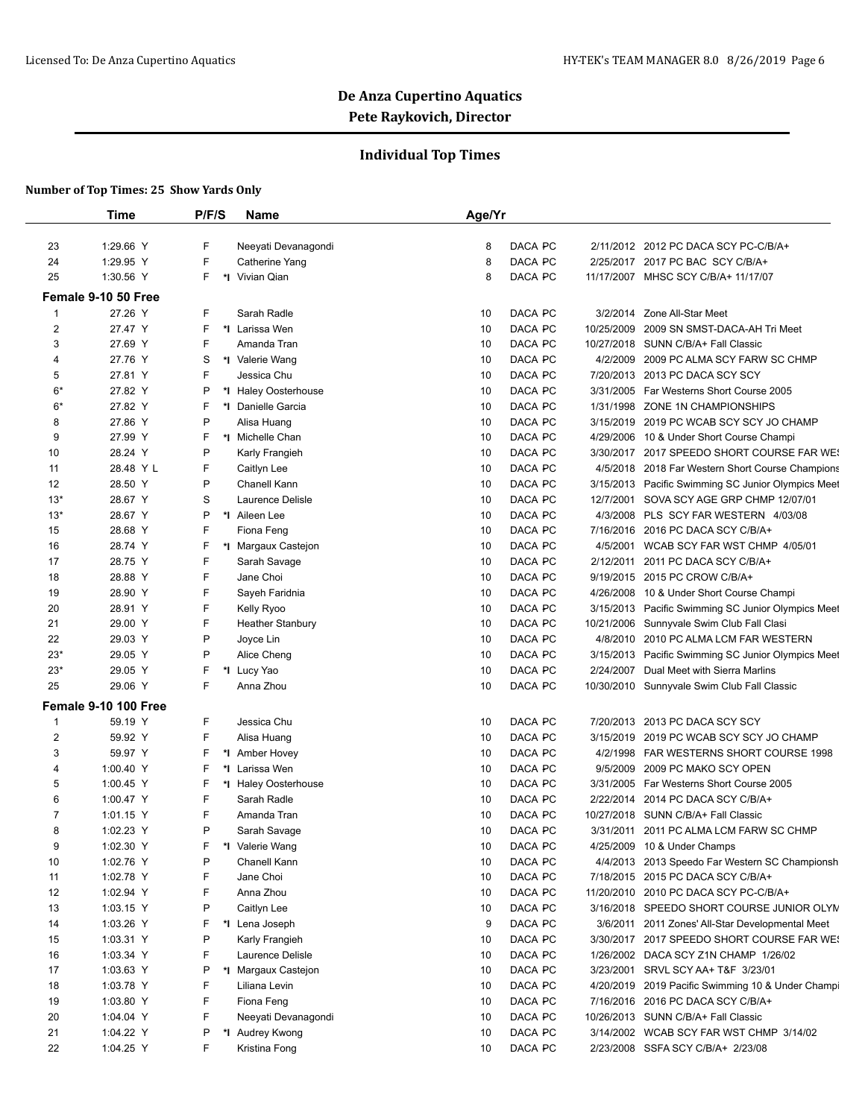## **Individual Top Times**

|                         | <b>Time</b>            | P/F/S | Name                                   | Age/Yr   |         |           |                                                    |
|-------------------------|------------------------|-------|----------------------------------------|----------|---------|-----------|----------------------------------------------------|
| 23                      | 1:29.66 Y              | F     | Neeyati Devanagondi                    | 8        | DACA PC |           | 2/11/2012 2012 PC DACA SCY PC-C/B/A+               |
| 24                      | 1:29.95 Y              | F     | Catherine Yang                         | 8        | DACA PC |           | 2/25/2017 2017 PC BAC SCY C/B/A+                   |
| 25                      | 1:30.56 Y              | F     | *I Vivian Qian                         | 8        | DACA PC |           | 11/17/2007 MHSC SCY C/B/A+ 11/17/07                |
|                         | Female 9-10 50 Free    |       |                                        |          |         |           |                                                    |
| $\mathbf{1}$            | 27.26 Y                | F     | Sarah Radle                            | 10       | DACA PC | 3/2/2014  | Zone All-Star Meet                                 |
| $\overline{\mathbf{c}}$ | 27.47 Y                | F     | *I Larissa Wen                         | 10       | DACA PC |           | 10/25/2009 2009 SN SMST-DACA-AH Tri Meet           |
| 3                       | 27.69 Y                | F     | Amanda Tran                            | 10       | DACA PC |           | 10/27/2018 SUNN C/B/A+ Fall Classic                |
| 4                       | 27.76 Y                | S     | *I Valerie Wang                        | 10       | DACA PC |           | 4/2/2009 2009 PC ALMA SCY FARW SC CHMP             |
| 5                       | 27.81 Y                | F     | Jessica Chu                            | 10       | DACA PC |           | 7/20/2013 2013 PC DACA SCY SCY                     |
| $6*$                    | 27.82 Y                | P     | *I Haley Oosterhouse                   | 10       | DACA PC |           | 3/31/2005 Far Westerns Short Course 2005           |
| $6*$                    | 27.82 Y                | F     | *I Danielle Garcia                     | 10       | DACA PC |           | 1/31/1998 ZONE 1N CHAMPIONSHIPS                    |
|                         | 27.86 Y                | P     |                                        | 10       | DACA PC |           | 3/15/2019 2019 PC WCAB SCY SCY JO CHAMP            |
| 8                       | 27.99 Y                | F     | Alisa Huang<br>*I Michelle Chan        | 10       |         |           |                                                    |
| 9                       |                        |       |                                        |          | DACA PC |           | 4/29/2006 10 & Under Short Course Champi           |
| 10                      | 28.24 Y                | P     | Karly Frangieh                         | 10       | DACA PC |           | 3/30/2017 2017 SPEEDO SHORT COURSE FAR WE!         |
| 11                      | 28.48 Y L              | F     | Caitlyn Lee                            | 10       | DACA PC |           | 4/5/2018 2018 Far Western Short Course Champions   |
| 12                      | 28.50 Y                | P     | Chanell Kann                           | 10       | DACA PC |           | 3/15/2013 Pacific Swimming SC Junior Olympics Meet |
| $13*$                   | 28.67 Y                | S     | Laurence Delisle                       | 10       | DACA PC | 12/7/2001 | SOVA SCY AGE GRP CHMP 12/07/01                     |
| $13*$                   | 28.67 Y                | P     | *1 Aileen Lee                          | 10       | DACA PC |           | 4/3/2008 PLS SCY FAR WESTERN 4/03/08               |
| 15                      | 28.68 Y                | F     | Fiona Feng                             | 10       | DACA PC |           | 7/16/2016 2016 PC DACA SCY C/B/A+                  |
| 16                      | 28.74 Y                | F     | *I Margaux Castejon                    | 10       | DACA PC | 4/5/2001  | WCAB SCY FAR WST CHMP 4/05/01                      |
| 17                      | 28.75 Y                | F     | Sarah Savage                           | 10       | DACA PC | 2/12/2011 | 2011 PC DACA SCY C/B/A+                            |
| 18                      | 28.88 Y                | F     | Jane Choi                              | 10       | DACA PC |           | 9/19/2015 2015 PC CROW C/B/A+                      |
| 19                      | 28.90 Y                | F     | Sayeh Faridnia                         | 10       | DACA PC |           | 4/26/2008 10 & Under Short Course Champi           |
| 20                      | 28.91 Y                | F     | Kelly Ryoo                             | 10       | DACA PC |           | 3/15/2013 Pacific Swimming SC Junior Olympics Meet |
| 21                      | 29.00 Y                | F     | <b>Heather Stanbury</b>                | 10       | DACA PC |           | 10/21/2006 Sunnyvale Swim Club Fall Clasi          |
| 22                      | 29.03 Y                | Ρ     | Joyce Lin                              | 10       | DACA PC |           | 4/8/2010 2010 PC ALMA LCM FAR WESTERN              |
| $23*$                   | 29.05 Y                | P     | Alice Cheng                            | 10       | DACA PC |           | 3/15/2013 Pacific Swimming SC Junior Olympics Meet |
| $23*$                   | 29.05 Y                | F     | *I Lucy Yao                            | 10       | DACA PC | 2/24/2007 | Dual Meet with Sierra Marlins                      |
| 25                      | 29.06 Y                | F     | Anna Zhou                              | 10       | DACA PC |           | 10/30/2010 Sunnyvale Swim Club Fall Classic        |
|                         | Female 9-10 100 Free   |       |                                        |          |         |           |                                                    |
| $\mathbf{1}$            | 59.19 Y                | F     | Jessica Chu                            | 10       | DACA PC |           | 7/20/2013 2013 PC DACA SCY SCY                     |
| 2                       | 59.92 Y                | F     | Alisa Huang                            | 10       | DACA PC |           | 3/15/2019 2019 PC WCAB SCY SCY JO CHAMP            |
| 3                       | 59.97 Y                | F     | *1 Amber Hovey                         | 10       | DACA PC |           | 4/2/1998 FAR WESTERNS SHORT COURSE 1998            |
| 4                       | 1:00.40 Y              | F     | *I Larissa Wen                         | 10       | DACA PC |           | 9/5/2009 2009 PC MAKO SCY OPEN                     |
| 5                       | 1:00.45 Y              | F     | *I Haley Oosterhouse                   | 10       | DACA PC |           | 3/31/2005 Far Westerns Short Course 2005           |
| 6                       | 1:00.47 Y              | F     | Sarah Radle                            | 10       | DACA PC |           | 2/22/2014 2014 PC DACA SCY C/B/A+                  |
| 7                       | 1:01.15 Y              | F     | Amanda Tran                            | 10       | DACA PC |           | 10/27/2018 SUNN C/B/A+ Fall Classic                |
| 8                       | 1:02.23 Y              | P     | Sarah Savage                           | 10       | DACA PC |           | 3/31/2011 2011 PC ALMA LCM FARW SC CHMP            |
| 9                       | 1:02.30 Y              | F     | *I Valerie Wang                        | 10       | DACA PC |           | 4/25/2009 10 & Under Champs                        |
| 10                      | 1:02.76 Y              | P     | Chanell Kann                           | 10       | DACA PC |           | 4/4/2013 2013 Speedo Far Western SC Championsh     |
| 11                      | 1:02.78 Y              | F     | Jane Choi                              | 10       | DACA PC |           | 7/18/2015 2015 PC DACA SCY C/B/A+                  |
| 12                      | 1:02.94 Y              | F     | Anna Zhou                              | 10       | DACA PC |           | 11/20/2010 2010 PC DACA SCY PC-C/B/A+              |
| 13                      | 1:03.15 Y              | Ρ     | Caitlyn Lee                            | 10       | DACA PC |           | 3/16/2018 SPEEDO SHORT COURSE JUNIOR OLYN          |
| 14                      | 1:03.26 Y              | F     | *I Lena Joseph                         | 9        | DACA PC |           | 3/6/2011 2011 Zones' All-Star Developmental Meet   |
| 15                      | 1:03.31 Y              | P     | Karly Frangieh                         | 10       | DACA PC |           | 3/30/2017 2017 SPEEDO SHORT COURSE FAR WES         |
| 16                      | 1:03.34 Y              | F     | Laurence Delisle                       | 10       | DACA PC |           | 1/26/2002 DACA SCY Z1N CHAMP 1/26/02               |
| 17                      | 1:03.63 Y              | Ρ     | *I Margaux Castejon                    | 10       | DACA PC |           | 3/23/2001 SRVL SCY AA+ T&F 3/23/01                 |
| 18                      | 1:03.78 Y              | F     | Liliana Levin                          | 10       | DACA PC |           | 4/20/2019 2019 Pacific Swimming 10 & Under Champi  |
|                         |                        | F     |                                        |          | DACA PC |           | 7/16/2016 2016 PC DACA SCY C/B/A+                  |
| 19                      | 1:03.80 Y<br>1:04.04 Y | F     | Fiona Feng                             | 10       | DACA PC |           | 10/26/2013 SUNN C/B/A+ Fall Classic                |
| 20<br>21                |                        | Ρ     | Neeyati Devanagondi<br>*I Audrey Kwong | 10<br>10 | DACA PC |           |                                                    |
|                         | 1:04.22 Y              | F     |                                        |          | DACA PC |           | 3/14/2002 WCAB SCY FAR WST CHMP 3/14/02            |
| 22                      | 1:04.25 Y              |       | Kristina Fong                          | 10       |         |           | 2/23/2008 SSFA SCY C/B/A+ 2/23/08                  |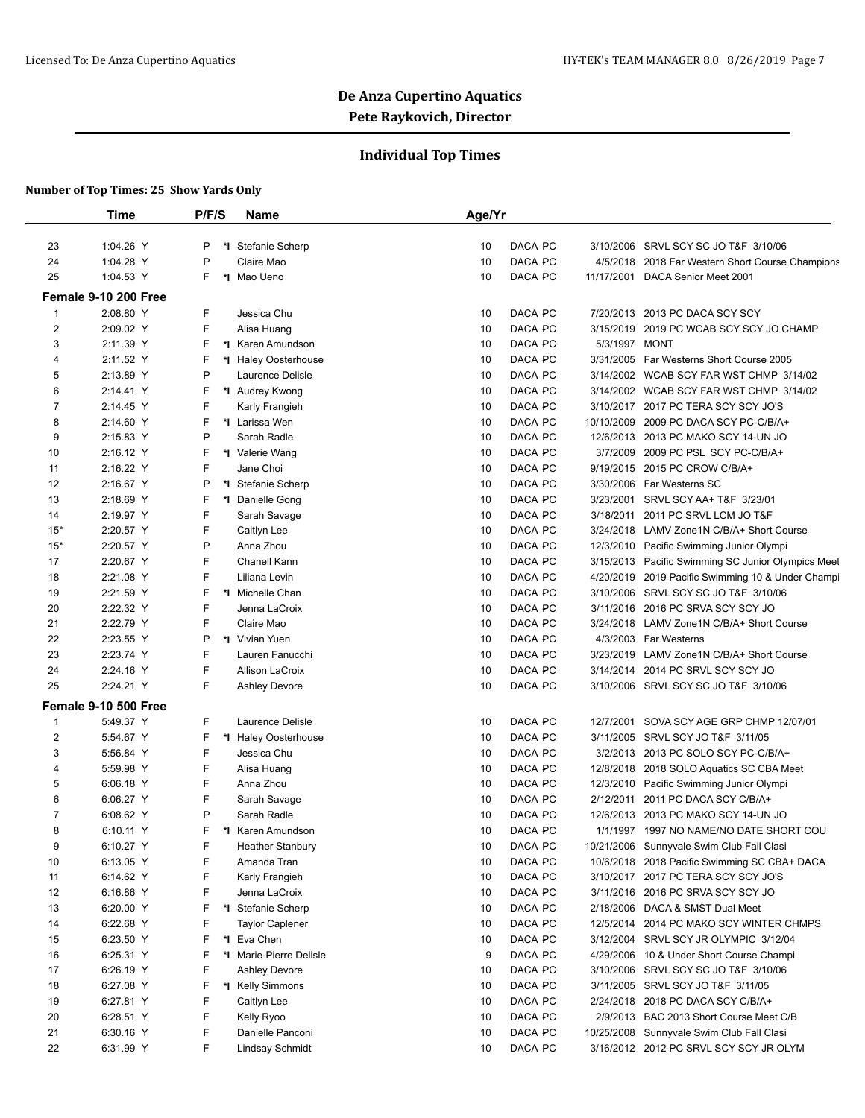## **Individual Top Times**

|                | <b>Time</b>          | P/F/S | <b>Name</b>             | Age/Yr |         |               |                                                    |
|----------------|----------------------|-------|-------------------------|--------|---------|---------------|----------------------------------------------------|
|                |                      |       |                         |        |         |               |                                                    |
| 23             | 1:04.26 Y            | P     | *I Stefanie Scherp      | 10     | DACA PC | 3/10/2006     | SRVL SCY SC JO T&F 3/10/06                         |
| 24             | 1:04.28 Y            | P     | Claire Mao              | 10     | DACA PC | 4/5/2018      | 2018 Far Western Short Course Champions            |
| 25             | 1:04.53 Y            | F.    | *I Mao Ueno             | 10     | DACA PC | 11/17/2001    | DACA Senior Meet 2001                              |
|                | Female 9-10 200 Free |       |                         |        |         |               |                                                    |
| $\mathbf{1}$   | 2:08.80 Y            | F.    | Jessica Chu             | 10     | DACA PC |               | 7/20/2013 2013 PC DACA SCY SCY                     |
| $\overline{2}$ | 2:09.02 Y            | F     | Alisa Huang             | 10     | DACA PC | 3/15/2019     | 2019 PC WCAB SCY SCY JO CHAMP                      |
| 3              | 2:11.39 Y            | F     | *I Karen Amundson       | 10     | DACA PC | 5/3/1997 MONT |                                                    |
| 4              | 2:11.52 Y            | F     | *I Haley Oosterhouse    | 10     | DACA PC | 3/31/2005     | Far Westerns Short Course 2005                     |
| 5              | 2:13.89 Y            | P     | Laurence Delisle        | 10     | DACA PC | 3/14/2002     | WCAB SCY FAR WST CHMP 3/14/02                      |
| 6              | 2:14.41 Y            | F     | *I Audrey Kwong         | 10     | DACA PC |               | 3/14/2002 WCAB SCY FAR WST CHMP 3/14/02            |
| 7              | 2:14.45 Y            | F     | Karly Frangieh          | 10     | DACA PC |               | 3/10/2017 2017 PC TERA SCY SCY JO'S                |
| 8              | 2:14.60 Y            | F     | *I Larissa Wen          | 10     | DACA PC | 10/10/2009    | 2009 PC DACA SCY PC-C/B/A+                         |
| 9              | 2:15.83 Y            | P     | Sarah Radle             | 10     | DACA PC | 12/6/2013     | 2013 PC MAKO SCY 14-UN JO                          |
| 10             | 2:16.12 Y            | F     | *I Valerie Wang         | 10     | DACA PC | 3/7/2009      | 2009 PC PSL SCY PC-C/B/A+                          |
| 11             | 2:16.22 Y            | F     | Jane Choi               | 10     | DACA PC | 9/19/2015     | 2015 PC CROW C/B/A+                                |
| 12             | 2:16.67 Y            | P     | *I Stefanie Scherp      | 10     | DACA PC | 3/30/2006     | Far Westerns SC                                    |
| 13             | 2:18.69 Y            | F     | *I Danielle Gong        | 10     | DACA PC | 3/23/2001     | SRVL SCY AA+ T&F 3/23/01                           |
| 14             | 2:19.97 Y            | F     | Sarah Savage            | 10     | DACA PC | 3/18/2011     | 2011 PC SRVL LCM JO T&F                            |
| $15*$          | 2:20.57 Y            | F     | Caitlyn Lee             | 10     | DACA PC | 3/24/2018     | LAMV Zone1N C/B/A+ Short Course                    |
| $15*$          | 2:20.57 Y            | P     | Anna Zhou               | 10     | DACA PC | 12/3/2010     | Pacific Swimming Junior Olympi                     |
| 17             | 2:20.67 Y            | F.    | Chanell Kann            | 10     | DACA PC |               | 3/15/2013 Pacific Swimming SC Junior Olympics Meet |
| 18             | 2:21.08 Y            | F     | Liliana Levin           | 10     | DACA PC | 4/20/2019     | 2019 Pacific Swimming 10 & Under Champi            |
| 19             | 2:21.59 Y            | F     | *I Michelle Chan        | 10     | DACA PC | 3/10/2006     | SRVL SCY SC JO T&F 3/10/06                         |
| 20             | 2:22.32 Y            | F     | Jenna LaCroix           | 10     | DACA PC | 3/11/2016     | 2016 PC SRVA SCY SCY JO                            |
| 21             | 2:22.79 Y            | F     | Claire Mao              | 10     | DACA PC | 3/24/2018     | LAMV Zone1N C/B/A+ Short Course                    |
| 22             | 2:23.55 Y            | P     | *I Vivian Yuen          | 10     | DACA PC | 4/3/2003      | Far Westerns                                       |
| 23             | 2:23.74 Y            | F     | Lauren Fanucchi         | 10     | DACA PC | 3/23/2019     | LAMV Zone1N C/B/A+ Short Course                    |
| 24             | 2:24.16 Y            | F.    | Allison LaCroix         | 10     | DACA PC | 3/14/2014     | 2014 PC SRVL SCY SCY JO                            |
| 25             | 2:24.21 Y            | F.    | <b>Ashley Devore</b>    | 10     | DACA PC | 3/10/2006     | SRVL SCY SC JO T&F 3/10/06                         |
|                |                      |       |                         |        |         |               |                                                    |
|                | Female 9-10 500 Free |       |                         |        |         |               |                                                    |
| $\mathbf{1}$   | 5:49.37 Y            | F.    | Laurence Delisle        | 10     | DACA PC | 12/7/2001     | SOVA SCY AGE GRP CHMP 12/07/01                     |
| $\overline{2}$ | 5:54.67 Y            | F     | *I Haley Oosterhouse    | 10     | DACA PC | 3/11/2005     | SRVL SCY JO T&F 3/11/05                            |
| 3              | 5:56.84 Y            | F     | Jessica Chu             | 10     | DACA PC | 3/2/2013      | 2013 PC SOLO SCY PC-C/B/A+                         |
| 4              | 5:59.98 Y            | F     | Alisa Huang             | 10     | DACA PC | 12/8/2018     | 2018 SOLO Aquatics SC CBA Meet                     |
| 5              | 6:06.18 Y            | F.    | Anna Zhou               | 10     | DACA PC | 12/3/2010     | Pacific Swimming Junior Olympi                     |
| 6              | 6:06.27 Y            | F     | Sarah Savage            | 10     | DACA PC | 2/12/2011     | 2011 PC DACA SCY C/B/A+                            |
| 7              | 6:08.62 Y            | P     | Sarah Radle             | 10     | DACA PC | 12/6/2013     | 2013 PC MAKO SCY 14-UN JO                          |
| 8              | $6:10.11$ Y          | F.    | *I Karen Amundson       | 10     | DACA PC |               | 1/1/1997 1997 NO NAME/NO DATE SHORT COU            |
| 9              | 6:10.27 Y            | F     | <b>Heather Stanbury</b> | 10     | DACA PC | 10/21/2006    | Sunnyvale Swim Club Fall Clasi                     |
| 10             | 6:13.05 Y            | F.    | Amanda Tran             | 10     | DACA PC | 10/6/2018     | 2018 Pacific Swimming SC CBA+ DACA                 |
| 11             | 6:14.62 Y            | F     | Karly Frangieh          | 10     | DACA PC |               | 3/10/2017 2017 PC TERA SCY SCY JO'S                |
| 12             | 6:16.86 Y            | F.    | Jenna LaCroix           | 10     | DACA PC | 3/11/2016     | 2016 PC SRVA SCY SCY JO                            |
| 13             | 6:20.00 Y            | F     | *I Stefanie Scherp      | 10     | DACA PC | 2/18/2006     | DACA & SMST Dual Meet                              |
| 14             | 6:22.68 Y            | F     | <b>Taylor Caplener</b>  | 10     | DACA PC | 12/5/2014     | 2014 PC MAKO SCY WINTER CHMPS                      |
| 15             | 6:23.50 Y            | F     | *I Eva Chen             | 10     | DACA PC | 3/12/2004     | SRVL SCY JR OLYMPIC 3/12/04                        |
| 16             | 6:25.31 Y            | F     | *I Marie-Pierre Delisle | 9      | DACA PC | 4/29/2006     | 10 & Under Short Course Champi                     |
| 17             | 6:26.19 Y            | F     | <b>Ashley Devore</b>    | 10     | DACA PC | 3/10/2006     | SRVL SCY SC JO T&F 3/10/06                         |
| 18             | 6:27.08 Y            | F     | *I Kelly Simmons        | 10     | DACA PC | 3/11/2005     | SRVL SCY JO T&F 3/11/05                            |
| 19             | 6:27.81 Y            | F.    | Caitlyn Lee             | 10     | DACA PC | 2/24/2018     | 2018 PC DACA SCY C/B/A+                            |
| 20             | 6:28.51 Y            | F     | Kelly Ryoo              | 10     | DACA PC |               | 2/9/2013 BAC 2013 Short Course Meet C/B            |
| 21             | 6:30.16 Y            | F     | Danielle Panconi        | 10     | DACA PC | 10/25/2008    | Sunnyvale Swim Club Fall Clasi                     |
| 22             | 6:31.99 Y            | F.    | Lindsay Schmidt         | 10     | DACA PC |               | 3/16/2012 2012 PC SRVL SCY SCY JR OLYM             |
|                |                      |       |                         |        |         |               |                                                    |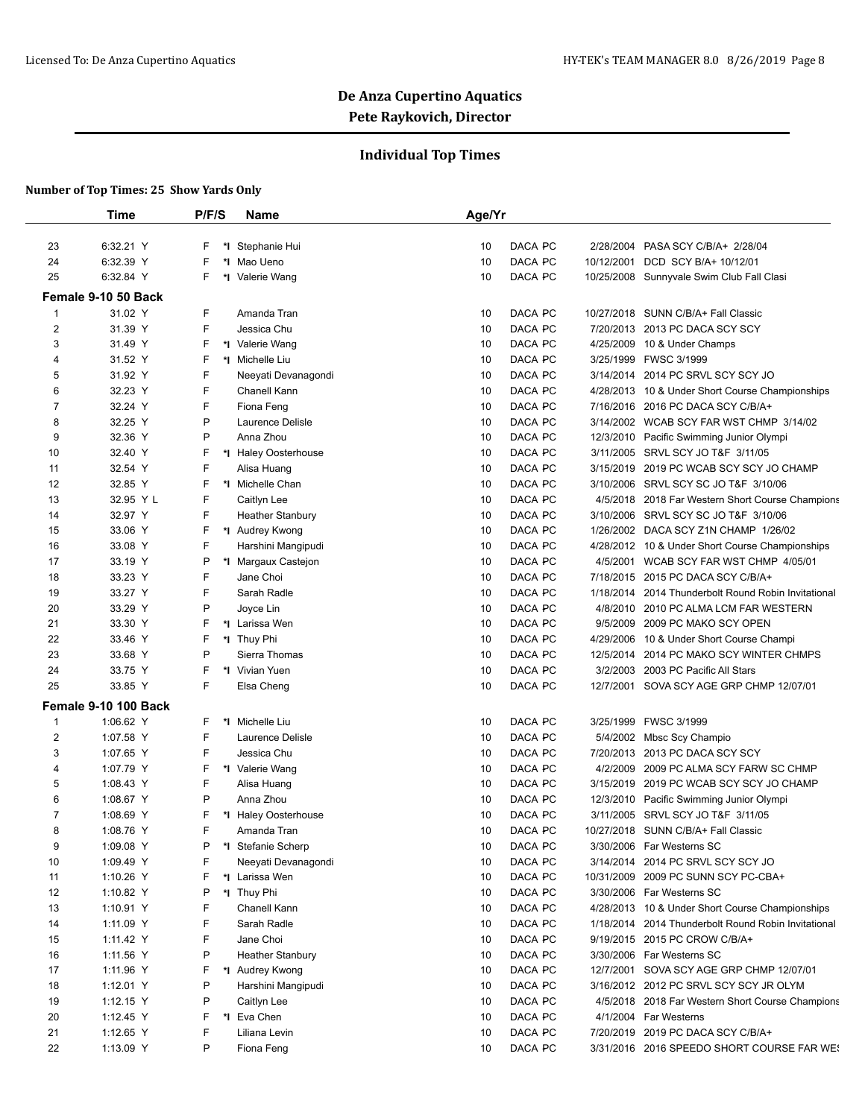### **Individual Top Times**

|                | <b>Time</b>          | P/F/S | <b>Name</b>             | Age/Yr              |                                                     |
|----------------|----------------------|-------|-------------------------|---------------------|-----------------------------------------------------|
| 23             | 6:32.21 Y            | F     | *I Stephanie Hui        | DACA PC<br>10       | 2/28/2004 PASA SCY C/B/A+ 2/28/04                   |
| 24             | 6:32.39 Y            | F     | *I Mao Ueno             | DACA PC<br>10       | 10/12/2001<br>DCD SCY B/A+ 10/12/01                 |
| 25             | 6:32.84 Y            | F     | *I Valerie Wang         | DACA PC<br>10       | 10/25/2008 Sunnyvale Swim Club Fall Clasi           |
|                | Female 9-10 50 Back  |       |                         |                     |                                                     |
| $\mathbf{1}$   | 31.02 Y              | F     | Amanda Tran             | DACA PC<br>10       | 10/27/2018 SUNN C/B/A+ Fall Classic                 |
| $\overline{2}$ | 31.39 Y              | F     | Jessica Chu             | DACA PC<br>10       | 7/20/2013 2013 PC DACA SCY SCY                      |
| 3              | 31.49 Y              | F     | *I Valerie Wang         | DACA PC<br>10       | 4/25/2009 10 & Under Champs                         |
| 4              | 31.52 Y              | F     | *I Michelle Liu         | 10<br>DACA PC       | 3/25/1999 FWSC 3/1999                               |
| 5              | 31.92 Y              | F     | Neeyati Devanagondi     | DACA PC<br>10       | 3/14/2014 2014 PC SRVL SCY SCY JO                   |
| 6              | 32.23 Y              | F     | Chanell Kann            | 10<br>DACA PC       | 4/28/2013 10 & Under Short Course Championships     |
| $\overline{7}$ | 32.24 Y              | F     | Fiona Feng              | DACA PC<br>10       | 7/16/2016 2016 PC DACA SCY C/B/A+                   |
| 8              | 32.25 Y              | P     | Laurence Delisle        | DACA PC<br>10       | 3/14/2002 WCAB SCY FAR WST CHMP 3/14/02             |
| 9              | 32.36 Y              | P     | Anna Zhou               | 10<br>DACA PC       | 12/3/2010 Pacific Swimming Junior Olympi            |
| 10             | 32.40 Y              | F     | *I Haley Oosterhouse    | DACA PC<br>10       | 3/11/2005 SRVL SCY JO T&F 3/11/05                   |
|                |                      | F     |                         | DACA PC             |                                                     |
| 11             | 32.54 Y<br>32.85 Y   |       | Alisa Huang             | 10<br>10<br>DACA PC | 3/15/2019 2019 PC WCAB SCY SCY JO CHAMP             |
| 12             |                      | F     | *1 Michelle Chan        |                     | 3/10/2006 SRVL SCY SC JO T&F 3/10/06                |
| 13             | 32.95 Y L            | F     | Caitlyn Lee             | DACA PC<br>10       | 4/5/2018 2018 Far Western Short Course Champions    |
| 14             | 32.97 Y              | F     | <b>Heather Stanbury</b> | DACA PC<br>10       | 3/10/2006 SRVL SCY SC JO T&F 3/10/06                |
| 15             | 33.06 Y              | F     | *1 Audrey Kwong         | 10<br>DACA PC       | 1/26/2002 DACA SCY Z1N CHAMP 1/26/02                |
| 16             | 33.08 Y              | F     | Harshini Mangipudi      | 10<br>DACA PC       | 4/28/2012 10 & Under Short Course Championships     |
| 17             | 33.19 Y              | P     | *I Margaux Castejon     | DACA PC<br>10       | 4/5/2001<br>WCAB SCY FAR WST CHMP 4/05/01           |
| 18             | 33.23 Y              | F     | Jane Choi               | 10<br>DACA PC       | 7/18/2015 2015 PC DACA SCY C/B/A+                   |
| 19             | 33.27 Y              | F     | Sarah Radle             | DACA PC<br>10       | 1/18/2014 2014 Thunderbolt Round Robin Invitational |
| 20             | 33.29 Y              | P     | Joyce Lin               | DACA PC<br>10       | 4/8/2010 2010 PC ALMA LCM FAR WESTERN               |
| 21             | 33.30 Y              | F     | *I Larissa Wen          | 10<br>DACA PC       | 9/5/2009 2009 PC MAKO SCY OPEN                      |
| 22             | 33.46 Y              | F     | *I Thuy Phi             | DACA PC<br>10       | 4/29/2006<br>10 & Under Short Course Champi         |
| 23             | 33.68 Y              | P     | Sierra Thomas           | DACA PC<br>10       | 12/5/2014 2014 PC MAKO SCY WINTER CHMPS             |
| 24             | 33.75 Y              | F     | *I Vivian Yuen          | 10<br>DACA PC       | 3/2/2003 2003 PC Pacific All Stars                  |
| 25             | 33.85 Y              | F     | Elsa Cheng              | DACA PC<br>10       | 12/7/2001 SOVA SCY AGE GRP CHMP 12/07/01            |
|                | Female 9-10 100 Back |       |                         |                     |                                                     |
| $\mathbf{1}$   | 1:06.62 Y            | F     | *I Michelle Liu         | DACA PC<br>10       | 3/25/1999 FWSC 3/1999                               |
| $\overline{c}$ | 1:07.58 Y            | F     | Laurence Delisle        | DACA PC<br>10       | 5/4/2002 Mbsc Scy Champio                           |
| 3              | 1:07.65 Y            | F     | Jessica Chu             | DACA PC<br>10       | 7/20/2013 2013 PC DACA SCY SCY                      |
| 4              | 1:07.79 Y            | F     | *I Valerie Wang         | DACA PC<br>10       | 4/2/2009 2009 PC ALMA SCY FARW SC CHMP              |
| 5              | 1:08.43 Y            | F     | Alisa Huang             | DACA PC<br>10       | 3/15/2019<br>2019 PC WCAB SCY SCY JO CHAMP          |
| 6              | 1:08.67 Y            | P     | Anna Zhou               | 10<br>DACA PC       | 12/3/2010 Pacific Swimming Junior Olympi            |
| 7              | 1:08.69 Y            | F     | *I Haley Oosterhouse    | 10<br>DACA PC       | 3/11/2005 SRVL SCY JO T&F 3/11/05                   |
| 8              | 1:08.76 Y            | F     | Amanda Tran             | 10<br>DACA PC       | 10/27/2018 SUNN C/B/A+ Fall Classic                 |
| 9              | 1:09.08 Y            | P     | *I Stefanie Scherp      | DACA PC<br>10       | 3/30/2006 Far Westerns SC                           |
| $10$           | 1:09.49 Y            | F     | Neeyati Devanagondi     | DACA PC<br>10       | 3/14/2014 2014 PC SRVL SCY SCY JO                   |
| 11             | 1:10.26 Y            | F     | *I Larissa Wen          | DACA PC<br>10       | 10/31/2009 2009 PC SUNN SCY PC-CBA+                 |
| 12             | 1:10.82 Y            | P     | *I Thuy Phi             | DACA PC<br>10       | 3/30/2006 Far Westerns SC                           |
| 13             | 1:10.91 Y            | F     | Chanell Kann            | DACA PC<br>10       | 4/28/2013 10 & Under Short Course Championships     |
| 14             | 1:11.09 Y            | F     | Sarah Radle             | DACA PC<br>10       | 1/18/2014 2014 Thunderbolt Round Robin Invitational |
| 15             | 1:11.42 Y            | F     | Jane Choi               | 10<br>DACA PC       | 9/19/2015 2015 PC CROW C/B/A+                       |
| 16             | 1:11.56 Y            | P     | <b>Heather Stanbury</b> | DACA PC<br>10       | 3/30/2006 Far Westerns SC                           |
| 17             | 1:11.96 Y            | F     | *1 Audrey Kwong         | DACA PC<br>10       | 12/7/2001 SOVA SCY AGE GRP CHMP 12/07/01            |
| 18             | 1:12.01 Y            | P     | Harshini Mangipudi      | DACA PC<br>10       | 3/16/2012 2012 PC SRVL SCY SCY JR OLYM              |
| 19             | 1:12.15 Y            | P     | Caitlyn Lee             | DACA PC<br>10       | 4/5/2018 2018 Far Western Short Course Champions    |
| 20             | 1:12.45 Y            | F     | *I Eva Chen             | DACA PC             | 4/1/2004 Far Westerns                               |
| 21             | 1:12.65 Y            | F     | Liliana Levin           | 10<br>DACA PC<br>10 | 7/20/2019 2019 PC DACA SCY C/B/A+                   |
| 22             |                      | P     |                         | DACA PC<br>10       | 3/31/2016 2016 SPEEDO SHORT COURSE FAR WE!          |
|                | 1:13.09 Y            |       | Fiona Feng              |                     |                                                     |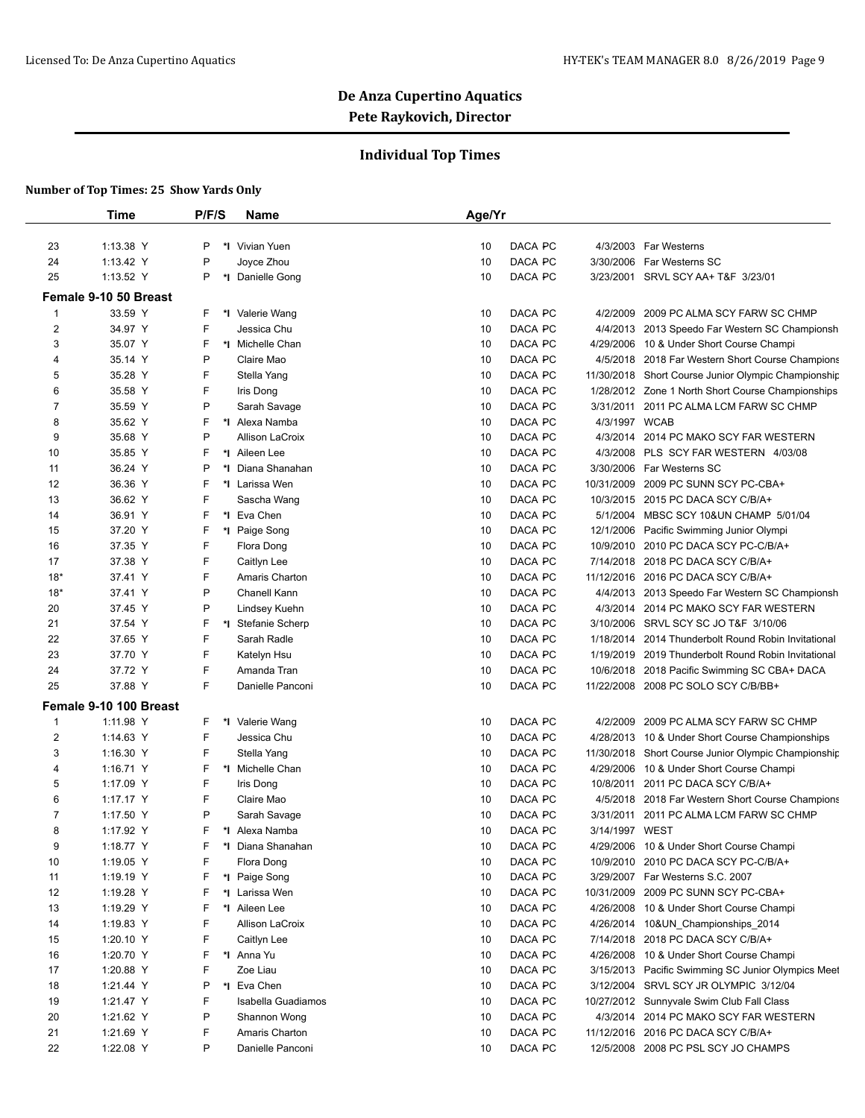## **Individual Top Times**

|                | Time                   | P/F/S | <b>Name</b>        | Age/Yr                                                                  |
|----------------|------------------------|-------|--------------------|-------------------------------------------------------------------------|
| 23             | 1:13.38 Y              | P     | *I Vivian Yuen     | 4/3/2003 Far Westerns<br>10<br>DACA PC                                  |
| 24             | 1:13.42 Y              | P     | Joyce Zhou         | 10<br>DACA PC<br>3/30/2006<br>Far Westerns SC                           |
|                |                        | P     |                    |                                                                         |
| 25             | 1:13.52 Y              |       | *I Danielle Gong   | DACA PC<br>3/23/2001 SRVL SCY AA+ T&F 3/23/01<br>10                     |
|                | Female 9-10 50 Breast  |       |                    |                                                                         |
| 1              | 33.59 Y                | F     | *I Valerie Wang    | DACA PC<br>4/2/2009<br>2009 PC ALMA SCY FARW SC CHMP<br>10              |
| $\overline{2}$ | 34.97 Y                | F     | Jessica Chu        | DACA PC<br>10<br>4/4/2013 2013 Speedo Far Western SC Championsh         |
| 3              | 35.07 Y                | F     | *I Michelle Chan   | DACA PC<br>10<br>4/29/2006<br>10 & Under Short Course Champi            |
| 4              | 35.14 Y                | P     | Claire Mao         | DACA PC<br>4/5/2018 2018 Far Western Short Course Champions<br>10       |
| 5              | 35.28 Y                | F     | Stella Yang        | DACA PC<br>10<br>11/30/2018 Short Course Junior Olympic Championship    |
| 6              | 35.58 Y                | F     | Iris Dong          | DACA PC<br>10<br>1/28/2012 Zone 1 North Short Course Championships      |
| 7              | 35.59 Y                | P     | Sarah Savage       | DACA PC<br>10<br>3/31/2011<br>2011 PC ALMA LCM FARW SC CHMP             |
| 8              | 35.62 Y                | F     | *1 Alexa Namba     | DACA PC<br>4/3/1997 WCAB<br>10                                          |
| 9              | 35.68 Y                | P     | Allison LaCroix    | DACA PC<br>4/3/2014 2014 PC MAKO SCY FAR WESTERN<br>10                  |
| 10             | 35.85 Y                | F     | *I Aileen Lee      | DACA PC<br>4/3/2008<br>PLS SCY FAR WESTERN 4/03/08<br>10                |
| 11             | 36.24 Y                | P     | *I Diana Shanahan  | DACA PC<br>3/30/2006 Far Westerns SC<br>10                              |
| 12             | 36.36 Y                | F     | *1 Larissa Wen     | DACA PC<br>2009 PC SUNN SCY PC-CBA+<br>10<br>10/31/2009                 |
| 13             | 36.62 Y                | F     | Sascha Wang        | DACA PC<br>10/3/2015 2015 PC DACA SCY C/B/A+<br>10                      |
| 14             | 36.91 Y                | F     | *I Eva Chen        | DACA PC<br>5/1/2004 MBSC SCY 10&UN CHAMP 5/01/04<br>10                  |
| 15             | 37.20 Y                | F     | *I Paige Song      | DACA PC<br>10<br>12/1/2006<br>Pacific Swimming Junior Olympi            |
| 16             | 37.35 Y                | F     | Flora Dong         | DACA PC<br>10/9/2010 2010 PC DACA SCY PC-C/B/A+<br>10                   |
| 17             | 37.38 Y                | F     | Caitlyn Lee        | DACA PC<br>10<br>7/14/2018 2018 PC DACA SCY C/B/A+                      |
| $18*$          | 37.41 Y                | F     | Amaris Charton     | DACA PC<br>11/12/2016 2016 PC DACA SCY C/B/A+<br>10                     |
| $18*$          | 37.41 Y                | P     | Chanell Kann       | DACA PC<br>10<br>4/4/2013 2013 Speedo Far Western SC Championsh         |
| 20             | 37.45 Y                | P     | Lindsey Kuehn      | DACA PC<br>10<br>4/3/2014 2014 PC MAKO SCY FAR WESTERN                  |
| 21             | 37.54 Y                | F     | *I Stefanie Scherp | DACA PC<br>SRVL SCY SC JO T&F 3/10/06<br>10<br>3/10/2006                |
| 22             | 37.65 Y                | F     | Sarah Radle        | DACA PC<br>10<br>1/18/2014<br>2014 Thunderbolt Round Robin Invitational |
| 23             | 37.70 Y                | F     | Katelyn Hsu        | DACA PC<br>10<br>1/19/2019 2019 Thunderbolt Round Robin Invitational    |
| 24             | 37.72 Y                | F     | Amanda Tran        | DACA PC<br>10<br>10/6/2018<br>2018 Pacific Swimming SC CBA+ DACA        |
| 25             | 37.88 Y                | F     | Danielle Panconi   | DACA PC<br>11/22/2008 2008 PC SOLO SCY C/B/BB+<br>10                    |
|                | Female 9-10 100 Breast |       |                    |                                                                         |
| $\overline{1}$ | 1:11.98 Y              | F     | *I Valerie Wang    | DACA PC<br>4/2/2009<br>2009 PC ALMA SCY FARW SC CHMP<br>10              |
| $\overline{2}$ | 1:14.63 Y              | F     | Jessica Chu        | DACA PC<br>10<br>4/28/2013 10 & Under Short Course Championships        |
| 3              | 1:16.30 Y              | F     | Stella Yang        | DACA PC<br>11/30/2018 Short Course Junior Olympic Championship<br>10    |
| 4              | 1:16.71 Y              | F     | *I Michelle Chan   | DACA PC<br>10 & Under Short Course Champi<br>10<br>4/29/2006            |
| 5              | 1:17.09 Y              | F     | Iris Dong          | DACA PC<br>10<br>10/8/2011 2011 PC DACA SCY C/B/A+                      |
| 6              | 1:17.17 Y              | F     | Claire Mao         | DACA PC<br>10<br>4/5/2018 2018 Far Western Short Course Champions       |
| 7              | 1:17.50 Y              | P     | Sarah Savage       | DACA PC<br>2011 PC ALMA LCM FARW SC CHMP<br>10<br>3/31/2011             |
| 8              | 1:17.92 Y              | F     | *I Alexa Namba     | 3/14/1997 WEST<br>10<br>DACA PC                                         |
| 9              | 1:18.77 Y              | F     | *I Diana Shanahan  | DACA PC<br>4/29/2006 10 & Under Short Course Champi<br>10               |
| 10             | 1:19.05 Y              | F     | Flora Dong         | DACA PC<br>10/9/2010 2010 PC DACA SCY PC-C/B/A+<br>10                   |
| 11             | 1:19.19 Y              | F     | *I Paige Song      | DACA PC<br>10<br>3/29/2007 Far Westerns S.C. 2007                       |
| 12             | 1:19.28 Y              | F     | *I Larissa Wen     | DACA PC<br>10<br>10/31/2009<br>2009 PC SUNN SCY PC-CBA+                 |
| 13             | 1:19.29 Y              | F     | *I Aileen Lee      | DACA PC<br>4/26/2008<br>10 & Under Short Course Champi<br>10            |
| 14             | 1:19.83 Y              | F     | Allison LaCroix    | DACA PC<br>10<br>4/26/2014 10&UN_Championships_2014                     |
| 15             | 1:20.10 Y              | F     | Caitlyn Lee        | DACA PC<br>10<br>7/14/2018 2018 PC DACA SCY C/B/A+                      |
| 16             | 1:20.70 Y              | F     | *I Anna Yu         | DACA PC<br>4/26/2008<br>10 & Under Short Course Champi<br>10            |
| 17             | 1:20.88 Y              | F     | Zoe Liau           | DACA PC<br>10<br>3/15/2013 Pacific Swimming SC Junior Olympics Meet     |
| 18             |                        | P     | *I Eva Chen        | DACA PC<br>3/12/2004 SRVL SCY JR OLYMPIC 3/12/04<br>10                  |
|                | 1:21.44 Y              | F     |                    |                                                                         |
| 19             | 1:21.47 Y              |       | Isabella Guadiamos | DACA PC<br>10/27/2012 Sunnyvale Swim Club Fall Class<br>10              |
| 20             | 1:21.62 Y              | P     | Shannon Wong       | DACA PC<br>10<br>4/3/2014 2014 PC MAKO SCY FAR WESTERN                  |
| 21             | 1:21.69 Y              | F     | Amaris Charton     | DACA PC<br>11/12/2016 2016 PC DACA SCY C/B/A+<br>10                     |
| 22             | 1:22.08 Y              | P     | Danielle Panconi   | DACA PC<br>12/5/2008 2008 PC PSL SCY JO CHAMPS<br>10                    |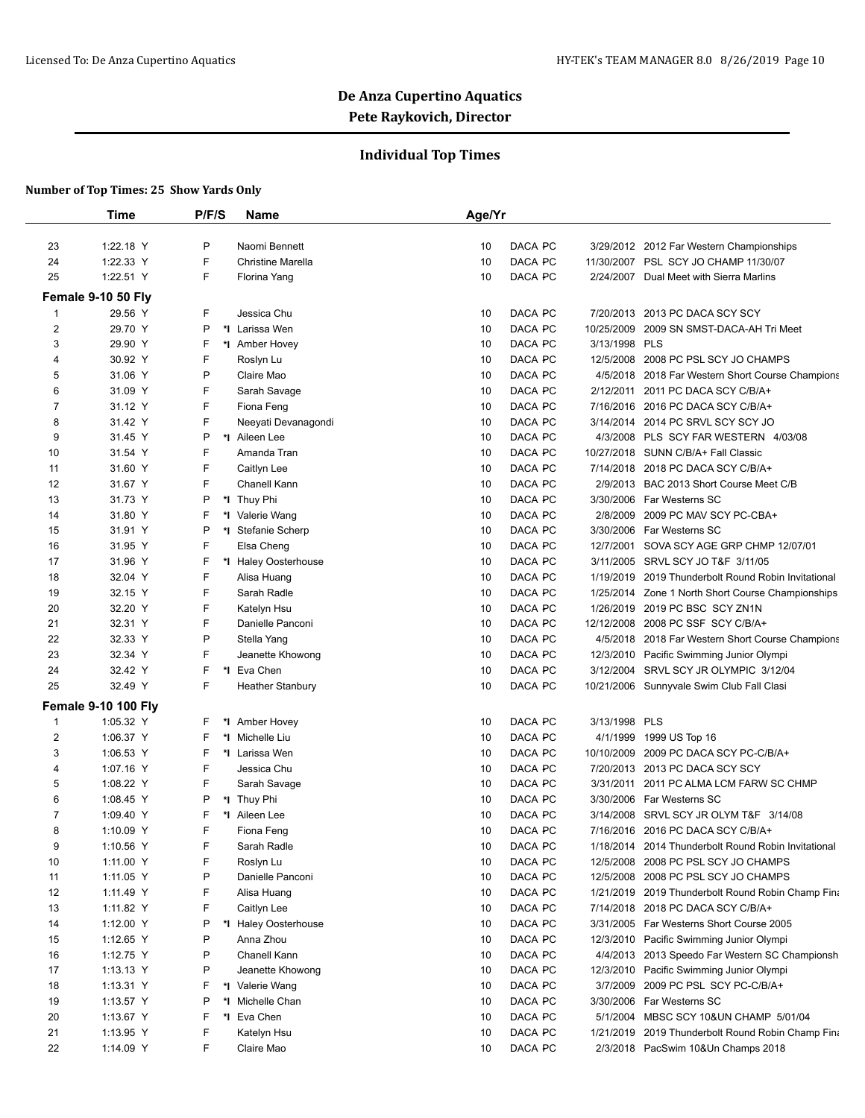## **Individual Top Times**

|                | <b>Time</b>                | P/F/S   | <b>Name</b>              | Age/Yr                                                                  |
|----------------|----------------------------|---------|--------------------------|-------------------------------------------------------------------------|
|                |                            |         |                          |                                                                         |
| 23             | 1:22.18 Y                  | P       | Naomi Bennett            | DACA PC<br>10<br>3/29/2012 2012 Far Western Championships               |
| 24             | 1:22.33 Y                  | F       | <b>Christine Marella</b> | DACA PC<br>10<br>11/30/2007 PSL SCY JO CHAMP 11/30/07                   |
| 25             | 1:22.51 Y                  | F       | Florina Yang             | DACA PC<br>10<br>2/24/2007 Dual Meet with Sierra Marlins                |
|                | Female 9-10 50 Fly         |         |                          |                                                                         |
| 1              | 29.56 Y                    | F       | Jessica Chu              | DACA PC<br>10<br>7/20/2013<br>2013 PC DACA SCY SCY                      |
| $\overline{2}$ | 29.70 Y                    | P       | *I Larissa Wen           | DACA PC<br>10/25/2009<br>10<br>2009 SN SMST-DACA-AH Tri Meet            |
| 3              | 29.90 Y                    | F       | *1 Amber Hovey           | DACA PC<br>3/13/1998 PLS<br>10                                          |
| 4              | 30.92 Y                    | F       | Roslyn Lu                | DACA PC<br>10<br>12/5/2008<br>2008 PC PSL SCY JO CHAMPS                 |
| 5              | 31.06 Y                    | P       | Claire Mao               | DACA PC<br>10<br>4/5/2018 2018 Far Western Short Course Champions       |
| 6              | 31.09 Y                    | F       | Sarah Savage             | DACA PC<br>10<br>2/12/2011 2011 PC DACA SCY C/B/A+                      |
| 7              | 31.12 Y                    | F       | Fiona Feng               | DACA PC<br>10<br>7/16/2016 2016 PC DACA SCY C/B/A+                      |
| 8              | 31.42 Y                    | F       | Neeyati Devanagondi      | DACA PC<br>3/14/2014 2014 PC SRVL SCY SCY JO<br>10                      |
| 9              | 31.45 Y                    | P       | *1 Aileen Lee            | DACA PC<br>4/3/2008<br>PLS SCY FAR WESTERN 4/03/08<br>10                |
| 10             | 31.54 Y                    | F       | Amanda Tran              | DACA PC<br>10/27/2018 SUNN C/B/A+ Fall Classic<br>10                    |
| 11             | 31.60 Y                    | F       | Caitlyn Lee              | DACA PC<br>7/14/2018 2018 PC DACA SCY C/B/A+<br>10                      |
| 12             | 31.67 Y                    | F       | Chanell Kann             | DACA PC<br>10<br>2/9/2013 BAC 2013 Short Course Meet C/B                |
| 13             | 31.73 Y                    | P       | *I Thuy Phi              | DACA PC<br>3/30/2006 Far Westerns SC<br>10                              |
| 14             | 31.80 Y                    | F<br>*∣ | Valerie Wang             | DACA PC<br>2009 PC MAV SCY PC-CBA+<br>10<br>2/8/2009                    |
| 15             | 31.91 Y                    | Ρ       | *I Stefanie Scherp       | DACA PC<br>3/30/2006<br>Far Westerns SC<br>10                           |
| 16             | 31.95 Y                    | F       | Elsa Cheng               | DACA PC<br>10<br>12/7/2001<br>SOVA SCY AGE GRP CHMP 12/07/01            |
| 17             | 31.96 Y                    | F       | *I Haley Oosterhouse     | DACA PC<br>3/11/2005<br>SRVL SCY JO T&F 3/11/05<br>10                   |
| 18             | 32.04 Y                    | F       | Alisa Huang              | DACA PC<br>10<br>1/19/2019<br>2019 Thunderbolt Round Robin Invitational |
| 19             | 32.15 Y                    | F       | Sarah Radle              | DACA PC<br>10<br>1/25/2014 Zone 1 North Short Course Championships      |
| 20             | 32.20 Y                    | F       | Katelyn Hsu              | DACA PC<br>1/26/2019 2019 PC BSC SCY ZN1N<br>10                         |
| 21             | 32.31 Y                    | F       | Danielle Panconi         | DACA PC<br>12/12/2008<br>2008 PC SSF SCY C/B/A+<br>10                   |
| 22             | 32.33 Y                    | P       | Stella Yang              | DACA PC<br>10<br>4/5/2018<br>2018 Far Western Short Course Champions    |
| 23             | 32.34 Y                    | F       | Jeanette Khowong         | DACA PC<br>10<br>12/3/2010 Pacific Swimming Junior Olympi               |
| 24             | 32.42 Y                    | F       | *I Eva Chen              | DACA PC<br>3/12/2004 SRVL SCY JR OLYMPIC 3/12/04<br>10                  |
| 25             | 32.49 Y                    | F       | <b>Heather Stanbury</b>  | DACA PC<br>10<br>10/21/2006 Sunnyvale Swim Club Fall Clasi              |
|                | <b>Female 9-10 100 Fly</b> |         |                          |                                                                         |
| 1              | 1:05.32 Y                  | F       | *I Amber Hovey           | 10<br>DACA PC<br>3/13/1998 PLS                                          |
| $\overline{2}$ | 1:06.37 Y                  | F       | *1 Michelle Liu          | DACA PC<br>10<br>4/1/1999<br>1999 US Top 16                             |
| 3              | 1:06.53 Y                  | F       | *I Larissa Wen           | DACA PC<br>10/10/2009<br>2009 PC DACA SCY PC-C/B/A+<br>10               |
| $\overline{4}$ | 1:07.16 Y                  | F       | Jessica Chu              | DACA PC<br>7/20/2013 2013 PC DACA SCY SCY<br>10                         |
| 5              | 1:08.22 Y                  | F       | Sarah Savage             | DACA PC<br>3/31/2011 2011 PC ALMA LCM FARW SC CHMP<br>10                |
| 6              | 1:08.45 Y                  | P       | *I Thuy Phi              | DACA PC<br>10<br>3/30/2006 Far Westerns SC                              |
| 7              | 1:09.40 Y                  | F<br>*∣ | Aileen Lee               | DACA PC<br>10<br>3/14/2008<br>SRVL SCY JR OLYM T&F 3/14/08              |
| 8              | 1:10.09 Y                  | F       | Fiona Feng               | 10<br>7/16/2016 2016 PC DACA SCY C/B/A+<br>DACA PC                      |
| 9              | 1:10.56 Y                  | F       | Sarah Radle              | DACA PC<br>10<br>1/18/2014 2014 Thunderbolt Round Robin Invitational    |
| 10             | 1:11.00 Y                  | F       | Roslyn Lu                | DACA PC<br>10<br>12/5/2008<br>2008 PC PSL SCY JO CHAMPS                 |
| 11             | 1:11.05 Y                  | P       | Danielle Panconi         | DACA PC<br>2008 PC PSL SCY JO CHAMPS<br>10<br>12/5/2008                 |
| 12             | 1:11.49 Y                  | F       | Alisa Huang              | DACA PC<br>10<br>1/21/2019 2019 Thunderbolt Round Robin Champ Fina      |
| 13             | 1:11.82 Y                  | F       | Caitlyn Lee              | DACA PC<br>10<br>7/14/2018 2018 PC DACA SCY C/B/A+                      |
| 14             | 1:12.00 Y                  | P       | *I Haley Oosterhouse     | DACA PC<br>10<br>3/31/2005 Far Westerns Short Course 2005               |
| 15             | 1:12.65 Y                  | P       | Anna Zhou                | DACA PC<br>10<br>12/3/2010<br>Pacific Swimming Junior Olympi            |
| 16             | 1:12.75 Y                  | P       | Chanell Kann             | DACA PC<br>10<br>4/4/2013 2013 Speedo Far Western SC Championsh         |
| 17             | 1:13.13 Y                  | P       | Jeanette Khowong         | DACA PC<br>10<br>12/3/2010<br>Pacific Swimming Junior Olympi            |
| 18             | 1:13.31 Y                  | F       | *I Valerie Wang          | DACA PC<br>3/7/2009<br>2009 PC PSL SCY PC-C/B/A+<br>10                  |
| 19             | 1:13.57 Y                  | P       | *I Michelle Chan         | DACA PC<br>3/30/2006 Far Westerns SC<br>10                              |
| 20             | 1:13.67 Y                  | F       | *I Eva Chen              | DACA PC<br>5/1/2004 MBSC SCY 10&UN CHAMP 5/01/04<br>10                  |
| 21             | 1:13.95 Y                  | F       | Katelyn Hsu              | DACA PC<br>10<br>1/21/2019<br>2019 Thunderbolt Round Robin Champ Fina   |
| 22             | 1:14.09 Y                  | F       | Claire Mao               | DACA PC<br>2/3/2018 PacSwim 10&Un Champs 2018<br>10                     |
|                |                            |         |                          |                                                                         |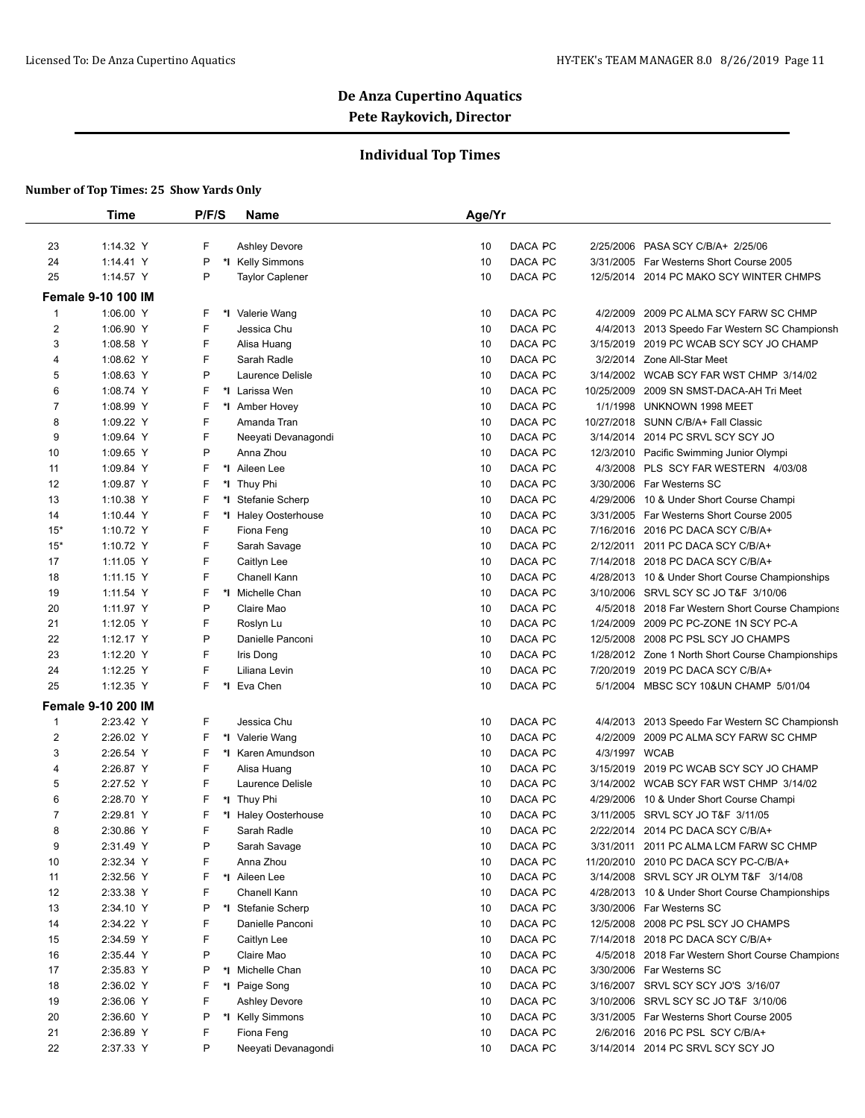## **Individual Top Times**

|                | Time                      | P/F/S | Name                   | Age/Yr                                                             |  |
|----------------|---------------------------|-------|------------------------|--------------------------------------------------------------------|--|
|                |                           |       |                        |                                                                    |  |
| 23             | 1:14.32 Y                 | F     | <b>Ashley Devore</b>   | DACA PC<br>10<br>2/25/2006<br>PASA SCY C/B/A+ 2/25/06              |  |
| 24             | 1:14.41 Y                 | P     | *I Kelly Simmons       | 10<br>DACA PC<br>3/31/2005 Far Westerns Short Course 2005          |  |
| 25             | 1:14.57 Y                 | P     | <b>Taylor Caplener</b> | DACA PC<br>10<br>12/5/2014 2014 PC MAKO SCY WINTER CHMPS           |  |
|                | <b>Female 9-10 100 IM</b> |       |                        |                                                                    |  |
| 1              | 1:06.00 Y                 | F     | *I Valerie Wang        | 10<br>DACA PC<br>4/2/2009<br>2009 PC ALMA SCY FARW SC CHMP         |  |
| $\overline{2}$ | 1:06.90 Y                 | F     | Jessica Chu            | DACA PC<br>10<br>4/4/2013 2013 Speedo Far Western SC Championsh    |  |
| 3              | 1:08.58 Y                 | F     | Alisa Huang            | DACA PC<br>10<br>3/15/2019 2019 PC WCAB SCY SCY JO CHAMP           |  |
| 4              | 1:08.62 Y                 | F     | Sarah Radle            | DACA PC<br>10<br>3/2/2014 Zone All-Star Meet                       |  |
| 5              | 1:08.63 Y                 | P     | Laurence Delisle       | DACA PC<br>10<br>3/14/2002 WCAB SCY FAR WST CHMP 3/14/02           |  |
| 6              | 1:08.74 Y                 | F     | *I Larissa Wen         | DACA PC<br>10<br>10/25/2009<br>2009 SN SMST-DACA-AH Tri Meet       |  |
| 7              | 1:08.99 Y                 | F     | *I Amber Hovey         | DACA PC<br>10<br>1/1/1998<br>UNKNOWN 1998 MEET                     |  |
| 8              | 1:09.22 Y                 | F     | Amanda Tran            | DACA PC<br>10/27/2018 SUNN C/B/A+ Fall Classic<br>10               |  |
| 9              | 1:09.64 Y                 | F     | Neeyati Devanagondi    | DACA PC<br>10<br>3/14/2014 2014 PC SRVL SCY SCY JO                 |  |
| 10             | 1:09.65 Y                 | P     | Anna Zhou              | DACA PC<br>10<br>12/3/2010 Pacific Swimming Junior Olympi          |  |
| 11             | 1:09.84 Y                 | F     | *1 Aileen Lee          | DACA PC<br>10<br>4/3/2008 PLS SCY FAR WESTERN 4/03/08              |  |
| 12             | 1:09.87 Y                 | F     | *∣<br>Thuy Phi         | DACA PC<br>3/30/2006 Far Westerns SC<br>10                         |  |
| 13             | 1:10.38 Y                 | F     | *I Stefanie Scherp     | DACA PC<br>10<br>4/29/2006<br>10 & Under Short Course Champi       |  |
| 14             | 1:10.44 $Y$               | F     | *I Haley Oosterhouse   | DACA PC<br>10<br>3/31/2005 Far Westerns Short Course 2005          |  |
| $15*$          | 1:10.72 Y                 | F     | Fiona Feng             | DACA PC<br>10<br>7/16/2016 2016 PC DACA SCY C/B/A+                 |  |
| $15*$          | 1:10.72 Y                 | F     | Sarah Savage           | DACA PC<br>10<br>2/12/2011<br>2011 PC DACA SCY C/B/A+              |  |
| 17             | 1:11.05 Y                 | F     | Caitlyn Lee            | DACA PC<br>10<br>7/14/2018 2018 PC DACA SCY C/B/A+                 |  |
| 18             | $1:11.15$ Y               | F     | Chanell Kann           | DACA PC<br>10<br>4/28/2013 10 & Under Short Course Championships   |  |
| 19             | 1:11.54 Y                 | F     | *I Michelle Chan       | DACA PC<br>10<br>SRVL SCY SC JO T&F 3/10/06<br>3/10/2006           |  |
| 20             | 1:11.97 Y                 | P     | Claire Mao             | DACA PC<br>10<br>4/5/2018 2018 Far Western Short Course Champions  |  |
| 21             | 1:12.05 Y                 | F     | Roslyn Lu              | DACA PC<br>10<br>1/24/2009<br>2009 PC PC-ZONE 1N SCY PC-A          |  |
| 22             | 1:12.17 Y                 | P     | Danielle Panconi       | DACA PC<br>12/5/2008<br>2008 PC PSL SCY JO CHAMPS<br>10            |  |
| 23             | 1:12.20 Y                 | F     | Iris Dong              | DACA PC<br>10<br>1/28/2012 Zone 1 North Short Course Championships |  |
| 24             | 1:12.25 Y                 | F     | Liliana Levin          | DACA PC<br>7/20/2019 2019 PC DACA SCY C/B/A+<br>10                 |  |
| 25             | 1:12.35 Y                 | F.    | *I Eva Chen            | DACA PC<br>10<br>5/1/2004 MBSC SCY 10&UN CHAMP 5/01/04             |  |
|                | <b>Female 9-10 200 IM</b> |       |                        |                                                                    |  |
| 1              | 2:23.42 Y                 | F     | Jessica Chu            | DACA PC<br>10<br>4/4/2013 2013 Speedo Far Western SC Championsh    |  |
| 2              | 2:26.02 Y                 | F     | *I Valerie Wang        | DACA PC<br>10<br>4/2/2009<br>2009 PC ALMA SCY FARW SC CHMP         |  |
| 3              | 2:26.54 Y                 | F     | *I Karen Amundson      | 10<br>DACA PC<br>4/3/1997 WCAB                                     |  |
| 4              | 2:26.87 Y                 | F     | Alisa Huang            | DACA PC<br>3/15/2019 2019 PC WCAB SCY SCY JO CHAMP<br>10           |  |
| 5              | 2:27.52 Y                 | F     | Laurence Delisle       | DACA PC<br>10<br>3/14/2002 WCAB SCY FAR WST CHMP 3/14/02           |  |
| 6              | 2:28.70 Y                 | F     | *I Thuy Phi            | DACA PC<br>10<br>4/29/2006<br>10 & Under Short Course Champi       |  |
| 7              | 2:29.81 Y                 | F     | *I Haley Oosterhouse   | DACA PC<br>SRVL SCY JO T&F 3/11/05<br>10<br>3/11/2005              |  |
| 8              | 2:30.86 Y                 | F     | Sarah Radle            | 10<br>DACA PC<br>2/22/2014 2014 PC DACA SCY C/B/A+                 |  |
| 9              | 2:31.49 Y                 | P     | Sarah Savage           | DACA PC<br>3/31/2011 2011 PC ALMA LCM FARW SC CHMP<br>10           |  |
| 10             | 2:32.34 Y                 | F     | Anna Zhou              | DACA PC<br>11/20/2010 2010 PC DACA SCY PC-C/B/A+<br>10             |  |
|                | 2:32.56 Y                 | F     | *I Aileen Lee          | DACA PC<br>10<br>3/14/2008 SRVL SCY JR OLYM T&F 3/14/08            |  |
| 11<br>12       |                           | F     | Chanell Kann           | DACA PC<br>10<br>4/28/2013 10 & Under Short Course Championships   |  |
|                | 2:33.38 Y                 |       |                        |                                                                    |  |
| 13             | 2:34.10 Y                 | P     | *I Stefanie Scherp     | DACA PC<br>10<br>3/30/2006 Far Westerns SC                         |  |
| 14             | 2:34.22 Y                 | F     | Danielle Panconi       | DACA PC<br>10<br>12/5/2008<br>2008 PC PSL SCY JO CHAMPS            |  |
| 15             | 2:34.59 Y                 | F     | Caitlyn Lee            | DACA PC<br>10<br>7/14/2018 2018 PC DACA SCY C/B/A+                 |  |
| 16             | 2:35.44 Y                 | P     | Claire Mao             | DACA PC<br>10<br>4/5/2018 2018 Far Western Short Course Champions  |  |
| 17             | 2:35.83 Y                 | P     | *I Michelle Chan       | DACA PC<br>10<br>3/30/2006 Far Westerns SC                         |  |
| 18             | 2:36.02 Y                 | F     | *I Paige Song          | DACA PC<br>3/16/2007 SRVL SCY SCY JO'S 3/16/07<br>10               |  |
| 19             | 2:36.06 Y                 | F     | <b>Ashley Devore</b>   | DACA PC<br>SRVL SCY SC JO T&F 3/10/06<br>10<br>3/10/2006           |  |
| 20             | 2:36.60 Y                 | P     | *I Kelly Simmons       | DACA PC<br>10<br>3/31/2005 Far Westerns Short Course 2005          |  |
| 21             | 2:36.89 Y                 | F     | Fiona Feng             | DACA PC<br>2/6/2016 2016 PC PSL SCY C/B/A+<br>10                   |  |
| 22             | 2:37.33 Y                 | P     | Neeyati Devanagondi    | DACA PC<br>3/14/2014 2014 PC SRVL SCY SCY JO<br>10                 |  |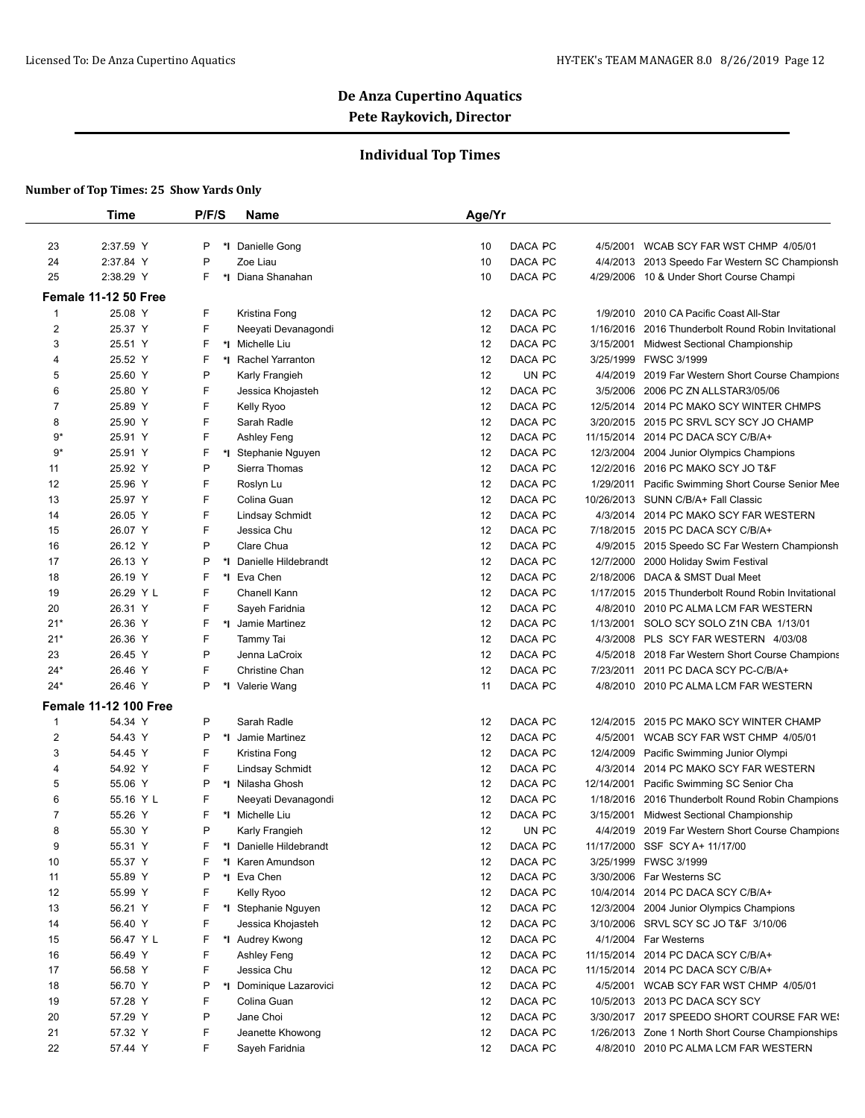## **Individual Top Times**

|                | <b>Time</b>                  | P/F/S   | <b>Name</b>             | Age/Yr                                                                 |
|----------------|------------------------------|---------|-------------------------|------------------------------------------------------------------------|
| 23             | 2:37.59 Y                    | P<br>*∣ | Danielle Gong           | DACA PC<br>10<br>WCAB SCY FAR WST CHMP 4/05/01<br>4/5/2001             |
| 24             | 2:37.84 Y                    | P       | Zoe Liau                | DACA PC<br>10<br>4/4/2013 2013 Speedo Far Western SC Championsh        |
| 25             | 2:38.29 Y                    | F.      | *I Diana Shanahan       | DACA PC<br>10<br>4/29/2006 10 & Under Short Course Champi              |
|                |                              |         |                         |                                                                        |
|                | Female 11-12 50 Free         |         |                         |                                                                        |
| $\mathbf{1}$   | 25.08 Y<br>25.37 Y           | F<br>F  | Kristina Fong           | DACA PC<br>12<br>2010 CA Pacific Coast All-Star<br>1/9/2010<br>DACA PC |
| 2              | 25.51 Y                      |         | Neeyati Devanagondi     | 12<br>1/16/2016 2016 Thunderbolt Round Robin Invitational<br>DACA PC   |
| 3              |                              | F       | *1 Michelle Liu         | 12<br>3/15/2001<br><b>Midwest Sectional Championship</b>               |
| 4              | 25.52 Y                      | F       | *I Rachel Yarranton     | DACA PC<br>12<br>3/25/1999 FWSC 3/1999                                 |
| 5              | 25.60 Y                      | Ρ       | Karly Frangieh          | 12<br>UN PC<br>4/4/2019 2019 Far Western Short Course Champions        |
| 6              | 25.80 Y                      | F       | Jessica Khojasteh       | 12<br>DACA PC<br>3/5/2006 2006 PC ZN ALLSTAR3/05/06                    |
| $\overline{7}$ | 25.89 Y                      | F       | Kelly Ryoo              | DACA PC<br>12<br>12/5/2014 2014 PC MAKO SCY WINTER CHMPS               |
| 8              | 25.90 Y                      | F       | Sarah Radle             | DACA PC<br>12<br>3/20/2015 2015 PC SRVL SCY SCY JO CHAMP               |
| $9*$           | 25.91 Y                      | F       | Ashley Feng             | DACA PC<br>12<br>11/15/2014 2014 PC DACA SCY C/B/A+                    |
| 9*             | 25.91 Y                      | F       | *I Stephanie Nguyen     | DACA PC<br>12<br>12/3/2004 2004 Junior Olympics Champions              |
| 11             | 25.92 Y                      | P       | Sierra Thomas           | DACA PC<br>12<br>12/2/2016 2016 PC MAKO SCY JO T&F                     |
| 12             | 25.96 Y                      | F       | Roslyn Lu               | 12<br>DACA PC<br>1/29/2011 Pacific Swimming Short Course Senior Mee    |
| 13             | 25.97 Y                      | F       | Colina Guan             | DACA PC<br>12<br>10/26/2013 SUNN C/B/A+ Fall Classic                   |
| 14             | 26.05 Y                      | F       | Lindsay Schmidt         | 12<br>DACA PC<br>4/3/2014 2014 PC MAKO SCY FAR WESTERN                 |
| 15             | 26.07 Y                      | F       | Jessica Chu             | DACA PC<br>12<br>7/18/2015 2015 PC DACA SCY C/B/A+                     |
| 16             | 26.12 Y                      | P       | Clare Chua              | DACA PC<br>12<br>4/9/2015 2015 Speedo SC Far Western Championsh        |
| 17             | 26.13 Y                      | Ρ       | *I Danielle Hildebrandt | DACA PC<br>12<br>12/7/2000<br>2000 Holiday Swim Festival               |
| 18             | 26.19 Y                      | F<br>*∣ | Eva Chen                | 12<br>DACA PC<br>2/18/2006 DACA & SMST Dual Meet                       |
| 19             | 26.29 Y L                    | F       | Chanell Kann            | DACA PC<br>12<br>1/17/2015 2015 Thunderbolt Round Robin Invitational   |
| 20             | 26.31 Y                      | F       | Sayeh Faridnia          | DACA PC<br>12<br>4/8/2010<br>2010 PC ALMA LCM FAR WESTERN              |
| $21*$          | 26.36 Y                      | F       | *I Jamie Martinez       | DACA PC<br>12<br>1/13/2001<br>SOLO SCY SOLO Z1N CBA 1/13/01            |
| $21*$          | 26.36 Y                      | F       | Tammy Tai               | DACA PC<br>12<br>4/3/2008 PLS SCY FAR WESTERN 4/03/08                  |
| 23             | 26.45 Y                      | P       | Jenna LaCroix           | 12<br>DACA PC<br>4/5/2018 2018 Far Western Short Course Champions      |
| $24*$          | 26.46 Y                      | F       | Christine Chan          | 12<br>DACA PC<br>7/23/2011<br>2011 PC DACA SCY PC-C/B/A+               |
| 24*            | 26.46 Y                      | P       | *I Valerie Wang         | DACA PC<br>11<br>4/8/2010 2010 PC ALMA LCM FAR WESTERN                 |
|                | <b>Female 11-12 100 Free</b> |         |                         |                                                                        |
| $\mathbf{1}$   | 54.34 Y                      | P       | Sarah Radle             | 12<br>DACA PC<br>12/4/2015 2015 PC MAKO SCY WINTER CHAMP               |
| $\overline{c}$ | 54.43 Y                      | P       | *I Jamie Martinez       | DACA PC<br>12<br>4/5/2001<br>WCAB SCY FAR WST CHMP 4/05/01             |
| 3              | 54.45 Y                      | F       | Kristina Fong           | 12<br>DACA PC<br>12/4/2009<br>Pacific Swimming Junior Olympi           |
| 4              | 54.92 Y                      | F       | <b>Lindsay Schmidt</b>  | DACA PC<br>12<br>4/3/2014 2014 PC MAKO SCY FAR WESTERN                 |
| 5              | 55.06 Y                      | P       | *I Nilasha Ghosh        | DACA PC<br>12<br>12/14/2001<br>Pacific Swimming SC Senior Cha          |
| 6              | 55.16 Y L                    | F       | Neeyati Devanagondi     | 12<br>DACA PC<br>1/18/2016 2016 Thunderbolt Round Robin Champions      |
| 7              | 55.26 Y                      | F       | *I Michelle Liu         | 12<br>DACA PC<br>3/15/2001<br><b>Midwest Sectional Championship</b>    |
| 8              | 55.30 Y                      | P       | Karly Frangieh          | 12<br>UN PC<br>4/4/2019 2019 Far Western Short Course Champions        |
| 9              | 55.31 Y                      | F       | *I Danielle Hildebrandt | DACA PC<br>12<br>11/17/2000 SSF SCY A+ 11/17/00                        |
| 10             | 55.37 Y                      | F       | *I Karen Amundson       | DACA PC<br>12<br>3/25/1999 FWSC 3/1999                                 |
| 11             | 55.89 Y                      | Ρ       | *I Eva Chen             | 12<br>DACA PC<br>3/30/2006 Far Westerns SC                             |
| 12             | 55.99 Y                      | F       | Kelly Ryoo              | 12<br>DACA PC<br>10/4/2014 2014 PC DACA SCY C/B/A+                     |
| 13             | 56.21 Y                      | F       | *I Stephanie Nguyen     | 12<br>DACA PC<br>12/3/2004 2004 Junior Olympics Champions              |
| 14             | 56.40 Y                      | F       | Jessica Khojasteh       | 12<br>DACA PC<br>3/10/2006 SRVL SCY SC JO T&F 3/10/06                  |
| 15             | 56.47 Y L                    | F       | *1 Audrey Kwong         | 12<br>DACA PC<br>4/1/2004 Far Westerns                                 |
| 16             | 56.49 Y                      | F       | Ashley Feng             | 12<br>DACA PC<br>11/15/2014 2014 PC DACA SCY C/B/A+                    |
| 17             | 56.58 Y                      | F       | Jessica Chu             | 12<br>DACA PC<br>11/15/2014 2014 PC DACA SCY C/B/A+                    |
| 18             | 56.70 Y                      | Ρ       | *I Dominique Lazarovici | 12<br>DACA PC<br>4/5/2001 WCAB SCY FAR WST CHMP 4/05/01                |
| 19             | 57.28 Y                      | F       | Colina Guan             | 12<br>DACA PC<br>10/5/2013 2013 PC DACA SCY SCY                        |
| 20             | 57.29 Y                      | P       | Jane Choi               | 12<br>DACA PC<br>3/30/2017 2017 SPEEDO SHORT COURSE FAR WE!            |
| 21             | 57.32 Y                      | F       | Jeanette Khowong        | 12<br>DACA PC<br>1/26/2013 Zone 1 North Short Course Championships     |
| 22             | 57.44 Y                      | F.      | Sayeh Faridnia          | 12<br>DACA PC<br>4/8/2010 2010 PC ALMA LCM FAR WESTERN                 |
|                |                              |         |                         |                                                                        |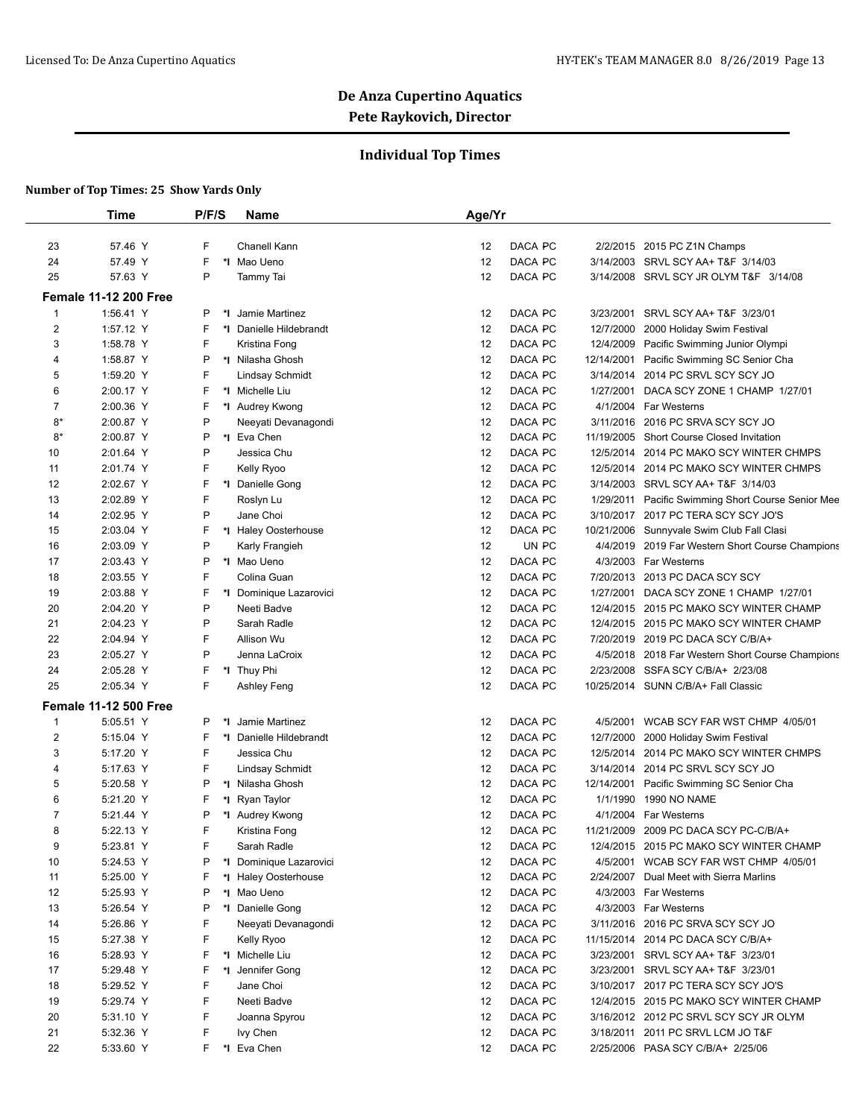## **Individual Top Times**

|                | <b>Time</b>                  | P/F/S   | Name                    | Age/Yr                                                               |
|----------------|------------------------------|---------|-------------------------|----------------------------------------------------------------------|
|                |                              |         |                         |                                                                      |
| 23             | 57.46 Y                      | F       | Chanell Kann            | DACA PC<br>2/2/2015 2015 PC Z1N Champs<br>12                         |
| 24             | 57.49 Y                      | F       | *I Mao Ueno             | 12<br>DACA PC<br>3/14/2003 SRVL SCY AA+ T&F 3/14/03                  |
| 25             | 57.63 Y                      | P       | Tammy Tai               | DACA PC<br>12<br>3/14/2008<br>SRVL SCY JR OLYM T&F 3/14/08           |
|                | <b>Female 11-12 200 Free</b> |         |                         |                                                                      |
| 1              | 1:56.41 Y                    | P<br>*I | Jamie Martinez          | DACA PC<br>3/23/2001<br>SRVL SCY AA+ T&F 3/23/01<br>12               |
| $\overline{2}$ | 1:57.12 Y                    | F       | *I Danielle Hildebrandt | 12<br>DACA PC<br>12/7/2000<br>2000 Holiday Swim Festival             |
| 3              | 1:58.78 Y                    | F       | Kristina Fong           | DACA PC<br>12<br>12/4/2009<br>Pacific Swimming Junior Olympi         |
| 4              | 1:58.87 Y                    | P       | *I Nilasha Ghosh        | DACA PC<br>12<br>12/14/2001<br>Pacific Swimming SC Senior Cha        |
| 5              | 1:59.20 Y                    | F       | <b>Lindsay Schmidt</b>  | DACA PC<br>12<br>3/14/2014 2014 PC SRVL SCY SCY JO                   |
| 6              | 2:00.17 Y                    | F       | *1 Michelle Liu         | 12<br>DACA PC<br>DACA SCY ZONE 1 CHAMP 1/27/01<br>1/27/2001          |
| 7              | 2:00.36 Y                    | F       | *I Audrey Kwong         | 12<br>DACA PC<br>4/1/2004 Far Westerns                               |
| 8*             | 2:00.87 Y                    | P       | Neeyati Devanagondi     | DACA PC<br>12<br>3/11/2016<br>2016 PC SRVA SCY SCY JO                |
| 8*             | 2:00.87 Y                    | P       | *1 Eva Chen             | DACA PC<br>12<br>11/19/2005<br><b>Short Course Closed Invitation</b> |
| 10             | 2:01.64 Y                    | P       | Jessica Chu             | DACA PC<br>12<br>12/5/2014 2014 PC MAKO SCY WINTER CHMPS             |
| 11             | 2:01.74 Y                    | F       | Kelly Ryoo              | DACA PC<br>12<br>12/5/2014 2014 PC MAKO SCY WINTER CHMPS             |
| 12             | 2:02.67 Y                    | F       | *1 Danielle Gong        | DACA PC<br>12<br>3/14/2003 SRVL SCY AA+ T&F 3/14/03                  |
| 13             | 2:02.89 Y                    | F       | Roslyn Lu               | 12<br>DACA PC<br>1/29/2011 Pacific Swimming Short Course Senior Mee  |
| 14             | 2:02.95 Y                    | P       | Jane Choi               | 12<br>DACA PC<br>3/10/2017 2017 PC TERA SCY SCY JO'S                 |
| 15             | 2:03.04 Y                    | F       | *I Haley Oosterhouse    | DACA PC<br>12<br>10/21/2006<br>Sunnyvale Swim Club Fall Clasi        |
| 16             | 2:03.09 Y                    | P       | Karly Frangieh          | 12<br>UN PC<br>4/4/2019<br>2019 Far Western Short Course Champions   |
| 17             | 2:03.43 Y                    | P       | *I Mao Ueno             | DACA PC<br>12<br>4/3/2003 Far Westerns                               |
| 18             | 2:03.55 Y                    | F       | Colina Guan             | 12<br>DACA PC<br>7/20/2013 2013 PC DACA SCY SCY                      |
| 19             | 2:03.88 Y                    | F       | *I Dominique Lazarovici | 12<br>DACA PC<br>1/27/2001<br>DACA SCY ZONE 1 CHAMP 1/27/01          |
| 20             | 2:04.20 Y                    | P       | Neeti Badve             | DACA PC<br>12<br>12/4/2015<br>2015 PC MAKO SCY WINTER CHAMP          |
| 21             | 2:04.23 Y                    | P       | Sarah Radle             | DACA PC<br>12/4/2015 2015 PC MAKO SCY WINTER CHAMP<br>12             |
| 22             | 2:04.94 Y                    | F       | Allison Wu              | DACA PC<br>7/20/2019 2019 PC DACA SCY C/B/A+<br>12                   |
| 23             | 2:05.27 Y                    | P       | Jenna LaCroix           | DACA PC<br>12<br>4/5/2018<br>2018 Far Western Short Course Champions |
| 24             | 2:05.28 Y                    | F       | *I Thuy Phi             | 12<br>DACA PC<br>2/23/2008<br>SSFA SCY C/B/A+ 2/23/08                |
| 25             | 2:05.34 Y                    | F       | Ashley Feng             | 12<br>DACA PC<br>10/25/2014 SUNN C/B/A+ Fall Classic                 |
|                | <b>Female 11-12 500 Free</b> |         |                         |                                                                      |
| 1              | 5:05.51 Y                    | P<br>*∣ | Jamie Martinez          | DACA PC<br>12<br>4/5/2001<br>WCAB SCY FAR WST CHMP 4/05/01           |
| $\overline{2}$ | 5:15.04 Y                    | F       | *I Danielle Hildebrandt | 12<br>DACA PC<br>12/7/2000<br>2000 Holiday Swim Festival             |
| 3              | 5:17.20 Y                    | F       | Jessica Chu             | 12<br>DACA PC<br>12/5/2014<br>2014 PC MAKO SCY WINTER CHMPS          |
| 4              | 5:17.63 Y                    | F       | <b>Lindsay Schmidt</b>  | 12<br>DACA PC<br>3/14/2014 2014 PC SRVL SCY SCY JO                   |
| 5              | 5:20.58 Y                    | P       | *I Nilasha Ghosh        | 12<br>DACA PC<br>12/14/2001<br>Pacific Swimming SC Senior Cha        |
| 6              | 5:21.20 Y                    | F       | *I Ryan Taylor          | 12<br>DACA PC<br>1/1/1990<br>1990 NO NAME                            |
| 7              | 5:21.44 Y                    | P       | *I Audrey Kwong         | 12<br>DACA PC<br>4/1/2004 Far Westerns                               |
| 8              | 5:22.13 Y                    | F       | Kristina Fong           | 12<br>DACA PC<br>2009 PC DACA SCY PC-C/B/A+<br>11/21/2009            |
| 9              | 5:23.81 Y                    | F       | Sarah Radle             | DACA PC<br>12<br>12/4/2015 2015 PC MAKO SCY WINTER CHAMP             |
| 10             | 5:24.53 Y                    | P       | *I Dominique Lazarovici | 12<br>DACA PC<br>4/5/2001 WCAB SCY FAR WST CHMP 4/05/01              |
| 11             | 5:25.00 Y                    | F       | *I Haley Oosterhouse    | DACA PC<br>12<br>2/24/2007 Dual Meet with Sierra Marlins             |
| 12             | 5:25.93 Y                    | P       | *I Mao Ueno             | 12<br>DACA PC<br>4/3/2003 Far Westerns                               |
| 13             | 5:26.54 Y                    | P       | *I Danielle Gong        | 12<br>DACA PC<br>4/3/2003 Far Westerns                               |
| 14             | 5:26.86 Y                    | F       | Neeyati Devanagondi     | 12<br>DACA PC<br>3/11/2016<br>2016 PC SRVA SCY SCY JO                |
| 15             | 5:27.38 Y                    | F       | Kelly Ryoo              | 12<br>DACA PC<br>11/15/2014 2014 PC DACA SCY C/B/A+                  |
| 16             | 5:28.93 Y                    | F       | *I Michelle Liu         | DACA PC<br>12<br>3/23/2001<br>SRVL SCY AA+ T&F 3/23/01               |
| 17             | 5:29.48 Y                    | F       | *1 Jennifer Gong        | DACA PC<br>3/23/2001 SRVL SCY AA+ T&F 3/23/01<br>12                  |
| 18             | 5:29.52 Y                    | F       | Jane Choi               | DACA PC<br>3/10/2017 2017 PC TERA SCY SCY JO'S<br>12                 |
| 19             | 5:29.74 Y                    | F       | Neeti Badve             | 12<br>DACA PC<br>12/4/2015 2015 PC MAKO SCY WINTER CHAMP             |
| 20             | 5:31.10 Y                    | F       | Joanna Spyrou           | DACA PC<br>12<br>3/16/2012 2012 PC SRVL SCY SCY JR OLYM              |
| 21             | 5:32.36 Y                    | F       | Ivy Chen                | 12<br>DACA PC<br>3/18/2011 2011 PC SRVL LCM JO T&F                   |
| 22             | 5:33.60 Y                    | F.      | *I Eva Chen             | DACA PC<br>2/25/2006 PASA SCY C/B/A+ 2/25/06<br>12                   |
|                |                              |         |                         |                                                                      |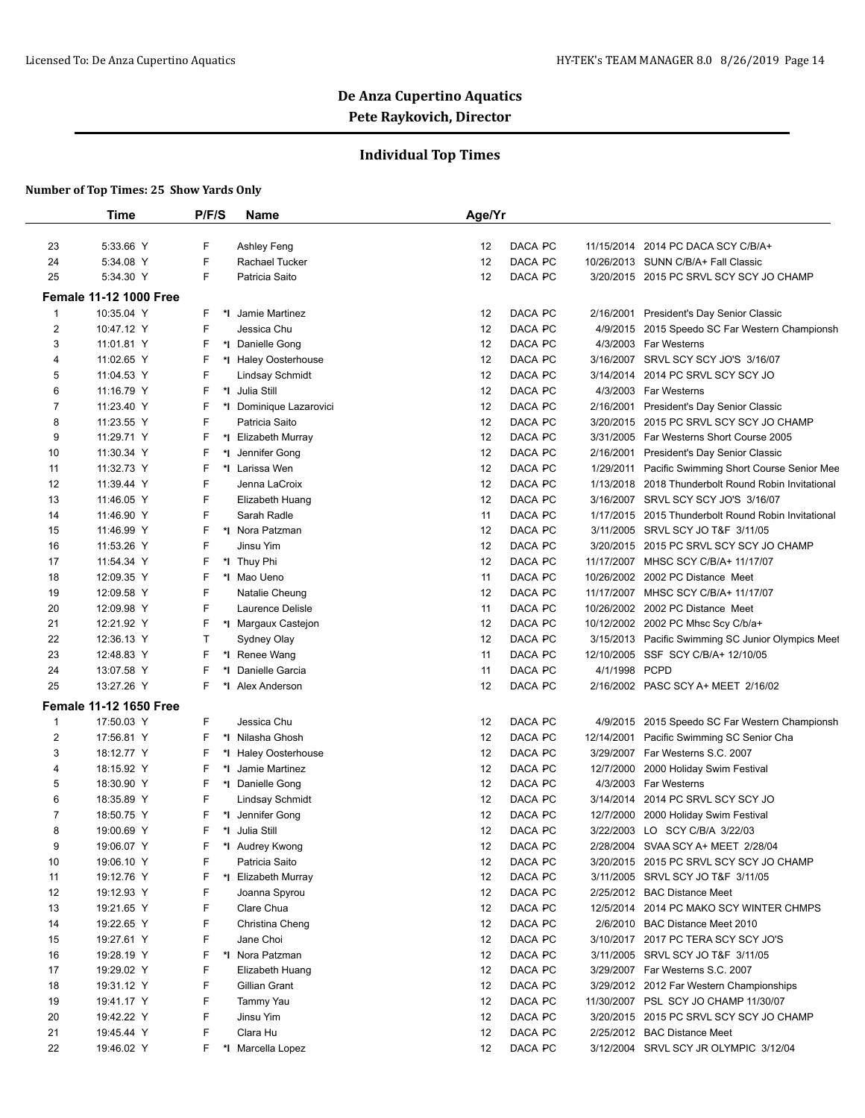## **Individual Top Times**

|                | Time                          | P/F/S   | Name                    | Age/Yr        |            |                                                     |
|----------------|-------------------------------|---------|-------------------------|---------------|------------|-----------------------------------------------------|
|                |                               |         |                         |               |            |                                                     |
| 23             | 5:33.66 Y                     | F       | Ashley Feng             | DACA PC<br>12 |            | 11/15/2014 2014 PC DACA SCY C/B/A+                  |
| 24             | 5:34.08 Y                     | F       | Rachael Tucker          | 12<br>DACA PC |            | 10/26/2013 SUNN C/B/A+ Fall Classic                 |
| 25             | 5:34.30 Y                     | F       | Patricia Saito          | 12<br>DACA PC |            | 3/20/2015 2015 PC SRVL SCY SCY JO CHAMP             |
|                | <b>Female 11-12 1000 Free</b> |         |                         |               |            |                                                     |
| 1              | 10:35.04 Y                    | F       | *I Jamie Martinez       | DACA PC<br>12 |            | 2/16/2001 President's Day Senior Classic            |
| $\overline{2}$ | 10:47.12 Y                    | F       | Jessica Chu             | 12<br>DACA PC |            | 4/9/2015 2015 Speedo SC Far Western Championsh      |
| 3              | 11:01.81 Y                    | F       | *1 Danielle Gong        | 12<br>DACA PC |            | 4/3/2003 Far Westerns                               |
| 4              | 11:02.65 Y                    | F       | *I Haley Oosterhouse    | 12<br>DACA PC |            | 3/16/2007 SRVL SCY SCY JO'S 3/16/07                 |
| 5              | 11:04.53 Y                    | F       | Lindsay Schmidt         | 12<br>DACA PC | 3/14/2014  | 2014 PC SRVL SCY SCY JO                             |
| 6              | 11:16.79 Y                    | F<br>*I | Julia Still             | 12<br>DACA PC |            | 4/3/2003 Far Westerns                               |
| 7              | 11:23.40 Y                    | F       | *I Dominique Lazarovici | 12<br>DACA PC |            | 2/16/2001 President's Day Senior Classic            |
| 8              | 11:23.55 Y                    | F       | Patricia Saito          | 12<br>DACA PC |            | 3/20/2015 2015 PC SRVL SCY SCY JO CHAMP             |
| 9              | 11:29.71 Y                    | F       | *I Elizabeth Murray     | 12<br>DACA PC |            | 3/31/2005 Far Westerns Short Course 2005            |
| 10             | 11:30.34 Y                    | F       | Jennifer Gong           | DACA PC<br>12 |            | 2/16/2001 President's Day Senior Classic            |
| 11             | 11:32.73 Y                    | F       | *I Larissa Wen          | 12<br>DACA PC |            | 1/29/2011 Pacific Swimming Short Course Senior Mee  |
| 12             | 11:39.44 Y                    | F       | Jenna LaCroix           | 12<br>DACA PC | 1/13/2018  | 2018 Thunderbolt Round Robin Invitational           |
| 13             | 11:46.05 Y                    | F       | Elizabeth Huang         | 12<br>DACA PC |            | 3/16/2007 SRVL SCY SCY JO'S 3/16/07                 |
| 14             | 11:46.90 Y                    | F       | Sarah Radle             | 11<br>DACA PC |            | 1/17/2015 2015 Thunderbolt Round Robin Invitational |
| 15             | 11:46.99 Y                    | F       | *I Nora Patzman         | 12<br>DACA PC |            | 3/11/2005 SRVL SCY JO T&F 3/11/05                   |
| 16             | 11:53.26 Y                    | F       | Jinsu Yim               | 12<br>DACA PC |            | 3/20/2015 2015 PC SRVL SCY SCY JO CHAMP             |
| 17             | 11:54.34 Y                    | F       | *I Thuy Phi             | 12<br>DACA PC |            | 11/17/2007 MHSC SCY C/B/A+ 11/17/07                 |
| 18             | 12:09.35 Y                    | F       | *I Mao Ueno             | 11<br>DACA PC |            | 10/26/2002 2002 PC Distance Meet                    |
| 19             | 12:09.58 Y                    | F       | Natalie Cheung          | DACA PC<br>12 |            | 11/17/2007 MHSC SCY C/B/A+ 11/17/07                 |
| 20             | 12:09.98 Y                    | F       | Laurence Delisle        | 11<br>DACA PC |            | 10/26/2002 2002 PC Distance Meet                    |
| 21             | 12:21.92 Y                    | F       | *I Margaux Castejon     | DACA PC<br>12 |            | 10/12/2002 2002 PC Mhsc Scy C/b/a+                  |
| 22             | 12:36.13 Y                    | т       | Sydney Olay             | DACA PC<br>12 |            | 3/15/2013 Pacific Swimming SC Junior Olympics Meet  |
| 23             | 12:48.83 Y                    | F       | *I Renee Wang           | 11<br>DACA PC |            | 12/10/2005 SSF SCY C/B/A+ 12/10/05                  |
| 24             | 13:07.58 Y                    | F<br>۰. | Danielle Garcia         | DACA PC<br>11 | 4/1/1998   | <b>PCPD</b>                                         |
| 25             | 13:27.26 Y                    | F.      | *I Alex Anderson        | 12<br>DACA PC |            | 2/16/2002 PASC SCY A+ MEET 2/16/02                  |
|                | <b>Female 11-12 1650 Free</b> |         |                         |               |            |                                                     |
| 1              | 17:50.03 Y                    | F.      | Jessica Chu             | 12<br>DACA PC | 4/9/2015   | 2015 Speedo SC Far Western Championsh               |
| 2              | 17:56.81 Y                    | F<br>*I | Nilasha Ghosh           | 12<br>DACA PC | 12/14/2001 | Pacific Swimming SC Senior Cha                      |
| 3              | 18:12.77 Y                    | F       | *I Haley Oosterhouse    | 12<br>DACA PC |            | 3/29/2007 Far Westerns S.C. 2007                    |
| 4              | 18:15.92 Y                    | F<br>*l | Jamie Martinez          | DACA PC<br>12 |            | 12/7/2000 2000 Holiday Swim Festival                |
| 5              | 18:30.90 Y                    | F       | *I Danielle Gong        | 12<br>DACA PC | 4/3/2003   | Far Westerns                                        |
| 6              | 18:35.89 Y                    | F       | Lindsay Schmidt         | 12<br>DACA PC |            | 3/14/2014 2014 PC SRVL SCY SCY JO                   |
| 7              | 18:50.75 Y                    | F<br>*I | Jennifer Gong           | DACA PC<br>12 |            | 12/7/2000 2000 Holiday Swim Festival                |
| 8              | 19:00.69 Y                    | F<br>*∣ | Julia Still             | 12<br>DACA PC |            | 3/22/2003 LO SCY C/B/A 3/22/03                      |
| 9              | 19:06.07 Y                    | F       | *1 Audrey Kwong         | DACA PC<br>12 |            | 2/28/2004 SVAA SCY A+ MEET 2/28/04                  |
| 10             | 19:06.10 Y                    | F       | Patricia Saito          | 12<br>DACA PC |            | 3/20/2015 2015 PC SRVL SCY SCY JO CHAMP             |
| 11             | 19:12.76 Y                    | F       | *I Elizabeth Murray     | DACA PC<br>12 |            | 3/11/2005 SRVL SCY JO T&F 3/11/05                   |
| 12             | 19:12.93 Y                    | F       | Joanna Spyrou           | 12<br>DACA PC |            | 2/25/2012 BAC Distance Meet                         |
| 13             | 19:21.65 Y                    | F       | Clare Chua              | 12<br>DACA PC |            | 12/5/2014 2014 PC MAKO SCY WINTER CHMPS             |
| 14             | 19:22.65 Y                    | F       | Christina Cheng         | 12<br>DACA PC |            | 2/6/2010 BAC Distance Meet 2010                     |
| 15             | 19:27.61 Y                    | F       | Jane Choi               | 12<br>DACA PC |            | 3/10/2017 2017 PC TERA SCY SCY JO'S                 |
| 16             | 19:28.19 Y                    | F       | *I Nora Patzman         | 12<br>DACA PC |            | 3/11/2005 SRVL SCY JO T&F 3/11/05                   |
| 17             | 19:29.02 Y                    | F       | Elizabeth Huang         | 12<br>DACA PC |            | 3/29/2007 Far Westerns S.C. 2007                    |
| 18             | 19:31.12 Y                    | F       | Gillian Grant           | DACA PC<br>12 |            | 3/29/2012 2012 Far Western Championships            |
| 19             | 19:41.17 Y                    | F       | Tammy Yau               | 12<br>DACA PC |            | 11/30/2007 PSL SCY JO CHAMP 11/30/07                |
| 20             | 19:42.22 Y                    | F       | Jinsu Yim               | 12<br>DACA PC |            | 3/20/2015 2015 PC SRVL SCY SCY JO CHAMP             |
| 21             | 19:45.44 Y                    | F       | Clara Hu                | 12<br>DACA PC |            | 2/25/2012 BAC Distance Meet                         |
| 22             | 19:46.02 Y                    | F.      | *I Marcella Lopez       | 12<br>DACA PC |            | 3/12/2004 SRVL SCY JR OLYMPIC 3/12/04               |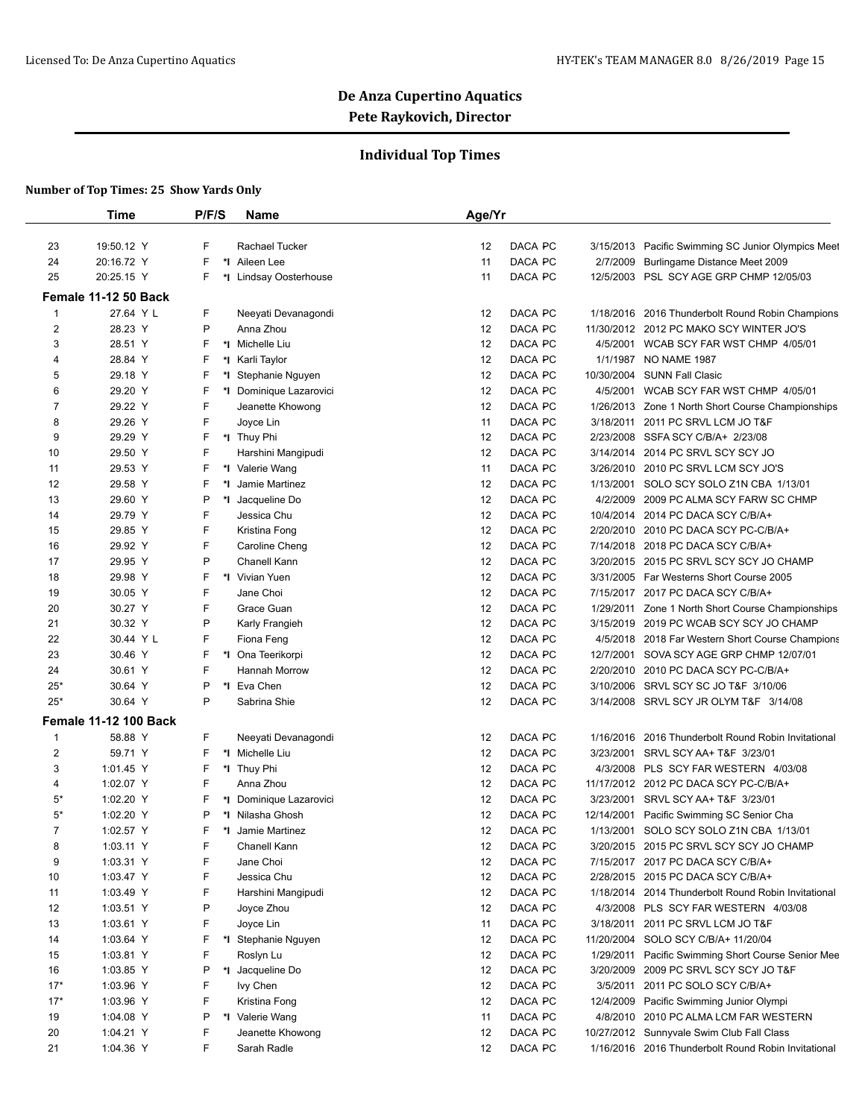## **Individual Top Times**

|                | <b>Time</b>                  | P/F/S   | Name                               | Age/Yr   |                    |                        |                                                                                    |
|----------------|------------------------------|---------|------------------------------------|----------|--------------------|------------------------|------------------------------------------------------------------------------------|
| 23             | 19:50.12 Y                   | F       | Rachael Tucker                     | 12       | DACA PC            | 3/15/2013              | Pacific Swimming SC Junior Olympics Meet                                           |
| 24             | 20:16.72 Y                   | F       | *1 Aileen Lee                      | 11       | DACA PC            | 2/7/2009               | Burlingame Distance Meet 2009                                                      |
| 25             | 20:25.15 Y                   | F       | *I Lindsay Oosterhouse             | 11       | DACA PC            | 12/5/2003              | PSL SCY AGE GRP CHMP 12/05/03                                                      |
|                | Female 11-12 50 Back         |         |                                    |          |                    |                        |                                                                                    |
| 1              | 27.64 Y L                    | F       | Neeyati Devanagondi                | 12       | DACA PC            | 1/18/2016              | 2016 Thunderbolt Round Robin Champions                                             |
| $\overline{2}$ | 28.23 Y                      | P       | Anna Zhou                          | 12       | DACA PC            |                        | 11/30/2012 2012 PC MAKO SCY WINTER JO'S                                            |
| 3              | 28.51 Y                      | F       | *1 Michelle Liu                    | 12       | DACA PC            | 4/5/2001               | WCAB SCY FAR WST CHMP 4/05/01                                                      |
| 4              | 28.84 Y                      | F       | *I Karli Taylor                    | 12       | DACA PC            | 1/1/1987               | <b>NO NAME 1987</b>                                                                |
| 5              | 29.18 Y                      | F       | *I Stephanie Nguyen                | 12       | DACA PC            | 10/30/2004             | <b>SUNN Fall Clasic</b>                                                            |
| 6              | 29.20 Y                      | F       | *I Dominique Lazarovici            | 12       | DACA PC            | 4/5/2001               | WCAB SCY FAR WST CHMP 4/05/01                                                      |
| 7              | 29.22 Y                      | F       | Jeanette Khowong                   | 12       | DACA PC            | 1/26/2013              | Zone 1 North Short Course Championships                                            |
| 8              | 29.26 Y                      | F       | Joyce Lin                          | 11       | DACA PC            | 3/18/2011              | 2011 PC SRVL LCM JO T&F                                                            |
| 9              | 29.29 Y                      | F       | *I Thuy Phi                        | 12       | DACA PC            | 2/23/2008              | SSFA SCY C/B/A+ 2/23/08                                                            |
| 10             | 29.50 Y                      | F       | Harshini Mangipudi                 | 12       | DACA PC            | 3/14/2014              | 2014 PC SRVL SCY SCY JO                                                            |
| 11             | 29.53 Y                      | F       | *I Valerie Wang                    | 11       | DACA PC            | 3/26/2010              | 2010 PC SRVL LCM SCY JO'S                                                          |
| 12             | 29.58 Y                      | F<br>*∣ | Jamie Martinez                     | 12       | DACA PC            | 1/13/2001              | SOLO SCY SOLO Z1N CBA 1/13/01                                                      |
| 13             | 29.60 Y                      | P       | *I Jacqueline Do                   | 12       | DACA PC            | 4/2/2009               | 2009 PC ALMA SCY FARW SC CHMP                                                      |
| 14             | 29.79 Y                      | F       | Jessica Chu                        | 12       | DACA PC            | 10/4/2014              | 2014 PC DACA SCY C/B/A+                                                            |
| 15             | 29.85 Y                      | F       | Kristina Fong                      | 12       | DACA PC            | 2/20/2010              | 2010 PC DACA SCY PC-C/B/A+                                                         |
| 16             | 29.92 Y                      | F       | Caroline Cheng                     | 12       | DACA PC            | 7/14/2018              | 2018 PC DACA SCY C/B/A+                                                            |
| 17             | 29.95 Y                      | P       | Chanell Kann                       | 12       | DACA PC            | 3/20/2015              | 2015 PC SRVL SCY SCY JO CHAMP                                                      |
| 18             | 29.98 Y                      | F<br>*∣ | Vivian Yuen                        | 12       | DACA PC            | 3/31/2005              | Far Westerns Short Course 2005                                                     |
| 19             | 30.05 Y                      | F       | Jane Choi                          | 12       | DACA PC            | 7/15/2017              | 2017 PC DACA SCY C/B/A+                                                            |
| 20             | 30.27 Y                      | F       | Grace Guan                         | 12       | DACA PC            | 1/29/2011              |                                                                                    |
| 21             | 30.32 Y                      | P       |                                    | 12       | DACA PC            |                        | Zone 1 North Short Course Championships<br>3/15/2019 2019 PC WCAB SCY SCY JO CHAMP |
|                |                              | F       | Karly Frangieh                     |          |                    |                        |                                                                                    |
| 22             | 30.44 Y L<br>30.46 Y         | F       | Fiona Feng                         | 12       | DACA PC<br>DACA PC | 4/5/2018               | 2018 Far Western Short Course Champions                                            |
| 23             |                              | F       | *1 Ona Teerikorpi<br>Hannah Morrow | 12<br>12 | DACA PC            | 12/7/2001<br>2/20/2010 | SOVA SCY AGE GRP CHMP 12/07/01                                                     |
| 24             | 30.61 Y                      | P       |                                    |          |                    |                        | 2010 PC DACA SCY PC-C/B/A+                                                         |
| $25*$<br>$25*$ | 30.64 Y<br>30.64 Y           | P       | *I Eva Chen<br>Sabrina Shie        | 12<br>12 | DACA PC<br>DACA PC | 3/10/2006<br>3/14/2008 | SRVL SCY SC JO T&F 3/10/06<br>SRVL SCY JR OLYM T&F 3/14/08                         |
|                |                              |         |                                    |          |                    |                        |                                                                                    |
|                | <b>Female 11-12 100 Back</b> |         |                                    |          |                    |                        |                                                                                    |
| $\mathbf{1}$   | 58.88 Y                      | F       | Neeyati Devanagondi                | 12       | DACA PC            | 1/16/2016              | 2016 Thunderbolt Round Robin Invitational                                          |
| $\overline{2}$ | 59.71 Y                      | F       | *I Michelle Liu                    | 12       | DACA PC            | 3/23/2001              | SRVL SCY AA+ T&F 3/23/01                                                           |
| 3              | 1:01.45 Y                    | F       | *I Thuy Phi                        | 12       | DACA PC            | 4/3/2008               | PLS SCY FAR WESTERN 4/03/08                                                        |
| 4              | 1:02.07 Y                    | F       | Anna Zhou                          | 12       | DACA PC            |                        | 11/17/2012 2012 PC DACA SCY PC-C/B/A+                                              |
| 5*             | 1:02.20 Y                    | F       | *I Dominique Lazarovici            | 12       | DACA PC            | 3/23/2001              | SRVL SCY AA+ T&F 3/23/01                                                           |
| $5*$           | 1:02.20 Y                    | P       | *I Nilasha Ghosh                   | 12       | DACA PC            | 12/14/2001             | Pacific Swimming SC Senior Cha                                                     |
| $\overline{7}$ | 1:02.57 Y                    | F       | *I Jamie Martinez                  | 12       | DACA PC            | 1/13/2001              | SOLO SCY SOLO Z1N CBA 1/13/01                                                      |
| 8              | 1:03.11 Y                    | F       | Chanell Kann                       | 12       | DACA PC            |                        | 3/20/2015 2015 PC SRVL SCY SCY JO CHAMP                                            |
| 9              | 1:03.31 Y                    | F       | Jane Choi                          | 12       | DACA PC            |                        | 7/15/2017 2017 PC DACA SCY C/B/A+                                                  |
| 10             | 1:03.47 Y                    | F       | Jessica Chu                        | 12       | DACA PC            |                        | 2/28/2015 2015 PC DACA SCY C/B/A+                                                  |
| 11             | 1:03.49 Y                    | F       | Harshini Mangipudi                 | 12       | DACA PC            |                        | 1/18/2014 2014 Thunderbolt Round Robin Invitational                                |
| 12             | 1:03.51 Y                    | P       | Joyce Zhou                         | 12       | DACA PC            | 4/3/2008               | PLS SCY FAR WESTERN 4/03/08                                                        |
| 13             | 1:03.61 Y                    | F       | Joyce Lin                          | 11       | DACA PC            | 3/18/2011              | 2011 PC SRVL LCM JO T&F                                                            |
| 14             | 1:03.64 Y                    | F       | *I Stephanie Nguyen                | 12       | DACA PC            | 11/20/2004             | SOLO SCY C/B/A+ 11/20/04                                                           |
| 15             | 1:03.81 Y                    | F       | Roslyn Lu                          | 12       | DACA PC            | 1/29/2011              | Pacific Swimming Short Course Senior Mee                                           |
| 16             | 1:03.85 Y                    | P       | *I Jacqueline Do                   | 12       | DACA PC            | 3/20/2009              | 2009 PC SRVL SCY SCY JO T&F                                                        |
| $17*$          | 1:03.96 Y                    | F       | lvy Chen                           | 12       | DACA PC            | 3/5/2011               | 2011 PC SOLO SCY C/B/A+                                                            |
| $17*$          | 1:03.96 Y                    | F       | Kristina Fong                      | 12       | DACA PC            | 12/4/2009              | Pacific Swimming Junior Olympi                                                     |
| 19             | 1:04.08 Y                    | P       | *I Valerie Wang                    | 11       | DACA PC            | 4/8/2010               | 2010 PC ALMA LCM FAR WESTERN                                                       |
| 20             | 1:04.21 Y                    | F       | Jeanette Khowong                   | 12       | DACA PC            |                        | 10/27/2012 Sunnyvale Swim Club Fall Class                                          |
| 21             | 1:04.36 Y                    | F       | Sarah Radle                        | 12       | DACA PC            |                        | 1/16/2016 2016 Thunderbolt Round Robin Invitational                                |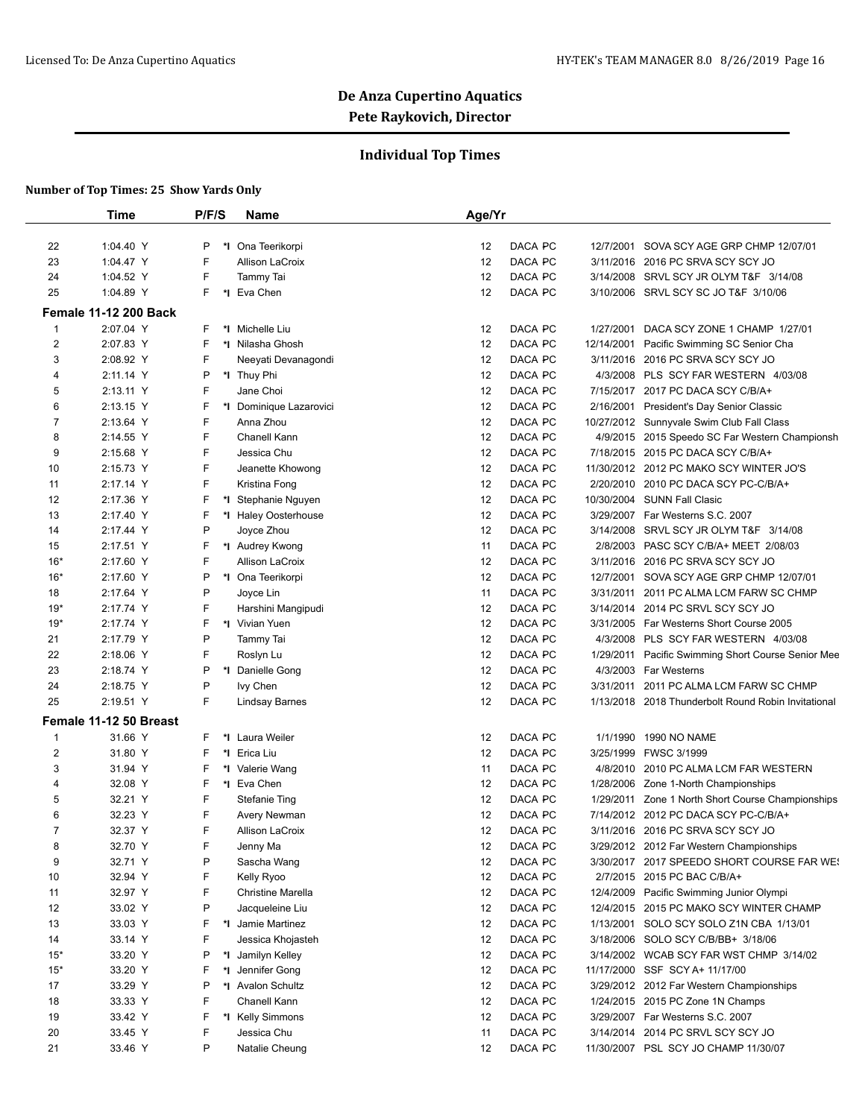## **Individual Top Times**

|                | <b>Time</b>                  | P/F/S | <b>Name</b>             | Age/Yr |                       |                                                     |
|----------------|------------------------------|-------|-------------------------|--------|-----------------------|-----------------------------------------------------|
| 22             | 1:04.40 Y                    | P     | *I Ona Teerikorpi       | 12     | DACA PC<br>12/7/2001  | SOVA SCY AGE GRP CHMP 12/07/01                      |
| 23             | 1:04.47 Y                    | F     | Allison LaCroix         | 12     | DACA PC               | 3/11/2016 2016 PC SRVA SCY SCY JO                   |
| 24             | 1:04.52 Y                    | F     | Tammy Tai               | 12     | DACA PC               | 3/14/2008 SRVL SCY JR OLYM T&F 3/14/08              |
| 25             | 1:04.89 Y                    | F     | *1 Eva Chen             | 12     | DACA PC               | 3/10/2006 SRVL SCY SC JO T&F 3/10/06                |
|                | <b>Female 11-12 200 Back</b> |       |                         |        |                       |                                                     |
| 1              | 2:07.04 Y                    | F     | *I Michelle Liu         | 12     | DACA PC<br>1/27/2001  | DACA SCY ZONE 1 CHAMP 1/27/01                       |
| 2              | 2:07.83 Y                    | F     | *I Nilasha Ghosh        | 12     | DACA PC<br>12/14/2001 | Pacific Swimming SC Senior Cha                      |
| 3              | 2:08.92 Y                    | F     | Neeyati Devanagondi     | 12     | DACA PC               | 3/11/2016 2016 PC SRVA SCY SCY JO                   |
| 4              | 2:11.14 Y                    | P     | *I Thuy Phi             | 12     | DACA PC               | 4/3/2008 PLS SCY FAR WESTERN 4/03/08                |
| 5              | 2:13.11 Y                    | F     | Jane Choi               | 12     | DACA PC               | 7/15/2017 2017 PC DACA SCY C/B/A+                   |
| 6              | 2:13.15 Y                    | F     | *I Dominique Lazarovici | 12     | DACA PC<br>2/16/2001  | <b>President's Day Senior Classic</b>               |
| 7              | 2:13.64 Y                    | F     | Anna Zhou               | 12     | DACA PC               | 10/27/2012 Sunnyvale Swim Club Fall Class           |
| 8              | 2:14.55 Y                    | F     | Chanell Kann            | 12     | DACA PC               | 4/9/2015 2015 Speedo SC Far Western Championsh      |
| 9              | 2:15.68 Y                    | F     | Jessica Chu             | 12     | DACA PC               | 7/18/2015 2015 PC DACA SCY C/B/A+                   |
| 10             | 2:15.73 Y                    | F     | Jeanette Khowong        | 12     | DACA PC               | 11/30/2012 2012 PC MAKO SCY WINTER JO'S             |
| 11             | 2:17.14 Y                    | F     | Kristina Fong           | 12     | DACA PC               | 2/20/2010 2010 PC DACA SCY PC-C/B/A+                |
| 12             | 2:17.36 Y                    | F     | *I Stephanie Nguyen     | 12     | DACA PC               | 10/30/2004 SUNN Fall Clasic                         |
| 13             | 2:17.40 Y                    | F     | *I Haley Oosterhouse    | 12     | DACA PC               | 3/29/2007 Far Westerns S.C. 2007                    |
| 14             | 2:17.44 Y                    | P     | Joyce Zhou              | 12     | DACA PC               | 3/14/2008 SRVL SCY JR OLYM T&F 3/14/08              |
| 15             | 2:17.51 Y                    | F     | *I Audrey Kwong         | 11     | DACA PC               | 2/8/2003 PASC SCY C/B/A+ MEET 2/08/03               |
| $16*$          | 2:17.60 Y                    | F     | Allison LaCroix         | 12     | DACA PC               | 3/11/2016 2016 PC SRVA SCY SCY JO                   |
| $16*$          | 2:17.60 Y                    | P     | *1 Ona Teerikorpi       | 12     | DACA PC<br>12/7/2001  | SOVA SCY AGE GRP CHMP 12/07/01                      |
| 18             | 2:17.64 Y                    | P     | Joyce Lin               | 11     | DACA PC<br>3/31/2011  | 2011 PC ALMA LCM FARW SC CHMP                       |
| $19*$          | 2:17.74 Y                    | F     | Harshini Mangipudi      | 12     | DACA PC               | 3/14/2014 2014 PC SRVL SCY SCY JO                   |
| $19*$          | 2:17.74 Y                    | F     | *I Vivian Yuen          | 12     | DACA PC               | 3/31/2005 Far Westerns Short Course 2005            |
| 21             | 2:17.79 Y                    | P     | Tammy Tai               | 12     | DACA PC               | 4/3/2008 PLS SCY FAR WESTERN 4/03/08                |
| 22             | 2:18.06 Y                    | F     | Roslyn Lu               | 12     | DACA PC<br>1/29/2011  | Pacific Swimming Short Course Senior Mee            |
| 23             | 2:18.74 Y                    | P     | *1 Danielle Gong        | 12     | DACA PC               | 4/3/2003 Far Westerns                               |
| 24             | 2:18.75 Y                    | P     | Ivy Chen                | 12     | DACA PC<br>3/31/2011  | 2011 PC ALMA LCM FARW SC CHMP                       |
| 25             | 2:19.51 Y                    | F     |                         | 12     | DACA PC               | 1/13/2018 2018 Thunderbolt Round Robin Invitational |
|                |                              |       | <b>Lindsay Barnes</b>   |        |                       |                                                     |
|                | Female 11-12 50 Breast       |       |                         |        |                       |                                                     |
| 1              | 31.66 Y                      | F     | *1 Laura Weiler         | 12     | DACA PC<br>1/1/1990   | <b>1990 NO NAME</b>                                 |
| 2              | 31.80 Y                      | F     | *I Erica Liu            | 12     | DACA PC<br>3/25/1999  | FWSC 3/1999                                         |
| 3              | 31.94 Y                      | F     | *I Valerie Wang         | 11     | DACA PC               | 4/8/2010 2010 PC ALMA LCM FAR WESTERN               |
| 4              | 32.08 Y                      | F     | *I Eva Chen             | 12     | DACA PC               | 1/28/2006 Zone 1-North Championships                |
| 5              | 32.21 Y                      | F     | <b>Stefanie Ting</b>    | 12     | DACA PC               | 1/29/2011 Zone 1 North Short Course Championships   |
| 6              | 32.23 Y                      | F     | Avery Newman            | 12     | DACA PC               | 7/14/2012 2012 PC DACA SCY PC-C/B/A+                |
| $\overline{7}$ | 32.37 Y                      | F     | <b>Allison LaCroix</b>  | 12     | DACA PC<br>DACA PC    | 3/11/2016 2016 PC SRVA SCY SCY JO                   |
| 8              | 32.70 Y                      | F     | Jenny Ma                | 12     |                       | 3/29/2012 2012 Far Western Championships            |
| 9              | 32.71 Y                      | P     | Sascha Wang             | 12     | DACA PC               | 3/30/2017 2017 SPEEDO SHORT COURSE FAR WE!          |
| 10             | 32.94 Y                      | F     | Kelly Ryoo              | 12     | DACA PC               | 2/7/2015 2015 PC BAC C/B/A+                         |
| 11             | 32.97 Y                      | F     | Christine Marella       | 12     | DACA PC               | 12/4/2009 Pacific Swimming Junior Olympi            |
| 12             | 33.02 Y                      | P     | Jacqueleine Liu         | 12     | DACA PC               | 12/4/2015 2015 PC MAKO SCY WINTER CHAMP             |
| 13             | 33.03 Y                      | F     | *I Jamie Martinez       | 12     | DACA PC               | 1/13/2001 SOLO SCY SOLO Z1N CBA 1/13/01             |
| 14             | 33.14 Y                      | F     | Jessica Khojasteh       | 12     | DACA PC               | 3/18/2006 SOLO SCY C/B/BB+ 3/18/06                  |
| $15*$          | 33.20 Y                      | P     | *I Jamilyn Kelley       | 12     | DACA PC               | 3/14/2002 WCAB SCY FAR WST CHMP 3/14/02             |
| $15*$          | 33.20 Y                      | F     | *I Jennifer Gong        | 12     | DACA PC               | 11/17/2000 SSF SCY A+ 11/17/00                      |
| 17             | 33.29 Y                      | P     | *I Avalon Schultz       | 12     | DACA PC               | 3/29/2012 2012 Far Western Championships            |
| 18             | 33.33 Y                      | F     | Chanell Kann            | 12     | DACA PC               | 1/24/2015 2015 PC Zone 1N Champs                    |
| 19             | 33.42 Y                      | F     | *I Kelly Simmons        | 12     | DACA PC               | 3/29/2007 Far Westerns S.C. 2007                    |
| 20             | 33.45 Y                      | F     | Jessica Chu             | 11     | DACA PC               | 3/14/2014 2014 PC SRVL SCY SCY JO                   |
| 21             | 33.46 Y                      | P     | Natalie Cheung          | 12     | DACA PC               | 11/30/2007 PSL SCY JO CHAMP 11/30/07                |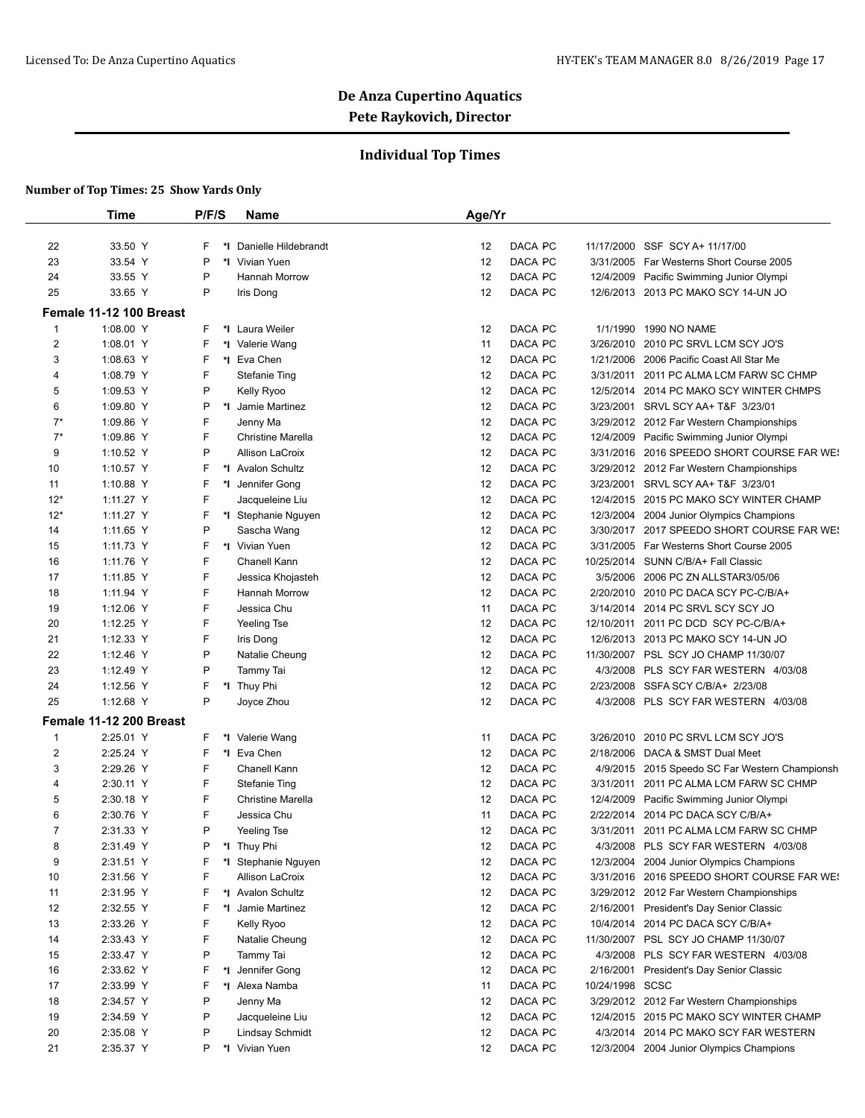## **Individual Top Times**

|                  | <b>Time</b>             | P/F/S   | <b>Name</b>                     | Age/Yr   |         |                 |                                                                                    |
|------------------|-------------------------|---------|---------------------------------|----------|---------|-----------------|------------------------------------------------------------------------------------|
| 22               | 33.50 Y                 | F       | *I Danielle Hildebrandt         | 12       | DACA PC |                 | 11/17/2000 SSF SCY A+ 11/17/00                                                     |
| 23               | 33.54 Y                 | P       | *I Vivian Yuen                  | 12       | DACA PC |                 | 3/31/2005 Far Westerns Short Course 2005                                           |
| 24               | 33.55 Y                 | P       | Hannah Morrow                   | 12       | DACA PC |                 | 12/4/2009 Pacific Swimming Junior Olympi                                           |
| 25               | 33.65 Y                 | P       | Iris Dong                       | 12       | DACA PC |                 | 12/6/2013 2013 PC MAKO SCY 14-UN JO                                                |
|                  | Female 11-12 100 Breast |         |                                 |          |         |                 |                                                                                    |
| 1                | 1:08.00 Y               | F.      | *I Laura Weiler                 |          | DACA PC |                 | 1/1/1990 1990 NO NAME                                                              |
| $\overline{c}$   | 1:08.01 Y               | F       |                                 | 12<br>11 | DACA PC |                 | 3/26/2010 2010 PC SRVL LCM SCY JO'S                                                |
|                  | 1:08.63 Y               | F       | *I Valerie Wang<br>*I Eva Chen  | 12       | DACA PC |                 | 1/21/2006 2006 Pacific Coast All Star Me                                           |
| 3                | 1:08.79 Y               | F       |                                 | 12       | DACA PC |                 |                                                                                    |
| 4                |                         | P       | <b>Stefanie Ting</b>            | 12       | DACA PC |                 | 3/31/2011 2011 PC ALMA LCM FARW SC CHMP<br>12/5/2014 2014 PC MAKO SCY WINTER CHMPS |
| 5                | 1:09.53 Y<br>1:09.80 Y  | P       | Kelly Ryoo<br>*I Jamie Martinez |          | DACA PC |                 |                                                                                    |
| 6                |                         | F       |                                 | 12       |         |                 | 3/23/2001 SRVL SCY AA+ T&F 3/23/01                                                 |
| $7^*$            | 1:09.86 Y               |         | Jenny Ma                        | 12       | DACA PC |                 | 3/29/2012 2012 Far Western Championships                                           |
| $7^*$            | 1:09.86 Y               | F       | Christine Marella               | 12       | DACA PC |                 | 12/4/2009 Pacific Swimming Junior Olympi                                           |
| 9                | 1:10.52 Y               | P       | Allison LaCroix                 | 12       | DACA PC |                 | 3/31/2016 2016 SPEEDO SHORT COURSE FAR WE!                                         |
| 10               | 1:10.57 Y               | F       | *1 Avalon Schultz               | 12       | DACA PC |                 | 3/29/2012 2012 Far Western Championships                                           |
| 11               | 1:10.88 Y               | F       | *I Jennifer Gong                | 12       | DACA PC |                 | 3/23/2001 SRVL SCY AA+ T&F 3/23/01                                                 |
| $12*$            | 1:11.27 Y               | F       | Jacqueleine Liu                 | 12       | DACA PC |                 | 12/4/2015 2015 PC MAKO SCY WINTER CHAMP                                            |
| $12*$            | 1:11.27 Y               | F       | *I Stephanie Nguyen             | 12       | DACA PC |                 | 12/3/2004 2004 Junior Olympics Champions                                           |
| 14               | 1:11.65 Y               | P       | Sascha Wang                     | 12       | DACA PC |                 | 3/30/2017 2017 SPEEDO SHORT COURSE FAR WE!                                         |
| 15               | 1:11.73 Y               | F       | *I Vivian Yuen                  | 12       | DACA PC |                 | 3/31/2005 Far Westerns Short Course 2005                                           |
| 16               | 1:11.76 Y               | F       | Chanell Kann                    | 12       | DACA PC |                 | 10/25/2014 SUNN C/B/A+ Fall Classic                                                |
| 17               | 1:11.85 Y               | F       | Jessica Khojasteh               | 12       | DACA PC |                 | 3/5/2006 2006 PC ZN ALLSTAR3/05/06                                                 |
| 18               | 1:11.94 Y               | F       | Hannah Morrow                   | 12       | DACA PC |                 | 2/20/2010 2010 PC DACA SCY PC-C/B/A+                                               |
| 19               | 1:12.06 Y               | F       | Jessica Chu                     | 11       | DACA PC |                 | 3/14/2014 2014 PC SRVL SCY SCY JO                                                  |
| 20               | 1:12.25 Y               | F       | Yeeling Tse                     | 12       | DACA PC |                 | 12/10/2011 2011 PC DCD SCY PC-C/B/A+                                               |
| 21               | 1:12.33 Y               | F       | Iris Dong                       | 12       | DACA PC |                 | 12/6/2013 2013 PC MAKO SCY 14-UN JO                                                |
| 22               | 1:12.46 Y               | P       | Natalie Cheung                  | 12       | DACA PC |                 | 11/30/2007 PSL SCY JO CHAMP 11/30/07                                               |
| 23               | 1:12.49 Y               | P       | Tammy Tai                       | 12       | DACA PC |                 | 4/3/2008 PLS SCY FAR WESTERN 4/03/08                                               |
| 24               | 1:12.56 Y               | F       | *I Thuy Phi                     | 12       | DACA PC |                 | 2/23/2008 SSFA SCY C/B/A+ 2/23/08                                                  |
| 25               | 1:12.68 Y               | P       | Joyce Zhou                      | 12       | DACA PC |                 | 4/3/2008 PLS SCY FAR WESTERN 4/03/08                                               |
|                  | Female 11-12 200 Breast |         |                                 |          |         |                 |                                                                                    |
| $\mathbf{1}$     | 2:25.01 Y               | F       | *I Valerie Wang                 | 11       | DACA PC | 3/26/2010       | 2010 PC SRVL LCM SCY JO'S                                                          |
| $\boldsymbol{2}$ | 2:25.24 Y               | F       | *1 Eva Chen                     | 12       | DACA PC |                 | 2/18/2006 DACA & SMST Dual Meet                                                    |
| 3                | 2:29.26 Y               | F       | Chanell Kann                    | 12       | DACA PC |                 | 4/9/2015 2015 Speedo SC Far Western Championsh                                     |
| 4                | 2:30.11 Y               | F       | <b>Stefanie Ting</b>            | 12       | DACA PC | 3/31/2011       | 2011 PC ALMA LCM FARW SC CHMP                                                      |
| 5                | 2:30.18 Y               | F       | <b>Christine Marella</b>        | 12       | DACA PC |                 | 12/4/2009 Pacific Swimming Junior Olympi                                           |
| 6                | 2:30.76 Y               | F       | Jessica Chu                     | 11       | DACA PC | 2/22/2014       | 2014 PC DACA SCY C/B/A+                                                            |
| $\overline{7}$   | 2:31.33 Y               | P       | Yeeling Tse                     | 12       | DACA PC |                 | 3/31/2011 2011 PC ALMA LCM FARW SC CHMP                                            |
| 8                | 2:31.49 Y               | P       | *I Thuy Phi                     | 12       | DACA PC |                 | 4/3/2008 PLS SCY FAR WESTERN 4/03/08                                               |
| 9                | 2:31.51 Y               | F       | *I Stephanie Nguyen             | 12       | DACA PC |                 | 12/3/2004 2004 Junior Olympics Champions                                           |
| 10               | 2:31.56 Y               | F       | Allison LaCroix                 | 12       | DACA PC |                 | 3/31/2016 2016 SPEEDO SHORT COURSE FAR WE!                                         |
| 11               | 2:31.95 Y               | F       | *1 Avalon Schultz               | 12       | DACA PC |                 | 3/29/2012 2012 Far Western Championships                                           |
| 12               | 2:32.55 Y               | F<br>*∣ | Jamie Martinez                  | 12       | DACA PC |                 | 2/16/2001 President's Day Senior Classic                                           |
| 13               | 2:33.26 Y               | F       | Kelly Ryoo                      | 12       | DACA PC |                 | 10/4/2014 2014 PC DACA SCY C/B/A+                                                  |
| 14               | 2:33.43 Y               | F       | Natalie Cheung                  | 12       | DACA PC |                 | 11/30/2007 PSL SCY JO CHAMP 11/30/07                                               |
| 15               | 2:33.47 Y               | P       | Tammy Tai                       | 12       | DACA PC |                 | 4/3/2008 PLS SCY FAR WESTERN 4/03/08                                               |
| 16               | 2:33.62 Y               | F       | *I Jennifer Gong                | 12       | DACA PC | 2/16/2001       | President's Day Senior Classic                                                     |
| 17               | 2:33.99 Y               | F       | *I Alexa Namba                  | 11       | DACA PC | 10/24/1998 SCSC |                                                                                    |
| 18               | 2:34.57 Y               | P       | Jenny Ma                        | 12       | DACA PC |                 | 3/29/2012 2012 Far Western Championships                                           |
| 19               | 2:34.59 Y               | P       | Jacqueleine Liu                 | 12       | DACA PC |                 | 12/4/2015 2015 PC MAKO SCY WINTER CHAMP                                            |
| 20               | 2:35.08 Y               | P       | <b>Lindsay Schmidt</b>          | 12       | DACA PC |                 | 4/3/2014 2014 PC MAKO SCY FAR WESTERN                                              |
| 21               | 2:35.37 Y               | P       | *I Vivian Yuen                  | 12       | DACA PC |                 | 12/3/2004 2004 Junior Olympics Champions                                           |
|                  |                         |         |                                 |          |         |                 |                                                                                    |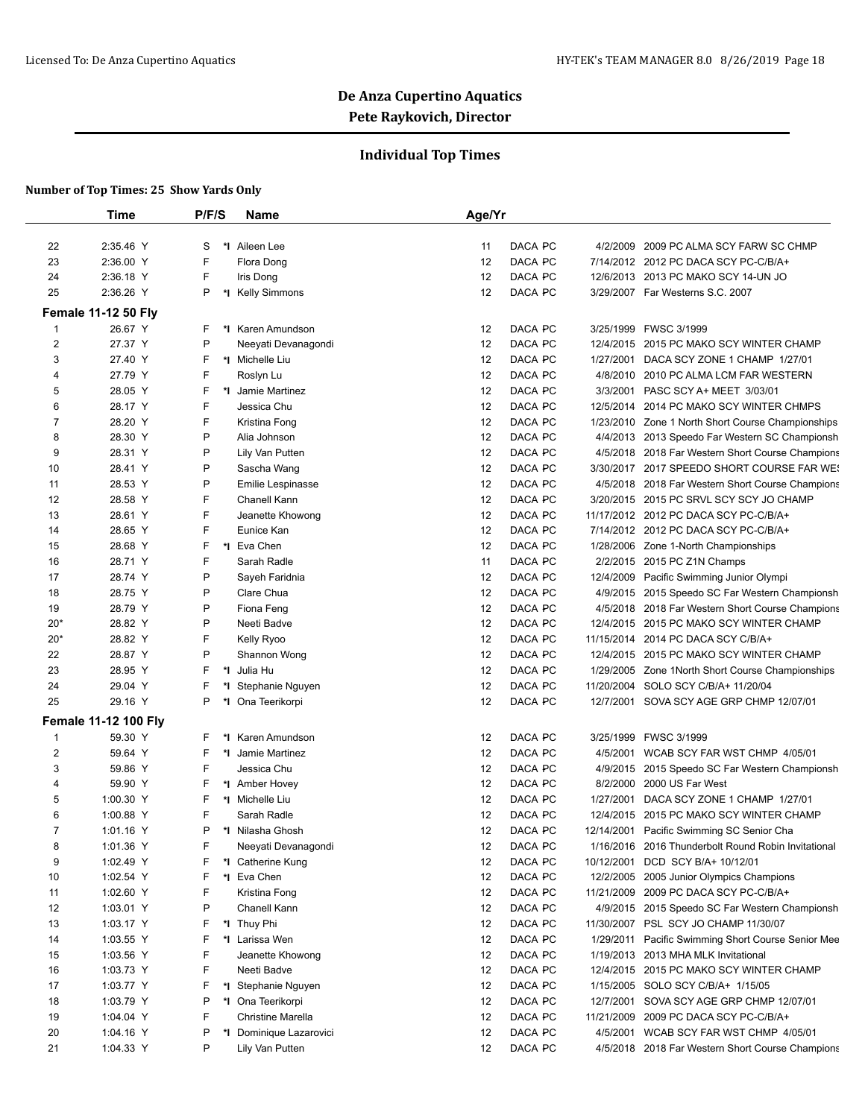## **Individual Top Times**

|                | <b>Time</b>                 | P/F/S  | <b>Name</b>                       | Age/Yr                                                                                                       |
|----------------|-----------------------------|--------|-----------------------------------|--------------------------------------------------------------------------------------------------------------|
| 22             | 2:35.46 Y                   | S      | *1 Aileen Lee                     | DACA PC<br>4/2/2009 2009 PC ALMA SCY FARW SC CHMP<br>11                                                      |
| 23             | 2:36.00 Y                   | F      | Flora Dong                        | DACA PC<br>12<br>7/14/2012 2012 PC DACA SCY PC-C/B/A+                                                        |
| 24             | 2:36.18 Y                   | F      | Iris Dong                         | DACA PC<br>12<br>12/6/2013 2013 PC MAKO SCY 14-UN JO                                                         |
| 25             | 2:36.26 Y                   | P      | *I Kelly Simmons                  | DACA PC<br>12<br>3/29/2007 Far Westerns S.C. 2007                                                            |
|                | <b>Female 11-12 50 Fly</b>  |        |                                   |                                                                                                              |
| $\mathbf{1}$   | 26.67 Y                     | F      | *I Karen Amundson                 | DACA PC<br>12<br>3/25/1999 FWSC 3/1999                                                                       |
| $\overline{2}$ | 27.37 Y                     | P      | Neeyati Devanagondi               | DACA PC<br>12<br>12/4/2015 2015 PC MAKO SCY WINTER CHAMP                                                     |
| 3              | 27.40 Y                     | F      | *I Michelle Liu                   | 12<br>DACA PC<br>DACA SCY ZONE 1 CHAMP 1/27/01<br>1/27/2001                                                  |
| 4              | 27.79 Y                     | F      | Roslyn Lu                         | DACA PC<br>12<br>4/8/2010<br>2010 PC ALMA LCM FAR WESTERN                                                    |
| 5              | 28.05 Y                     | F      | *I Jamie Martinez                 | 12<br>DACA PC<br>3/3/2001<br>PASC SCY A+ MEET 3/03/01                                                        |
| 6              | 28.17 Y                     | F      | Jessica Chu                       | DACA PC<br>12<br>12/5/2014 2014 PC MAKO SCY WINTER CHMPS                                                     |
| $\overline{7}$ | 28.20 Y                     | F      | Kristina Fong                     | DACA PC<br>12<br>1/23/2010 Zone 1 North Short Course Championships                                           |
| 8              | 28.30 Y                     | P      | Alia Johnson                      | DACA PC<br>12<br>4/4/2013 2013 Speedo Far Western SC Championsh                                              |
| 9              | 28.31 Y                     | P      | Lily Van Putten                   | 12<br>DACA PC<br>4/5/2018 2018 Far Western Short Course Champions                                            |
| 10             | 28.41 Y                     | P      | Sascha Wang                       | DACA PC<br>12<br>3/30/2017 2017 SPEEDO SHORT COURSE FAR WE!                                                  |
| 11             | 28.53 Y                     | P      |                                   | 12<br>DACA PC                                                                                                |
| 12             | 28.58 Y                     | F      | Emilie Lespinasse<br>Chanell Kann | 4/5/2018 2018 Far Western Short Course Champions<br>DACA PC<br>12<br>3/20/2015 2015 PC SRVL SCY SCY JO CHAMP |
| 13             | 28.61 Y                     | F      | Jeanette Khowong                  | DACA PC<br>12<br>11/17/2012 2012 PC DACA SCY PC-C/B/A+                                                       |
| 14             | 28.65 Y                     | F      | Eunice Kan                        | DACA PC<br>12<br>7/14/2012 2012 PC DACA SCY PC-C/B/A+                                                        |
|                |                             | F      | *I Eva Chen                       |                                                                                                              |
| 15             | 28.68 Y<br>28.71 Y          | F      | Sarah Radle                       | 12<br>DACA PC<br>1/28/2006 Zone 1-North Championships<br>DACA PC                                             |
| 16             | 28.74 Y                     | P      |                                   | 11<br>2/2/2015 2015 PC Z1N Champs                                                                            |
| 17             |                             |        | Sayeh Faridnia                    | 12<br>DACA PC<br>12/4/2009 Pacific Swimming Junior Olympi<br>DACA PC                                         |
| 18             | 28.75 Y                     | P<br>P | Clare Chua<br>Fiona Feng          | 12<br>4/9/2015 2015 Speedo SC Far Western Championsh<br>DACA PC                                              |
| 19             | 28.79 Y                     | P      | Neeti Badve                       | 12<br>4/5/2018 2018 Far Western Short Course Champions<br>DACA PC<br>12                                      |
| $20*$          | 28.82 Y                     |        |                                   | 12/4/2015 2015 PC MAKO SCY WINTER CHAMP                                                                      |
| $20*$          | 28.82 Y                     | F      | Kelly Ryoo                        | 12<br>DACA PC<br>11/15/2014 2014 PC DACA SCY C/B/A+                                                          |
| 22             | 28.87 Y                     | P      | Shannon Wong                      | DACA PC<br>12<br>12/4/2015 2015 PC MAKO SCY WINTER CHAMP                                                     |
| 23             | 28.95 Y                     | F      | *I Julia Hu                       | 12<br>DACA PC<br>1/29/2005 Zone 1 North Short Course Championships                                           |
| 24             | 29.04 Y                     | F      | *I Stephanie Nguyen               | DACA PC<br>12<br>11/20/2004 SOLO SCY C/B/A+ 11/20/04                                                         |
| 25             | 29.16 Y                     | P      | *I Ona Teerikorpi                 | DACA PC<br>12<br>12/7/2001 SOVA SCY AGE GRP CHMP 12/07/01                                                    |
|                | <b>Female 11-12 100 Fly</b> |        |                                   |                                                                                                              |
| 1              | 59.30 Y                     | F      | *I Karen Amundson                 | DACA PC<br>12<br>3/25/1999<br>FWSC 3/1999                                                                    |
| $\overline{2}$ | 59.64 Y                     | F      | *I Jamie Martinez                 | DACA PC<br>12<br>4/5/2001<br>WCAB SCY FAR WST CHMP 4/05/01                                                   |
| 3              | 59.86 Y                     | F      | Jessica Chu                       | DACA PC<br>12<br>4/9/2015 2015 Speedo SC Far Western Championsh                                              |
| 4              | 59.90 Y                     | F      | *1 Amber Hovey                    | 12<br>DACA PC<br>8/2/2000<br>2000 US Far West                                                                |
| 5              | 1:00.30 Y                   | F      | *I Michelle Liu                   | 12<br>DACA PC<br>1/27/2001<br>DACA SCY ZONE 1 CHAMP 1/27/01                                                  |
| 6              | 1:00.88 Y                   | F      | Sarah Radle                       | 12<br>DACA PC<br>12/4/2015 2015 PC MAKO SCY WINTER CHAMP                                                     |
| $\overline{7}$ | 1:01.16 Y                   | P      | *I Nilasha Ghosh                  | 12<br>DACA PC<br>12/14/2001<br>Pacific Swimming SC Senior Cha                                                |
| 8              | 1:01.36 Y                   | F      | Neeyati Devanagondi               | DACA PC<br>12<br>1/16/2016 2016 Thunderbolt Round Robin Invitational                                         |
| 9              | 1:02.49 Y                   | F      | *I Catherine Kung                 | DACA PC<br>12<br>DCD SCY B/A+ 10/12/01<br>10/12/2001                                                         |
| 10             | 1:02.54 Y                   | F      | *I Eva Chen                       | 12<br>DACA PC<br>12/2/2005 2005 Junior Olympics Champions                                                    |
| 11             | 1:02.60 Y                   | F      | Kristina Fong                     | 12<br>DACA PC<br>11/21/2009 2009 PC DACA SCY PC-C/B/A+                                                       |
| 12             | 1:03.01 Y                   | P      | Chanell Kann                      | 12<br>DACA PC<br>4/9/2015 2015 Speedo SC Far Western Championsh                                              |
| 13             | 1:03.17 Y                   | F      | *I Thuy Phi                       | 12<br>DACA PC<br>11/30/2007<br>PSL SCY JO CHAMP 11/30/07                                                     |
| 14             | 1:03.55 Y                   | F      | *I Larissa Wen                    | 12<br>DACA PC<br>1/29/2011<br>Pacific Swimming Short Course Senior Mee                                       |
| 15             | 1:03.56 Y                   | F      | Jeanette Khowong                  | 12<br>DACA PC<br>1/19/2013 2013 MHA MLK Invitational                                                         |
| 16             | 1:03.73 Y                   | F      | Neeti Badve                       | 12<br>DACA PC<br>12/4/2015 2015 PC MAKO SCY WINTER CHAMP                                                     |
| 17             | 1:03.77 Y                   | F      | *I Stephanie Nguyen               | 12<br>DACA PC<br>1/15/2005 SOLO SCY C/B/A+ 1/15/05                                                           |
| 18             | 1:03.79 Y                   | P      | *I Ona Teerikorpi                 | 12<br>DACA PC<br>12/7/2001<br>SOVA SCY AGE GRP CHMP 12/07/01                                                 |
| 19             | 1:04.04 Y                   | F      | Christine Marella                 | 12<br>DACA PC<br>11/21/2009<br>2009 PC DACA SCY PC-C/B/A+                                                    |
| 20             | 1:04.16 Y                   | P      | *I Dominique Lazarovici           | 12<br>DACA PC<br>4/5/2001<br>WCAB SCY FAR WST CHMP 4/05/01                                                   |
| 21             | 1:04.33 Y                   | P      | Lily Van Putten                   | 12<br>DACA PC<br>4/5/2018 2018 Far Western Short Course Champions                                            |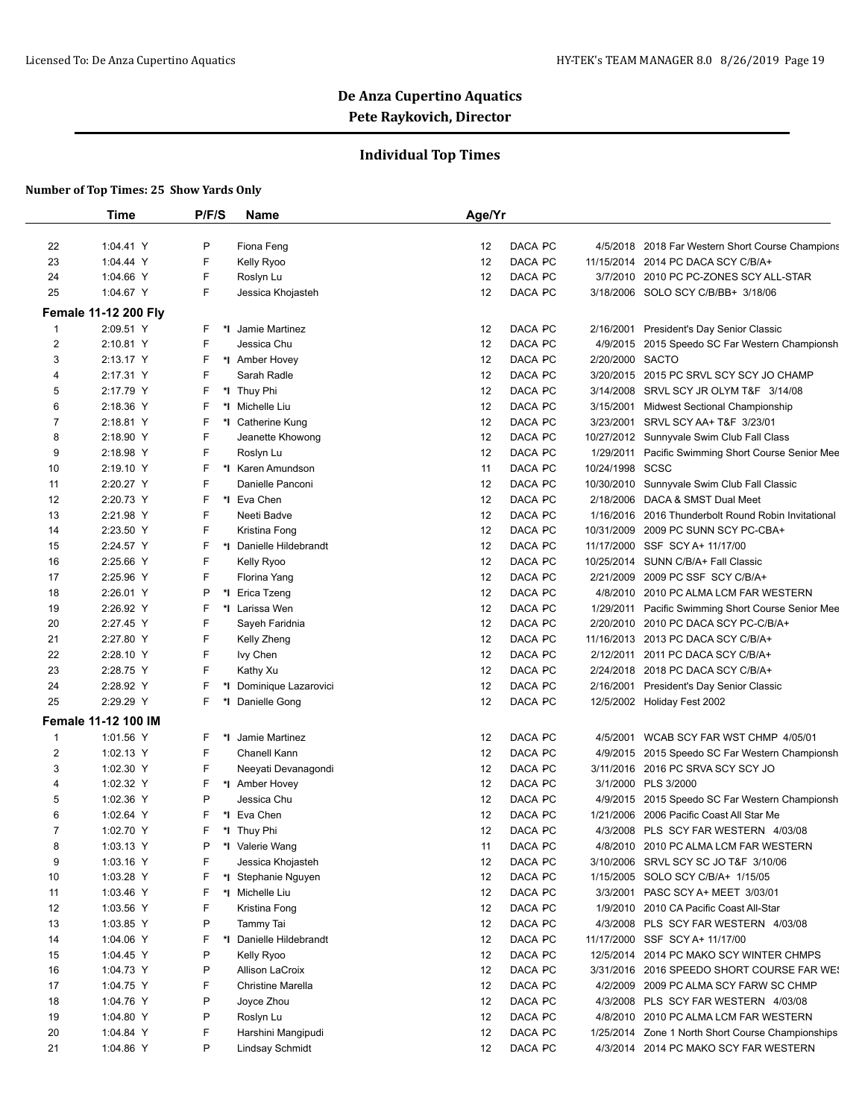## **Individual Top Times**

|                     | <b>Time</b>                      | P/F/S  | <b>Name</b>                           | Age/Yr                         |                 |                                                                                            |
|---------------------|----------------------------------|--------|---------------------------------------|--------------------------------|-----------------|--------------------------------------------------------------------------------------------|
| 22                  | 1:04.41 Y                        | P      | Fiona Feng                            | DACA PC<br>12                  |                 | 4/5/2018 2018 Far Western Short Course Champions                                           |
| 23                  | 1:04.44 Y                        | F      | Kelly Ryoo                            | DACA PC<br>12                  |                 | 11/15/2014 2014 PC DACA SCY C/B/A+                                                         |
| 24                  | 1:04.66 Y                        | F      | Roslyn Lu                             | DACA PC<br>12                  |                 | 3/7/2010 2010 PC PC-ZONES SCY ALL-STAR                                                     |
| 25                  | 1:04.67 Y                        | F      | Jessica Khojasteh                     | 12<br>DACA PC                  |                 | 3/18/2006 SOLO SCY C/B/BB+ 3/18/06                                                         |
|                     | <b>Female 11-12 200 Fly</b>      |        |                                       |                                |                 |                                                                                            |
| 1                   | 2:09.51 Y                        | F      | *I Jamie Martinez                     | DACA PC<br>12                  | 2/16/2001       | President's Day Senior Classic                                                             |
| $\overline{c}$      | 2:10.81 Y                        | F      | Jessica Chu                           | DACA PC<br>12                  | 4/9/2015        | 2015 Speedo SC Far Western Championsh                                                      |
| 3                   | 2:13.17 Y                        | F      | *I Amber Hovey                        | 12<br>DACA PC                  | 2/20/2000 SACTO |                                                                                            |
| 4                   | 2:17.31 Y                        | F      | Sarah Radle                           | 12<br>DACA PC                  |                 | 3/20/2015 2015 PC SRVL SCY SCY JO CHAMP                                                    |
| 5                   | 2:17.79 Y                        | F      | *I Thuy Phi                           | 12<br>DACA PC                  | 3/14/2008       | SRVL SCY JR OLYM T&F 3/14/08                                                               |
| 6                   | 2:18.36 Y                        | F      | *I Michelle Liu                       | DACA PC<br>12                  | 3/15/2001       | Midwest Sectional Championship                                                             |
| 7                   | 2:18.81 Y                        | F      | *1 Catherine Kung                     | 12<br>DACA PC                  | 3/23/2001       | SRVL SCY AA+ T&F 3/23/01                                                                   |
| 8                   | 2:18.90 Y                        | F      | Jeanette Khowong                      | 12<br>DACA PC                  |                 | 10/27/2012 Sunnyvale Swim Club Fall Class                                                  |
| 9                   | 2:18.98 Y                        | F      | Roslyn Lu                             | DACA PC<br>12                  | 1/29/2011       | Pacific Swimming Short Course Senior Mee                                                   |
| 10                  | 2:19.10 Y                        | F      | *I Karen Amundson                     | DACA PC<br>11                  | 10/24/1998 SCSC |                                                                                            |
| 11                  | 2:20.27 Y                        | F      | Danielle Panconi                      | 12<br>DACA PC                  |                 | 10/30/2010 Sunnyvale Swim Club Fall Classic                                                |
| 12                  | 2:20.73 Y                        | F      | *I Eva Chen                           | 12<br>DACA PC                  | 2/18/2006       | DACA & SMST Dual Meet                                                                      |
| 13                  | 2:21.98 Y                        | F      | Neeti Badve                           | 12<br>DACA PC                  |                 | 1/16/2016 2016 Thunderbolt Round Robin Invitational                                        |
| 14                  | 2:23.50 Y                        | F      | Kristina Fong                         | 12<br>DACA PC                  | 10/31/2009      | 2009 PC SUNN SCY PC-CBA+                                                                   |
| 15                  | 2:24.57 Y                        | F      | *I Danielle Hildebrandt               | 12<br>DACA PC                  | 11/17/2000      | SSF SCY A+ 11/17/00                                                                        |
| 16                  | 2:25.66 Y                        | F      | Kelly Ryoo                            | 12<br>DACA PC                  |                 | 10/25/2014 SUNN C/B/A+ Fall Classic                                                        |
| 17                  | 2:25.96 Y                        | F      | Florina Yang                          | 12<br>DACA PC                  | 2/21/2009       | 2009 PC SSF SCY C/B/A+                                                                     |
| 18                  | 2:26.01 Y                        | P      | *I Erica Tzeng                        | DACA PC<br>12                  | 4/8/2010        | 2010 PC ALMA LCM FAR WESTERN                                                               |
| 19                  | 2:26.92 Y                        | F      | *1 Larissa Wen                        | DACA PC<br>12                  | 1/29/2011       | Pacific Swimming Short Course Senior Mee                                                   |
| 20                  | 2:27.45 Y                        | F      | Sayeh Faridnia                        | 12<br>DACA PC                  |                 | 2/20/2010 2010 PC DACA SCY PC-C/B/A+                                                       |
| 21                  | 2:27.80 Y                        | F      | Kelly Zheng                           | DACA PC<br>12                  |                 | 11/16/2013 2013 PC DACA SCY C/B/A+                                                         |
| 22                  | 2:28.10 Y                        | F      | lvy Chen                              | 12<br>DACA PC                  | 2/12/2011       | 2011 PC DACA SCY C/B/A+                                                                    |
| 23                  | 2:28.75 Y                        | F      | Kathy Xu                              | 12<br>DACA PC                  |                 | 2/24/2018 2018 PC DACA SCY C/B/A+                                                          |
| 24                  | 2:28.92 Y                        | F      | *I Dominique Lazarovici               | DACA PC<br>12                  | 2/16/2001       | President's Day Senior Classic                                                             |
| 25                  | 2:29.29 Y                        | F      | *1 Danielle Gong                      | 12<br>DACA PC                  |                 | 12/5/2002 Holiday Fest 2002                                                                |
|                     |                                  |        |                                       |                                |                 |                                                                                            |
|                     | Female 11-12 100 IM<br>1:01.56 Y |        | *I Jamie Martinez                     | DACA PC                        |                 |                                                                                            |
| 1<br>$\overline{c}$ | 1:02.13 Y                        | F<br>F | Chanell Kann                          | 12<br>12<br>DACA PC            | 4/5/2001        | WCAB SCY FAR WST CHMP 4/05/01<br>4/9/2015 2015 Speedo SC Far Western Championsh            |
|                     | 1:02.30 Y                        | F      |                                       | DACA PC<br>12                  |                 |                                                                                            |
| 3                   |                                  | F      | Neeyati Devanagondi<br>*I Amber Hovey | DACA PC                        |                 | 3/11/2016 2016 PC SRVA SCY SCY JO                                                          |
| 4                   | 1:02.32 Y                        | P      | Jessica Chu                           | 12                             |                 | 3/1/2000 PLS 3/2000                                                                        |
| 5<br>6              | 1:02.36 Y<br>1:02.64 Y           | F      | *I Eva Chen                           | 12<br>DACA PC<br>12<br>DACA PC |                 | 4/9/2015 2015 Speedo SC Far Western Championsh<br>1/21/2006 2006 Pacific Coast All Star Me |
| $\overline{7}$      | 1:02.70 Y                        | F      | *I Thuy Phi                           | 12<br>DACA PC                  |                 | 4/3/2008 PLS SCY FAR WESTERN 4/03/08                                                       |
| 8                   | 1:03.13 Y                        | P      | *I Valerie Wang                       | DACA PC<br>11                  |                 | 4/8/2010 2010 PC ALMA LCM FAR WESTERN                                                      |
| 9                   | 1:03.16 Y                        | F      | Jessica Khojasteh                     | DACA PC<br>12                  |                 | 3/10/2006 SRVL SCY SC JO T&F 3/10/06                                                       |
| 10                  | 1:03.28 Y                        | F      | *I Stephanie Nguyen                   | 12<br>DACA PC                  |                 | 1/15/2005 SOLO SCY C/B/A+ 1/15/05                                                          |
| 11                  | 1:03.46 Y                        | F      | *I Michelle Liu                       | 12<br>DACA PC                  | 3/3/2001        | PASC SCY A+ MEET 3/03/01                                                                   |
| 12                  | 1:03.56 Y                        | F      | Kristina Fong                         | DACA PC<br>12                  |                 | 1/9/2010 2010 CA Pacific Coast All-Star                                                    |
| 13                  | 1:03.85 Y                        | P      | Tammy Tai                             | 12<br>DACA PC                  |                 | 4/3/2008 PLS SCY FAR WESTERN 4/03/08                                                       |
| 14                  | 1:04.06 Y                        | F      | *I Danielle Hildebrandt               | 12<br>DACA PC                  |                 | 11/17/2000 SSF SCY A+ 11/17/00                                                             |
| 15                  | 1:04.45 Y                        | P      | Kelly Ryoo                            | 12<br>DACA PC                  |                 | 12/5/2014 2014 PC MAKO SCY WINTER CHMPS                                                    |
| 16                  | 1:04.73 Y                        | P      | Allison LaCroix                       | 12<br>DACA PC                  |                 |                                                                                            |
| 17                  | 1:04.75 Y                        | F      | Christine Marella                     | 12<br>DACA PC                  |                 | 3/31/2016 2016 SPEEDO SHORT COURSE FAR WE!<br>4/2/2009 2009 PC ALMA SCY FARW SC CHMP       |
|                     |                                  | P      |                                       | DACA PC                        |                 |                                                                                            |
| 18<br>19            | 1:04.76 Y<br>1:04.80 Y           | P      | Joyce Zhou<br>Roslyn Lu               | 12<br>12<br>DACA PC            |                 | 4/3/2008 PLS SCY FAR WESTERN 4/03/08                                                       |
| 20                  | 1:04.84 Y                        | F      | Harshini Mangipudi                    | 12<br>DACA PC                  |                 | 4/8/2010 2010 PC ALMA LCM FAR WESTERN<br>1/25/2014 Zone 1 North Short Course Championships |
| 21                  | 1:04.86 Y                        | P      | <b>Lindsay Schmidt</b>                | DACA PC<br>12                  |                 | 4/3/2014 2014 PC MAKO SCY FAR WESTERN                                                      |
|                     |                                  |        |                                       |                                |                 |                                                                                            |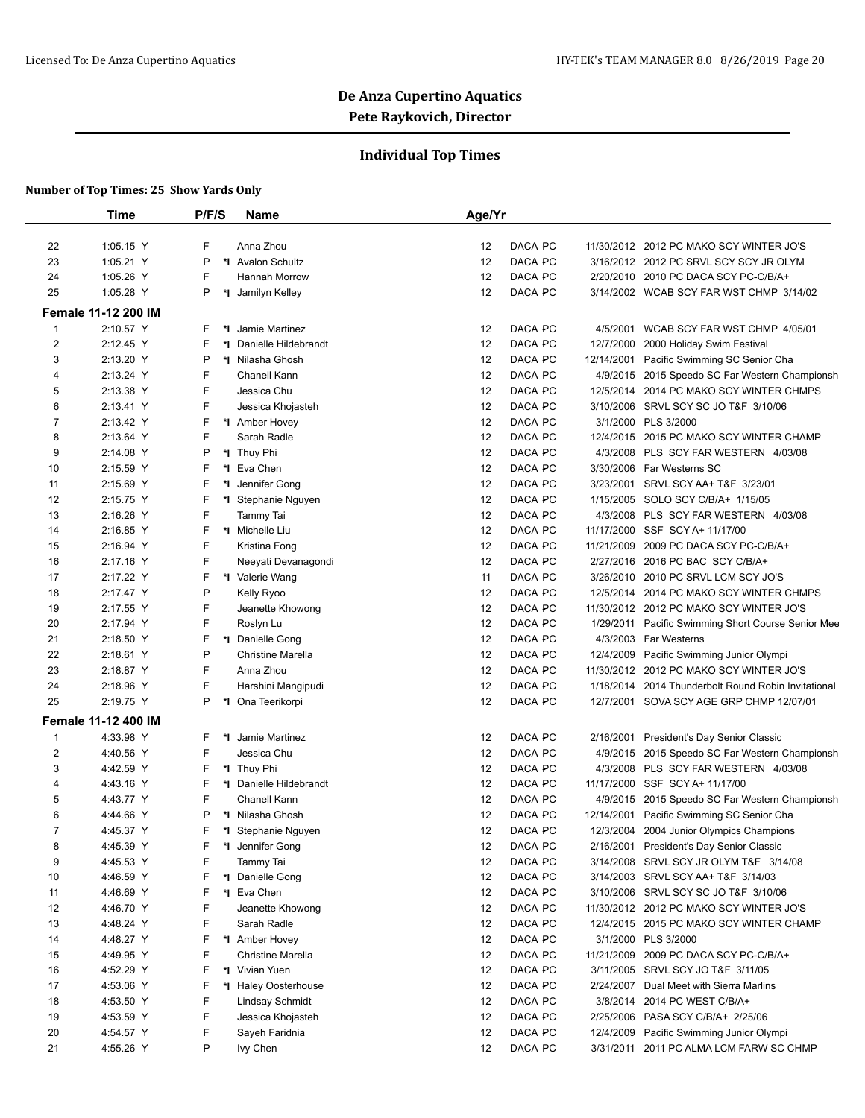## **Individual Top Times**

|                | Time                       | P/F/S    | Name                     | Age/Yr                      |                                                     |
|----------------|----------------------------|----------|--------------------------|-----------------------------|-----------------------------------------------------|
|                |                            |          |                          |                             |                                                     |
| 22             | 1:05.15 Y                  | F        | Anna Zhou                | DACA PC<br>12               | 11/30/2012 2012 PC MAKO SCY WINTER JO'S             |
| 23             | 1:05.21 Y                  | P        | *I Avalon Schultz        | 12<br>DACA PC               | 3/16/2012 2012 PC SRVL SCY SCY JR OLYM              |
| 24             | 1:05.26 Y                  | F        | Hannah Morrow            | 12<br>DACA PC               | 2/20/2010 2010 PC DACA SCY PC-C/B/A+                |
| 25             | 1:05.28 Y                  | P<br>*I  | Jamilyn Kelley           | 12<br>DACA PC               | 3/14/2002 WCAB SCY FAR WST CHMP 3/14/02             |
|                | <b>Female 11-12 200 IM</b> |          |                          |                             |                                                     |
| 1              | 2:10.57 Y                  | F.<br>*∣ | Jamie Martinez           | DACA PC<br>12               | 4/5/2001<br>WCAB SCY FAR WST CHMP 4/05/01           |
| $\overline{2}$ | 2:12.45 Y                  | F<br>۰ı  | Danielle Hildebrandt     | 12<br>DACA PC               | 12/7/2000 2000 Holiday Swim Festival                |
| 3              | 2:13.20 Y                  | P        | *I Nilasha Ghosh         | DACA PC<br>12               | 12/14/2001 Pacific Swimming SC Senior Cha           |
| 4              | 2:13.24 Y                  | F        | Chanell Kann             | 12<br>DACA PC               | 4/9/2015 2015 Speedo SC Far Western Championsh      |
| 5              | 2:13.38 Y                  | F        | Jessica Chu              | 12<br>DACA PC               | 12/5/2014 2014 PC MAKO SCY WINTER CHMPS             |
| 6              | 2:13.41 Y                  | F        | Jessica Khojasteh        | DACA PC<br>12               | 3/10/2006 SRVL SCY SC JO T&F 3/10/06                |
| 7              | 2:13.42 Y                  | F        | *I Amber Hovey           | 12<br>DACA PC               | 3/1/2000 PLS 3/2000                                 |
| 8              | 2:13.64 Y                  | F        | Sarah Radle              | 12<br>DACA PC               | 12/4/2015 2015 PC MAKO SCY WINTER CHAMP             |
| 9              | 2:14.08 Y                  | P        | *I Thuy Phi              | DACA PC<br>12               | 4/3/2008<br>PLS SCY FAR WESTERN 4/03/08             |
| 10             | 2:15.59 Y                  | F<br>*I  | Eva Chen                 | 12<br>DACA PC               | 3/30/2006 Far Westerns SC                           |
| 11             | 2:15.69 Y                  | F<br>*l  | Jennifer Gong            | 12<br>DACA PC               | 3/23/2001 SRVL SCY AA+ T&F 3/23/01                  |
| 12             | 2:15.75 Y                  | F<br>*l  | Stephanie Nguyen         | 12<br>DACA PC               | 1/15/2005 SOLO SCY C/B/A+ 1/15/05                   |
| 13             | 2:16.26 Y                  | F        | Tammy Tai                | 12<br>DACA PC               | 4/3/2008 PLS SCY FAR WESTERN 4/03/08                |
| 14             | 2:16.85 Y                  | F        | *I Michelle Liu          | 12<br>DACA PC               | 11/17/2000 SSF SCY A+ 11/17/00                      |
| 15             | 2:16.94 Y                  | F        | Kristina Fong            | DACA PC<br>12<br>11/21/2009 | 2009 PC DACA SCY PC-C/B/A+                          |
| 16             | 2:17.16 Y                  | F        | Neeyati Devanagondi      | 12<br>DACA PC               | 2/27/2016 2016 PC BAC SCY C/B/A+                    |
| 17             | 2:17.22 Y                  | F        | *I Valerie Wang          | 11<br>DACA PC               | 3/26/2010 2010 PC SRVL LCM SCY JO'S                 |
| 18             | 2:17.47 Y                  | P        | Kelly Ryoo               | DACA PC<br>12               | 12/5/2014 2014 PC MAKO SCY WINTER CHMPS             |
| 19             | 2:17.55 Y                  | F        | Jeanette Khowong         | 12<br>DACA PC               | 11/30/2012 2012 PC MAKO SCY WINTER JO'S             |
| 20             | 2:17.94 Y                  | F        | Roslyn Lu                | 12<br>DACA PC               | 1/29/2011 Pacific Swimming Short Course Senior Mee  |
| 21             | 2:18.50 Y                  | F        | *I Danielle Gong         | DACA PC<br>12               | 4/3/2003 Far Westerns                               |
| 22             | 2:18.61 Y                  | P        | <b>Christine Marella</b> | 12<br>DACA PC               | 12/4/2009 Pacific Swimming Junior Olympi            |
| 23             | 2:18.87 Y                  | F        | Anna Zhou                | 12<br>DACA PC               | 11/30/2012 2012 PC MAKO SCY WINTER JO'S             |
| 24             | 2:18.96 Y                  | F        | Harshini Mangipudi       | 12<br>DACA PC               | 1/18/2014 2014 Thunderbolt Round Robin Invitational |
| 25             | 2:19.75 Y                  | P        | *I Ona Teerikorpi        | 12<br>DACA PC               | 12/7/2001 SOVA SCY AGE GRP CHMP 12/07/01            |
|                | <b>Female 11-12 400 IM</b> |          |                          |                             |                                                     |
| 1              | 4:33.98 Y                  | F        | *I Jamie Martinez        | DACA PC<br>12<br>2/16/2001  | President's Day Senior Classic                      |
| 2              | 4:40.56 Y                  | F        | Jessica Chu              | 12<br>DACA PC               | 4/9/2015<br>2015 Speedo SC Far Western Championsh   |
| 3              | 4:42.59 Y                  | F        | *I Thuy Phi              | DACA PC<br>12               | 4/3/2008 PLS SCY FAR WESTERN 4/03/08                |
| 4              | 4:43.16 Y                  | F        | *I Danielle Hildebrandt  | 12<br>DACA PC               | 11/17/2000 SSF SCY A+ 11/17/00                      |
| 5              | 4:43.77 Y                  | F        | Chanell Kann             | 12<br>DACA PC               | 4/9/2015 2015 Speedo SC Far Western Championsh      |
| 6              | 4:44.66 Y                  | P        | *I Nilasha Ghosh         | DACA PC<br>12<br>12/14/2001 | Pacific Swimming SC Senior Cha                      |
| 7              | 4:45.37 Y                  | F<br>*∣  | Stephanie Nguyen         | 12<br>DACA PC               | 12/3/2004 2004 Junior Olympics Champions            |
| 8              | 4:45.39 Y                  | F        | *1 Jennifer Gong         | DACA PC<br>12               | 2/16/2001 President's Day Senior Classic            |
| 9              | 4:45.53 Y                  | F        | Tammy Tai                | DACA PC<br>12               | 3/14/2008 SRVL SCY JR OLYM T&F 3/14/08              |
| 10             | 4:46.59 Y                  | F        | *I Danielle Gong         | DACA PC<br>12               | 3/14/2003 SRVL SCY AA+ T&F 3/14/03                  |
| 11             | 4:46.69 Y                  | F        | *I Eva Chen              | 12<br>DACA PC               | 3/10/2006 SRVL SCY SC JO T&F 3/10/06                |
| 12             | 4:46.70 Y                  | F        | Jeanette Khowong         | DACA PC<br>12               | 11/30/2012 2012 PC MAKO SCY WINTER JO'S             |
| 13             | 4:48.24 Y                  | F        | Sarah Radle              | 12<br>DACA PC               | 12/4/2015 2015 PC MAKO SCY WINTER CHAMP             |
| 14             | 4:48.27 Y                  | F        | *1 Amber Hovey           | 12<br>DACA PC               | 3/1/2000 PLS 3/2000                                 |
| 15             | 4:49.95 Y                  | F        | <b>Christine Marella</b> | DACA PC<br>12               | 11/21/2009 2009 PC DACA SCY PC-C/B/A+               |
| 16             | 4:52.29 Y                  | F        | *1 Vivian Yuen           | DACA PC<br>12               | 3/11/2005 SRVL SCY JO T&F 3/11/05                   |
| 17             | 4:53.06 Y                  | F        | *I Haley Oosterhouse     | 12<br>DACA PC<br>2/24/2007  | Dual Meet with Sierra Marlins                       |
| 18             | 4:53.50 Y                  | F        | <b>Lindsay Schmidt</b>   | DACA PC<br>12               | 3/8/2014 2014 PC WEST C/B/A+                        |
| 19             | 4:53.59 Y                  | F        | Jessica Khojasteh        | 12<br>DACA PC               | 2/25/2006 PASA SCY C/B/A+ 2/25/06                   |
| 20             | 4:54.57 Y                  | F        | Sayeh Faridnia           | 12<br>DACA PC               | 12/4/2009 Pacific Swimming Junior Olympi            |
| 21             | 4:55.26 Y                  | P        | Ivy Chen                 | 12<br>DACA PC               | 3/31/2011 2011 PC ALMA LCM FARW SC CHMP             |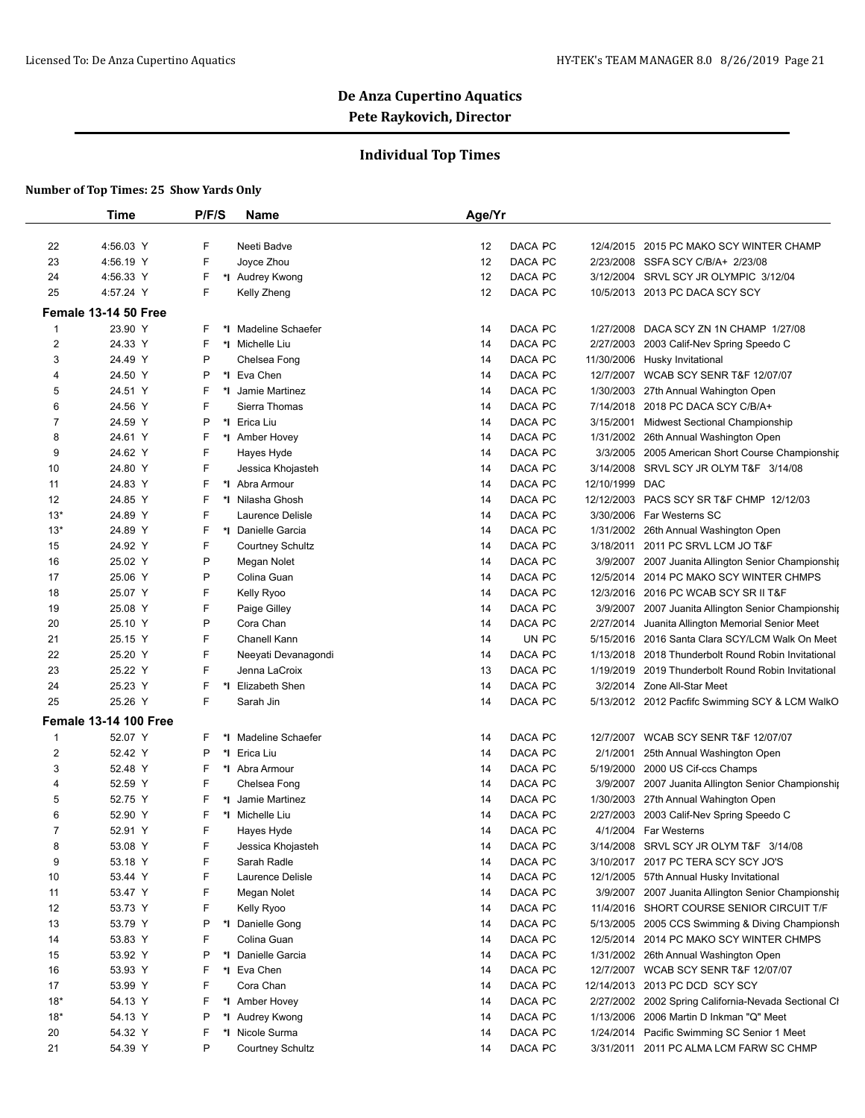## **Individual Top Times**

|                  | <b>Time</b>                  | P/F/S   | <b>Name</b>             | Age/Yr |         |            |                                                 |
|------------------|------------------------------|---------|-------------------------|--------|---------|------------|-------------------------------------------------|
|                  |                              |         |                         |        |         |            |                                                 |
| 22               | 4:56.03 Y                    | F       | Neeti Badve             | 12     | DACA PC | 12/4/2015  | 2015 PC MAKO SCY WINTER CHAMP                   |
| 23               | 4:56.19 Y                    | F       | Joyce Zhou              | 12     | DACA PC | 2/23/2008  | SSFA SCY C/B/A+ 2/23/08                         |
| 24               | 4:56.33 Y                    | F       | *I Audrey Kwong         | 12     | DACA PC | 3/12/2004  | SRVL SCY JR OLYMPIC 3/12/04                     |
| 25               | 4:57.24 Y                    | F       | Kelly Zheng             | 12     | DACA PC |            | 10/5/2013 2013 PC DACA SCY SCY                  |
|                  | Female 13-14 50 Free         |         |                         |        |         |            |                                                 |
| $\mathbf{1}$     | 23.90 Y                      | F       | *I Madeline Schaefer    | 14     | DACA PC | 1/27/2008  | DACA SCY ZN 1N CHAMP 1/27/08                    |
| $\boldsymbol{2}$ | 24.33 Y                      | F       | *1 Michelle Liu         | 14     | DACA PC | 2/27/2003  | 2003 Calif-Nev Spring Speedo C                  |
| 3                | 24.49 Y                      | P       | Chelsea Fong            | 14     | DACA PC | 11/30/2006 | Husky Invitational                              |
| 4                | 24.50 Y                      | P       | *1 Eva Chen             | 14     | DACA PC | 12/7/2007  | <b>WCAB SCY SENR T&amp;F 12/07/07</b>           |
| 5                | 24.51 Y                      | F       | *I Jamie Martinez       | 14     | DACA PC | 1/30/2003  | 27th Annual Wahington Open                      |
| 6                | 24.56 Y                      | F       | Sierra Thomas           | 14     | DACA PC | 7/14/2018  | 2018 PC DACA SCY C/B/A+                         |
| 7                | 24.59 Y                      | P       | *1 Erica Liu            | 14     | DACA PC | 3/15/2001  | <b>Midwest Sectional Championship</b>           |
| 8                | 24.61 Y                      | F       | *1 Amber Hovey          | 14     | DACA PC | 1/31/2002  | 26th Annual Washington Open                     |
| 9                | 24.62 Y                      | F       | Hayes Hyde              | 14     | DACA PC | 3/3/2005   | 2005 American Short Course Championship         |
| 10               | 24.80 Y                      | F       | Jessica Khojasteh       | 14     | DACA PC | 3/14/2008  | SRVL SCY JR OLYM T&F 3/14/08                    |
| 11               | 24.83 Y                      | F       | *I Abra Armour          | 14     | DACA PC | 12/10/1999 | <b>DAC</b>                                      |
| 12               | 24.85 Y                      | F       | *I Nilasha Ghosh        | 14     | DACA PC | 12/12/2003 | PACS SCY SR T&F CHMP 12/12/03                   |
| $13*$            | 24.89 Y                      | F       | Laurence Delisle        | 14     | DACA PC | 3/30/2006  | Far Westerns SC                                 |
| $13*$            | 24.89 Y                      | F       | *1 Danielle Garcia      | 14     | DACA PC | 1/31/2002  | 26th Annual Washington Open                     |
| 15               | 24.92 Y                      | F       | <b>Courtney Schultz</b> | 14     | DACA PC | 3/18/2011  | 2011 PC SRVL LCM JO T&F                         |
| 16               | 25.02 Y                      | P       | Megan Nolet             | 14     | DACA PC | 3/9/2007   | 2007 Juanita Allington Senior Championship      |
| 17               | 25.06 Y                      | P       | Colina Guan             | 14     | DACA PC | 12/5/2014  | 2014 PC MAKO SCY WINTER CHMPS                   |
| 18               | 25.07 Y                      | F       | Kelly Ryoo              | 14     | DACA PC | 12/3/2016  | 2016 PC WCAB SCY SR II T&F                      |
| 19               | 25.08 Y                      | F       | Paige Gilley            | 14     | DACA PC | 3/9/2007   | 2007 Juanita Allington Senior Championship      |
| 20               | 25.10 Y                      | P       | Cora Chan               | 14     | DACA PC | 2/27/2014  | Juanita Allington Memorial Senior Meet          |
| 21               | 25.15 Y                      | F       | Chanell Kann            | 14     | UN PC   | 5/15/2016  | 2016 Santa Clara SCY/LCM Walk On Meet           |
| 22               | 25.20 Y                      | F       | Neeyati Devanagondi     | 14     | DACA PC | 1/13/2018  | 2018 Thunderbolt Round Robin Invitational       |
| 23               | 25.22 Y                      | F       | Jenna LaCroix           | 13     | DACA PC | 1/19/2019  | 2019 Thunderbolt Round Robin Invitational       |
| 24               | 25.23 Y                      | F<br>*I | Elizabeth Shen          | 14     | DACA PC |            | 3/2/2014 Zone All-Star Meet                     |
| 25               | 25.26 Y                      | F       | Sarah Jin               | 14     | DACA PC |            | 5/13/2012 2012 Pacfifc Swimming SCY & LCM WalkO |
|                  | <b>Female 13-14 100 Free</b> |         |                         |        |         |            |                                                 |
| $\mathbf{1}$     | 52.07 Y                      | F       | *I Madeline Schaefer    | 14     | DACA PC | 12/7/2007  | <b>WCAB SCY SENR T&amp;F 12/07/07</b>           |
| 2                | 52.42 Y                      | P       | *1 Erica Liu            | 14     | DACA PC | 2/1/2001   | 25th Annual Washington Open                     |
| 3                | 52.48 Y                      | F       | *I Abra Armour          | 14     | DACA PC | 5/19/2000  | 2000 US Cif-ccs Champs                          |
| 4                | 52.59 Y                      | F       | Chelsea Fong            | 14     | DACA PC | 3/9/2007   | 2007 Juanita Allington Senior Championship      |
| 5                | 52.75 Y                      | F       | *1 Jamie Martinez       | 14     | DACA PC | 1/30/2003  | 27th Annual Wahington Open                      |
| 6                | 52.90 Y                      | F       | *I Michelle Liu         | 14     | DACA PC | 2/27/2003  | 2003 Calif-Nev Spring Speedo C                  |
| $\overline{7}$   | 52.91 Y                      | F       | Hayes Hyde              | 14     | DACA PC |            | 4/1/2004 Far Westerns                           |
| 8                | 53.08 Y                      | F       | Jessica Khojasteh       | 14     | DACA PC |            | 3/14/2008 SRVL SCY JR OLYM T&F 3/14/08          |
| 9                | 53.18 Y                      | F       | Sarah Radle             | 14     | DACA PC |            | 3/10/2017 2017 PC TERA SCY SCY JO'S             |
| 10               | 53.44 Y                      | F       | Laurence Delisle        | 14     | DACA PC | 12/1/2005  | 57th Annual Husky Invitational                  |
| 11               | 53.47 Y                      | F       | Megan Nolet             | 14     | DACA PC | 3/9/2007   | 2007 Juanita Allington Senior Championship      |
| 12               | 53.73 Y                      | F       | Kelly Ryoo              | 14     | DACA PC | 11/4/2016  | SHORT COURSE SENIOR CIRCUIT T/F                 |
| 13               | 53.79 Y                      | Ρ       | *I Danielle Gong        | 14     | DACA PC | 5/13/2005  | 2005 CCS Swimming & Diving Championsh           |
| 14               | 53.83 Y                      | F       | Colina Guan             | 14     | DACA PC | 12/5/2014  | 2014 PC MAKO SCY WINTER CHMPS                   |
| 15               | 53.92 Y                      | P       | *I Danielle Garcia      | 14     | DACA PC |            | 1/31/2002 26th Annual Washington Open           |
| 16               | 53.93 Y                      | F       | *I Eva Chen             | 14     | DACA PC |            | 12/7/2007 WCAB SCY SENR T&F 12/07/07            |
| 17               | 53.99 Y                      | F       | Cora Chan               | 14     | DACA PC | 12/14/2013 | 2013 PC DCD SCY SCY                             |
| $18*$            | 54.13 Y                      | F       | *I Amber Hovey          | 14     | DACA PC | 2/27/2002  | 2002 Spring California-Nevada Sectional Cl      |
| $18*$            | 54.13 Y                      | P       | *I Audrey Kwong         | 14     | DACA PC | 1/13/2006  | 2006 Martin D Inkman "Q" Meet                   |
| 20               | 54.32 Y                      | F       | *1 Nicole Surma         | 14     | DACA PC | 1/24/2014  | Pacific Swimming SC Senior 1 Meet               |
| 21               | 54.39 Y                      | P       | <b>Courtney Schultz</b> | 14     | DACA PC | 3/31/2011  | 2011 PC ALMA LCM FARW SC CHMP                   |
|                  |                              |         |                         |        |         |            |                                                 |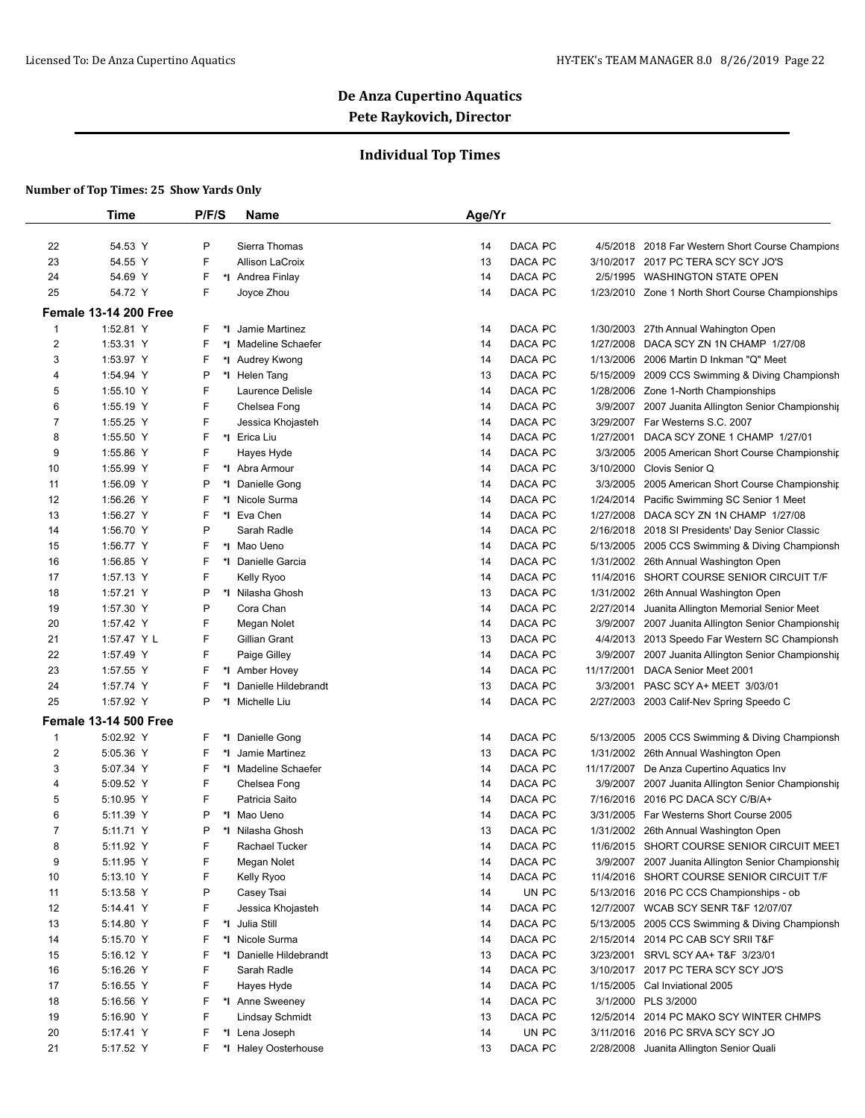## **Individual Top Times**

|                | Time                         | P/F/S             | Name                    | Age/Yr                                                               |  |
|----------------|------------------------------|-------------------|-------------------------|----------------------------------------------------------------------|--|
|                |                              |                   |                         |                                                                      |  |
| 22             | 54.53 Y                      | P                 | Sierra Thomas           | DACA PC<br>4/5/2018 2018 Far Western Short Course Champions<br>14    |  |
| 23             | 54.55 Y                      | F                 | <b>Allison LaCroix</b>  | DACA PC<br>3/10/2017 2017 PC TERA SCY SCY JO'S<br>13                 |  |
| 24             | 54.69 Y                      | F                 | *I Andrea Finlay        | DACA PC<br>2/5/1995 WASHINGTON STATE OPEN<br>14                      |  |
| 25             | 54.72 Y                      | F                 | Joyce Zhou              | DACA PC<br>14<br>1/23/2010 Zone 1 North Short Course Championships   |  |
|                | <b>Female 13-14 200 Free</b> |                   |                         |                                                                      |  |
| $\mathbf{1}$   | 1:52.81 Y                    | F<br>*∣           | Jamie Martinez          | DACA PC<br>1/30/2003 27th Annual Wahington Open<br>14                |  |
| 2              | 1:53.31 Y                    | F                 | *I Madeline Schaefer    | DACA PC<br>1/27/2008<br>DACA SCY ZN 1N CHAMP 1/27/08<br>14           |  |
| 3              | 1:53.97 Y                    | F                 | *I Audrey Kwong         | DACA PC<br>1/13/2006<br>2006 Martin D Inkman "Q" Meet<br>14          |  |
| 4              | 1:54.94 Y                    | P                 | *I Helen Tang           | DACA PC<br>5/15/2009<br>2009 CCS Swimming & Diving Championsh<br>13  |  |
| 5              | 1:55.10 Y                    | F                 | Laurence Delisle        | DACA PC<br>14<br>1/28/2006 Zone 1-North Championships                |  |
| 6              | 1:55.19 Y                    | F                 | Chelsea Fong            | DACA PC<br>3/9/2007 2007 Juanita Allington Senior Championship<br>14 |  |
| 7              | 1:55.25 Y                    | F                 | Jessica Khojasteh       | DACA PC<br>3/29/2007 Far Westerns S.C. 2007<br>14                    |  |
| 8              | 1:55.50 Y                    | F                 | *I Erica Liu            | DACA PC<br>1/27/2001<br>DACA SCY ZONE 1 CHAMP 1/27/01<br>14          |  |
| 9              | 1:55.86 Y                    | F                 | Hayes Hyde              | DACA PC<br>3/3/2005<br>2005 American Short Course Championship<br>14 |  |
| 10             | 1:55.99 Y                    | F                 | *I Abra Armour          | DACA PC<br>3/10/2000<br>Clovis Senior Q<br>14                        |  |
| 11             | 1:56.09 Y                    | P<br>$^\star\! I$ | Danielle Gong           | DACA PC<br>14<br>3/3/2005<br>2005 American Short Course Championship |  |
| 12             | 1:56.26 Y                    | F                 | *I Nicole Surma         | DACA PC<br>1/24/2014<br>14<br>Pacific Swimming SC Senior 1 Meet      |  |
| 13             | 1:56.27 Y                    | F                 | *1 Eva Chen             | DACA PC<br>1/27/2008<br>DACA SCY ZN 1N CHAMP 1/27/08<br>14           |  |
| 14             | 1:56.70 Y                    | P                 | Sarah Radle             | DACA PC<br>2/16/2018 2018 SI Presidents' Day Senior Classic<br>14    |  |
| 15             | 1:56.77 Y                    | F                 | *I Mao Ueno             | DACA PC<br>14<br>5/13/2005 2005 CCS Swimming & Diving Championsh     |  |
| 16             | 1:56.85 Y                    | F<br>*∣           | Danielle Garcia         | DACA PC<br>1/31/2002 26th Annual Washington Open<br>14               |  |
| 17             | 1:57.13 Y                    | F                 | Kelly Ryoo              | SHORT COURSE SENIOR CIRCUIT T/F<br>14<br>DACA PC<br>11/4/2016        |  |
| 18             | 1:57.21 Y                    | P                 | *I Nilasha Ghosh        | DACA PC<br>1/31/2002 26th Annual Washington Open<br>13               |  |
| 19             | 1:57.30 Y                    | P                 | Cora Chan               | DACA PC<br>2/27/2014 Juanita Allington Memorial Senior Meet<br>14    |  |
| 20             | 1:57.42 Y                    | F                 | Megan Nolet             | DACA PC<br>3/9/2007 2007 Juanita Allington Senior Championship<br>14 |  |
| 21             | 1:57.47 Y L                  | F                 | Gillian Grant           | DACA PC<br>13<br>4/4/2013 2013 Speedo Far Western SC Championsh      |  |
| 22             | 1:57.49 Y                    | F                 | Paige Gilley            | DACA PC<br>3/9/2007 2007 Juanita Allington Senior Championship<br>14 |  |
| 23             | 1:57.55 Y                    | F                 | *1 Amber Hovey          | DACA PC<br>14<br>11/17/2001<br>DACA Senior Meet 2001                 |  |
| 24             | 1:57.74 Y                    | F<br>*l           | Danielle Hildebrandt    | DACA PC<br>3/3/2001<br>PASC SCY A+ MEET 3/03/01<br>13                |  |
| 25             | 1:57.92 Y                    | P<br>*l           | Michelle Liu            | DACA PC<br>14<br>2/27/2003 2003 Calif-Nev Spring Speedo C            |  |
|                | <b>Female 13-14 500 Free</b> |                   |                         |                                                                      |  |
| 1              | 5:02.92 Y                    | F                 | *1 Danielle Gong        | DACA PC<br>5/13/2005 2005 CCS Swimming & Diving Championsh<br>14     |  |
| $\overline{2}$ | 5:05.36 Y                    | F                 | *I Jamie Martinez       | DACA PC<br>13<br>1/31/2002 26th Annual Washington Open               |  |
| 3              | 5:07.34 Y                    | F                 | *I Madeline Schaefer    | DACA PC<br>11/17/2007 De Anza Cupertino Aquatics Inv<br>14           |  |
| 4              | 5:09.52 Y                    | F                 | Chelsea Fong            | DACA PC<br>3/9/2007 2007 Juanita Allington Senior Championship<br>14 |  |
| 5              | 5:10.95 Y                    | F                 | Patricia Saito          | DACA PC<br>7/16/2016<br>2016 PC DACA SCY C/B/A+<br>14                |  |
| 6              | 5:11.39 Y                    | P                 | *I Mao Ueno             | DACA PC<br>14<br>3/31/2005<br>Far Westerns Short Course 2005         |  |
| $\overline{7}$ | 5:11.71 Y                    | P                 | *I Nilasha Ghosh        | 13<br>DACA PC<br>1/31/2002 26th Annual Washington Open               |  |
| 8              | 5:11.92 Y                    | F                 | Rachael Tucker          | DACA PC<br>11/6/2015 SHORT COURSE SENIOR CIRCUIT MEET<br>14          |  |
| 9              | 5:11.95 Y                    | F                 | Megan Nolet             | DACA PC<br>3/9/2007 2007 Juanita Allington Senior Championship<br>14 |  |
| 10             | 5:13.10 Y                    | F                 | Kelly Ryoo              | DACA PC<br>11/4/2016 SHORT COURSE SENIOR CIRCUIT T/F<br>14           |  |
| 11             | 5:13.58 Y                    | P                 | Casey Tsai              | UN PC<br>14<br>5/13/2016 2016 PC CCS Championships - ob              |  |
| 12             | 5:14.41 Y                    | F                 | Jessica Khojasteh       | DACA PC<br>12/7/2007 WCAB SCY SENR T&F 12/07/07<br>14                |  |
| 13             | 5:14.80 Y                    | F                 | *I Julia Still          | DACA PC<br>14<br>5/13/2005 2005 CCS Swimming & Diving Championsh     |  |
| 14             | 5:15.70 Y                    | F                 | *I Nicole Surma         | DACA PC<br>14<br>2/15/2014 2014 PC CAB SCY SRII T&F                  |  |
| 15             | 5:16.12 Y                    | F                 | *I Danielle Hildebrandt | DACA PC<br>3/23/2001 SRVL SCY AA+ T&F 3/23/01<br>13                  |  |
| 16             | 5:16.26 Y                    | F                 | Sarah Radle             | DACA PC<br>3/10/2017 2017 PC TERA SCY SCY JO'S<br>14                 |  |
| 17             | 5:16.55 Y                    | F                 | Hayes Hyde              | DACA PC<br>1/15/2005 Cal Inviational 2005<br>14                      |  |
| 18             | 5:16.56 Y                    | F                 | *I Anne Sweeney         | DACA PC<br>3/1/2000 PLS 3/2000<br>14                                 |  |
| 19             | 5:16.90 Y                    | F                 | Lindsay Schmidt         | DACA PC<br>12/5/2014 2014 PC MAKO SCY WINTER CHMPS<br>13             |  |
| 20             | 5:17.41 Y                    | F                 | *I Lena Joseph          | UN PC<br>3/11/2016 2016 PC SRVA SCY SCY JO<br>14                     |  |
| 21             | 5:17.52 Y                    | F                 | *I Haley Oosterhouse    | DACA PC<br>2/28/2008 Juanita Allington Senior Quali<br>13            |  |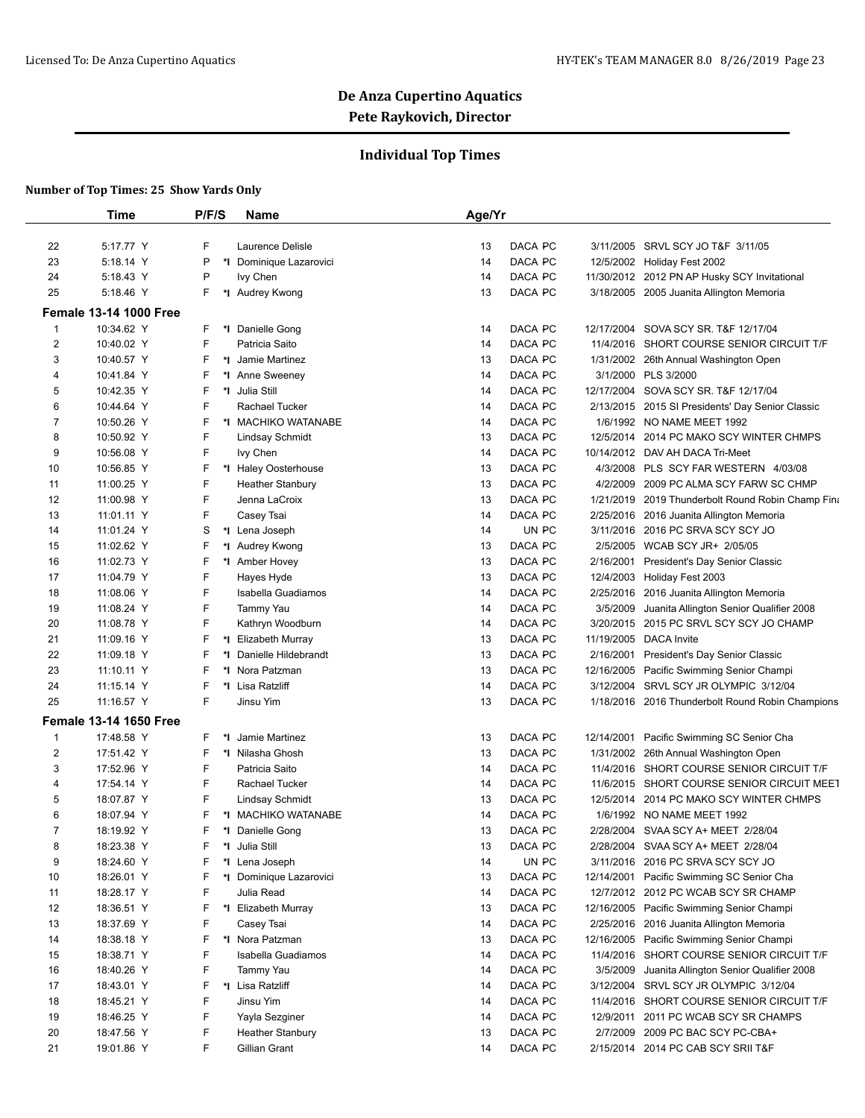## **Individual Top Times**

|                | <b>Time</b>                   | P/F/S   | Name                    | Age/Yr |         |            |                                                  |
|----------------|-------------------------------|---------|-------------------------|--------|---------|------------|--------------------------------------------------|
|                |                               |         |                         |        |         |            |                                                  |
| 22             | 5:17.77 Y                     | F       | Laurence Delisle        | 13     | DACA PC |            | 3/11/2005 SRVL SCY JO T&F 3/11/05                |
| 23             | 5:18.14 Y                     | P       | *I Dominique Lazarovici | 14     | DACA PC |            | 12/5/2002 Holiday Fest 2002                      |
| 24             | 5:18.43 Y                     | P       | Ivy Chen                | 14     | DACA PC |            | 11/30/2012 2012 PN AP Husky SCY Invitational     |
| 25             | 5:18.46 Y                     | F.      | *I Audrey Kwong         | 13     | DACA PC |            | 3/18/2005 2005 Juanita Allington Memoria         |
|                | <b>Female 13-14 1000 Free</b> |         |                         |        |         |            |                                                  |
| 1              | 10:34.62 Y                    | F       | *I Danielle Gong        | 14     | DACA PC | 12/17/2004 | SOVA SCY SR. T&F 12/17/04                        |
| 2              | 10:40.02 Y                    | F       | Patricia Saito          | 14     | DACA PC | 11/4/2016  | SHORT COURSE SENIOR CIRCUIT T/F                  |
| 3              | 10:40.57 Y                    | F       | *I Jamie Martinez       | 13     | DACA PC |            | 1/31/2002 26th Annual Washington Open            |
| 4              | 10:41.84 Y                    | F       | *1 Anne Sweeney         | 14     | DACA PC |            | 3/1/2000 PLS 3/2000                              |
| 5              | 10:42.35 Y                    | F       | *1 Julia Still          | 14     | DACA PC | 12/17/2004 | SOVA SCY SR. T&F 12/17/04                        |
| 6              | 10:44.64 Y                    | F       | Rachael Tucker          | 14     | DACA PC | 2/13/2015  | 2015 SI Presidents' Day Senior Classic           |
| 7              | 10:50.26 Y                    | F       | *I MACHIKO WATANABE     | 14     | DACA PC |            | 1/6/1992 NO NAME MEET 1992                       |
| 8              | 10:50.92 Y                    | F       | <b>Lindsay Schmidt</b>  | 13     | DACA PC |            | 12/5/2014 2014 PC MAKO SCY WINTER CHMPS          |
| 9              | 10:56.08 Y                    | F       | lvy Chen                | 14     | DACA PC | 10/14/2012 | DAV AH DACA Tri-Meet                             |
| 10             | 10:56.85 Y                    | F       | *I Haley Oosterhouse    | 13     | DACA PC | 4/3/2008   | PLS SCY FAR WESTERN 4/03/08                      |
| 11             | 11:00.25 Y                    | F       | <b>Heather Stanbury</b> | 13     | DACA PC | 4/2/2009   | 2009 PC ALMA SCY FARW SC CHMP                    |
| 12             | 11:00.98 Y                    | F       | Jenna LaCroix           | 13     | DACA PC | 1/21/2019  | 2019 Thunderbolt Round Robin Champ Fina          |
| 13             | 11:01.11 Y                    | F       | Casey Tsai              | 14     | DACA PC | 2/25/2016  | 2016 Juanita Allington Memoria                   |
| 14             | 11:01.24 Y                    | S       | *I Lena Joseph          | 14     | UN PC   | 3/11/2016  | 2016 PC SRVA SCY SCY JO                          |
| 15             | 11:02.62 Y                    | F       | *I Audrey Kwong         | 13     | DACA PC | 2/5/2005   | WCAB SCY JR+ 2/05/05                             |
| 16             | 11:02.73 Y                    | F       | *1 Amber Hovey          | 13     | DACA PC | 2/16/2001  | President's Day Senior Classic                   |
| 17             | 11:04.79 Y                    | F       | Hayes Hyde              | 13     | DACA PC | 12/4/2003  | Holiday Fest 2003                                |
| 18             | 11:08.06 Y                    | F       | Isabella Guadiamos      | 14     | DACA PC | 2/25/2016  | 2016 Juanita Allington Memoria                   |
| 19             | 11:08.24 Y                    | F       | Tammy Yau               | 14     | DACA PC | 3/5/2009   | Juanita Allington Senior Qualifier 2008          |
| 20             | 11:08.78 Y                    | F       | Kathryn Woodburn        | 14     | DACA PC | 3/20/2015  | 2015 PC SRVL SCY SCY JO CHAMP                    |
| 21             | 11:09.16 Y                    | F       | *I Elizabeth Murray     | 13     | DACA PC | 11/19/2005 | <b>DACA</b> Invite                               |
| 22             | 11:09.18 Y                    | F<br>*∣ | Danielle Hildebrandt    | 13     | DACA PC | 2/16/2001  | President's Day Senior Classic                   |
| 23             | 11:10.11 Y                    | F       | *I Nora Patzman         | 13     | DACA PC | 12/16/2005 | Pacific Swimming Senior Champi                   |
| 24             | 11:15.14 Y                    | F       | *I Lisa Ratzliff        | 14     | DACA PC | 3/12/2004  | SRVL SCY JR OLYMPIC 3/12/04                      |
| 25             | 11:16.57 Y                    | F       | Jinsu Yim               | 13     | DACA PC |            | 1/18/2016 2016 Thunderbolt Round Robin Champions |
|                | <b>Female 13-14 1650 Free</b> |         |                         |        |         |            |                                                  |
| 1              | 17:48.58 Y                    | F       | *I Jamie Martinez       | 13     | DACA PC | 12/14/2001 | Pacific Swimming SC Senior Cha                   |
| 2              | 17:51.42 Y                    | F       | *I Nilasha Ghosh        | 13     | DACA PC |            | 1/31/2002 26th Annual Washington Open            |
| 3              | 17:52.96 Y                    | F       | Patricia Saito          | 14     | DACA PC | 11/4/2016  | SHORT COURSE SENIOR CIRCUIT T/F                  |
| 4              | 17:54.14 Y                    | F       | Rachael Tucker          | 14     | DACA PC |            | 11/6/2015 SHORT COURSE SENIOR CIRCUIT MEET       |
| 5              | 18:07.87 Y                    | F       | <b>Lindsay Schmidt</b>  | 13     | DACA PC |            | 12/5/2014 2014 PC MAKO SCY WINTER CHMPS          |
| 6              | 18:07.94 Y                    | F<br>*l | <b>MACHIKO WATANABE</b> | 14     | DACA PC | 1/6/1992   | NO NAME MEET 1992                                |
| $\overline{7}$ | 18:19.92 Y                    | F       | *I Danielle Gong        | 13     | DACA PC |            | 2/28/2004 SVAA SCY A+ MEET 2/28/04               |
| 8              | 18:23.38 Y                    | F       | *I Julia Still          | 13     | DACA PC | 2/28/2004  | SVAA SCY A+ MEET 2/28/04                         |
| 9              | 18:24.60 Y                    |         | *I Lena Joseph          | 14     | UN PC   |            | 3/11/2016 2016 PC SRVA SCY SCY JO                |
| 10             | 18:26.01 Y                    | F       | *I Dominique Lazarovici | 13     | DACA PC | 12/14/2001 | Pacific Swimming SC Senior Cha                   |
| 11             | 18:28.17 Y                    | F       | Julia Read              | 14     | DACA PC |            | 12/7/2012 2012 PC WCAB SCY SR CHAMP              |
| 12             | 18:36.51 Y                    | F       | *I Elizabeth Murray     | 13     | DACA PC | 12/16/2005 | Pacific Swimming Senior Champi                   |
| 13             | 18:37.69 Y                    | F       | Casey Tsai              | 14     | DACA PC | 2/25/2016  | 2016 Juanita Allington Memoria                   |
| 14             | 18:38.18 Y                    | F       | *I Nora Patzman         | 13     | DACA PC | 12/16/2005 | Pacific Swimming Senior Champi                   |
| 15             | 18:38.71 Y                    | F       | Isabella Guadiamos      | 14     | DACA PC | 11/4/2016  | SHORT COURSE SENIOR CIRCUIT T/F                  |
| 16             | 18:40.26 Y                    | F       | Tammy Yau               | 14     | DACA PC | 3/5/2009   | Juanita Allington Senior Qualifier 2008          |
| 17             | 18:43.01 Y                    | F       | *I Lisa Ratzliff        | 14     | DACA PC | 3/12/2004  | SRVL SCY JR OLYMPIC 3/12/04                      |
| 18             | 18:45.21 Y                    | F       | Jinsu Yim               | 14     | DACA PC | 11/4/2016  | SHORT COURSE SENIOR CIRCUIT T/F                  |
| 19             | 18:46.25 Y                    | F       | Yayla Sezginer          | 14     | DACA PC | 12/9/2011  | 2011 PC WCAB SCY SR CHAMPS                       |
| 20             | 18:47.56 Y                    | F       | <b>Heather Stanbury</b> | 13     | DACA PC | 2/7/2009   | 2009 PC BAC SCY PC-CBA+                          |
| 21             | 19:01.86 Y                    | F.      | Gillian Grant           | 14     | DACA PC |            | 2/15/2014 2014 PC CAB SCY SRII T&F               |
|                |                               |         |                         |        |         |            |                                                  |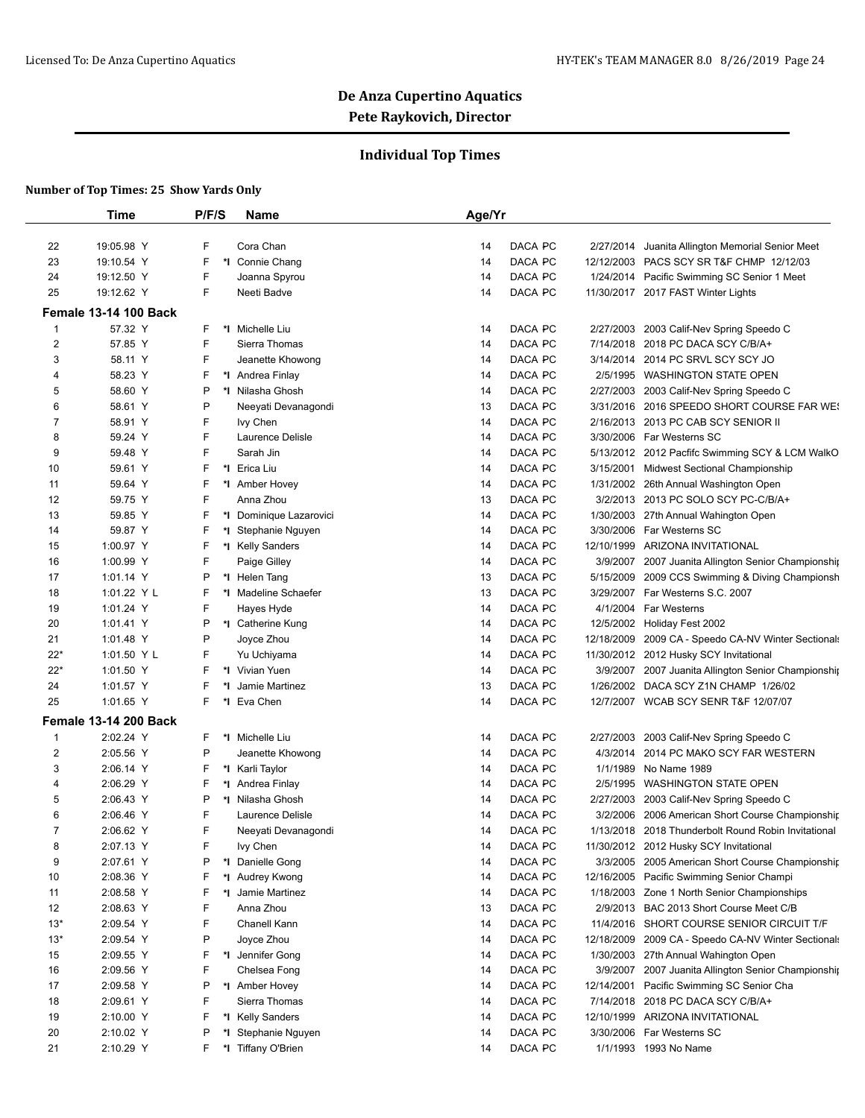## **Individual Top Times**

|                | <b>Time</b>                  | P/F/S | Name                    | Age/Yr |                       |                                                     |
|----------------|------------------------------|-------|-------------------------|--------|-----------------------|-----------------------------------------------------|
| 22             | 19:05.98 Y                   | F     | Cora Chan               | 14     | DACA PC<br>2/27/2014  | Juanita Allington Memorial Senior Meet              |
| 23             | 19:10.54 Y                   | F     | *1 Connie Chang         | 14     | DACA PC               | 12/12/2003 PACS SCY SR T&F CHMP 12/12/03            |
| 24             | 19:12.50 Y                   | F     | Joanna Spyrou           | 14     | DACA PC               | 1/24/2014 Pacific Swimming SC Senior 1 Meet         |
| 25             | 19:12.62 Y                   | F     | Neeti Badve             | 14     | DACA PC               | 11/30/2017 2017 FAST Winter Lights                  |
|                | <b>Female 13-14 100 Back</b> |       |                         |        |                       |                                                     |
| $\mathbf{1}$   | 57.32 Y                      | F     | *I Michelle Liu         | 14     | DACA PC               | 2/27/2003 2003 Calif-Nev Spring Speedo C            |
| 2              | 57.85 Y                      | F     | Sierra Thomas           | 14     | DACA PC               | 7/14/2018 2018 PC DACA SCY C/B/A+                   |
| 3              | 58.11 Y                      | F     | Jeanette Khowong        | 14     | DACA PC               | 3/14/2014 2014 PC SRVL SCY SCY JO                   |
| 4              | 58.23 Y                      | F     | *I Andrea Finlay        | 14     | DACA PC               | 2/5/1995 WASHINGTON STATE OPEN                      |
| 5              | 58.60 Y                      | P     | *I Nilasha Ghosh        | 14     | DACA PC               | 2/27/2003 2003 Calif-Nev Spring Speedo C            |
| 6              | 58.61 Y                      | P     | Neeyati Devanagondi     | 13     | DACA PC               | 3/31/2016 2016 SPEEDO SHORT COURSE FAR WE!          |
| 7              | 58.91 Y                      | F     | Ivy Chen                | 14     | DACA PC               | 2/16/2013 2013 PC CAB SCY SENIOR II                 |
| 8              | 59.24 Y                      | F     | Laurence Delisle        | 14     | DACA PC               | 3/30/2006 Far Westerns SC                           |
| 9              | 59.48 Y                      | F     | Sarah Jin               | 14     | DACA PC               | 5/13/2012 2012 Pacfifc Swimming SCY & LCM WalkO     |
| 10             | 59.61 Y                      | F     | *I Erica Liu            | 14     | DACA PC<br>3/15/2001  | Midwest Sectional Championship                      |
| 11             | 59.64 Y                      | F     | *I Amber Hovey          | 14     | DACA PC               | 1/31/2002 26th Annual Washington Open               |
| 12             | 59.75 Y                      | F     | Anna Zhou               | 13     | DACA PC               | 3/2/2013 2013 PC SOLO SCY PC-C/B/A+                 |
| 13             | 59.85 Y                      | F     | *I Dominique Lazarovici | 14     | DACA PC               | 1/30/2003 27th Annual Wahington Open                |
| 14             | 59.87 Y                      | F     | *I Stephanie Nguyen     | 14     | DACA PC               | 3/30/2006 Far Westerns SC                           |
| 15             | 1:00.97 Y                    | F     | *I Kelly Sanders        | 14     | DACA PC               | 12/10/1999 ARIZONA INVITATIONAL                     |
| 16             | 1:00.99 Y                    | F     | Paige Gilley            | 14     | DACA PC               | 3/9/2007 2007 Juanita Allington Senior Championship |
| 17             | 1:01.14 Y                    | Ρ     | *1 Helen Tang           | 13     | DACA PC               | 5/15/2009 2009 CCS Swimming & Diving Championsh     |
| 18             | 1:01.22 Y L                  | F     | *I Madeline Schaefer    | 13     | DACA PC               | 3/29/2007 Far Westerns S.C. 2007                    |
| 19             | 1:01.24 Y                    | F     | Hayes Hyde              | 14     | DACA PC               | 4/1/2004 Far Westerns                               |
| 20             | 1:01.41 Y                    | P     | *1 Catherine Kung       | 14     | DACA PC               | 12/5/2002 Holiday Fest 2002                         |
| 21             | 1:01.48 Y                    | P     | Joyce Zhou              | 14     | DACA PC               | 12/18/2009 2009 CA - Speedo CA-NV Winter Sectionals |
| $22*$          | 1:01.50 Y L                  | F     | Yu Uchiyama             | 14     | DACA PC               | 11/30/2012 2012 Husky SCY Invitational              |
| $22*$          | 1:01.50 Y                    | F     | *I Vivian Yuen          | 14     | DACA PC               | 3/9/2007 2007 Juanita Allington Senior Championship |
| 24             | 1:01.57 Y                    | F     | *I Jamie Martinez       | 13     | DACA PC               | 1/26/2002 DACA SCY Z1N CHAMP 1/26/02                |
| 25             | 1:01.65 Y                    | F.    | *1 Eva Chen             | 14     | DACA PC               | 12/7/2007 WCAB SCY SENR T&F 12/07/07                |
|                |                              |       |                         |        |                       |                                                     |
|                | <b>Female 13-14 200 Back</b> |       |                         |        |                       |                                                     |
| $\mathbf{1}$   | 2:02.24 Y                    | F     | *I Michelle Liu         | 14     | DACA PC               | 2/27/2003 2003 Calif-Nev Spring Speedo C            |
| 2              | 2:05.56 Y                    | P     | Jeanette Khowong        | 14     | DACA PC               | 4/3/2014 2014 PC MAKO SCY FAR WESTERN               |
| 3              | 2:06.14 Y                    | F     | *I Karli Taylor         | 14     | DACA PC<br>1/1/1989   | No Name 1989                                        |
| 4              | 2:06.29 Y                    | F     | *1 Andrea Finlay        | 14     | DACA PC               | 2/5/1995 WASHINGTON STATE OPEN                      |
| 5              | 2:06.43 Y                    | Ρ     | *I Nilasha Ghosh        | 14     | DACA PC               | 2/27/2003 2003 Calif-Nev Spring Speedo C            |
| 6              | 2:06.46 Y                    | F     | Laurence Delisle        | 14     | DACA PC               | 3/2/2006 2006 American Short Course Championship    |
| $\overline{7}$ | 2:06.62 Y                    | F     | Neeyati Devanagondi     | 14     | DACA PC               | 1/13/2018 2018 Thunderbolt Round Robin Invitational |
| 8              | 2:07.13 Y                    | F     | lvy Chen                | 14     | DACA PC               | 11/30/2012 2012 Husky SCY Invitational              |
| 9              | 2:07.61 Y                    | Ρ     | *I Danielle Gong        | 14     | DACA PC               | 3/3/2005 2005 American Short Course Championship    |
| 10             | 2:08.36 Y                    | F     | *I Audrey Kwong         | 14     | DACA PC               | 12/16/2005 Pacific Swimming Senior Champi           |
| 11             | 2:08.58 Y                    | F     | *I Jamie Martinez       | 14     | DACA PC               | 1/18/2003 Zone 1 North Senior Championships         |
| 12             | 2:08.63 Y                    | F     | Anna Zhou               | 13     | DACA PC               | 2/9/2013 BAC 2013 Short Course Meet C/B             |
| $13*$          | 2:09.54 Y                    | F     | Chanell Kann            | 14     | DACA PC               | 11/4/2016 SHORT COURSE SENIOR CIRCUIT T/F           |
| $13*$          | 2:09.54 Y                    | P     | Joyce Zhou              | 14     | DACA PC               | 12/18/2009 2009 CA - Speedo CA-NV Winter Sectionals |
| 15             | 2:09.55 Y                    | F     | *I Jennifer Gong        | 14     | DACA PC               | 1/30/2003 27th Annual Wahington Open                |
| 16             | 2:09.56 Y                    | F     | Chelsea Fong            | 14     | DACA PC               | 3/9/2007 2007 Juanita Allington Senior Championship |
| 17             | 2:09.58 Y                    | Ρ     | *1 Amber Hovey          | 14     | DACA PC<br>12/14/2001 | Pacific Swimming SC Senior Cha                      |
| 18             | 2:09.61 Y                    | F     | Sierra Thomas           | 14     | DACA PC               | 7/14/2018 2018 PC DACA SCY C/B/A+                   |
| 19             | 2:10.00 Y                    | F     | *I Kelly Sanders        | 14     | DACA PC<br>12/10/1999 | ARIZONA INVITATIONAL                                |
| 20             | 2:10.02 Y                    | Ρ     | *I Stephanie Nguyen     | 14     | DACA PC               | 3/30/2006 Far Westerns SC                           |
| 21             | 2:10.29 Y                    | F.    | *I Tiffany O'Brien      | 14     | DACA PC               | 1/1/1993 1993 No Name                               |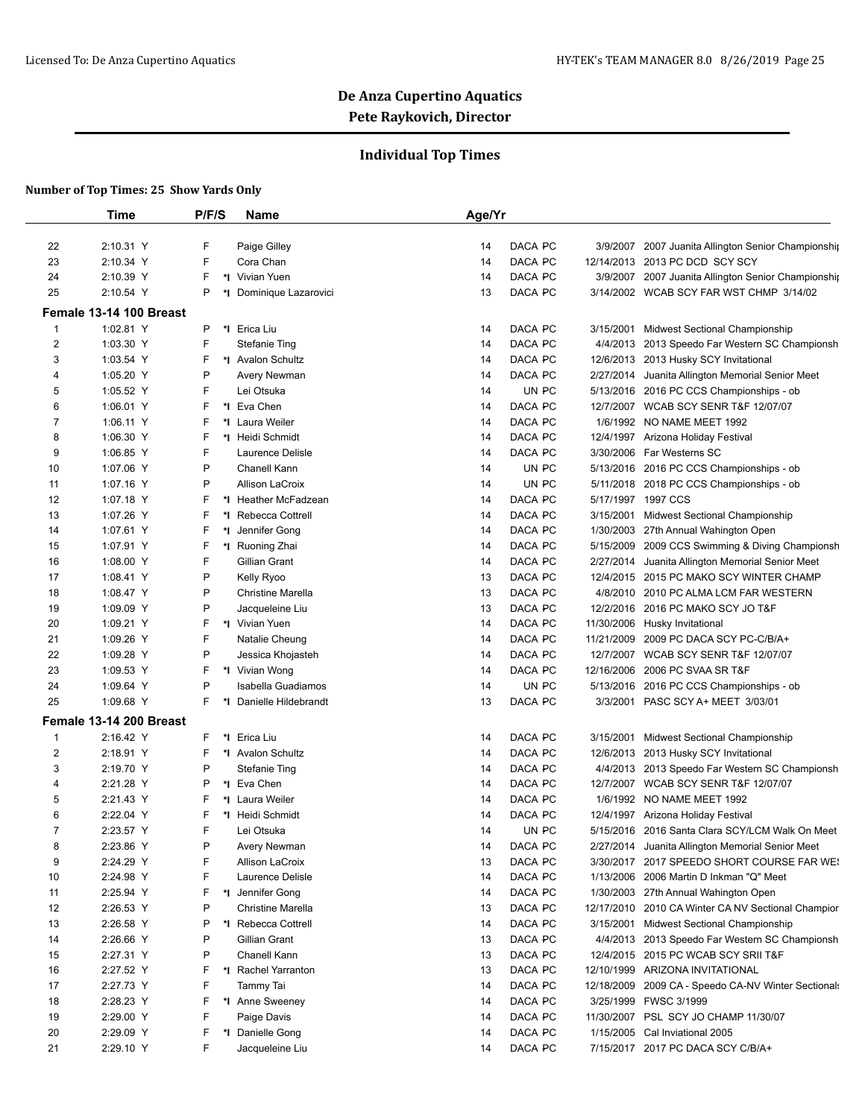## **Individual Top Times**

|                     | <b>Time</b>                          | P/F/S  | <b>Name</b>                    | Age/Yr                   |           |                                                                                       |
|---------------------|--------------------------------------|--------|--------------------------------|--------------------------|-----------|---------------------------------------------------------------------------------------|
| 22                  | 2:10.31 Y                            | F      | Paige Gilley                   | DACA PC<br>14            |           | 3/9/2007 2007 Juanita Allington Senior Championship                                   |
| 23                  | 2:10.34 Y                            | F      | Cora Chan                      | DACA PC<br>14            |           | 12/14/2013 2013 PC DCD SCY SCY                                                        |
| 24                  | 2:10.39 Y                            | F      | *I Vivian Yuen                 | DACA PC<br>14            |           | 3/9/2007 2007 Juanita Allington Senior Championship                                   |
| 25                  | 2:10.54 Y                            | P      | *I Dominique Lazarovici        | DACA PC<br>13            |           | 3/14/2002 WCAB SCY FAR WST CHMP 3/14/02                                               |
|                     | Female 13-14 100 Breast              |        |                                |                          |           |                                                                                       |
| 1                   | 1:02.81 Y                            | P      | *I Erica Liu                   | DACA PC<br>14            | 3/15/2001 | <b>Midwest Sectional Championship</b>                                                 |
| $\overline{c}$      | 1:03.30 Y                            | F      | <b>Stefanie Ting</b>           | DACA PC<br>14            |           | 4/4/2013 2013 Speedo Far Western SC Championsh                                        |
| 3                   | 1:03.54 Y                            | F      | *I Avalon Schultz              | DACA PC<br>14            |           | 12/6/2013 2013 Husky SCY Invitational                                                 |
| 4                   | 1:05.20 Y                            | P      | Avery Newman                   | DACA PC<br>14            |           | 2/27/2014 Juanita Allington Memorial Senior Meet                                      |
| 5                   | 1:05.52 Y                            | F      | Lei Otsuka                     | 14                       | UN PC     | 5/13/2016 2016 PC CCS Championships - ob                                              |
| 6                   | 1:06.01 Y                            | F      | *I Eva Chen                    | DACA PC<br>14            |           | 12/7/2007 WCAB SCY SENR T&F 12/07/07                                                  |
| 7                   | 1:06.11 Y                            | F      | *1 Laura Weiler                | DACA PC<br>14            |           | 1/6/1992 NO NAME MEET 1992                                                            |
| 8                   | 1:06.30 Y                            | F      | *1 Heidi Schmidt               | DACA PC<br>14            |           | 12/4/1997 Arizona Holiday Festival                                                    |
| 9                   | 1:06.85 Y                            | F      | Laurence Delisle               | DACA PC<br>14            |           | 3/30/2006 Far Westerns SC                                                             |
| 10                  | 1:07.06 Y                            | P      | Chanell Kann                   | 14                       | UN PC     | 5/13/2016 2016 PC CCS Championships - ob                                              |
| 11                  | 1:07.16 Y                            | P      | <b>Allison LaCroix</b>         | 14                       | UN PC     | 5/11/2018 2018 PC CCS Championships - ob                                              |
| 12                  | 1:07.18 Y                            | F      | *I Heather McFadzean           | DACA PC<br>14            |           | 5/17/1997 1997 CCS                                                                    |
| 13                  | 1:07.26 Y                            | F      | *I Rebecca Cottrell            | DACA PC<br>14            | 3/15/2001 | <b>Midwest Sectional Championship</b>                                                 |
| 14                  | 1:07.61 Y                            | F      | *I Jennifer Gong               | DACA PC<br>14            |           | 1/30/2003 27th Annual Wahington Open                                                  |
| 15                  | 1:07.91 Y                            | F      | *I Ruoning Zhai                | DACA PC<br>14            | 5/15/2009 | 2009 CCS Swimming & Diving Championsh                                                 |
| 16                  | 1:08.00 Y                            | F      | Gillian Grant                  | DACA PC<br>14            |           | 2/27/2014 Juanita Allington Memorial Senior Meet                                      |
| 17                  | 1:08.41 Y                            | P      | Kelly Ryoo                     | DACA PC<br>13            |           | 12/4/2015 2015 PC MAKO SCY WINTER CHAMP                                               |
| 18                  | 1:08.47 Y                            | P      | <b>Christine Marella</b>       | DACA PC<br>13            |           | 4/8/2010 2010 PC ALMA LCM FAR WESTERN                                                 |
| 19                  | 1:09.09 Y                            | P      | Jacqueleine Liu                | DACA PC<br>13            |           | 12/2/2016 2016 PC MAKO SCY JO T&F                                                     |
| 20                  | 1:09.21 Y                            | F      | *I Vivian Yuen                 | DACA PC<br>14            |           | 11/30/2006 Husky Invitational                                                         |
| 21                  | 1:09.26 Y                            | F      | Natalie Cheung                 | DACA PC<br>14            |           | 11/21/2009 2009 PC DACA SCY PC-C/B/A+                                                 |
| 22                  | 1:09.28 Y                            | P      | Jessica Khojasteh              | DACA PC<br>14            |           | 12/7/2007 WCAB SCY SENR T&F 12/07/07                                                  |
| 23                  | 1:09.53 Y                            | F      | *I Vivian Wong                 | DACA PC<br>14            |           | 12/16/2006 2006 PC SVAA SR T&F                                                        |
| 24                  | 1:09.64 Y                            | P      | Isabella Guadiamos             | 14                       | UN PC     | 5/13/2016 2016 PC CCS Championships - ob                                              |
| 25                  | 1:09.68 Y                            | F      | *1 Danielle Hildebrandt        | DACA PC<br>13            |           | 3/3/2001 PASC SCY A+ MEET 3/03/01                                                     |
|                     |                                      |        |                                |                          |           |                                                                                       |
|                     | Female 13-14 200 Breast<br>2:16.42 Y | F      | *I Erica Liu                   |                          |           | Midwest Sectional Championship                                                        |
| 1                   |                                      |        |                                | DACA PC<br>14<br>DACA PC | 3/15/2001 |                                                                                       |
| 2                   | 2:18.91 Y                            | F      | *1 Avalon Schultz              | 14                       |           | 12/6/2013 2013 Husky SCY Invitational                                                 |
| 3                   | 2:19.70 Y                            | P      | <b>Stefanie Ting</b>           | DACA PC<br>14            |           | 4/4/2013 2013 Speedo Far Western SC Championsh                                        |
| 4                   | 2:21.28 Y                            | P<br>F | *I Eva Chen<br>*I Laura Weiler | DACA PC<br>14            |           | 12/7/2007 WCAB SCY SENR T&F 12/07/07<br>1/6/1992 NO NAME MEET 1992                    |
| 5                   | 2:21.43 Y                            | F      |                                | DACA PC<br>14            |           |                                                                                       |
| 6<br>$\overline{7}$ | 2:22.04 Y                            | F      | *I Heidi Schmidt               | DACA PC<br>14            |           | 12/4/1997 Arizona Holiday Festival                                                    |
|                     | 2:23.57 Y<br>2:23.86 Y               | Ρ      | Lei Otsuka                     | 14<br>DACA PC            | UN PC     | 5/15/2016 2016 Santa Clara SCY/LCM Walk On Meet                                       |
| 8                   |                                      | F      | Avery Newman                   | 14                       |           | 2/27/2014 Juanita Allington Memorial Senior Meet                                      |
| 9                   | 2:24.29 Y                            |        | Allison LaCroix                | DACA PC<br>13            |           | 3/30/2017 2017 SPEEDO SHORT COURSE FAR WE!<br>1/13/2006 2006 Martin D Inkman "Q" Meet |
| 10                  | 2:24.98 Y<br>2:25.94 Y               | F<br>F | Laurence Delisle               | DACA PC<br>14<br>DACA PC |           |                                                                                       |
| 11                  |                                      | P      | *I Jennifer Gong               | 14                       |           | 1/30/2003 27th Annual Wahington Open                                                  |
| 12                  | 2:26.53 Y                            |        | <b>Christine Marella</b>       | DACA PC<br>13            |           | 12/17/2010 2010 CA Winter CA NV Sectional Champior                                    |
| 13                  | 2:26.58 Y                            | P      | *I Rebecca Cottrell            | DACA PC<br>14            | 3/15/2001 | <b>Midwest Sectional Championship</b>                                                 |
| 14                  | 2:26.66 Y                            | P      | Gillian Grant                  | DACA PC<br>13            |           | 4/4/2013 2013 Speedo Far Western SC Championsh                                        |
| 15                  | 2:27.31 Y                            | P      | Chanell Kann                   | DACA PC<br>13            |           | 12/4/2015 2015 PC WCAB SCY SRII T&F                                                   |
| 16                  | 2:27.52 Y                            | F      | *I Rachel Yarranton            | 13<br>DACA PC            |           | 12/10/1999 ARIZONA INVITATIONAL                                                       |
| 17                  | 2:27.73 Y                            | F      | Tammy Tai                      | DACA PC<br>14            |           | 12/18/2009 2009 CA - Speedo CA-NV Winter Sectionals                                   |
| 18                  | 2:28.23 Y                            | F      | *I Anne Sweeney                | DACA PC<br>14            |           | 3/25/1999 FWSC 3/1999                                                                 |
| 19                  | 2:29.00 Y                            | F      | Paige Davis                    | DACA PC<br>14            |           | 11/30/2007 PSL SCY JO CHAMP 11/30/07                                                  |
| 20                  | 2:29.09 Y                            | F      | *1 Danielle Gong               | DACA PC<br>14            |           | 1/15/2005 Cal Inviational 2005                                                        |
| 21                  | 2:29.10 Y                            | F      | Jacqueleine Liu                | DACA PC<br>14            |           | 7/15/2017 2017 PC DACA SCY C/B/A+                                                     |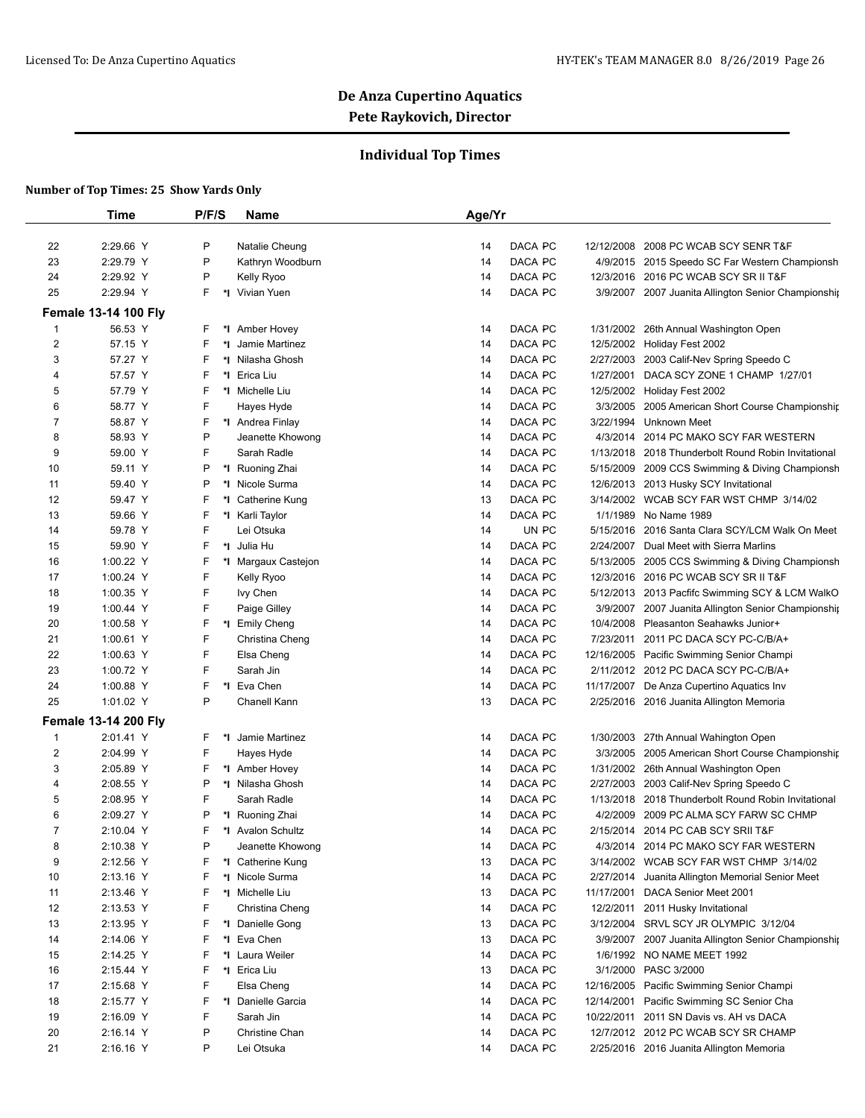## **Individual Top Times**

|                         | <b>Time</b>                 | P/F/S   | Name                | Age/Yr |         |            |                                                     |
|-------------------------|-----------------------------|---------|---------------------|--------|---------|------------|-----------------------------------------------------|
|                         |                             |         |                     |        |         |            |                                                     |
| 22                      | 2:29.66 Y                   | P       | Natalie Cheung      | 14     | DACA PC | 12/12/2008 | 2008 PC WCAB SCY SENR T&F                           |
| 23                      | 2:29.79 Y                   | P       | Kathryn Woodburn    | 14     | DACA PC | 4/9/2015   | 2015 Speedo SC Far Western Championsh               |
| 24                      | 2:29.92 Y                   | P       | Kelly Ryoo          | 14     | DACA PC | 12/3/2016  | 2016 PC WCAB SCY SR II T&F                          |
| 25                      | 2:29.94 Y                   | F<br>*l | Vivian Yuen         | 14     | DACA PC |            | 3/9/2007 2007 Juanita Allington Senior Championship |
|                         | <b>Female 13-14 100 Fly</b> |         |                     |        |         |            |                                                     |
| $\mathbf 1$             | 56.53 Y                     | F       | *1 Amber Hovey      | 14     | DACA PC | 1/31/2002  | 26th Annual Washington Open                         |
| $\overline{2}$          | 57.15 Y                     | F       | *1 Jamie Martinez   | 14     | DACA PC | 12/5/2002  | Holiday Fest 2002                                   |
| 3                       | 57.27 Y                     | F       | *I Nilasha Ghosh    | 14     | DACA PC | 2/27/2003  | 2003 Calif-Nev Spring Speedo C                      |
| 4                       | 57.57 Y                     | F       | *I Erica Liu        | 14     | DACA PC | 1/27/2001  | DACA SCY ZONE 1 CHAMP 1/27/01                       |
| 5                       | 57.79 Y                     | F       | *I Michelle Liu     | 14     | DACA PC | 12/5/2002  | Holiday Fest 2002                                   |
| 6                       | 58.77 Y                     | F       | Hayes Hyde          | 14     | DACA PC | 3/3/2005   | 2005 American Short Course Championship             |
| 7                       | 58.87 Y                     | F       | *1 Andrea Finlay    | 14     | DACA PC | 3/22/1994  | Unknown Meet                                        |
| 8                       | 58.93 Y                     | P       | Jeanette Khowong    | 14     | DACA PC | 4/3/2014   | 2014 PC MAKO SCY FAR WESTERN                        |
| 9                       | 59.00 Y                     | F       | Sarah Radle         | 14     | DACA PC | 1/13/2018  | 2018 Thunderbolt Round Robin Invitational           |
| 10                      | 59.11 Y                     | P       | *1 Ruoning Zhai     | 14     | DACA PC | 5/15/2009  | 2009 CCS Swimming & Diving Championsh               |
| 11                      | 59.40 Y                     | P       | *I Nicole Surma     | 14     | DACA PC | 12/6/2013  | 2013 Husky SCY Invitational                         |
| 12                      | 59.47 Y                     | F       | *I Catherine Kung   | 13     | DACA PC | 3/14/2002  | WCAB SCY FAR WST CHMP 3/14/02                       |
| 13                      | 59.66 Y                     | F       | *I Karli Taylor     | 14     | DACA PC | 1/1/1989   | No Name 1989                                        |
| 14                      | 59.78 Y                     | F       | Lei Otsuka          | 14     | UN PC   | 5/15/2016  | 2016 Santa Clara SCY/LCM Walk On Meet               |
| 15                      | 59.90 Y                     | F       | *I Julia Hu         | 14     | DACA PC | 2/24/2007  | Dual Meet with Sierra Marlins                       |
| 16                      | 1:00.22 Y                   | F       | *I Margaux Castejon | 14     | DACA PC | 5/13/2005  | 2005 CCS Swimming & Diving Championsh               |
| 17                      | 1:00.24 Y                   | F       | Kelly Ryoo          | 14     | DACA PC | 12/3/2016  | 2016 PC WCAB SCY SR II T&F                          |
| 18                      | 1:00.35 Y                   | F       | Ivy Chen            | 14     | DACA PC | 5/12/2013  | 2013 Pacfifc Swimming SCY & LCM WalkO               |
| 19                      | 1:00.44 Y                   | F       | Paige Gilley        | 14     | DACA PC | 3/9/2007   | 2007 Juanita Allington Senior Championship          |
| 20                      | 1:00.58 Y                   | F       | *I Emily Cheng      | 14     | DACA PC | 10/4/2008  | Pleasanton Seahawks Junior+                         |
| 21                      | 1:00.61 Y                   | F       | Christina Cheng     | 14     | DACA PC | 7/23/2011  | 2011 PC DACA SCY PC-C/B/A+                          |
| 22                      | 1:00.63 Y                   | F       | Elsa Cheng          | 14     | DACA PC | 12/16/2005 | Pacific Swimming Senior Champi                      |
| 23                      | 1:00.72 Y                   | F       | Sarah Jin           | 14     | DACA PC |            | 2/11/2012 2012 PC DACA SCY PC-C/B/A+                |
| 24                      | 1:00.88 Y                   | F       | *I Eva Chen         | 14     | DACA PC | 11/17/2007 | De Anza Cupertino Aquatics Inv                      |
| 25                      | 1:01.02 Y                   | P       | Chanell Kann        | 13     | DACA PC |            | 2/25/2016 2016 Juanita Allington Memoria            |
|                         | <b>Female 13-14 200 Fly</b> |         |                     |        |         |            |                                                     |
| $\mathbf 1$             | 2:01.41 Y                   | F       | *I Jamie Martinez   | 14     | DACA PC | 1/30/2003  | 27th Annual Wahington Open                          |
| $\overline{\mathbf{c}}$ | 2:04.99 Y                   | F       | Hayes Hyde          | 14     | DACA PC | 3/3/2005   | 2005 American Short Course Championship             |
| 3                       | 2:05.89 Y                   | F       | *I Amber Hovey      | 14     | DACA PC | 1/31/2002  | 26th Annual Washington Open                         |
| 4                       | 2:08.55 Y                   | P       | *I Nilasha Ghosh    | 14     | DACA PC | 2/27/2003  | 2003 Calif-Nev Spring Speedo C                      |
| 5                       | 2:08.95 Y                   | F       | Sarah Radle         | 14     | DACA PC | 1/13/2018  | 2018 Thunderbolt Round Robin Invitational           |
| 6                       | 2:09.27 Y                   | P       | *I Ruoning Zhai     | 14     | DACA PC | 4/2/2009   | 2009 PC ALMA SCY FARW SC CHMP                       |
| $\overline{7}$          | 2:10.04 Y                   | F       | *1 Avalon Schultz   | 14     | DACA PC |            | 2/15/2014 2014 PC CAB SCY SRII T&F                  |
| 8                       | 2:10.38 Y                   | P       | Jeanette Khowong    | 14     | DACA PC |            | 4/3/2014 2014 PC MAKO SCY FAR WESTERN               |
| 9                       | 2:12.56 Y                   | F       | *I Catherine Kung   | 13     | DACA PC |            | 3/14/2002 WCAB SCY FAR WST CHMP 3/14/02             |
| 10                      | 2:13.16 Y                   | F       | *I Nicole Surma     | 14     | DACA PC | 2/27/2014  | Juanita Allington Memorial Senior Meet              |
| 11                      | 2:13.46 Y                   | F       | *I Michelle Liu     | 13     | DACA PC |            | 11/17/2001 DACA Senior Meet 2001                    |
| 12                      | 2:13.53 Y                   | F       | Christina Cheng     | 14     | DACA PC | 12/2/2011  | 2011 Husky Invitational                             |
| 13                      | 2:13.95 Y                   | F       | *1 Danielle Gong    | 13     | DACA PC | 3/12/2004  | SRVL SCY JR OLYMPIC 3/12/04                         |
| 14                      | 2:14.06 Y                   | F       | *I Eva Chen         | 13     | DACA PC |            | 3/9/2007 2007 Juanita Allington Senior Championship |
| 15                      | 2:14.25 Y                   | F       | *I Laura Weiler     | 14     | DACA PC |            | 1/6/1992 NO NAME MEET 1992                          |
| 16                      | 2:15.44 Y                   | F       | *I Erica Liu        | 13     | DACA PC | 3/1/2000   | PASC 3/2000                                         |
| 17                      | 2:15.68 Y                   | F       | Elsa Cheng          | 14     | DACA PC | 12/16/2005 | Pacific Swimming Senior Champi                      |
| 18                      | 2:15.77 Y                   | F       | *I Danielle Garcia  | 14     | DACA PC | 12/14/2001 | Pacific Swimming SC Senior Cha                      |
| 19                      | 2:16.09 Y                   | F       | Sarah Jin           | 14     | DACA PC |            | 10/22/2011 2011 SN Davis vs. AH vs DACA             |
| 20                      | 2:16.14 Y                   | P       | Christine Chan      | 14     | DACA PC |            | 12/7/2012 2012 PC WCAB SCY SR CHAMP                 |
| 21                      | 2:16.16 Y                   | P       | Lei Otsuka          | 14     | DACA PC |            | 2/25/2016 2016 Juanita Allington Memoria            |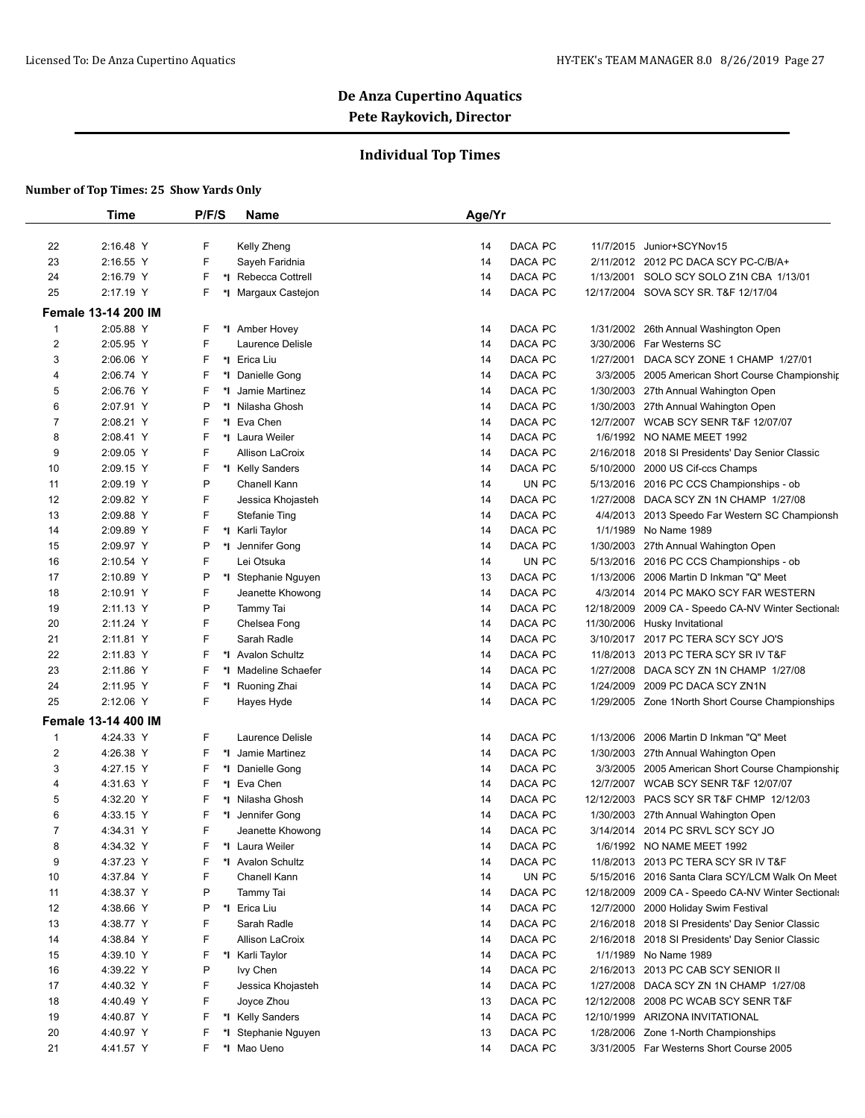## **Individual Top Times**

|                | Time                       | P/F/S   | Name                 | Age/Yr                                                                  |
|----------------|----------------------------|---------|----------------------|-------------------------------------------------------------------------|
|                |                            |         |                      |                                                                         |
| 22             | 2:16.48 Y                  | F       | Kelly Zheng          | DACA PC<br>14<br>11/7/2015<br>Junior+SCYNov15                           |
| 23             | 2:16.55 Y                  | F       | Sayeh Faridnia       | 14<br>DACA PC<br>2/11/2012 2012 PC DACA SCY PC-C/B/A+                   |
| 24             | 2:16.79 Y                  | F       | *I Rebecca Cottrell  | DACA PC<br>14<br>1/13/2001 SOLO SCY SOLO Z1N CBA 1/13/01                |
| 25             | 2:17.19 Y                  | F       | Margaux Castejon     | DACA PC<br>14<br>12/17/2004 SOVA SCY SR. T&F 12/17/04                   |
|                | <b>Female 13-14 200 IM</b> |         |                      |                                                                         |
| 1              | 2:05.88 Y                  | F       | *I Amber Hovey       | DACA PC<br>14<br>1/31/2002<br>26th Annual Washington Open               |
| $\overline{2}$ | 2:05.95 Y                  | F       | Laurence Delisle     | DACA PC<br>3/30/2006<br>Far Westerns SC<br>14                           |
| 3              | 2:06.06 Y                  | F       | *I Erica Liu         | DACA PC<br>14<br>1/27/2001<br>DACA SCY ZONE 1 CHAMP 1/27/01             |
| 4              | 2:06.74 Y                  | F<br>*I | Danielle Gong        | DACA PC<br>14<br>3/3/2005<br>2005 American Short Course Championshir    |
| 5              | 2:06.76 Y                  | F<br>*l | Jamie Martinez       | 14<br>DACA PC<br>1/30/2003 27th Annual Wahington Open                   |
| 6              | 2:07.91 Y                  | P<br>*l | Nilasha Ghosh        | DACA PC<br>14<br>1/30/2003<br>27th Annual Wahington Open                |
| 7              | 2:08.21 Y                  | F       | *1 Eva Chen          | DACA PC<br><b>WCAB SCY SENR T&amp;F 12/07/07</b><br>14<br>12/7/2007     |
| 8              | 2:08.41 Y                  | F       | *I Laura Weiler      | DACA PC<br>1/6/1992 NO NAME MEET 1992<br>14                             |
| 9              | 2:09.05 Y                  | F       | Allison LaCroix      | DACA PC<br>14<br>2/16/2018<br>2018 SI Presidents' Day Senior Classic    |
| 10             | 2:09.15 Y                  | F       | *I Kelly Sanders     | 14<br>DACA PC<br>5/10/2000 2000 US Cif-ccs Champs                       |
| 11             | 2:09.19 Y                  | P       | Chanell Kann         | 14<br>UN PC<br>5/13/2016 2016 PC CCS Championships - ob                 |
| 12             | 2:09.82 Y                  | F       | Jessica Khojasteh    | DACA PC<br>14<br>1/27/2008<br>DACA SCY ZN 1N CHAMP 1/27/08              |
| 13             | 2:09.88 Y                  | F       | <b>Stefanie Ting</b> | 14<br>DACA PC<br>4/4/2013 2013 Speedo Far Western SC Championsh         |
| 14             | 2:09.89 Y                  | F       | *I Karli Taylor      | DACA PC<br>1/1/1989<br>14<br>No Name 1989                               |
| 15             | 2:09.97 Y                  | P<br>*l | Jennifer Gong        | DACA PC<br>14<br>1/30/2003<br>27th Annual Wahington Open                |
| 16             | 2:10.54 Y                  | F       | Lei Otsuka           | 14<br>UN PC<br>5/13/2016 2016 PC CCS Championships - ob                 |
| 17             | 2:10.89 Y                  | Ρ       | *I Stephanie Nguyen  | 13<br>DACA PC<br>1/13/2006<br>2006 Martin D Inkman "Q" Meet             |
| 18             | 2:10.91 Y                  | F       | Jeanette Khowong     | DACA PC<br>14<br>4/3/2014<br>2014 PC MAKO SCY FAR WESTERN               |
| 19             | 2:11.13 Y                  | P       | Tammy Tai            | DACA PC<br>14<br>12/18/2009<br>2009 CA - Speedo CA-NV Winter Sectionals |
| 20             | 2:11.24 Y                  | F       | Chelsea Fong         | DACA PC<br>14<br>11/30/2006 Husky Invitational                          |
| 21             | 2:11.81 Y                  | F       | Sarah Radle          | DACA PC<br>14<br>3/10/2017 2017 PC TERA SCY SCY JO'S                    |
| 22             | 2:11.83 Y                  | F       | *1 Avalon Schultz    | 14<br>DACA PC<br>11/8/2013<br>2013 PC TERA SCY SR IV T&F                |
| 23             | 2:11.86 Y                  | F<br>*l | Madeline Schaefer    | 14<br>DACA PC<br>1/27/2008<br>DACA SCY ZN 1N CHAMP 1/27/08              |
| 24             | 2:11.95 Y                  | F       | *I Ruoning Zhai      | 14<br>DACA PC<br>2009 PC DACA SCY ZN1N<br>1/24/2009                     |
| 25             | 2:12.06 Y                  | F       | Hayes Hyde           | 14<br>DACA PC<br>1/29/2005 Zone 1 North Short Course Championships      |
|                | <b>Female 13-14 400 IM</b> |         |                      |                                                                         |
| 1              | 4:24.33 Y                  | F       | Laurence Delisle     | DACA PC<br>1/13/2006<br>2006 Martin D Inkman "Q" Meet<br>14             |
| 2              | 4:26.38 Y                  | F       | *I Jamie Martinez    | 14<br>DACA PC<br>1/30/2003 27th Annual Wahington Open                   |
| 3              | 4:27.15 Y                  | F<br>*l | Danielle Gong        | DACA PC<br>3/3/2005 2005 American Short Course Championship<br>14       |
| 4              | 4:31.63 Y                  | F<br>*∣ | Eva Chen             | DACA PC<br>12/7/2007 WCAB SCY SENR T&F 12/07/07<br>14                   |
| 5              | 4:32.20 Y                  | F<br>*l | Nilasha Ghosh        | DACA PC<br>12/12/2003 PACS SCY SR T&F CHMP 12/12/03<br>14               |
| 6              | 4:33.15 Y                  | F<br>*l | Jennifer Gong        | DACA PC<br>14<br>1/30/2003 27th Annual Wahington Open                   |
| $\overline{7}$ | 4:34.31 Y                  | F       | Jeanette Khowong     | 14<br>3/14/2014 2014 PC SRVL SCY SCY JO<br>DACA PC                      |
| 8              | 4:34.32 Y                  | F       | *I Laura Weiler      | DACA PC<br>14<br>1/6/1992 NO NAME MEET 1992                             |
| 9              | 4:37.23 Y                  | F       | *I Avalon Schultz    | DACA PC<br>14<br>11/8/2013 2013 PC TERA SCY SR IV T&F                   |
| 10             | 4:37.84 Y                  | F       | Chanell Kann         | UN PC<br>14<br>5/15/2016 2016 Santa Clara SCY/LCM Walk On Meet          |
| 11             | 4:38.37 Y                  | Ρ       | Tammy Tai            | DACA PC<br>14<br>12/18/2009 2009 CA - Speedo CA-NV Winter Sectionals    |
| 12             | 4:38.66 Y                  | P       | *I Erica Liu         | DACA PC<br>14<br>12/7/2000 2000 Holiday Swim Festival                   |
| 13             | 4:38.77 Y                  | F       | Sarah Radle          | DACA PC<br>14<br>2/16/2018 2018 SI Presidents' Day Senior Classic       |
| 14             | 4:38.84 Y                  | F       | Allison LaCroix      | DACA PC<br>14<br>2/16/2018 2018 SI Presidents' Day Senior Classic       |
| 15             | 4:39.10 Y                  | F       | *I Karli Taylor      | DACA PC<br>14<br>1/1/1989 No Name 1989                                  |
| 16             | 4:39.22 Y                  | P       | lvy Chen             | DACA PC<br>14<br>2/16/2013 2013 PC CAB SCY SENIOR II                    |
| 17             | 4:40.32 Y                  | F       | Jessica Khojasteh    | DACA PC<br>14<br>1/27/2008<br>DACA SCY ZN 1N CHAMP 1/27/08              |
| 18             | 4:40.49 Y                  | F       | Joyce Zhou           | DACA PC<br>13<br>12/12/2008 2008 PC WCAB SCY SENR T&F                   |
| 19             | 4:40.87 Y                  | F       | *I Kelly Sanders     | DACA PC<br>12/10/1999 ARIZONA INVITATIONAL<br>14                        |
| 20             | 4:40.97 Y                  | F<br>*l | Stephanie Nguyen     | DACA PC<br>13<br>1/28/2006 Zone 1-North Championships                   |
| 21             | 4:41.57 Y                  | F       | *I Mao Ueno          | DACA PC<br>3/31/2005 Far Westerns Short Course 2005<br>14               |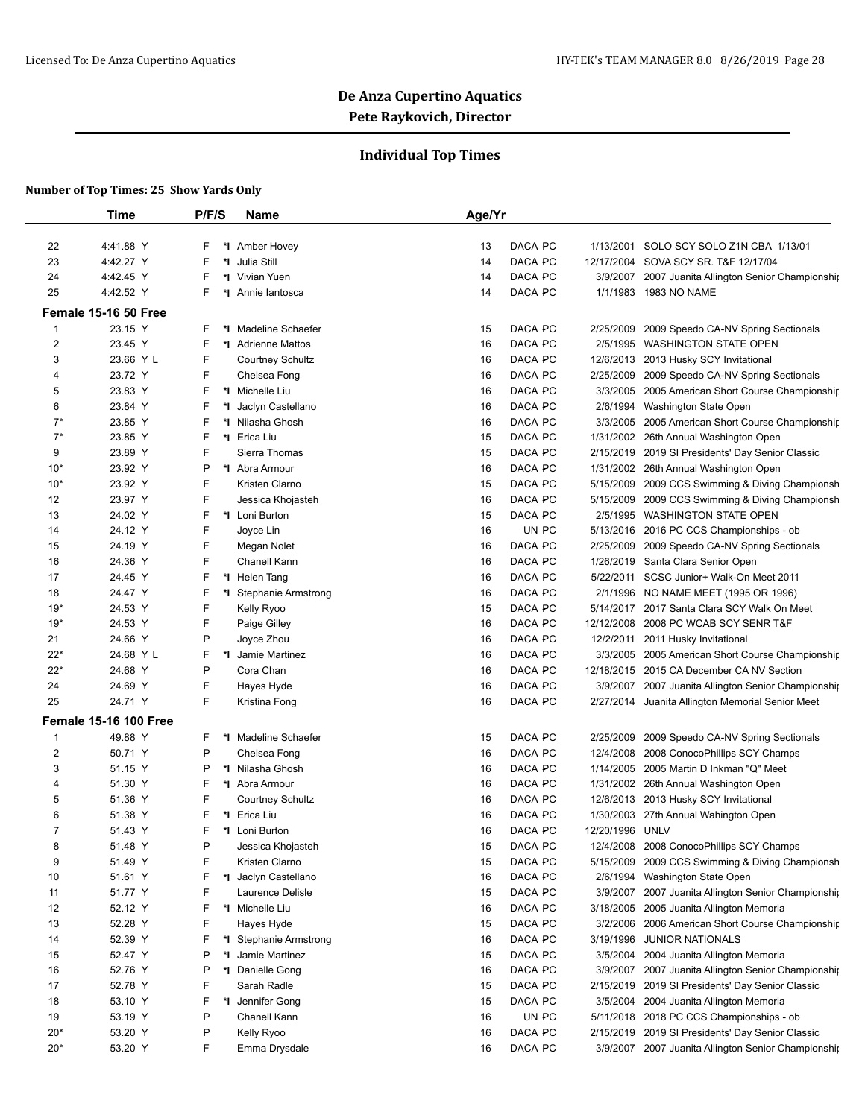## **Individual Top Times**

|                | Time                         | P/F/S   | <b>Name</b>             | Age/Yr        |                 |                                                     |
|----------------|------------------------------|---------|-------------------------|---------------|-----------------|-----------------------------------------------------|
|                |                              |         |                         |               |                 |                                                     |
| 22             | 4:41.88 Y                    | F<br>*l | <b>Amber Hovey</b>      | 13<br>DACA PC | 1/13/2001       | SOLO SCY SOLO Z1N CBA 1/13/01                       |
| 23             | 4:42.27 Y                    | F       | *1 Julia Still          | DACA PC<br>14 |                 | 12/17/2004 SOVA SCY SR. T&F 12/17/04                |
| 24             | 4:42.45 Y                    | F       | *I Vivian Yuen          | DACA PC<br>14 |                 | 3/9/2007 2007 Juanita Allington Senior Championship |
| 25             | 4:42.52 Y                    | F<br>*∣ | Annie lantosca          | DACA PC<br>14 |                 | 1/1/1983 1983 NO NAME                               |
|                | Female 15-16 50 Free         |         |                         |               |                 |                                                     |
| 1              | 23.15 Y                      | F       | *I Madeline Schaefer    | DACA PC<br>15 | 2/25/2009       | 2009 Speedo CA-NV Spring Sectionals                 |
| 2              | 23.45 Y                      | F       | *1 Adrienne Mattos      | DACA PC<br>16 | 2/5/1995        | <b>WASHINGTON STATE OPEN</b>                        |
| 3              | 23.66 Y L                    | F       | <b>Courtney Schultz</b> | DACA PC<br>16 | 12/6/2013       | 2013 Husky SCY Invitational                         |
| 4              | 23.72 Y                      | F       | Chelsea Fong            | DACA PC<br>16 | 2/25/2009       | 2009 Speedo CA-NV Spring Sectionals                 |
| 5              | 23.83 Y                      | F       | *1 Michelle Liu         | DACA PC<br>16 | 3/3/2005        | 2005 American Short Course Championship             |
| 6              | 23.84 Y                      | F       | *I Jaclyn Castellano    | DACA PC<br>16 | 2/6/1994        | Washington State Open                               |
| $7^{\star}$    | 23.85 Y                      | F       | *I Nilasha Ghosh        | DACA PC<br>16 |                 | 3/3/2005 2005 American Short Course Championship    |
| $7^*$          | 23.85 Y                      | F       | *I Erica Liu            | DACA PC<br>15 | 1/31/2002       | 26th Annual Washington Open                         |
| 9              | 23.89 Y                      | F       | Sierra Thomas           | DACA PC<br>15 | 2/15/2019       | 2019 SI Presidents' Day Senior Classic              |
| $10*$          | 23.92 Y                      | P       | *1 Abra Armour          | DACA PC<br>16 |                 | 1/31/2002 26th Annual Washington Open               |
| $10*$          | 23.92 Y                      | F       | Kristen Clarno          | DACA PC<br>15 | 5/15/2009       | 2009 CCS Swimming & Diving Championsh               |
| 12             | 23.97 Y                      | F       | Jessica Khojasteh       | DACA PC<br>16 | 5/15/2009       | 2009 CCS Swimming & Diving Championsh               |
| 13             | 24.02 Y                      | F       | *I Loni Burton          | DACA PC<br>15 |                 | 2/5/1995 WASHINGTON STATE OPEN                      |
| 14             | 24.12 Y                      | F       | Joyce Lin               | UN PC<br>16   |                 | 5/13/2016 2016 PC CCS Championships - ob            |
| 15             | 24.19 Y                      | F       | Megan Nolet             | DACA PC<br>16 | 2/25/2009       | 2009 Speedo CA-NV Spring Sectionals                 |
| 16             | 24.36 Y                      | F       | Chanell Kann            | DACA PC<br>16 |                 | 1/26/2019 Santa Clara Senior Open                   |
| 17             | 24.45 Y                      | F       | *I Helen Tang           | DACA PC<br>16 |                 | 5/22/2011 SCSC Junior+ Walk-On Meet 2011            |
| 18             | 24.47 Y                      | F       | *I Stephanie Armstrong  | DACA PC<br>16 |                 | 2/1/1996 NO NAME MEET (1995 OR 1996)                |
| $19*$          | 24.53 Y                      | F       | Kelly Ryoo              | DACA PC<br>15 |                 | 5/14/2017 2017 Santa Clara SCY Walk On Meet         |
| $19*$          | 24.53 Y                      | F       | Paige Gilley            | DACA PC<br>16 | 12/12/2008      | 2008 PC WCAB SCY SENR T&F                           |
| 21             | 24.66 Y                      | P       | Joyce Zhou              | DACA PC<br>16 | 12/2/2011       | 2011 Husky Invitational                             |
| 22*            | 24.68 Y L                    | F       | *I Jamie Martinez       | DACA PC<br>16 |                 | 3/3/2005 2005 American Short Course Championship    |
| $22*$          | 24.68 Y                      | P       | Cora Chan               | DACA PC<br>16 |                 | 12/18/2015 2015 CA December CA NV Section           |
| 24             | 24.69 Y                      | F       | Hayes Hyde              | DACA PC<br>16 | 3/9/2007        | 2007 Juanita Allington Senior Championship          |
| 25             | 24.71 Y                      | F       | Kristina Fong           | DACA PC<br>16 |                 | 2/27/2014 Juanita Allington Memorial Senior Meet    |
|                | <b>Female 15-16 100 Free</b> |         |                         |               |                 |                                                     |
| 1              | 49.88 Y                      | F       | *I Madeline Schaefer    | 15<br>DACA PC | 2/25/2009       | 2009 Speedo CA-NV Spring Sectionals                 |
| 2              | 50.71 Y                      | P       | Chelsea Fong            | DACA PC<br>16 | 12/4/2008       | 2008 ConocoPhillips SCY Champs                      |
| 3              | 51.15 Y                      | P       | *I Nilasha Ghosh        | DACA PC<br>16 |                 | 1/14/2005 2005 Martin D Inkman "Q" Meet             |
| 4              | 51.30 Y                      | F       | *I Abra Armour          | DACA PC<br>16 |                 | 1/31/2002 26th Annual Washington Open               |
| 5              | 51.36 Y                      | F       | Courtney Schultz        | DACA PC<br>16 |                 | 12/6/2013 2013 Husky SCY Invitational               |
| 6              | 51.38 Y                      | F       | *I Erica Liu            | DACA PC<br>16 |                 | 1/30/2003 27th Annual Wahington Open                |
| $\overline{7}$ | 51.43 Y                      | F       | *I Loni Burton          | DACA PC<br>16 | 12/20/1996 UNLV |                                                     |
| 8              | 51.48 Y                      | P       | Jessica Khojasteh       | DACA PC<br>15 | 12/4/2008       | 2008 ConocoPhillips SCY Champs                      |
| 9              | 51.49 Y                      | F       | Kristen Clarno          | DACA PC<br>15 | 5/15/2009       | 2009 CCS Swimming & Diving Championsh               |
| 10             | 51.61 Y                      | F       | *I Jaclyn Castellano    | DACA PC<br>16 | 2/6/1994        | Washington State Open                               |
| 11             | 51.77 Y                      | F       | Laurence Delisle        | DACA PC<br>15 | 3/9/2007        | 2007 Juanita Allington Senior Championship          |
| 12             | 52.12 Y                      | F       | *I Michelle Liu         | DACA PC<br>16 | 3/18/2005       | 2005 Juanita Allington Memoria                      |
| 13             | 52.28 Y                      | F       | Hayes Hyde              | DACA PC<br>15 | 3/2/2006        | 2006 American Short Course Championship             |
| 14             | 52.39 Y                      | F       | *I Stephanie Armstrong  | DACA PC<br>16 | 3/19/1996       | <b>JUNIOR NATIONALS</b>                             |
| 15             | 52.47 Y                      | P<br>*l | Jamie Martinez          | DACA PC<br>15 |                 | 3/5/2004 2004 Juanita Allington Memoria             |
| 16             | 52.76 Y                      | P       | *I Danielle Gong        | DACA PC<br>16 | 3/9/2007        | 2007 Juanita Allington Senior Championship          |
| 17             | 52.78 Y                      | F       | Sarah Radle             | DACA PC<br>15 | 2/15/2019       | 2019 SI Presidents' Day Senior Classic              |
| 18             | 53.10 Y                      | F       | *I Jennifer Gong        | DACA PC<br>15 |                 | 3/5/2004 2004 Juanita Allington Memoria             |
| 19             | 53.19 Y                      | P       | Chanell Kann            | UN PC<br>16   |                 | 5/11/2018 2018 PC CCS Championships - ob            |
| $20*$          | 53.20 Y                      | P       | Kelly Ryoo              | DACA PC<br>16 |                 | 2/15/2019 2019 SI Presidents' Day Senior Classic    |
| 20*            | 53.20 Y                      | F       | Emma Drysdale           | DACA PC<br>16 |                 | 3/9/2007 2007 Juanita Allington Senior Championship |
|                |                              |         |                         |               |                 |                                                     |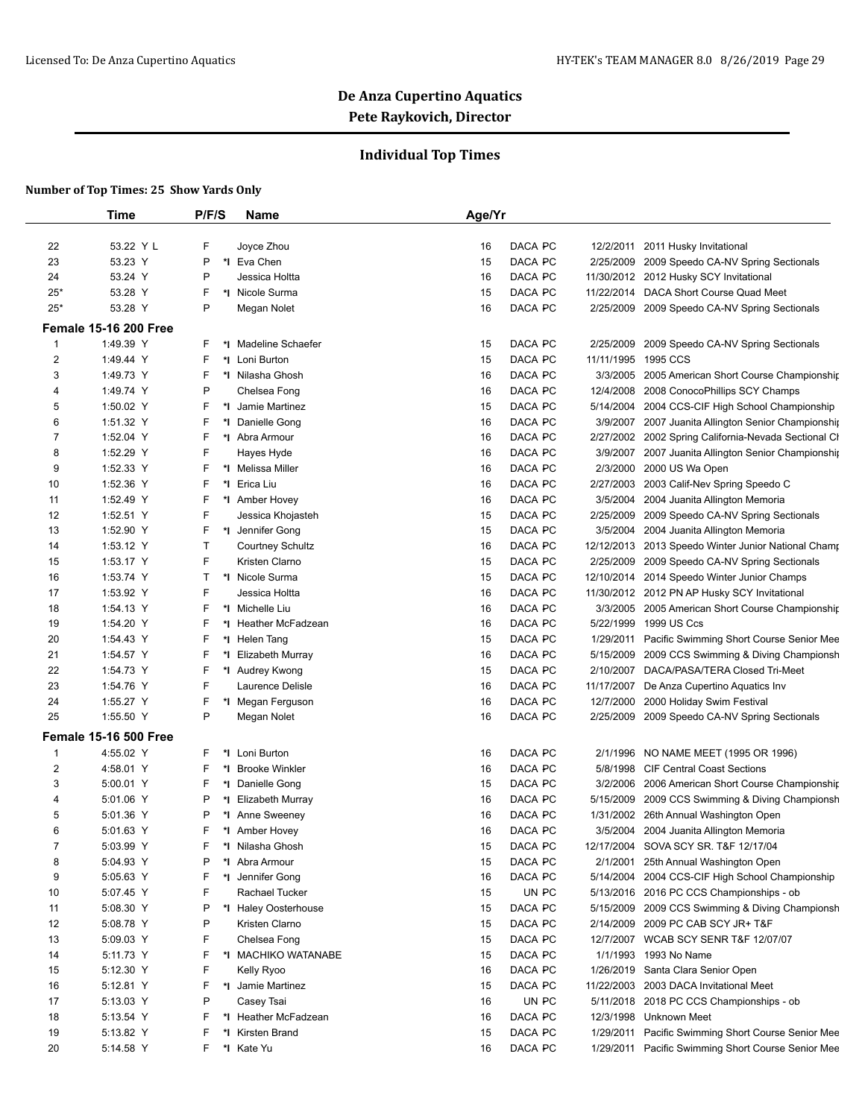## **Individual Top Times**

|                | <b>Time</b>                  | P/F/S        | Name                   | Age/Yr        |            |                                                      |
|----------------|------------------------------|--------------|------------------------|---------------|------------|------------------------------------------------------|
|                |                              |              |                        |               |            |                                                      |
| 22             | 53.22 Y L                    | F            | Joyce Zhou             | DACA PC<br>16 | 12/2/2011  | 2011 Husky Invitational                              |
| 23             | 53.23 Y                      | P            | *1 Eva Chen            | DACA PC<br>15 | 2/25/2009  | 2009 Speedo CA-NV Spring Sectionals                  |
| 24             | 53.24 Y                      | P            | Jessica Holtta         | DACA PC<br>16 |            | 11/30/2012 2012 Husky SCY Invitational               |
| $25*$          | 53.28 Y                      | F            | Nicole Surma<br>*∣     | DACA PC<br>15 | 11/22/2014 | DACA Short Course Quad Meet                          |
| $25*$          | 53.28 Y                      | P            | Megan Nolet            | DACA PC<br>16 | 2/25/2009  | 2009 Speedo CA-NV Spring Sectionals                  |
|                | <b>Female 15-16 200 Free</b> |              |                        |               |            |                                                      |
| 1              | 1:49.39 Y                    | F            | *I Madeline Schaefer   | DACA PC<br>15 | 2/25/2009  | 2009 Speedo CA-NV Spring Sectionals                  |
| 2              | 1:49.44 Y                    | F            | *I Loni Burton         | DACA PC<br>15 | 11/11/1995 | 1995 CCS                                             |
| 3              | 1:49.73 Y                    | F            | *I Nilasha Ghosh       | DACA PC<br>16 | 3/3/2005   | 2005 American Short Course Championship              |
| 4              | 1:49.74 Y                    | P            | Chelsea Fong           | DACA PC<br>16 | 12/4/2008  | 2008 ConocoPhillips SCY Champs                       |
| 5              | 1:50.02 Y                    | F            | *I Jamie Martinez      | DACA PC<br>15 |            | 5/14/2004 2004 CCS-CIF High School Championship      |
| 6              | 1:51.32 Y                    | F            | *1 Danielle Gong       | DACA PC<br>16 |            | 3/9/2007 2007 Juanita Allington Senior Championship  |
| 7              | 1:52.04 Y                    | F            | *I Abra Armour         | DACA PC<br>16 |            | 2/27/2002 2002 Spring California-Nevada Sectional Cl |
| 8              | 1:52.29 Y                    | F            | Hayes Hyde             | DACA PC<br>16 |            | 3/9/2007 2007 Juanita Allington Senior Championship  |
| 9              | 1:52.33 Y                    | F            | Melissa Miller<br>*∣   | DACA PC<br>16 | 2/3/2000   | 2000 US Wa Open                                      |
| 10             | 1:52.36 Y                    | F            | *1 Erica Liu           | DACA PC<br>16 |            | 2/27/2003 2003 Calif-Nev Spring Speedo C             |
| 11             | 1:52.49 Y                    | F            | *I Amber Hovey         | DACA PC<br>16 |            | 3/5/2004 2004 Juanita Allington Memoria              |
| 12             | 1:52.51 Y                    | F            | Jessica Khojasteh      | DACA PC<br>15 | 2/25/2009  | 2009 Speedo CA-NV Spring Sectionals                  |
| 13             | 1:52.90 Y                    | F            | *1 Jennifer Gong       | DACA PC<br>15 |            | 3/5/2004 2004 Juanita Allington Memoria              |
| 14             | 1:53.12 Y                    | $\mathsf{T}$ | Courtney Schultz       | DACA PC<br>16 |            | 12/12/2013 2013 Speedo Winter Junior National Champ  |
| 15             | 1:53.17 Y                    | F            | Kristen Clarno         | DACA PC<br>15 | 2/25/2009  | 2009 Speedo CA-NV Spring Sectionals                  |
| 16             | 1:53.74 Y                    | Τ            | *1 Nicole Surma        | DACA PC<br>15 |            | 12/10/2014 2014 Speedo Winter Junior Champs          |
| 17             | 1:53.92 Y                    | F            | Jessica Holtta         | DACA PC<br>16 |            | 11/30/2012 2012 PN AP Husky SCY Invitational         |
| 18             | 1:54.13 Y                    | F            | *1 Michelle Liu        | DACA PC<br>16 |            | 3/3/2005 2005 American Short Course Championship     |
| 19             | 1:54.20 Y                    | F            | *I Heather McFadzean   | DACA PC<br>16 | 5/22/1999  | 1999 US Ccs                                          |
| 20             | 1:54.43 Y                    | F            | *I Helen Tang          | DACA PC<br>15 |            | 1/29/2011 Pacific Swimming Short Course Senior Mee   |
| 21             | 1:54.57 Y                    | F            | Elizabeth Murray<br>*∣ | DACA PC<br>16 | 5/15/2009  | 2009 CCS Swimming & Diving Championsh                |
| 22             | 1:54.73 Y                    | F            | *I Audrey Kwong        | DACA PC<br>15 |            | 2/10/2007 DACA/PASA/TERA Closed Tri-Meet             |
| 23             | 1:54.76 Y                    | F            | Laurence Delisle       | DACA PC<br>16 |            | 11/17/2007 De Anza Cupertino Aquatics Inv            |
| 24             | 1:55.27 Y                    | F            | *I Megan Ferguson      | DACA PC<br>16 | 12/7/2000  | 2000 Holiday Swim Festival                           |
| 25             | 1:55.50 Y                    | P            | Megan Nolet            | DACA PC<br>16 | 2/25/2009  | 2009 Speedo CA-NV Spring Sectionals                  |
|                | <b>Female 15-16 500 Free</b> |              |                        |               |            |                                                      |
| 1              | 4:55.02 Y                    | F            | *I Loni Burton         | DACA PC<br>16 | 2/1/1996   | NO NAME MEET (1995 OR 1996)                          |
| 2              | 4:58.01 Y                    | F            | *I Brooke Winkler      | DACA PC<br>16 | 5/8/1998   | <b>CIF Central Coast Sections</b>                    |
| 3              | 5:00.01 Y                    | F            | *I Danielle Gong       | DACA PC<br>15 | 3/2/2006   | 2006 American Short Course Championship              |
| 4              | 5:01.06 Y                    | P            | *I Elizabeth Murray    | DACA PC<br>16 | 5/15/2009  | 2009 CCS Swimming & Diving Championsh                |
| 5              | 5:01.36 Y                    | P            | *I Anne Sweeney        | DACA PC<br>16 | 1/31/2002  | 26th Annual Washington Open                          |
| 6              | 5:01.63 Y                    | F            | *1 Amber Hovey         | 16<br>DACA PC |            | 3/5/2004 2004 Juanita Allington Memoria              |
| $\overline{7}$ | 5:03.99 Y                    | F            | *I Nilasha Ghosh       | DACA PC<br>15 |            | 12/17/2004 SOVA SCY SR. T&F 12/17/04                 |
| 8              | 5:04.93 Y                    | P            | *I Abra Armour         | DACA PC<br>15 |            | 2/1/2001 25th Annual Washington Open                 |
| 9              | 5:05.63 Y                    | F            | *1 Jennifer Gong       | DACA PC<br>16 |            | 5/14/2004 2004 CCS-CIF High School Championship      |
| 10             | 5:07.45 Y                    | F            | Rachael Tucker         | UN PC<br>15   |            | 5/13/2016 2016 PC CCS Championships - ob             |
| 11             | 5:08.30 Y                    | P            | *I Haley Oosterhouse   | 15<br>DACA PC |            | 5/15/2009 2009 CCS Swimming & Diving Championsh      |
| 12             | 5:08.78 Y                    | P            | Kristen Clarno         | 15<br>DACA PC |            | 2/14/2009 2009 PC CAB SCY JR+ T&F                    |
| 13             | 5:09.03 Y                    | F            | Chelsea Fong           | DACA PC<br>15 |            | 12/7/2007 WCAB SCY SENR T&F 12/07/07                 |
| 14             | 5:11.73 Y                    | F            | *I MACHIKO WATANABE    | DACA PC<br>15 |            | 1/1/1993 1993 No Name                                |
| 15             | 5:12.30 Y                    | F            | Kelly Ryoo             | DACA PC<br>16 |            | 1/26/2019 Santa Clara Senior Open                    |
| 16             | 5:12.81 Y                    | F            | *I Jamie Martinez      | DACA PC<br>15 |            | 11/22/2003 2003 DACA Invitational Meet               |
| 17             | 5:13.03 Y                    | P            | Casey Tsai             | UN PC<br>16   |            | 5/11/2018 2018 PC CCS Championships - ob             |
| 18             | 5:13.54 Y                    | F            | *I Heather McFadzean   | DACA PC<br>16 |            | 12/3/1998 Unknown Meet                               |
| 19             | 5:13.82 Y                    | F            | *I Kirsten Brand       | DACA PC<br>15 |            | 1/29/2011 Pacific Swimming Short Course Senior Mee   |
|                |                              |              |                        |               |            |                                                      |
| 20             | 5:14.58 Y                    | F            | *I Kate Yu             | DACA PC<br>16 |            | 1/29/2011 Pacific Swimming Short Course Senior Mee   |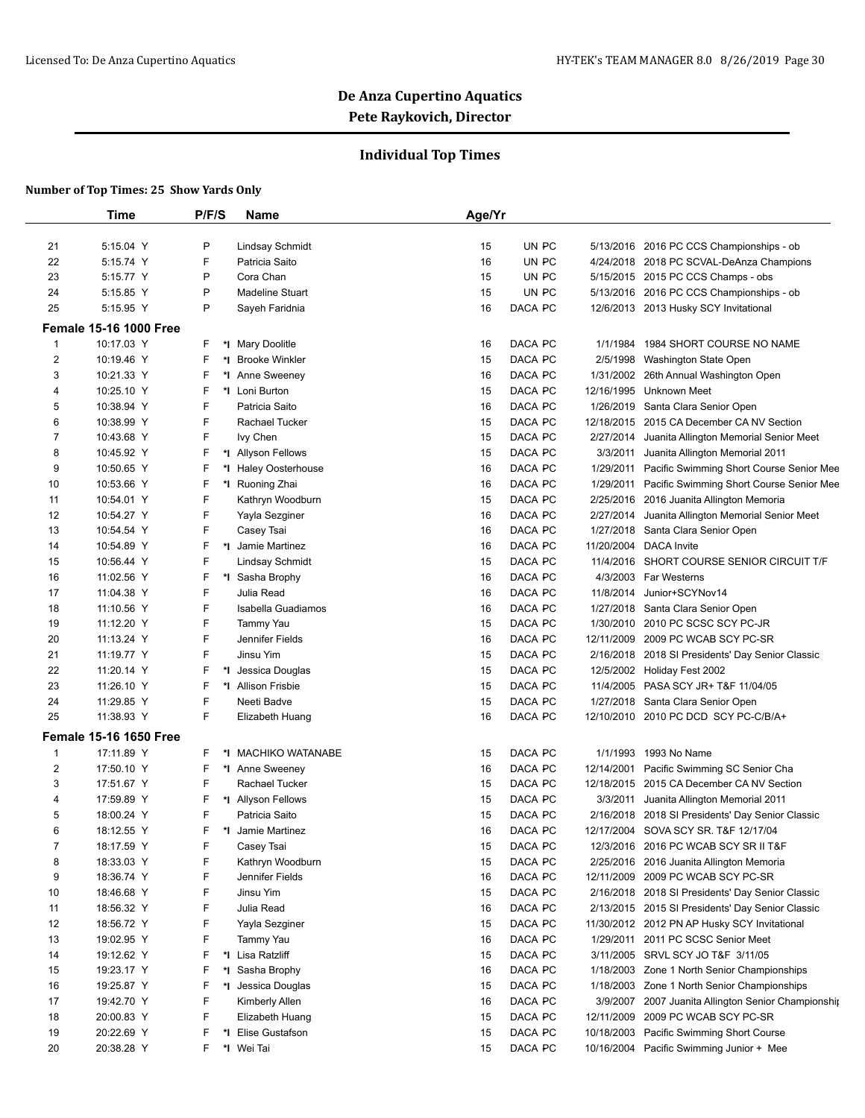## **Individual Top Times**

|                | Time                          | P/F/S   | Name                   | Age/Yr        |            |                                                     |
|----------------|-------------------------------|---------|------------------------|---------------|------------|-----------------------------------------------------|
|                |                               |         |                        |               |            |                                                     |
| 21             | 5:15.04 Y                     | P       | <b>Lindsay Schmidt</b> | 15            | UN PC      | 5/13/2016 2016 PC CCS Championships - ob            |
| 22             | 5:15.74 Y                     | F       | Patricia Saito         | 16            | UN PC      | 4/24/2018 2018 PC SCVAL-DeAnza Champions            |
| 23             | 5:15.77 Y                     | P       | Cora Chan              | 15            | UN PC      | 5/15/2015 2015 PC CCS Champs - obs                  |
| 24             | 5:15.85 Y                     | P       | <b>Madeline Stuart</b> | 15            | UN PC      | 5/13/2016 2016 PC CCS Championships - ob            |
| 25             | 5:15.95 Y                     | P       | Sayeh Faridnia         | 16<br>DACA PC |            | 12/6/2013 2013 Husky SCY Invitational               |
|                | <b>Female 15-16 1000 Free</b> |         |                        |               |            |                                                     |
| $\mathbf{1}$   | 10:17.03 Y                    | F.      | *I Mary Doolitle       | DACA PC<br>16 | 1/1/1984   | 1984 SHORT COURSE NO NAME                           |
| 2              | 10:19.46 Y                    | F<br>*l | <b>Brooke Winkler</b>  | DACA PC<br>15 |            | 2/5/1998 Washington State Open                      |
| 3              | 10:21.33 Y                    | F<br>*l | Anne Sweeney           | DACA PC<br>16 |            | 1/31/2002 26th Annual Washington Open               |
| 4              | 10:25.10 Y                    | F       | *I Loni Burton         | DACA PC<br>15 | 12/16/1995 | <b>Unknown Meet</b>                                 |
| 5              | 10:38.94 Y                    | F       | Patricia Saito         | DACA PC<br>16 | 1/26/2019  | Santa Clara Senior Open                             |
| 6              | 10:38.99 Y                    | F       | Rachael Tucker         | DACA PC<br>15 |            | 12/18/2015 2015 CA December CA NV Section           |
| 7              | 10:43.68 Y                    | F       | lvy Chen               | DACA PC<br>15 | 2/27/2014  | Juanita Allington Memorial Senior Meet              |
| 8              | 10:45.92 Y                    | F       | *I Allyson Fellows     | DACA PC<br>15 | 3/3/2011   | Juanita Allington Memorial 2011                     |
| 9              | 10:50.65 Y                    | F       | *I Haley Oosterhouse   | DACA PC<br>16 | 1/29/2011  | Pacific Swimming Short Course Senior Mee            |
| 10             | 10:53.66 Y                    | F       | *I Ruoning Zhai        | DACA PC<br>16 | 1/29/2011  | Pacific Swimming Short Course Senior Mee            |
| 11             | 10:54.01 Y                    | F       | Kathryn Woodburn       | DACA PC<br>15 | 2/25/2016  | 2016 Juanita Allington Memoria                      |
| 12             | 10:54.27 Y                    | F       | Yayla Sezginer         | DACA PC<br>16 | 2/27/2014  | Juanita Allington Memorial Senior Meet              |
| 13             | 10:54.54 Y                    | F       | Casey Tsai             | DACA PC<br>16 | 1/27/2018  | Santa Clara Senior Open                             |
| 14             | 10:54.89 Y                    | F       | *I Jamie Martinez      | DACA PC<br>16 | 11/20/2004 | DACA Invite                                         |
| 15             | 10:56.44 Y                    | F       | <b>Lindsay Schmidt</b> | DACA PC<br>15 | 11/4/2016  | SHORT COURSE SENIOR CIRCUIT T/F                     |
| 16             | 11:02.56 Y                    | F       | *I Sasha Brophy        | DACA PC<br>16 |            | 4/3/2003 Far Westerns                               |
| 17             | 11:04.38 Y                    | F       | Julia Read             | DACA PC<br>16 | 11/8/2014  | Junior+SCYNov14                                     |
| 18             | 11:10.56 Y                    | F       | Isabella Guadiamos     | DACA PC<br>16 |            | 1/27/2018 Santa Clara Senior Open                   |
| 19             | 11:12.20 Y                    | F       | Tammy Yau              | DACA PC<br>15 |            | 1/30/2010 2010 PC SCSC SCY PC-JR                    |
| 20             | 11:13.24 Y                    | F       | Jennifer Fields        | DACA PC<br>16 | 12/11/2009 | 2009 PC WCAB SCY PC-SR                              |
| 21             | 11:19.77 Y                    | F       | Jinsu Yim              | DACA PC<br>15 |            | 2/16/2018 2018 SI Presidents' Day Senior Classic    |
| 22             | 11:20.14 Y                    | F       | *I Jessica Douglas     | DACA PC<br>15 |            | 12/5/2002 Holiday Fest 2002                         |
| 23             | 11:26.10 Y                    | F       | *I Allison Frisbie     | DACA PC<br>15 |            | 11/4/2005 PASA SCY JR+ T&F 11/04/05                 |
| 24             | 11:29.85 Y                    | F       | Neeti Badve            | 15<br>DACA PC |            | 1/27/2018 Santa Clara Senior Open                   |
| 25             | 11:38.93 Y                    | F       | Elizabeth Huang        | DACA PC<br>16 |            | 12/10/2010 2010 PC DCD SCY PC-C/B/A+                |
|                | <b>Female 15-16 1650 Free</b> |         |                        |               |            |                                                     |
| 1              | 17:11.89 Y                    | F.      | *I MACHIKO WATANABE    | DACA PC<br>15 | 1/1/1993   | 1993 No Name                                        |
| $\overline{c}$ | 17:50.10 Y                    | F       | *I Anne Sweeney        | DACA PC<br>16 | 12/14/2001 | Pacific Swimming SC Senior Cha                      |
| 3              | 17:51.67 Y                    | F       | Rachael Tucker         | DACA PC<br>15 |            | 12/18/2015 2015 CA December CA NV Section           |
| 4              | 17:59.89 Y                    | F       | *I Allyson Fellows     | DACA PC<br>15 | 3/3/2011   | Juanita Allington Memorial 2011                     |
| 5              | 18:00.24 Y                    | F       | Patricia Saito         | DACA PC<br>15 |            | 2/16/2018 2018 SI Presidents' Day Senior Classic    |
| 6              | 18:12.55 Y                    | F       | *I Jamie Martinez      | 16<br>DACA PC |            | 12/17/2004 SOVA SCY SR. T&F 12/17/04                |
| 7              | 18:17.59 Y                    | F       | Casey Tsai             | DACA PC<br>15 |            | 12/3/2016 2016 PC WCAB SCY SR II T&F                |
| 8              | 18:33.03 Y                    | F       | Kathryn Woodburn       | DACA PC<br>15 |            | 2/25/2016 2016 Juanita Allington Memoria            |
| 9              | 18:36.74 Y                    | F       | Jennifer Fields        | 16<br>DACA PC |            | 12/11/2009 2009 PC WCAB SCY PC-SR                   |
| 10             | 18:46.68 Y                    | F       | Jinsu Yim              | DACA PC<br>15 |            | 2/16/2018 2018 SI Presidents' Day Senior Classic    |
| 11             | 18:56.32 Y                    | F       | Julia Read             | DACA PC<br>16 |            | 2/13/2015 2015 SI Presidents' Day Senior Classic    |
| 12             | 18:56.72 Y                    | F       | Yayla Sezginer         | DACA PC<br>15 |            | 11/30/2012 2012 PN AP Husky SCY Invitational        |
| 13             | 19:02.95 Y                    | F       | Tammy Yau              | DACA PC<br>16 | 1/29/2011  | 2011 PC SCSC Senior Meet                            |
| 14             | 19:12.62 Y                    | F       | *I Lisa Ratzliff       | DACA PC<br>15 |            | 3/11/2005 SRVL SCY JO T&F 3/11/05                   |
| 15             | 19:23.17 Y                    | F<br>*I | Sasha Brophy           | DACA PC<br>16 |            | 1/18/2003 Zone 1 North Senior Championships         |
| 16             | 19:25.87 Y                    | F<br>*I | Jessica Douglas        | DACA PC<br>15 | 1/18/2003  | Zone 1 North Senior Championships                   |
| 17             | 19:42.70 Y                    | F       | Kimberly Allen         | DACA PC<br>16 |            | 3/9/2007 2007 Juanita Allington Senior Championship |
| 18             | 20:00.83 Y                    | F       | Elizabeth Huang        | DACA PC<br>15 | 12/11/2009 | 2009 PC WCAB SCY PC-SR                              |
| 19             | 20:22.69 Y                    | F       | *I Elise Gustafson     | DACA PC<br>15 | 10/18/2003 | Pacific Swimming Short Course                       |
| 20             | 20:38.28 Y                    | F.      | *I Wei Tai             | DACA PC<br>15 |            | 10/16/2004 Pacific Swimming Junior + Mee            |
|                |                               |         |                        |               |            |                                                     |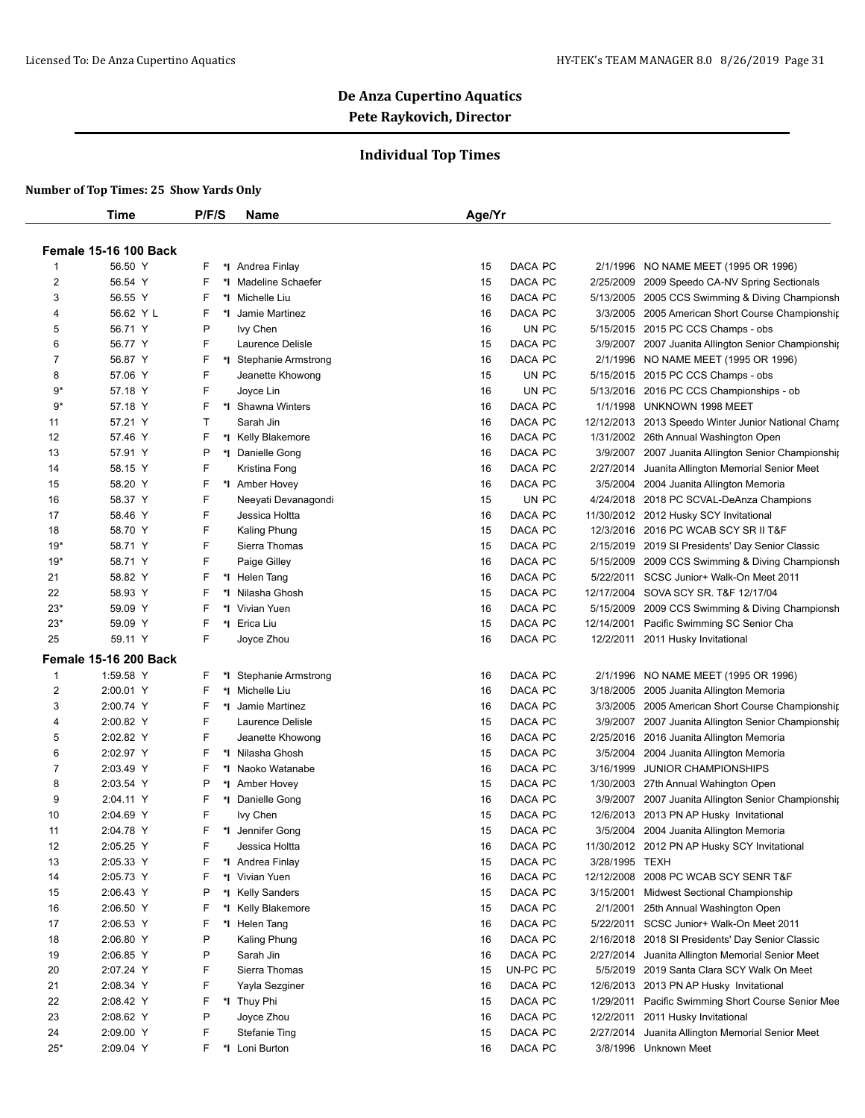## **Individual Top Times**

|       | Time                         | P/F/S   | Name                       | Age/Yr         |                       |                                                     |
|-------|------------------------------|---------|----------------------------|----------------|-----------------------|-----------------------------------------------------|
|       |                              |         |                            |                |                       |                                                     |
|       | <b>Female 15-16 100 Back</b> |         |                            |                |                       |                                                     |
| 1     | 56.50 Y                      | F<br>*I | Andrea Finlay              | DACA PC<br>15  | 2/1/1996              | NO NAME MEET (1995 OR 1996)                         |
| 2     | 56.54 Y                      | F<br>*∣ | Madeline Schaefer          | DACA PC<br>15  | 2/25/2009             | 2009 Speedo CA-NV Spring Sectionals                 |
| 3     | 56.55 Y                      | F<br>*∣ | Michelle Liu               | DACA PC<br>16  |                       | 5/13/2005 2005 CCS Swimming & Diving Championsh     |
| 4     | 56.62 Y L                    | F<br>*l | Jamie Martinez             | DACA PC<br>16  |                       | 3/3/2005 2005 American Short Course Championship    |
| 5     | 56.71 Y                      | P       | lvy Chen                   | UN PC<br>16    |                       | 5/15/2015 2015 PC CCS Champs - obs                  |
| 6     | 56.77 Y                      | F       | Laurence Delisle           | 15<br>DACA PC  |                       | 3/9/2007 2007 Juanita Allington Senior Championship |
| 7     | 56.87 Y                      | F       | *I Stephanie Armstrong     | DACA PC<br>16  | 2/1/1996              | NO NAME MEET (1995 OR 1996)                         |
| 8     | 57.06 Y                      | F       | Jeanette Khowong           | 15<br>UN PC    |                       | 5/15/2015 2015 PC CCS Champs - obs                  |
| $9*$  | 57.18 Y                      | F       | Joyce Lin                  | 16<br>UN PC    |                       | 5/13/2016 2016 PC CCS Championships - ob            |
| 9*    | 57.18 Y                      | F       | *I Shawna Winters          | DACA PC<br>16  | 1/1/1998              | UNKNOWN 1998 MEET                                   |
| 11    | 57.21 Y                      | T       | Sarah Jin                  | 16<br>DACA PC  |                       | 12/12/2013 2013 Speedo Winter Junior National Champ |
| 12    | 57.46 Y                      | F       | *I Kelly Blakemore         | 16<br>DACA PC  |                       | 1/31/2002 26th Annual Washington Open               |
| 13    | 57.91 Y                      | P       | *I Danielle Gong           | DACA PC<br>16  |                       | 3/9/2007 2007 Juanita Allington Senior Championship |
| 14    | 58.15 Y                      | F       | Kristina Fong              | 16<br>DACA PC  | 2/27/2014             | Juanita Allington Memorial Senior Meet              |
| 15    | 58.20 Y                      | F       | *1 Amber Hovey             | 16<br>DACA PC  | 3/5/2004              | 2004 Juanita Allington Memoria                      |
| 16    | 58.37 Y                      | F       | Neeyati Devanagondi        | UN PC<br>15    |                       | 4/24/2018 2018 PC SCVAL-DeAnza Champions            |
| 17    | 58.46 Y                      | F       | Jessica Holtta             | DACA PC<br>16  |                       | 11/30/2012 2012 Husky SCY Invitational              |
| 18    | 58.70 Y                      | F       | Kaling Phung               | 15<br>DACA PC  |                       | 12/3/2016 2016 PC WCAB SCY SR II T&F                |
| $19*$ | 58.71 Y                      | F       | Sierra Thomas              | 15<br>DACA PC  |                       | 2/15/2019 2019 SI Presidents' Day Senior Classic    |
| $19*$ | 58.71 Y                      | F       | Paige Gilley               | 16<br>DACA PC  | 5/15/2009             | 2009 CCS Swimming & Diving Championsh               |
| 21    | 58.82 Y                      | F       | *I Helen Tang              | 16<br>DACA PC  |                       | 5/22/2011 SCSC Junior+ Walk-On Meet 2011            |
| 22    | 58.93 Y                      | F       | Nilasha Ghosh              | DACA PC<br>15  |                       | 12/17/2004 SOVA SCY SR. T&F 12/17/04                |
| $23*$ | 59.09 Y                      | F       | Vivian Yuen                | DACA PC<br>16  | 5/15/2009             | 2009 CCS Swimming & Diving Championsh               |
| $23*$ | 59.09 Y                      | F       | *1 Erica Liu               | 15<br>DACA PC  | 12/14/2001            | Pacific Swimming SC Senior Cha                      |
| 25    | 59.11 Y                      | F       | Joyce Zhou                 | DACA PC<br>16  |                       | 12/2/2011 2011 Husky Invitational                   |
|       |                              |         |                            |                |                       |                                                     |
|       | <b>Female 15-16 200 Back</b> |         |                            |                |                       |                                                     |
| 1     | 1:59.58 Y                    | F       | <b>Stephanie Armstrong</b> | DACA PC<br>16  |                       | 2/1/1996 NO NAME MEET (1995 OR 1996)                |
| 2     | 2:00.01 Y                    | F<br>*I | Michelle Liu               | DACA PC<br>16  | 3/18/2005             | 2005 Juanita Allington Memoria                      |
| 3     | 2:00.74 Y                    | F<br>*∣ | Jamie Martinez             | 16<br>DACA PC  | 3/3/2005              | 2005 American Short Course Championship             |
| 4     | 2:00.82 Y                    | F       | Laurence Delisle           | 15<br>DACA PC  | 3/9/2007              | 2007 Juanita Allington Senior Championship          |
| 5     | 2:02.82 Y                    | F       | Jeanette Khowong           | DACA PC<br>16  |                       | 2/25/2016 2016 Juanita Allington Memoria            |
| 6     | 2:02.97 Y                    | F       | *I Nilasha Ghosh           | 15<br>DACA PC  |                       | 3/5/2004 2004 Juanita Allington Memoria             |
| 7     | 2:03.49 Y                    | F       | Naoko Watanabe             | 16<br>DACA PC  | 3/16/1999             | <b>JUNIOR CHAMPIONSHIPS</b>                         |
| 8     | 2:03.54 Y                    | P<br>*I | Amber Hovey                | 15<br>DACA PC  |                       | 1/30/2003 27th Annual Wahington Open                |
| 9     | 2:04.11 Y                    | F<br>*∣ | Danielle Gong              | 16<br>DACA PC  |                       | 3/9/2007 2007 Juanita Allington Senior Championship |
| 10    | 2:04.69 Y                    | F       | lvy Chen                   | DACA PC<br>15  | 12/6/2013             | 2013 PN AP Husky Invitational                       |
| 11    | 2:04.78 Y                    | F       | *I Jennifer Gong           | 15<br>DACA PC  |                       | 3/5/2004 2004 Juanita Allington Memoria             |
| 12    | 2:05.25 Y                    | F       | Jessica Holtta             | DACA PC<br>16  |                       | 11/30/2012 2012 PN AP Husky SCY Invitational        |
| 13    | 2:05.33 Y                    | F       | *I Andrea Finlay           | DACA PC<br>15  | 3/28/1995 TEXH        |                                                     |
| 14    | 2:05.73 Y                    | F<br>*I | Vivian Yuen                | DACA PC<br>16  |                       | 12/12/2008 2008 PC WCAB SCY SENR T&F                |
| 15    | 2:06.43 Y                    | P<br>*l | <b>Kelly Sanders</b>       | 15<br>DACA PC  |                       | 3/15/2001 Midwest Sectional Championship            |
| 16    | 2:06.50 Y                    | F<br>*l | Kelly Blakemore            | DACA PC<br>15  | 2/1/2001              | 25th Annual Washington Open                         |
| 17    | 2:06.53 Y                    | F       | *I Helen Tang              | DACA PC<br>16  |                       | 5/22/2011 SCSC Junior+ Walk-On Meet 2011            |
| 18    | 2:06.80 Y                    | P       | Kaling Phung               | DACA PC<br>16  |                       | 2/16/2018 2018 SI Presidents' Day Senior Classic    |
| 19    | 2:06.85 Y                    | P       | Sarah Jin                  | DACA PC<br>16  | 2/27/2014             | Juanita Allington Memorial Senior Meet              |
| 20    | 2:07.24 Y                    | F       | Sierra Thomas              | UN-PC PC<br>15 |                       | 5/5/2019 2019 Santa Clara SCY Walk On Meet          |
| 21    | 2:08.34 Y                    | F       | Yayla Sezginer             | DACA PC<br>16  |                       | 12/6/2013 2013 PN AP Husky Invitational             |
| 22    | 2:08.42 Y                    | F       | *I Thuy Phi                | DACA PC<br>15  | 1/29/2011             | Pacific Swimming Short Course Senior Mee            |
| 23    | 2:08.62 Y                    | P       | Joyce Zhou                 | DACA PC<br>16  | 12/2/2011             | 2011 Husky Invitational                             |
| 24    | 2:09.00 Y                    | F       | <b>Stefanie Ting</b>       | DACA PC<br>15  | 2/27/2014             | Juanita Allington Memorial Senior Meet              |
| $25*$ | 2:09.04 Y                    | F       | *I Loni Burton             | DACA PC<br>16  | 3/8/1996 Unknown Meet |                                                     |
|       |                              |         |                            |                |                       |                                                     |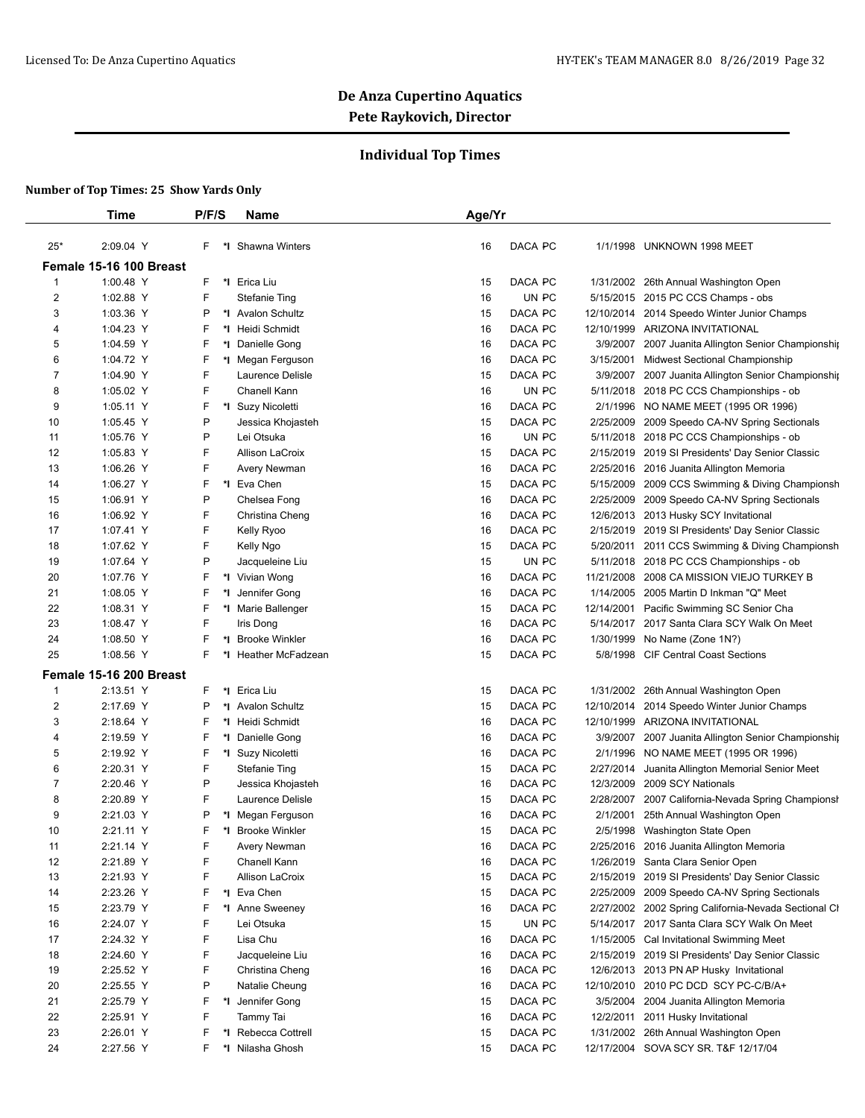## **Individual Top Times**

|                     | Time                                 | P/F/S    | <b>Name</b>                               | Age/Yr   |                    |           |                                                                                              |
|---------------------|--------------------------------------|----------|-------------------------------------------|----------|--------------------|-----------|----------------------------------------------------------------------------------------------|
| $25*$               | 2:09.04 Y                            | F.       | *I Shawna Winters                         | 16       | DACA PC            |           | 1/1/1998 UNKNOWN 1998 MEET                                                                   |
|                     | Female 15-16 100 Breast              |          |                                           |          |                    |           |                                                                                              |
| 1                   | 1:00.48 Y                            | F.       | *I Erica Liu                              | 15       | DACA PC            |           | 1/31/2002 26th Annual Washington Open                                                        |
| 2                   | 1:02.88 Y                            | F        | <b>Stefanie Ting</b>                      | 16       | UN PC              |           | 5/15/2015 2015 PC CCS Champs - obs                                                           |
| 3                   | 1:03.36 Y                            | P        | *I Avalon Schultz                         | 15       | DACA PC            |           | 12/10/2014 2014 Speedo Winter Junior Champs                                                  |
| 4                   | 1:04.23 Y                            | F        | *I Heidi Schmidt                          | 16       | DACA PC            |           | 12/10/1999 ARIZONA INVITATIONAL                                                              |
| 5                   | 1:04.59 Y                            | F        | *1 Danielle Gong                          | 16       | DACA PC            |           | 3/9/2007 2007 Juanita Allington Senior Championship                                          |
| 6                   | 1:04.72 Y                            | F        | *I Megan Ferguson                         | 16       | DACA PC            |           | 3/15/2001 Midwest Sectional Championship                                                     |
| 7                   | 1:04.90 Y                            | F        | Laurence Delisle                          | 15       | DACA PC            |           | 3/9/2007 2007 Juanita Allington Senior Championship                                          |
| 8                   | 1:05.02 Y                            | F        | Chanell Kann                              | 16       | UN PC              |           | 5/11/2018 2018 PC CCS Championships - ob                                                     |
| 9                   | 1:05.11 Y                            | F        | *I Suzy Nicoletti                         | 16       | DACA PC            |           | 2/1/1996 NO NAME MEET (1995 OR 1996)                                                         |
| 10                  | 1:05.45 Y                            | P        | Jessica Khojasteh                         | 15       | DACA PC            |           | 2/25/2009 2009 Speedo CA-NV Spring Sectionals                                                |
| 11                  | 1:05.76 Y                            | P        | Lei Otsuka                                | 16       | UN PC              |           | 5/11/2018 2018 PC CCS Championships - ob                                                     |
| 12                  | 1:05.83 Y                            | F        | <b>Allison LaCroix</b>                    | 15       | DACA PC            |           | 2/15/2019 2019 SI Presidents' Day Senior Classic                                             |
| 13                  | 1:06.26 Y                            | F        | Avery Newman                              | 16       | DACA PC            |           | 2/25/2016 2016 Juanita Allington Memoria                                                     |
| 14                  | 1:06.27 Y                            | F        | *1 Eva Chen                               | 15       | DACA PC            |           | 5/15/2009 2009 CCS Swimming & Diving Championsh                                              |
| 15                  | 1:06.91 Y                            | P        | Chelsea Fong                              | 16       | DACA PC            |           | 2/25/2009 2009 Speedo CA-NV Spring Sectionals                                                |
| 16                  | 1:06.92 Y                            | F        | Christina Cheng                           | 16       | DACA PC            |           | 12/6/2013 2013 Husky SCY Invitational                                                        |
| 17                  | 1:07.41 Y                            | F        | Kelly Ryoo                                | 16       | DACA PC            |           | 2/15/2019 2019 SI Presidents' Day Senior Classic                                             |
| 18                  | 1:07.62 Y                            | F        | Kelly Ngo                                 | 15       | DACA PC            |           | 5/20/2011 2011 CCS Swimming & Diving Championsh                                              |
| 19                  | 1:07.64 Y                            | P        | Jacqueleine Liu                           | 15       | UN PC              |           | 5/11/2018 2018 PC CCS Championships - ob                                                     |
| 20                  | 1:07.76 Y                            | F        | *I Vivian Wong                            | 16       | DACA PC            |           | 11/21/2008 2008 CA MISSION VIEJO TURKEY B                                                    |
| 21                  | 1:08.05 Y                            | F        | *I Jennifer Gong                          | 16       | DACA PC            |           | 1/14/2005 2005 Martin D Inkman "Q" Meet                                                      |
| 22                  | 1:08.31 Y                            | F        | *I Marie Ballenger                        | 15       | DACA PC            |           | 12/14/2001 Pacific Swimming SC Senior Cha                                                    |
| 23                  | 1:08.47 Y                            | F        | Iris Dong                                 | 16       | DACA PC            |           | 5/14/2017 2017 Santa Clara SCY Walk On Meet                                                  |
| 24                  | 1:08.50 Y                            | F<br>*∣  | <b>Brooke Winkler</b>                     | 16       | DACA PC            |           | 1/30/1999 No Name (Zone 1N?)                                                                 |
| 25                  | 1:08.56 Y                            | F.       | *I Heather McFadzean                      | 15       | DACA PC            |           | 5/8/1998 CIF Central Coast Sections                                                          |
|                     |                                      |          |                                           |          |                    |           |                                                                                              |
|                     | Female 15-16 200 Breast<br>2:13.51 Y | F.       |                                           |          |                    |           |                                                                                              |
| 1<br>$\overline{2}$ | 2:17.69 Y                            | P        | *I Erica Liu<br>*1 Avalon Schultz         | 15<br>15 | DACA PC<br>DACA PC |           | 1/31/2002 26th Annual Washington Open<br>12/10/2014 2014 Speedo Winter Junior Champs         |
|                     |                                      | F        | *I Heidi Schmidt                          |          | DACA PC            |           | 12/10/1999 ARIZONA INVITATIONAL                                                              |
| 3<br>4              | 2:18.64 Y<br>2:19.59 Y               | F        | *1 Danielle Gong                          | 16<br>16 | DACA PC            |           |                                                                                              |
| 5                   | 2:19.92 Y                            | F        | *I Suzy Nicoletti                         | 16       | DACA PC            | 2/1/1996  | 3/9/2007 2007 Juanita Allington Senior Championship<br>NO NAME MEET (1995 OR 1996)           |
| 6                   |                                      | F        |                                           |          | DACA PC            |           | 2/27/2014 Juanita Allington Memorial Senior Meet                                             |
| 7                   | 2:20.31 Y<br>2:20.46 Y               | P        | <b>Stefanie Ting</b><br>Jessica Khojasteh | 15<br>16 | DACA PC            | 12/3/2009 | 2009 SCY Nationals                                                                           |
| 8                   | 2:20.89 Y                            | F        | Laurence Delisle                          | 15       | DACA PC            |           | 2/28/2007 2007 California-Nevada Spring Championsh                                           |
|                     |                                      | Ρ        |                                           |          |                    |           | 2/1/2001 25th Annual Washington Open                                                         |
| 9<br>10             | 2:21.03 Y<br>2:21.11 Y               | F        | *I Megan Ferguson<br>*I Brooke Winkler    | 16<br>15 | DACA PC<br>DACA PC |           |                                                                                              |
|                     | 2:21.14 Y                            | F        |                                           | 16       | DACA PC            |           | 2/5/1998 Washington State Open<br>2/25/2016 2016 Juanita Allington Memoria                   |
| 11<br>12            | 2:21.89 Y                            | F        | Avery Newman<br>Chanell Kann              | 16       | DACA PC            |           | 1/26/2019 Santa Clara Senior Open                                                            |
| 13                  | 2:21.93 Y                            | F        | Allison LaCroix                           | 15       | DACA PC            |           | 2/15/2019 2019 SI Presidents' Day Senior Classic                                             |
| 14                  | 2:23.26 Y                            | F        | *I Eva Chen                               | 15       | DACA PC            |           | 2/25/2009 2009 Speedo CA-NV Spring Sectionals                                                |
| 15                  | 2:23.79 Y                            | F        | *I Anne Sweeney                           | 16       | DACA PC            |           | 2/27/2002 2002 Spring California-Nevada Sectional CI                                         |
| 16                  | 2:24.07 Y                            | F        | Lei Otsuka                                | 15       | UN PC              |           | 5/14/2017 2017 Santa Clara SCY Walk On Meet                                                  |
| 17                  | 2:24.32 Y                            | F        | Lisa Chu                                  |          | DACA PC            |           |                                                                                              |
|                     | 2:24.60 Y                            | F        | Jacqueleine Liu                           | 16<br>16 | DACA PC            |           | 1/15/2005 Cal Invitational Swimming Meet<br>2/15/2019 2019 SI Presidents' Day Senior Classic |
| 18<br>19            | 2:25.52 Y                            | F        | Christina Cheng                           | 16       | DACA PC            |           | 12/6/2013 2013 PN AP Husky Invitational                                                      |
| 20                  | 2:25.55 Y                            | P        | Natalie Cheung                            |          | DACA PC            |           | 12/10/2010 2010 PC DCD SCY PC-C/B/A+                                                         |
|                     |                                      | F        |                                           | 16       |                    |           |                                                                                              |
| 21                  | 2:25.79 Y                            |          | *I Jennifer Gong                          | 15       | DACA PC            |           | 3/5/2004 2004 Juanita Allington Memoria                                                      |
| 22                  | 2:25.91 Y                            | F        | Tammy Tai                                 | 16       | DACA PC            |           | 12/2/2011 2011 Husky Invitational                                                            |
| 23                  | 2:26.01 Y                            | F<br>*∣  | Rebecca Cottrell                          | 15       | DACA PC            |           | 1/31/2002 26th Annual Washington Open                                                        |
| 24                  | 2:27.56 Y                            | F.<br>*∣ | Nilasha Ghosh                             | 15       | DACA PC            |           | 12/17/2004 SOVA SCY SR. T&F 12/17/04                                                         |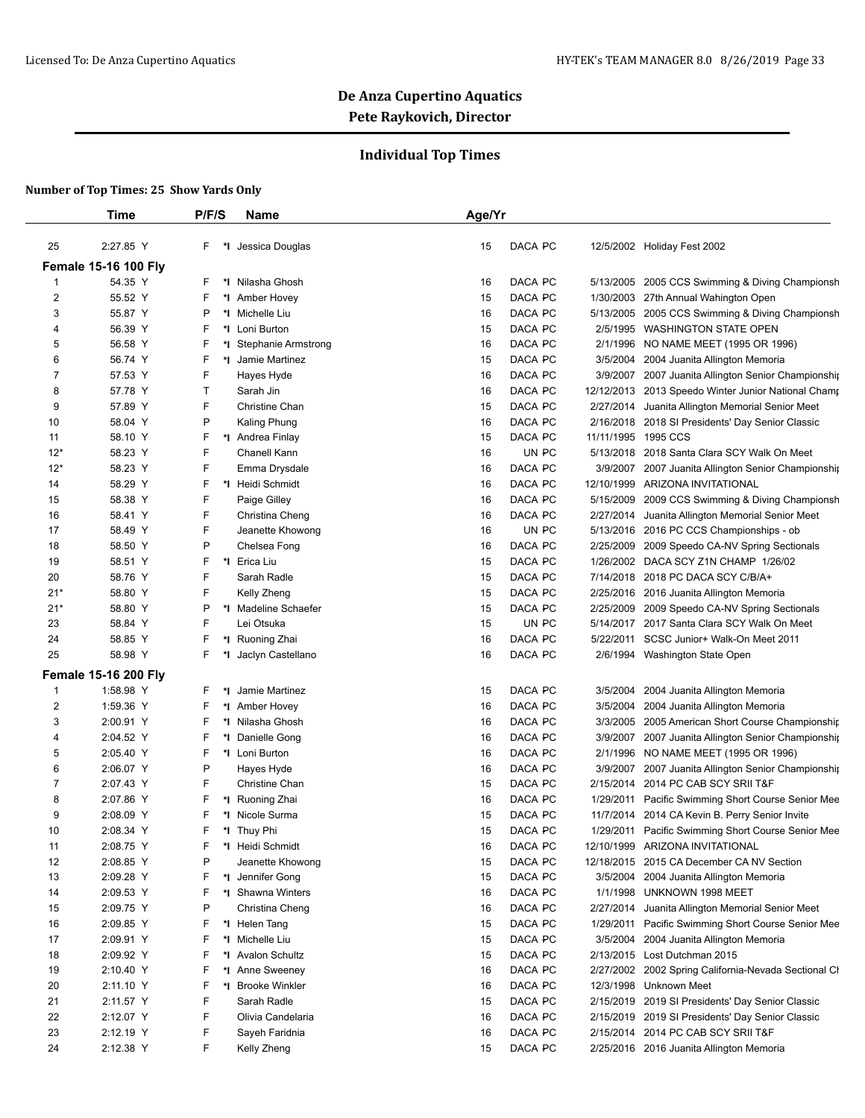## **Individual Top Times**

|                         | Time                        | P/F/S    | <b>Name</b>            | Age/Yr |         |           |                                                      |
|-------------------------|-----------------------------|----------|------------------------|--------|---------|-----------|------------------------------------------------------|
| 25                      | 2:27.85 Y                   | F.<br>*l | Jessica Douglas        | 15     | DACA PC |           | 12/5/2002 Holiday Fest 2002                          |
|                         | <b>Female 15-16 100 Fly</b> |          |                        |        |         |           |                                                      |
| 1                       | 54.35 Y                     | F        | *I Nilasha Ghosh       | 16     | DACA PC |           | 5/13/2005 2005 CCS Swimming & Diving Championsh      |
| $\overline{\mathbf{c}}$ | 55.52 Y                     | F        | *1 Amber Hovey         | 15     | DACA PC |           | 1/30/2003 27th Annual Wahington Open                 |
| 3                       | 55.87 Y                     | Ρ        | *I Michelle Liu        | 16     | DACA PC |           | 5/13/2005 2005 CCS Swimming & Diving Championsh      |
| 4                       | 56.39 Y                     | F        | *I Loni Burton         | 15     | DACA PC |           | 2/5/1995 WASHINGTON STATE OPEN                       |
| 5                       | 56.58 Y                     | F        | *I Stephanie Armstrong | 16     | DACA PC |           | 2/1/1996 NO NAME MEET (1995 OR 1996)                 |
| 6                       | 56.74 Y                     | F        | *I Jamie Martinez      | 15     | DACA PC | 3/5/2004  | 2004 Juanita Allington Memoria                       |
| 7                       | 57.53 Y                     | F        | Hayes Hyde             | 16     | DACA PC |           | 3/9/2007 2007 Juanita Allington Senior Championship  |
| 8                       | 57.78 Y                     | Τ        | Sarah Jin              | 16     | DACA PC |           | 12/12/2013 2013 Speedo Winter Junior National Champ  |
| 9                       | 57.89 Y                     | F        | <b>Christine Chan</b>  | 15     | DACA PC | 2/27/2014 | Juanita Allington Memorial Senior Meet               |
| 10                      | 58.04 Y                     | Ρ        | Kaling Phung           | 16     | DACA PC |           | 2/16/2018 2018 SI Presidents' Day Senior Classic     |
| 11                      | 58.10 Y                     | F        | *1 Andrea Finlay       | 15     | DACA PC |           | 11/11/1995 1995 CCS                                  |
| $12*$                   | 58.23 Y                     | F        | Chanell Kann           | 16     | UN PC   |           | 5/13/2018 2018 Santa Clara SCY Walk On Meet          |
| $12*$                   | 58.23 Y                     | F        | Emma Drysdale          | 16     | DACA PC |           | 3/9/2007 2007 Juanita Allington Senior Championship  |
| 14                      | 58.29 Y                     | F        | *1 Heidi Schmidt       | 16     | DACA PC |           | 12/10/1999 ARIZONA INVITATIONAL                      |
| 15                      | 58.38 Y                     | F        | Paige Gilley           | 16     | DACA PC | 5/15/2009 | 2009 CCS Swimming & Diving Championsh                |
| 16                      | 58.41 Y                     | F        | Christina Cheng        | 16     | DACA PC | 2/27/2014 | Juanita Allington Memorial Senior Meet               |
| 17                      | 58.49 Y                     | F        | Jeanette Khowong       | 16     | UN PC   |           | 5/13/2016 2016 PC CCS Championships - ob             |
| 18                      | 58.50 Y                     | P        | Chelsea Fong           | 16     | DACA PC | 2/25/2009 | 2009 Speedo CA-NV Spring Sectionals                  |
| 19                      | 58.51 Y                     | F        | *I Erica Liu           | 15     | DACA PC | 1/26/2002 | DACA SCY Z1N CHAMP 1/26/02                           |
| 20                      | 58.76 Y                     | F        | Sarah Radle            | 15     | DACA PC |           | 7/14/2018 2018 PC DACA SCY C/B/A+                    |
| $21*$                   | 58.80 Y                     | F        | Kelly Zheng            | 15     | DACA PC |           | 2/25/2016 2016 Juanita Allington Memoria             |
| $21*$                   | 58.80 Y                     | Ρ<br>*l  | Madeline Schaefer      | 15     | DACA PC | 2/25/2009 | 2009 Speedo CA-NV Spring Sectionals                  |
| 23                      | 58.84 Y                     | F        | Lei Otsuka             | 15     | UN PC   |           | 5/14/2017 2017 Santa Clara SCY Walk On Meet          |
| 24                      | 58.85 Y                     | F        | *I Ruoning Zhai        | 16     | DACA PC |           | 5/22/2011 SCSC Junior+ Walk-On Meet 2011             |
| 25                      | 58.98 Y                     | F<br>٠.  | Jaclyn Castellano      | 16     | DACA PC |           | 2/6/1994 Washington State Open                       |
|                         |                             |          |                        |        |         |           |                                                      |
|                         | <b>Female 15-16 200 Fly</b> |          |                        |        |         |           |                                                      |
| 1                       | 1:58.98 Y                   | F<br>٠.  | Jamie Martinez         | 15     | DACA PC | 3/5/2004  | 2004 Juanita Allington Memoria                       |
| 2                       | 1:59.36 Y                   | F        | *1 Amber Hovey         | 16     | DACA PC | 3/5/2004  | 2004 Juanita Allington Memoria                       |
| 3                       | 2:00.91 Y                   | F        | *I Nilasha Ghosh       | 16     | DACA PC |           | 3/3/2005 2005 American Short Course Championship     |
| 4                       | 2:04.52 Y                   | F        | *1 Danielle Gong       | 16     | DACA PC |           | 3/9/2007 2007 Juanita Allington Senior Championship  |
| 5                       | 2:05.40 Y                   | F        | *I Loni Burton         | 16     | DACA PC |           | 2/1/1996 NO NAME MEET (1995 OR 1996)                 |
| 6                       | 2:06.07 Y                   | P        | Hayes Hyde             | 16     | DACA PC | 3/9/2007  | 2007 Juanita Allington Senior Championship           |
| 7                       | 2:07.43 Y                   | F        | <b>Christine Chan</b>  | 15     | DACA PC | 2/15/2014 | 2014 PC CAB SCY SRII T&F                             |
| 8                       | 2:07.86 Y                   | F        | *1 Ruoning Zhai        | 16     | DACA PC |           | 1/29/2011 Pacific Swimming Short Course Senior Mee   |
| 9                       | 2:08.09 Y                   | F        | *I Nicole Surma        | 15     | DACA PC |           | 11/7/2014 2014 CA Kevin B. Perry Senior Invite       |
| 10                      | 2:08.34 Y                   | F.       | *I Thuy Phi            | 15     | DACA PC |           | 1/29/2011 Pacific Swimming Short Course Senior Mee   |
| 11                      | 2:08.75 Y                   | F        | *I Heidi Schmidt       | 16     | DACA PC |           | 12/10/1999 ARIZONA INVITATIONAL                      |
| 12                      | 2:08.85 Y                   | P        | Jeanette Khowong       | 15     | DACA PC |           | 12/18/2015 2015 CA December CA NV Section            |
| 13                      | 2:09.28 Y                   | F        | *I Jennifer Gong       | 15     | DACA PC |           | 3/5/2004 2004 Juanita Allington Memoria              |
| 14                      | 2:09.53 Y                   | F        | *I Shawna Winters      | 16     | DACA PC |           | 1/1/1998 UNKNOWN 1998 MEET                           |
| 15                      | 2:09.75 Y                   | P        | Christina Cheng        | 16     | DACA PC |           | 2/27/2014 Juanita Allington Memorial Senior Meet     |
| 16                      | 2:09.85 Y                   | F        | *I Helen Tang          | 15     | DACA PC |           | 1/29/2011 Pacific Swimming Short Course Senior Mee   |
| 17                      | 2:09.91 Y                   | F        | *1 Michelle Liu        | 15     | DACA PC |           | 3/5/2004 2004 Juanita Allington Memoria              |
| 18                      | 2:09.92 Y                   | F        | *I Avalon Schultz      | 15     | DACA PC |           | 2/13/2015 Lost Dutchman 2015                         |
| 19                      | 2:10.40 Y                   | F        | *I Anne Sweeney        | 16     | DACA PC |           | 2/27/2002 2002 Spring California-Nevada Sectional Cl |
| 20                      | 2:11.10 Y                   | F<br>*l  | <b>Brooke Winkler</b>  | 16     | DACA PC |           | 12/3/1998 Unknown Meet                               |
| 21                      | 2:11.57 Y                   | F        | Sarah Radle            | 15     | DACA PC |           | 2/15/2019 2019 SI Presidents' Day Senior Classic     |
| 22                      | 2:12.07 Y                   | F        | Olivia Candelaria      | 16     | DACA PC |           | 2/15/2019 2019 SI Presidents' Day Senior Classic     |
| 23                      | 2:12.19 Y                   | F        | Sayeh Faridnia         | 16     | DACA PC |           | 2/15/2014 2014 PC CAB SCY SRII T&F                   |
| 24                      | 2:12.38 Y                   | F.       | Kelly Zheng            | 15     | DACA PC |           | 2/25/2016 2016 Juanita Allington Memoria             |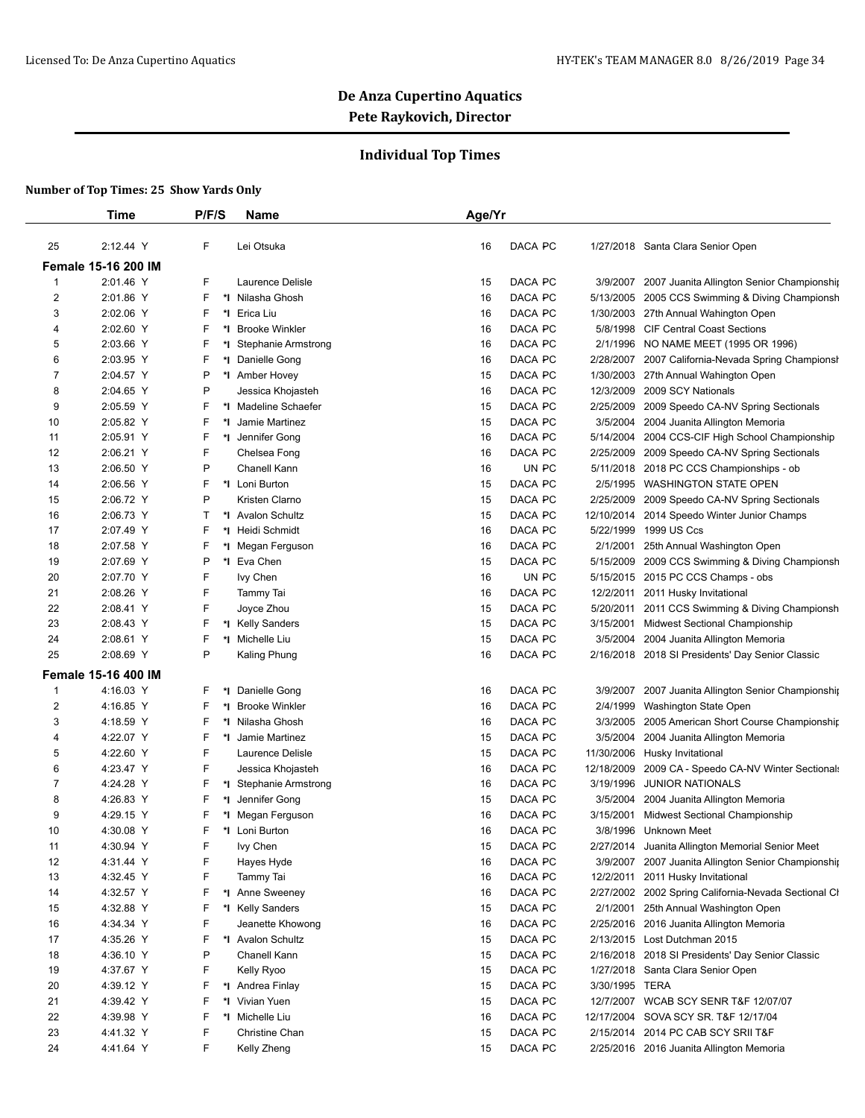## **Individual Top Times**

|                | Time                       | P/F/S    | Name                   | Age/Yr |         |                |                                                      |
|----------------|----------------------------|----------|------------------------|--------|---------|----------------|------------------------------------------------------|
| 25             | 2:12.44 Y                  | F        | Lei Otsuka             | 16     | DACA PC |                | 1/27/2018 Santa Clara Senior Open                    |
|                | <b>Female 15-16 200 IM</b> |          |                        |        |         |                |                                                      |
| $\mathbf{1}$   | 2:01.46 Y                  | F        | Laurence Delisle       | 15     | DACA PC | 3/9/2007       | 2007 Juanita Allington Senior Championship           |
| $\overline{2}$ | 2:01.86 Y                  | F        | *I Nilasha Ghosh       | 16     | DACA PC |                | 5/13/2005 2005 CCS Swimming & Diving Championsh      |
| 3              | 2:02.06 Y                  | F        | *I Erica Liu           | 16     | DACA PC |                | 1/30/2003 27th Annual Wahington Open                 |
| 4              | 2:02.60 Y                  | F        | *I Brooke Winkler      | 16     | DACA PC |                | 5/8/1998 CIF Central Coast Sections                  |
| 5              | 2:03.66 Y                  | F        | *I Stephanie Armstrong | 16     | DACA PC |                | 2/1/1996 NO NAME MEET (1995 OR 1996)                 |
| 6              | 2:03.95 Y                  | F        | *I Danielle Gong       | 16     | DACA PC |                | 2/28/2007 2007 California-Nevada Spring Championsh   |
| 7              | 2:04.57 Y                  | P        | *1 Amber Hovey         | 15     | DACA PC | 1/30/2003      | 27th Annual Wahington Open                           |
| 8              | 2:04.65 Y                  | P        | Jessica Khojasteh      | 16     | DACA PC |                | 12/3/2009 2009 SCY Nationals                         |
| 9              | 2:05.59 Y                  | F        | *I Madeline Schaefer   | 15     | DACA PC |                | 2/25/2009 2009 Speedo CA-NV Spring Sectionals        |
| 10             | 2:05.82 Y                  | F        | *I Jamie Martinez      | 15     | DACA PC | 3/5/2004       | 2004 Juanita Allington Memoria                       |
| 11             | 2:05.91 Y                  | F        | *1 Jennifer Gong       | 16     | DACA PC |                | 5/14/2004 2004 CCS-CIF High School Championship      |
| 12             | 2:06.21 Y                  | F        | Chelsea Fong           | 16     | DACA PC |                | 2/25/2009 2009 Speedo CA-NV Spring Sectionals        |
| 13             | 2:06.50 Y                  | P        | Chanell Kann           | 16     | UN PC   | 5/11/2018      | 2018 PC CCS Championships - ob                       |
| 14             | 2:06.56 Y                  | F        | *I Loni Burton         | 15     | DACA PC |                | 2/5/1995 WASHINGTON STATE OPEN                       |
| 15             | 2:06.72 Y                  | P        | Kristen Clarno         | 15     | DACA PC |                | 2/25/2009 2009 Speedo CA-NV Spring Sectionals        |
| 16             | 2:06.73 Y                  | Τ        | *I Avalon Schultz      | 15     | DACA PC | 12/10/2014     | 2014 Speedo Winter Junior Champs                     |
| 17             | 2:07.49 Y                  | F        | *1 Heidi Schmidt       | 16     | DACA PC | 5/22/1999      | 1999 US Ccs                                          |
| 18             | 2:07.58 Y                  | F        | *I Megan Ferguson      | 16     | DACA PC | 2/1/2001       | 25th Annual Washington Open                          |
| 19             | 2:07.69 Y                  | P        | *I Eva Chen            | 15     | DACA PC | 5/15/2009      | 2009 CCS Swimming & Diving Championsh                |
| 20             | 2:07.70 Y                  | F        | lvy Chen               | 16     | UN PC   |                | 5/15/2015 2015 PC CCS Champs - obs                   |
| 21             | 2:08.26 Y                  | F        | Tammy Tai              | 16     | DACA PC |                | 12/2/2011 2011 Husky Invitational                    |
| 22             | 2:08.41 Y                  | F        | Joyce Zhou             | 15     | DACA PC |                | 5/20/2011 2011 CCS Swimming & Diving Championsh      |
| 23             | 2:08.43 Y                  | F        | *I Kelly Sanders       | 15     | DACA PC | 3/15/2001      | Midwest Sectional Championship                       |
| 24             | 2:08.61 Y                  | F        | *I Michelle Liu        | 15     | DACA PC |                | 3/5/2004 2004 Juanita Allington Memoria              |
| 25             | 2:08.69 Y                  | P        | Kaling Phung           | 16     | DACA PC |                | 2/16/2018 2018 SI Presidents' Day Senior Classic     |
|                |                            |          |                        |        |         |                |                                                      |
|                | <b>Female 15-16 400 IM</b> |          |                        |        |         |                |                                                      |
| $\mathbf{1}$   | 4:16.03 Y                  | F.<br>*l | Danielle Gong          | 16     | DACA PC | 3/9/2007       | 2007 Juanita Allington Senior Championship           |
| 2              | 4:16.85 Y                  | F        | *I Brooke Winkler      | 16     | DACA PC | 2/4/1999       | Washington State Open                                |
| 3              | 4:18.59 Y                  | F        | *I Nilasha Ghosh       | 16     | DACA PC | 3/3/2005       | 2005 American Short Course Championship              |
| 4              | 4:22.07 Y                  | F        | *I Jamie Martinez      | 15     | DACA PC | 3/5/2004       | 2004 Juanita Allington Memoria                       |
| 5              | 4:22.60 Y                  | F        | Laurence Delisle       | 15     | DACA PC | 11/30/2006     | Husky Invitational                                   |
| 6              | 4:23.47 Y                  | F        | Jessica Khojasteh      | 16     | DACA PC | 12/18/2009     | 2009 CA - Speedo CA-NV Winter Sectionals             |
| 7              | 4:24.28 Y                  | F        | *I Stephanie Armstrong | 16     | DACA PC | 3/19/1996      | <b>JUNIOR NATIONALS</b>                              |
| 8              | 4:26.83 Y                  | F        | *1 Jennifer Gong       | 15     | DACA PC | 3/5/2004       | 2004 Juanita Allington Memoria                       |
| 9              | 4:29.15 Y                  | F        | *I Megan Ferguson      | 16     | DACA PC | 3/15/2001      | Midwest Sectional Championship                       |
| 10             | 4:30.08 Y                  | F.       | *I Loni Burton         | 16     | DACA PC |                | 3/8/1996 Unknown Meet                                |
| 11             | 4:30.94 Y                  | F        | lvy Chen               | 15     | DACA PC |                | 2/27/2014 Juanita Allington Memorial Senior Meet     |
| 12             | 4:31.44 Y                  | F        | Hayes Hyde             | 16     | DACA PC |                | 3/9/2007 2007 Juanita Allington Senior Championshir  |
| 13             | 4:32.45 Y                  | F        | Tammy Tai              | 16     | DACA PC |                | 12/2/2011 2011 Husky Invitational                    |
| 14             | 4:32.57 Y                  | F        | *1 Anne Sweeney        | 16     | DACA PC |                | 2/27/2002 2002 Spring California-Nevada Sectional Cl |
| 15             | 4:32.88 Y                  | F        | *I Kelly Sanders       | 15     | DACA PC |                | 2/1/2001 25th Annual Washington Open                 |
| 16             | 4:34.34 Y                  | F        | Jeanette Khowong       | 16     | DACA PC |                | 2/25/2016 2016 Juanita Allington Memoria             |
| 17             | 4:35.26 Y                  | F.       | *I Avalon Schultz      | 15     | DACA PC |                | 2/13/2015 Lost Dutchman 2015                         |
| 18             | 4:36.10 Y                  | P        | Chanell Kann           | 15     | DACA PC |                | 2/16/2018 2018 SI Presidents' Day Senior Classic     |
| 19             | 4:37.67 Y                  | F        | Kelly Ryoo             | 15     | DACA PC |                | 1/27/2018 Santa Clara Senior Open                    |
| 20             | 4:39.12 Y                  | F        | *1 Andrea Finlay       | 15     | DACA PC | 3/30/1995 TERA |                                                      |
| 21             | 4:39.42 Y                  | F        | *I Vivian Yuen         | 15     | DACA PC |                | 12/7/2007 WCAB SCY SENR T&F 12/07/07                 |
| 22             | 4:39.98 Y                  | F        | *I Michelle Liu        | 16     | DACA PC |                | 12/17/2004 SOVA SCY SR. T&F 12/17/04                 |
| 23             | 4:41.32 Y                  | F        | Christine Chan         | 15     | DACA PC |                | 2/15/2014 2014 PC CAB SCY SRII T&F                   |
| 24             | 4:41.64 Y                  | F        | Kelly Zheng            | 15     | DACA PC |                | 2/25/2016 2016 Juanita Allington Memoria             |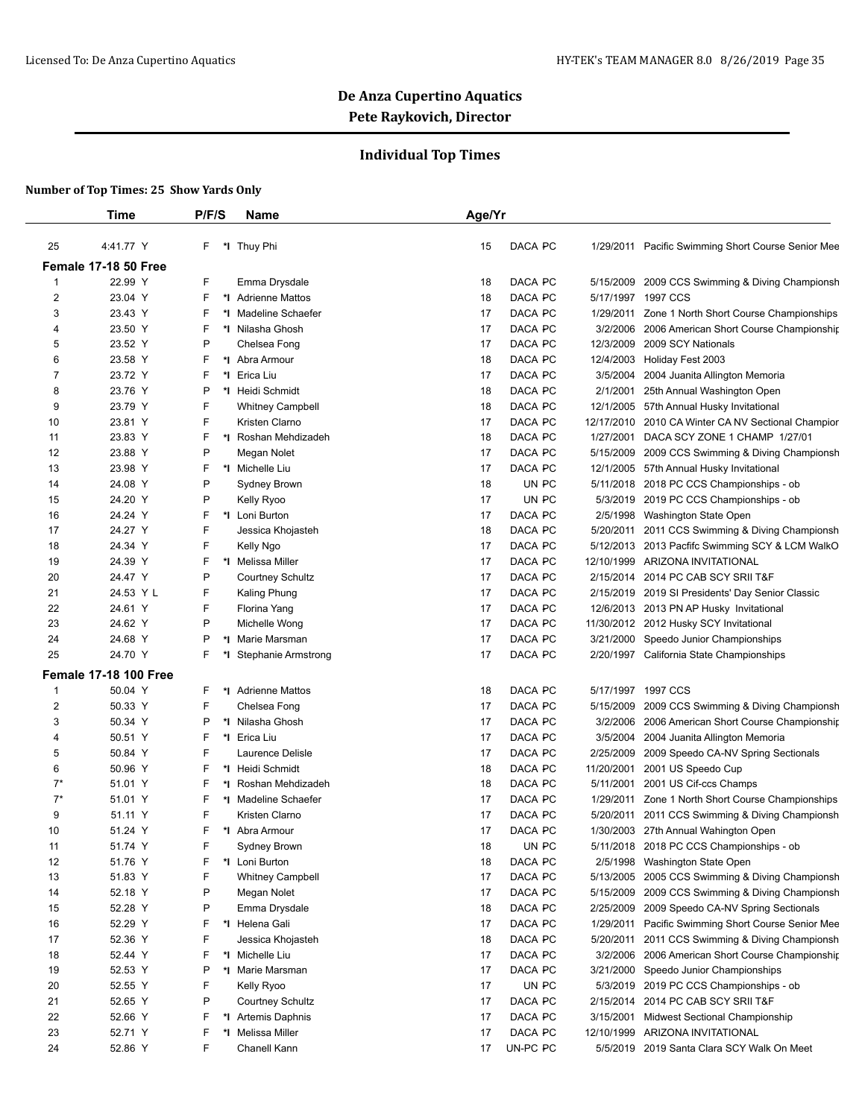## **Individual Top Times**

|                | Time                         | P/F/S |    | <b>Name</b>             | Age/Yr |          |            |                                                    |
|----------------|------------------------------|-------|----|-------------------------|--------|----------|------------|----------------------------------------------------|
| 25             | 4:41.77 Y                    | F.    |    | *I Thuy Phi             | 15     | DACA PC  |            | 1/29/2011 Pacific Swimming Short Course Senior Mee |
|                | Female 17-18 50 Free         |       |    |                         |        |          |            |                                                    |
| 1              | 22.99 Y                      | F     |    | Emma Drysdale           | 18     | DACA PC  | 5/15/2009  | 2009 CCS Swimming & Diving Championsh              |
| $\overline{2}$ | 23.04 Y                      | F     |    | *I Adrienne Mattos      | 18     | DACA PC  |            | 5/17/1997 1997 CCS                                 |
| 3              | 23.43 Y                      | F     |    | *I Madeline Schaefer    | 17     | DACA PC  | 1/29/2011  | Zone 1 North Short Course Championships            |
| 4              | 23.50 Y                      | F     |    | *I Nilasha Ghosh        | 17     | DACA PC  | 3/2/2006   | 2006 American Short Course Championship            |
| 5              | 23.52 Y                      | P     |    | Chelsea Fong            | 17     | DACA PC  | 12/3/2009  | 2009 SCY Nationals                                 |
| 6              | 23.58 Y                      | F     |    | *I Abra Armour          | 18     | DACA PC  | 12/4/2003  | Holiday Fest 2003                                  |
| 7              | 23.72 Y                      | F     |    | *I Erica Liu            | 17     | DACA PC  | 3/5/2004   | 2004 Juanita Allington Memoria                     |
| 8              | 23.76 Y                      | P     |    | *1 Heidi Schmidt        | 18     | DACA PC  | 2/1/2001   | 25th Annual Washington Open                        |
| 9              | 23.79 Y                      | F     |    | <b>Whitney Campbell</b> | 18     | DACA PC  | 12/1/2005  | 57th Annual Husky Invitational                     |
| 10             | 23.81 Y                      | F     |    | Kristen Clarno          | 17     | DACA PC  | 12/17/2010 | 2010 CA Winter CA NV Sectional Champior            |
| 11             | 23.83 Y                      | F     | *∣ | Roshan Mehdizadeh       | 18     | DACA PC  | 1/27/2001  | DACA SCY ZONE 1 CHAMP 1/27/01                      |
| 12             | 23.88 Y                      | P     |    | Megan Nolet             | 17     | DACA PC  | 5/15/2009  | 2009 CCS Swimming & Diving Championsh              |
| 13             | 23.98 Y                      | F     |    | *1 Michelle Liu         | 17     | DACA PC  | 12/1/2005  | 57th Annual Husky Invitational                     |
| 14             | 24.08 Y                      | P     |    | Sydney Brown            | 18     | UN PC    | 5/11/2018  | 2018 PC CCS Championships - ob                     |
| 15             | 24.20 Y                      | P     |    | Kelly Ryoo              | 17     | UN PC    | 5/3/2019   | 2019 PC CCS Championships - ob                     |
| 16             | 24.24 Y                      | F     |    | *I Loni Burton          | 17     | DACA PC  | 2/5/1998   | Washington State Open                              |
| 17             | 24.27 Y                      | F     |    | Jessica Khojasteh       | 18     | DACA PC  | 5/20/2011  | 2011 CCS Swimming & Diving Championsh              |
| 18             | 24.34 Y                      | F     |    | Kelly Ngo               | 17     | DACA PC  | 5/12/2013  | 2013 Pacfifc Swimming SCY & LCM WalkO              |
| 19             | 24.39 Y                      | F     |    | *I Melissa Miller       | 17     | DACA PC  | 12/10/1999 | ARIZONA INVITATIONAL                               |
| 20             | 24.47 Y                      | P     |    | <b>Courtney Schultz</b> | 17     | DACA PC  | 2/15/2014  | 2014 PC CAB SCY SRII T&F                           |
| 21             | 24.53 Y L                    | F     |    | Kaling Phung            | 17     | DACA PC  | 2/15/2019  | 2019 SI Presidents' Day Senior Classic             |
| 22             | 24.61 Y                      | F     |    | Florina Yang            | 17     | DACA PC  | 12/6/2013  | 2013 PN AP Husky Invitational                      |
| 23             | 24.62 Y                      | P     |    | Michelle Wong           | 17     | DACA PC  | 11/30/2012 | 2012 Husky SCY Invitational                        |
| 24             | 24.68 Y                      | Ρ     | *I | Marie Marsman           | 17     | DACA PC  | 3/21/2000  | Speedo Junior Championships                        |
| 25             | 24.70 Y                      | F     |    | *I Stephanie Armstrong  | 17     | DACA PC  |            | 2/20/1997 California State Championships           |
|                |                              |       |    |                         |        |          |            |                                                    |
|                | <b>Female 17-18 100 Free</b> |       |    |                         |        |          |            |                                                    |
| 1              | 50.04 Y                      | F     |    | *I Adrienne Mattos      | 18     | DACA PC  | 5/17/1997  | 1997 CCS                                           |
| $\overline{c}$ | 50.33 Y                      | F     |    | Chelsea Fong            | 17     | DACA PC  | 5/15/2009  | 2009 CCS Swimming & Diving Championsh              |
| 3              | 50.34 Y                      | Ρ     |    | *I Nilasha Ghosh        | 17     | DACA PC  | 3/2/2006   | 2006 American Short Course Championship            |
| 4              | 50.51 Y                      | F     |    | *I Erica Liu            | 17     | DACA PC  | 3/5/2004   | 2004 Juanita Allington Memoria                     |
| 5              | 50.84 Y                      | F     |    | Laurence Delisle        | 17     | DACA PC  | 2/25/2009  | 2009 Speedo CA-NV Spring Sectionals                |
| 6              | 50.96 Y                      | F     |    | *I Heidi Schmidt        | 18     | DACA PC  | 11/20/2001 | 2001 US Speedo Cup                                 |
| $7^*$          | 51.01 Y                      | F     |    | *I Roshan Mehdizadeh    | 18     | DACA PC  | 5/11/2001  | 2001 US Cif-ccs Champs                             |
| $7^*$          | 51.01 Y                      | F     |    | *I Madeline Schaefer    | 17     | DACA PC  | 1/29/2011  | Zone 1 North Short Course Championships            |
| 9              | 51.11 Y                      | F     |    | Kristen Clarno          | 17     | DACA PC  | 5/20/2011  | 2011 CCS Swimming & Diving Championsh              |
| 10             | 51.24 Y                      | F     |    | *I Abra Armour          | 17     | DACA PC  |            | 1/30/2003 27th Annual Wahington Open               |
| 11             | 51.74 Y                      |       |    | Sydney Brown            | 18     | UN PC    | 5/11/2018  | 2018 PC CCS Championships - ob                     |
| 12             | 51.76 Y                      | F     |    | *I Loni Burton          | 18     | DACA PC  | 2/5/1998   | Washington State Open                              |
| 13             | 51.83 Y                      | F     |    | <b>Whitney Campbell</b> | 17     | DACA PC  | 5/13/2005  | 2005 CCS Swimming & Diving Championsh              |
| 14             | 52.18 Y                      | P     |    | Megan Nolet             | 17     | DACA PC  | 5/15/2009  | 2009 CCS Swimming & Diving Championsh              |
| 15             | 52.28 Y                      | P     |    | Emma Drysdale           | 18     | DACA PC  | 2/25/2009  | 2009 Speedo CA-NV Spring Sectionals                |
| 16             | 52.29 Y                      | F     |    | *I Helena Gali          | 17     | DACA PC  | 1/29/2011  | Pacific Swimming Short Course Senior Mee           |
| 17             | 52.36 Y                      | F     |    | Jessica Khojasteh       | 18     | DACA PC  | 5/20/2011  | 2011 CCS Swimming & Diving Championsh              |
| 18             | 52.44 Y                      | F     |    | *I Michelle Liu         | 17     | DACA PC  | 3/2/2006   | 2006 American Short Course Championship            |
| 19             | 52.53 Y                      | P     |    | *I Marie Marsman        | 17     | DACA PC  | 3/21/2000  | Speedo Junior Championships                        |
| 20             | 52.55 Y                      | F     |    | Kelly Ryoo              | 17     | UN PC    | 5/3/2019   | 2019 PC CCS Championships - ob                     |
| 21             | 52.65 Y                      | P     |    | <b>Courtney Schultz</b> | 17     | DACA PC  | 2/15/2014  | 2014 PC CAB SCY SRII T&F                           |
| 22             | 52.66 Y                      | F     |    | *I Artemis Daphnis      | 17     | DACA PC  | 3/15/2001  | <b>Midwest Sectional Championship</b>              |
| 23             | 52.71 Y                      | F     | *  | Melissa Miller          | 17     | DACA PC  | 12/10/1999 | ARIZONA INVITATIONAL                               |
| 24             | 52.86 Y                      | F     |    | Chanell Kann            | 17     | UN-PC PC |            | 5/5/2019 2019 Santa Clara SCY Walk On Meet         |
|                |                              |       |    |                         |        |          |            |                                                    |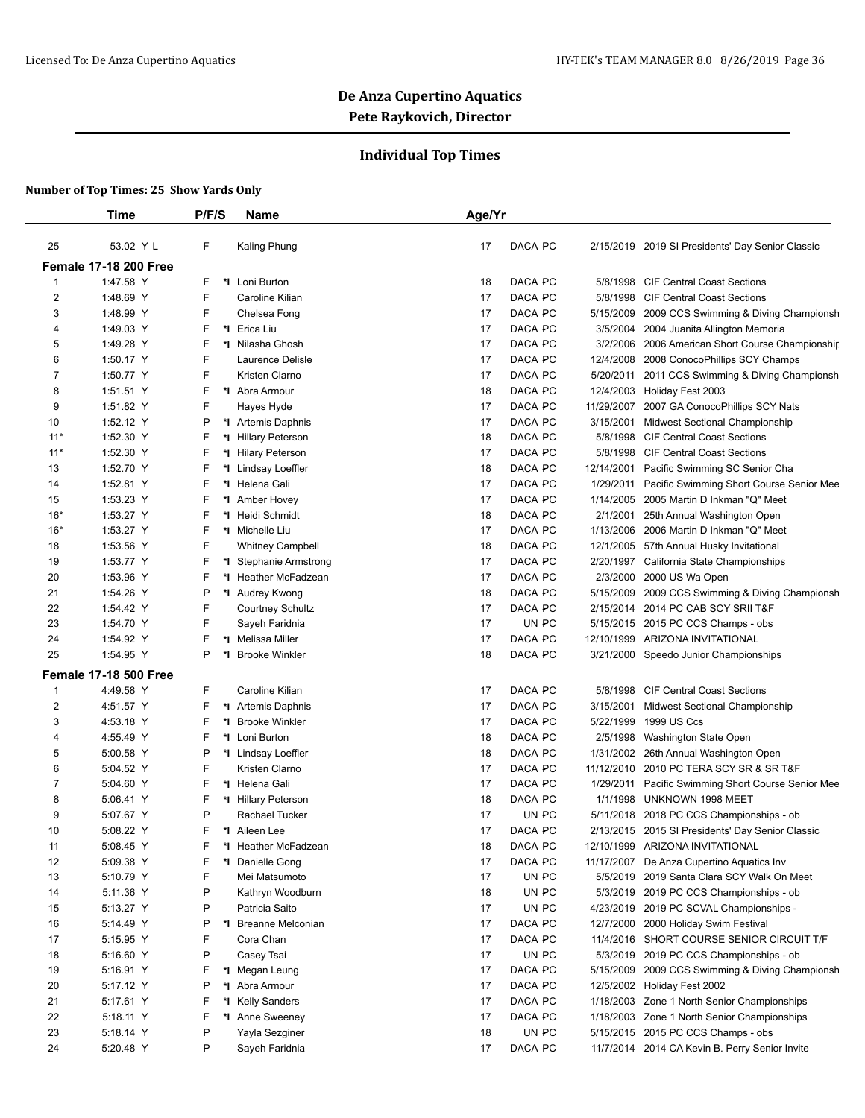## **Individual Top Times**

|                  | Time                         | P/F/S   | Name                       | Age/Yr |         |            |                                                  |
|------------------|------------------------------|---------|----------------------------|--------|---------|------------|--------------------------------------------------|
| 25               | 53.02 Y L                    | F       | Kaling Phung               | 17     | DACA PC |            | 2/15/2019 2019 SI Presidents' Day Senior Classic |
|                  | <b>Female 17-18 200 Free</b> |         |                            |        |         |            |                                                  |
| 1                | 1:47.58 Y                    | F       | *I Loni Burton             | 18     | DACA PC | 5/8/1998   | <b>CIF Central Coast Sections</b>                |
| $\boldsymbol{2}$ | 1:48.69 Y                    | F       | Caroline Kilian            | 17     | DACA PC | 5/8/1998   | <b>CIF Central Coast Sections</b>                |
| 3                | 1:48.99 Y                    | F       | Chelsea Fong               | 17     | DACA PC | 5/15/2009  | 2009 CCS Swimming & Diving Championsh            |
| 4                | 1:49.03 Y                    | F<br>*l | Erica Liu                  | 17     | DACA PC | 3/5/2004   | 2004 Juanita Allington Memoria                   |
| 5                | 1:49.28 Y                    | F       | *I Nilasha Ghosh           | 17     | DACA PC | 3/2/2006   | 2006 American Short Course Championship          |
| 6                | 1:50.17 Y                    | F       | Laurence Delisle           | 17     | DACA PC | 12/4/2008  | 2008 ConocoPhillips SCY Champs                   |
| 7                | 1:50.77 Y                    | F       | Kristen Clarno             | 17     | DACA PC | 5/20/2011  | 2011 CCS Swimming & Diving Championsh            |
| 8                | 1:51.51 Y                    | F       | *I Abra Armour             | 18     | DACA PC | 12/4/2003  | Holiday Fest 2003                                |
| 9                | 1:51.82 Y                    | F       | Hayes Hyde                 | 17     | DACA PC | 11/29/2007 | 2007 GA ConocoPhillips SCY Nats                  |
| 10               | 1:52.12 Y                    | P       | *1 Artemis Daphnis         | 17     | DACA PC | 3/15/2001  | Midwest Sectional Championship                   |
| $11*$            | 1:52.30 Y                    | F<br>*l | <b>Hillary Peterson</b>    | 18     | DACA PC | 5/8/1998   | <b>CIF Central Coast Sections</b>                |
| $11*$            | 1:52.30 Y                    | F<br>*l | <b>Hilary Peterson</b>     | 17     | DACA PC | 5/8/1998   | <b>CIF Central Coast Sections</b>                |
| 13               | 1:52.70 Y                    | F<br>*l | Lindsay Loeffler           | 18     | DACA PC | 12/14/2001 | Pacific Swimming SC Senior Cha                   |
| 14               | 1:52.81 Y                    | F<br>*∣ | Helena Gali                | 17     | DACA PC | 1/29/2011  | Pacific Swimming Short Course Senior Mee         |
| 15               | 1:53.23 Y                    | F<br>*∣ | Amber Hovey                | 17     | DACA PC | 1/14/2005  | 2005 Martin D Inkman "Q" Meet                    |
| $16*$            | 1:53.27 Y                    | F<br>*l | Heidi Schmidt              | 18     | DACA PC | 2/1/2001   | 25th Annual Washington Open                      |
| $16*$            | 1:53.27 Y                    | F       | *1 Michelle Liu            | 17     | DACA PC | 1/13/2006  | 2006 Martin D Inkman "Q" Meet                    |
| 18               | 1:53.56 Y                    | F       | <b>Whitney Campbell</b>    | 18     | DACA PC | 12/1/2005  | 57th Annual Husky Invitational                   |
| 19               | 1:53.77 Y                    | F<br>*l | <b>Stephanie Armstrong</b> | 17     | DACA PC | 2/20/1997  | California State Championships                   |
| 20               | 1:53.96 Y                    | F       | *I Heather McFadzean       | 17     | DACA PC | 2/3/2000   | 2000 US Wa Open                                  |
| 21               | 1:54.26 Y                    | P       | *I Audrey Kwong            | 18     | DACA PC | 5/15/2009  | 2009 CCS Swimming & Diving Championsh            |
| 22               | 1:54.42 Y                    | F       | <b>Courtney Schultz</b>    | 17     | DACA PC | 2/15/2014  | 2014 PC CAB SCY SRII T&F                         |
| 23               | 1:54.70 Y                    | F       | Sayeh Faridnia             | 17     | UN PC   |            | 5/15/2015 2015 PC CCS Champs - obs               |
| 24               | 1:54.92 Y                    | F       | *I Melissa Miller          | 17     | DACA PC | 12/10/1999 | ARIZONA INVITATIONAL                             |
| 25               | 1:54.95 Y                    | P<br>*l | <b>Brooke Winkler</b>      | 18     | DACA PC |            |                                                  |
|                  |                              |         |                            |        |         |            | 3/21/2000 Speedo Junior Championships            |
|                  | <b>Female 17-18 500 Free</b> |         |                            |        |         |            |                                                  |
| 1                | 4:49.58 Y                    | F       | Caroline Kilian            | 17     | DACA PC | 5/8/1998   | <b>CIF Central Coast Sections</b>                |
| $\overline{2}$   | 4:51.57 Y                    | F       | *1 Artemis Daphnis         | 17     | DACA PC | 3/15/2001  | Midwest Sectional Championship                   |
| 3                | 4:53.18 Y                    | F<br>*∣ | <b>Brooke Winkler</b>      | 17     | DACA PC | 5/22/1999  | 1999 US Ccs                                      |
| 4                | 4:55.49 Y                    | F<br>*∣ | Loni Burton                | 18     | DACA PC | 2/5/1998   | Washington State Open                            |
| 5                | 5:00.58 Y                    | P       | *I Lindsay Loeffler        | 18     | DACA PC | 1/31/2002  | 26th Annual Washington Open                      |
| 6                | 5:04.52 Y                    | F       | Kristen Clarno             | 17     | DACA PC | 11/12/2010 | 2010 PC TERA SCY SR & SR T&F                     |
| 7                | 5:04.60 Y                    | F<br>*l | Helena Gali                | 17     | DACA PC | 1/29/2011  | Pacific Swimming Short Course Senior Mee         |
| 8                | 5:06.41 Y                    | F       | *I Hillary Peterson        | 18     | DACA PC | 1/1/1998   | UNKNOWN 1998 MEET                                |
| 9                | 5:07.67 Y                    | P       | Rachael Tucker             | 17     | UN PC   |            | 5/11/2018 2018 PC CCS Championships - ob         |
| 10               | 5:08.22 Y                    | F       | *1 Aileen Lee              | 17     | DACA PC |            | 2/13/2015 2015 SI Presidents' Day Senior Classic |
| 11               | 5:08.45 Y                    | F<br>*l | Heather McFadzean          | 18     | DACA PC |            | 12/10/1999 ARIZONA INVITATIONAL                  |
| 12               | 5:09.38 Y                    | F       | *I Danielle Gong           | 17     | DACA PC |            | 11/17/2007 De Anza Cupertino Aquatics Inv        |
| 13               | 5:10.79 Y                    | F       | Mei Matsumoto              | 17     | UN PC   |            | 5/5/2019 2019 Santa Clara SCY Walk On Meet       |
| 14               | 5:11.36 Y                    | P       | Kathryn Woodburn           | 18     | UN PC   |            | 5/3/2019 2019 PC CCS Championships - ob          |
| 15               | 5:13.27 Y                    | P       | Patricia Saito             | 17     | UN PC   |            | 4/23/2019 2019 PC SCVAL Championships -          |
| 16               | 5:14.49 Y                    | P       | *I Breanne Melconian       | 17     | DACA PC |            | 12/7/2000 2000 Holiday Swim Festival             |
| 17               | 5:15.95 Y                    | F       | Cora Chan                  | 17     | DACA PC |            | 11/4/2016 SHORT COURSE SENIOR CIRCUIT T/F        |
| 18               | 5:16.60 Y                    | P       | Casey Tsai                 | 17     | UN PC   |            | 5/3/2019 2019 PC CCS Championships - ob          |
| 19               | 5:16.91 Y                    | F       | *I Megan Leung             | 17     | DACA PC |            | 5/15/2009 2009 CCS Swimming & Diving Championsh  |
| 20               | 5:17.12 Y                    | P       | *I Abra Armour             | 17     | DACA PC |            | 12/5/2002 Holiday Fest 2002                      |
| 21               | 5:17.61 Y                    | F       | *I Kelly Sanders           | 17     | DACA PC |            | 1/18/2003 Zone 1 North Senior Championships      |
|                  | 5:18.11 Y                    | F       | *I Anne Sweeney            | 17     | DACA PC |            | 1/18/2003 Zone 1 North Senior Championships      |
|                  |                              |         |                            |        |         |            |                                                  |
| 22<br>23         | 5:18.14 Y                    | P       | Yayla Sezginer             | 18     | UN PC   |            | 5/15/2015 2015 PC CCS Champs - obs               |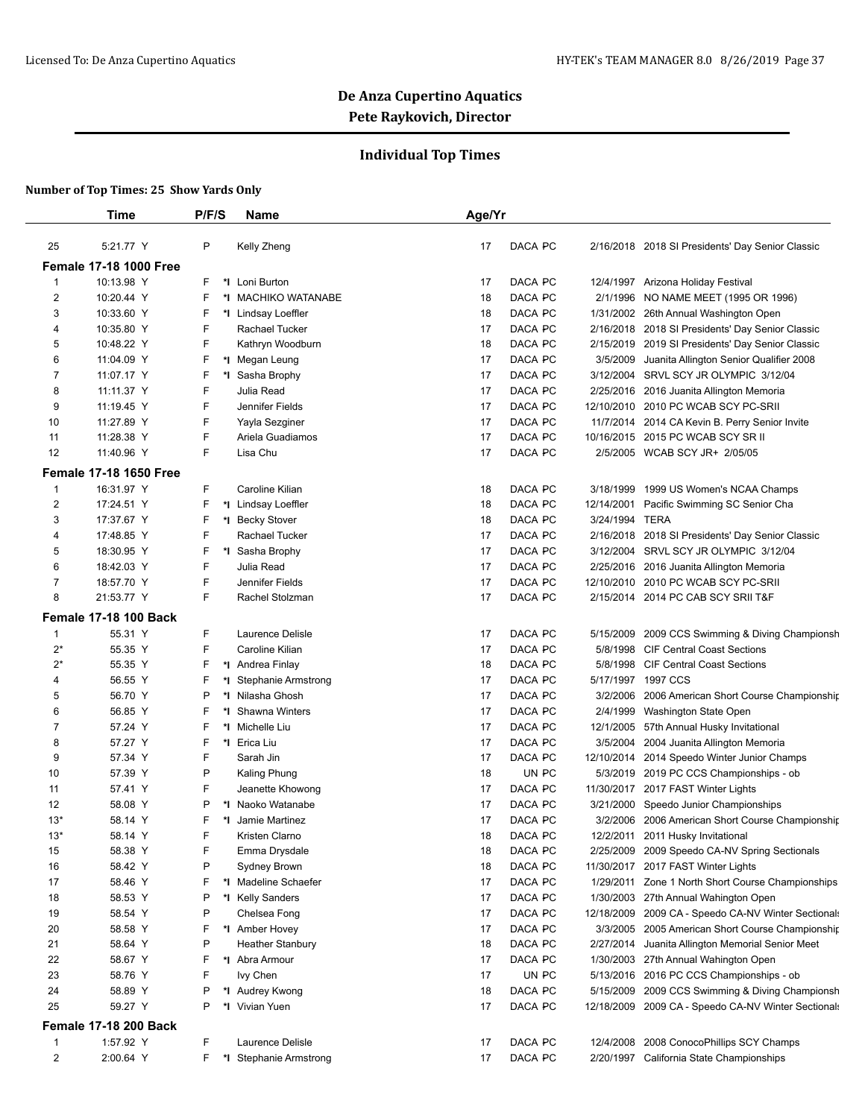## **Individual Top Times**

|                | Time                          | P/F/S        | Name                                      | Age/Yr                   |                |                                                                                |
|----------------|-------------------------------|--------------|-------------------------------------------|--------------------------|----------------|--------------------------------------------------------------------------------|
| 25             | 5:21.77 Y                     | P            | Kelly Zheng                               | 17<br>DACA PC            |                | 2/16/2018 2018 SI Presidents' Day Senior Classic                               |
|                | <b>Female 17-18 1000 Free</b> |              |                                           |                          |                |                                                                                |
|                | 10:13.98 Y                    |              |                                           |                          |                |                                                                                |
| 1<br>2         | 10:20.44 Y                    | F<br>*l<br>F | Loni Burton<br>*I MACHIKO WATANABE        | 17<br>DACA PC<br>DACA PC |                | 12/4/1997 Arizona Holiday Festival                                             |
|                |                               |              |                                           | 18<br>DACA PC            |                | 2/1/1996 NO NAME MEET (1995 OR 1996)                                           |
| 3              | 10:33.60 Y                    | F            | *I Lindsay Loeffler                       | 18                       |                | 1/31/2002 26th Annual Washington Open                                          |
| 4              | 10:35.80 Y                    | F            | Rachael Tucker                            | DACA PC<br>17            |                | 2/16/2018 2018 SI Presidents' Day Senior Classic                               |
| 5              | 10:48.22 Y                    | F            | Kathryn Woodburn                          | DACA PC<br>18            |                | 2/15/2019 2019 SI Presidents' Day Senior Classic                               |
| 6              | 11:04.09 Y                    | F            | *I Megan Leung                            | DACA PC<br>17            | 3/5/2009       | Juanita Allington Senior Qualifier 2008                                        |
| 7              | 11:07.17 Y                    | F<br>*I      | Sasha Brophy                              | DACA PC<br>17            |                | 3/12/2004 SRVL SCY JR OLYMPIC 3/12/04                                          |
| 8              | 11:11.37 Y                    | F            | Julia Read                                | DACA PC<br>17            |                | 2/25/2016 2016 Juanita Allington Memoria                                       |
| 9              | 11:19.45 Y                    | F            | Jennifer Fields                           | 17<br>DACA PC            |                | 12/10/2010 2010 PC WCAB SCY PC-SRII                                            |
| 10             | 11:27.89 Y                    | F            | Yayla Sezginer                            | DACA PC<br>17            |                | 11/7/2014 2014 CA Kevin B. Perry Senior Invite                                 |
| 11             | 11:28.38 Y                    | F            | Ariela Guadiamos                          | DACA PC<br>17            |                | 10/16/2015 2015 PC WCAB SCY SR II                                              |
| 12             | 11:40.96 Y                    | F            | Lisa Chu                                  | DACA PC<br>17            |                | 2/5/2005 WCAB SCY JR+ 2/05/05                                                  |
|                | <b>Female 17-18 1650 Free</b> |              |                                           |                          |                |                                                                                |
| 1              | 16:31.97 Y                    | F            | Caroline Kilian                           | DACA PC<br>18            |                | 3/18/1999 1999 US Women's NCAA Champs                                          |
| 2              | 17:24.51 Y                    | F            | *I Lindsay Loeffler                       | DACA PC<br>18            | 12/14/2001     | Pacific Swimming SC Senior Cha                                                 |
| 3              | 17:37.67 Y                    | F            | *I Becky Stover                           | DACA PC<br>18            | 3/24/1994 TERA |                                                                                |
| 4              | 17:48.85 Y                    | F            | Rachael Tucker                            | DACA PC<br>17            |                | 2/16/2018 2018 SI Presidents' Day Senior Classic                               |
| 5              | 18:30.95 Y                    | F            | *1 Sasha Brophy                           | DACA PC<br>17            |                | 3/12/2004 SRVL SCY JR OLYMPIC 3/12/04                                          |
| 6              | 18:42.03 Y                    | F            | Julia Read                                | DACA PC<br>17            |                | 2/25/2016 2016 Juanita Allington Memoria                                       |
| 7              | 18:57.70 Y                    | F            | Jennifer Fields                           | 17<br>DACA PC            |                | 12/10/2010 2010 PC WCAB SCY PC-SRII                                            |
| 8              | 21:53.77 Y                    | F            | Rachel Stolzman                           | DACA PC<br>17            |                | 2/15/2014 2014 PC CAB SCY SRII T&F                                             |
|                | <b>Female 17-18 100 Back</b>  |              |                                           |                          |                |                                                                                |
| 1              | 55.31 Y                       | F            | Laurence Delisle                          | DACA PC<br>17            | 5/15/2009      | 2009 CCS Swimming & Diving Championsh                                          |
| $2^*$          | 55.35 Y                       | F            | Caroline Kilian                           | DACA PC<br>17            | 5/8/1998       | <b>CIF Central Coast Sections</b>                                              |
| $2^*$          | 55.35 Y                       | F            | *I Andrea Finlay                          | DACA PC<br>18            | 5/8/1998       | <b>CIF Central Coast Sections</b>                                              |
| 4              | 56.55 Y                       | F<br>*∣      | <b>Stephanie Armstrong</b>                | DACA PC<br>17            |                | 5/17/1997 1997 CCS                                                             |
| 5              | 56.70 Y                       | P<br>*I      | Nilasha Ghosh                             | DACA PC<br>17            | 3/2/2006       | 2006 American Short Course Championship                                        |
| 6              | 56.85 Y                       | F<br>*l      | Shawna Winters                            | 17<br>DACA PC            | 2/4/1999       | Washington State Open                                                          |
| 7              | 57.24 Y                       | F            | *1 Michelle Liu                           | DACA PC<br>17            |                | 12/1/2005 57th Annual Husky Invitational                                       |
| 8              | 57.27 Y                       | F            | *I Erica Liu                              | DACA PC<br>17            |                | 3/5/2004 2004 Juanita Allington Memoria                                        |
| 9              | 57.34 Y                       | F            | Sarah Jin                                 | DACA PC<br>17            |                | 12/10/2014 2014 Speedo Winter Junior Champs                                    |
| 10             | 57.39 Y                       | P            | Kaling Phung                              | UN PC<br>18              |                | 5/3/2019 2019 PC CCS Championships - ob                                        |
| 11             | 57.41 Y                       | F            | Jeanette Khowong                          | DACA PC<br>17            |                | 11/30/2017 2017 FAST Winter Lights                                             |
| 12             | 58.08 Y                       | P            | *I Naoko Watanabe                         | 17<br>DACA PC            | 3/21/2000      | Speedo Junior Championships                                                    |
| $13*$          | 58.14 Y                       | F<br>*I      | Jamie Martinez                            | 17<br>DACA PC            |                | 3/2/2006 2006 American Short Course Championship                               |
| $13*$          | 58.14 Y                       | F            | Kristen Clarno                            | 18<br>DACA PC            | 12/2/2011      | 2011 Husky Invitational                                                        |
| 15             | 58.38 Y                       | F            | Emma Drysdale                             | DACA PC<br>18            |                | 2/25/2009 2009 Speedo CA-NV Spring Sectionals                                  |
| 16             | 58.42 Y                       | P            | Sydney Brown                              | DACA PC<br>18            |                | 11/30/2017 2017 FAST Winter Lights                                             |
| 17             | 58.46 Y                       | F            | *I Madeline Schaefer                      | DACA PC<br>17            | 1/29/2011      | Zone 1 North Short Course Championships                                        |
| 18             | 58.53 Y                       | P            | *I Kelly Sanders                          | DACA PC<br>17            |                | 1/30/2003 27th Annual Wahington Open                                           |
| 19             | 58.54 Y                       | P            | Chelsea Fong                              | DACA PC<br>17            |                | 12/18/2009 2009 CA - Speedo CA-NV Winter Sectionals                            |
| 20             | 58.58 Y                       | F            | *1 Amber Hovey                            | DACA PC<br>17            |                | 3/3/2005 2005 American Short Course Championship                               |
| 21             |                               | P            |                                           | DACA PC                  | 2/27/2014      |                                                                                |
| 22             | 58.64 Y<br>58.67 Y            | F            | <b>Heather Stanbury</b><br>*I Abra Armour | 18<br>DACA PC<br>17      |                | Juanita Allington Memorial Senior Meet<br>1/30/2003 27th Annual Wahington Open |
| 23             | 58.76 Y                       | F            |                                           | UN PC<br>17              |                |                                                                                |
|                |                               |              | lvy Chen                                  |                          |                | 5/13/2016 2016 PC CCS Championships - ob                                       |
| 24             | 58.89 Y                       | P            | *I Audrey Kwong                           | DACA PC<br>18            | 5/15/2009      | 2009 CCS Swimming & Diving Championsh                                          |
| 25             | 59.27 Y                       | P<br>*∣      | Vivian Yuen                               | DACA PC<br>17            |                | 12/18/2009 2009 CA - Speedo CA-NV Winter Sectionals                            |
|                | <b>Female 17-18 200 Back</b>  |              |                                           |                          |                |                                                                                |
| 1              | 1:57.92 Y                     | F            | Laurence Delisle                          | DACA PC<br>17            |                | 12/4/2008 2008 ConocoPhillips SCY Champs                                       |
| $\overline{2}$ | 2:00.64 Y                     | F            | *I Stephanie Armstrong                    | DACA PC<br>17            |                | 2/20/1997 California State Championships                                       |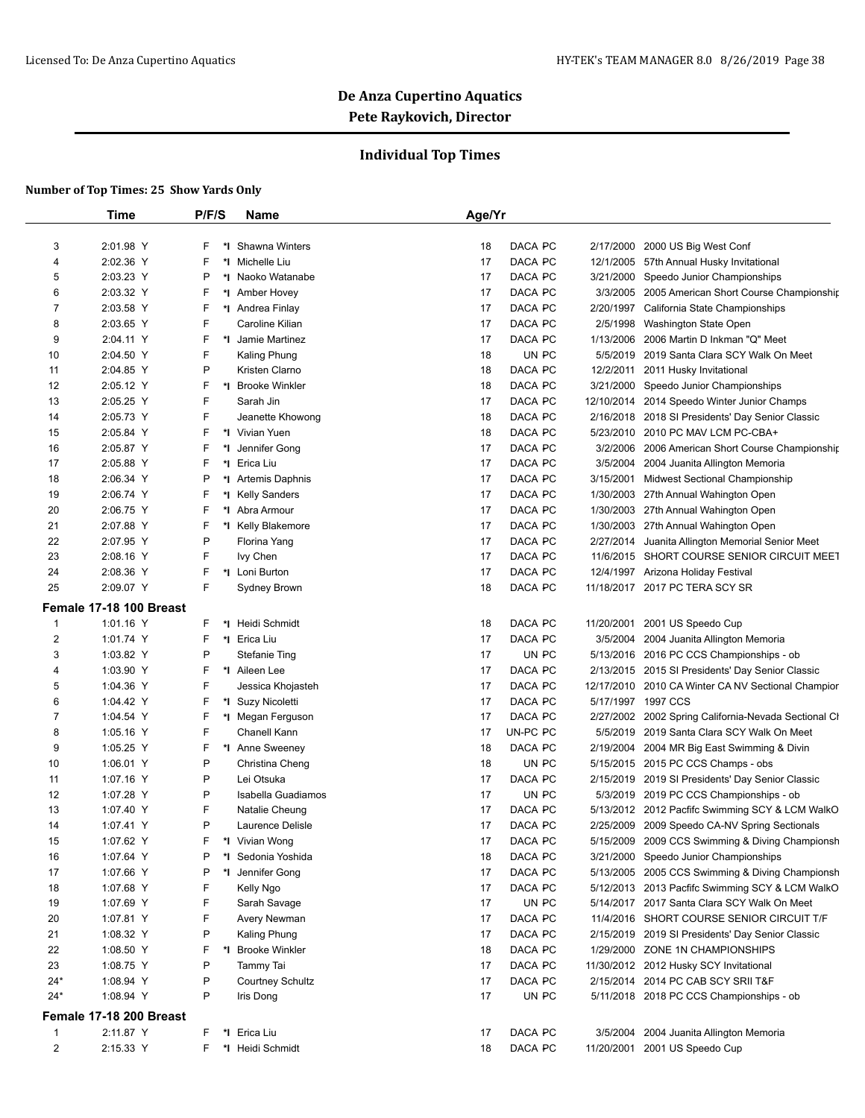## **Individual Top Times**

|                  | Time                    | P/F/S   | Name                               | Age/Yr   |          |                        |                                                              |
|------------------|-------------------------|---------|------------------------------------|----------|----------|------------------------|--------------------------------------------------------------|
|                  | 2:01.98 Y               | F       | *I Shawna Winters                  |          | DACA PC  |                        |                                                              |
| 3<br>4           | 2:02.36 Y               | F       | *1 Michelle Liu                    | 18<br>17 | DACA PC  | 2/17/2000<br>12/1/2005 | 2000 US Big West Conf<br>57th Annual Husky Invitational      |
| 5                | 2:03.23 Y               | P       | *I Naoko Watanabe                  | 17       | DACA PC  | 3/21/2000              | Speedo Junior Championships                                  |
| 6                | 2:03.32 Y               | F       | *I Amber Hovey                     | 17       | DACA PC  | 3/3/2005               | 2005 American Short Course Championship                      |
| 7                | 2:03.58 Y               | F       | *I Andrea Finlay                   | 17       | DACA PC  | 2/20/1997              | California State Championships                               |
| 8                | 2:03.65 Y               | F       | Caroline Kilian                    | 17       | DACA PC  | 2/5/1998               | Washington State Open                                        |
| 9                | 2:04.11 Y               | F       | *I Jamie Martinez                  | 17       | DACA PC  | 1/13/2006              | 2006 Martin D Inkman "Q" Meet                                |
| 10               | 2:04.50 Y               | F       | <b>Kaling Phung</b>                | 18       | UN PC    | 5/5/2019               | 2019 Santa Clara SCY Walk On Meet                            |
| 11               | 2:04.85 Y               | P       | Kristen Clarno                     | 18       | DACA PC  | 12/2/2011              | 2011 Husky Invitational                                      |
| 12               | 2:05.12 Y               | F<br>*l | <b>Brooke Winkler</b>              | 18       | DACA PC  | 3/21/2000              | Speedo Junior Championships                                  |
| 13               | 2:05.25 Y               | F       | Sarah Jin                          | 17       | DACA PC  | 12/10/2014             | 2014 Speedo Winter Junior Champs                             |
| 14               | 2:05.73 Y               | F       | Jeanette Khowong                   | 18       | DACA PC  | 2/16/2018              | 2018 SI Presidents' Day Senior Classic                       |
| 15               | 2:05.84 Y               | F       | *I Vivian Yuen                     | 18       | DACA PC  | 5/23/2010              | 2010 PC MAV LCM PC-CBA+                                      |
| 16               | 2:05.87 Y               | F<br>*l | Jennifer Gong                      | 17       | DACA PC  | 3/2/2006               | 2006 American Short Course Championship                      |
| 17               | 2:05.88 Y               | F       | *I Erica Liu                       | 17       | DACA PC  | 3/5/2004               | 2004 Juanita Allington Memoria                               |
| 18               | 2:06.34 Y               | P       | *1 Artemis Daphnis                 | 17       | DACA PC  | 3/15/2001              | <b>Midwest Sectional Championship</b>                        |
| 19               | 2:06.74 Y               | F       | *I Kelly Sanders                   | 17       | DACA PC  | 1/30/2003              | 27th Annual Wahington Open                                   |
| 20               | 2:06.75 Y               | F       | *I Abra Armour                     | 17       | DACA PC  | 1/30/2003              | 27th Annual Wahington Open                                   |
| 21               | 2:07.88 Y               | F       |                                    | 17       | DACA PC  | 1/30/2003              | 27th Annual Wahington Open                                   |
| 22               | 2:07.95 Y               | P       | *I Kelly Blakemore<br>Florina Yang | 17       | DACA PC  | 2/27/2014              | Juanita Allington Memorial Senior Meet                       |
|                  |                         | F       |                                    |          |          |                        |                                                              |
| 23               | 2:08.16 Y               |         | lvy Chen<br>*I Loni Burton         | 17       | DACA PC  | 11/6/2015              | SHORT COURSE SENIOR CIRCUIT MEET<br>Arizona Holiday Festival |
| 24               | 2:08.36 Y               | F       |                                    | 17       | DACA PC  | 12/4/1997              |                                                              |
| 25               | 2:09.07 Y               | F       | Sydney Brown                       | 18       | DACA PC  |                        | 11/18/2017 2017 PC TERA SCY SR                               |
|                  | Female 17-18 100 Breast |         |                                    |          |          |                        |                                                              |
| 1                | 1:01.16 Y               | F       | *1 Heidi Schmidt                   | 18       | DACA PC  | 11/20/2001             | 2001 US Speedo Cup                                           |
| $\boldsymbol{2}$ | 1:01.74 Y               | F       | *I Erica Liu                       | 17       | DACA PC  | 3/5/2004               | 2004 Juanita Allington Memoria                               |
| 3                | 1:03.82 Y               | P       | <b>Stefanie Ting</b>               | 17       | UN PC    | 5/13/2016              | 2016 PC CCS Championships - ob                               |
| 4                | 1:03.90 Y               | F       | *1 Aileen Lee                      | 17       | DACA PC  |                        | 2/13/2015 2015 SI Presidents' Day Senior Classic             |
| 5                | 1:04.36 Y               | F       | Jessica Khojasteh                  | 17       | DACA PC  | 12/17/2010             | 2010 CA Winter CA NV Sectional Champior                      |
| 6                | 1:04.42 Y               | F       | *I Suzy Nicoletti                  | 17       | DACA PC  |                        | 5/17/1997 1997 CCS                                           |
| 7                | 1:04.54 Y               | F       | *I Megan Ferguson                  | 17       | DACA PC  | 2/27/2002              | 2002 Spring California-Nevada Sectional Cl                   |
| 8                | 1:05.16 Y               | F       | Chanell Kann                       | 17       | UN-PC PC | 5/5/2019               | 2019 Santa Clara SCY Walk On Meet                            |
| 9                | 1:05.25 Y               | F       | *1 Anne Sweeney                    | 18       | DACA PC  | 2/19/2004              | 2004 MR Big East Swimming & Divin                            |
| 10               | 1:06.01 Y               | P       | Christina Cheng                    | 18       | UN PC    | 5/15/2015              | 2015 PC CCS Champs - obs                                     |
| 11               | 1:07.16 Y               | P       | Lei Otsuka                         | 17       | DACA PC  | 2/15/2019              | 2019 SI Presidents' Day Senior Classic                       |
| 12               | 1:07.28 Y               | P       | Isabella Guadiamos                 | 17       | UN PC    | 5/3/2019               | 2019 PC CCS Championships - ob                               |
| 13               | 1:07.40 Y               | F       | Natalie Cheung                     | 17       | DACA PC  |                        | 5/13/2012 2012 Pacfifc Swimming SCY & LCM WalkO              |
| 14               | 1:07.41 Y               | P       | Laurence Delisle                   | 17       | DACA PC  |                        | 2/25/2009 2009 Speedo CA-NV Spring Sectionals                |
| 15               | 1:07.62 Y               | F       | *I Vivian Wong                     | 17       | DACA PC  |                        | 5/15/2009 2009 CCS Swimming & Diving Championsh              |
| 16               | 1:07.64 Y               | P       | *I Sedonia Yoshida                 | 18       | DACA PC  |                        | 3/21/2000 Speedo Junior Championships                        |
| 17               | 1:07.66 Y               | P       | *I Jennifer Gong                   | 17       | DACA PC  |                        | 5/13/2005 2005 CCS Swimming & Diving Championsh              |
| 18               | 1:07.68 Y               | F       | Kelly Ngo                          | 17       | DACA PC  |                        | 5/12/2013 2013 Pacfifc Swimming SCY & LCM WalkO              |
| 19               | 1:07.69 Y               | F       | Sarah Savage                       | 17       | UN PC    |                        | 5/14/2017 2017 Santa Clara SCY Walk On Meet                  |
| 20               | 1:07.81 Y               | F       | Avery Newman                       | 17       | DACA PC  | 11/4/2016              | SHORT COURSE SENIOR CIRCUIT T/F                              |
| 21               | 1:08.32 Y               | P       | Kaling Phung                       | 17       | DACA PC  | 2/15/2019              | 2019 SI Presidents' Day Senior Classic                       |
| 22               | 1:08.50 Y               | F       | *I Brooke Winkler                  | 18       | DACA PC  |                        | 1/29/2000 ZONE 1N CHAMPIONSHIPS                              |
| 23               | 1:08.75 Y               | P       | Tammy Tai                          | 17       | DACA PC  |                        | 11/30/2012 2012 Husky SCY Invitational                       |
| $24*$            | 1:08.94 Y               | P       | <b>Courtney Schultz</b>            | 17       | DACA PC  |                        | 2/15/2014 2014 PC CAB SCY SRII T&F                           |
| $24*$            | 1:08.94 Y               | P       | Iris Dong                          | 17       | UN PC    |                        | 5/11/2018 2018 PC CCS Championships - ob                     |
|                  | Female 17-18 200 Breast |         |                                    |          |          |                        |                                                              |
| $\mathbf{1}$     | 2:11.87 Y               | F.      | *I Erica Liu                       | 17       | DACA PC  | 3/5/2004               | 2004 Juanita Allington Memoria                               |
| 2                | 2:15.33 Y               | F.      | *I Heidi Schmidt                   | 18       | DACA PC  |                        | 11/20/2001 2001 US Speedo Cup                                |
|                  |                         |         |                                    |          |          |                        |                                                              |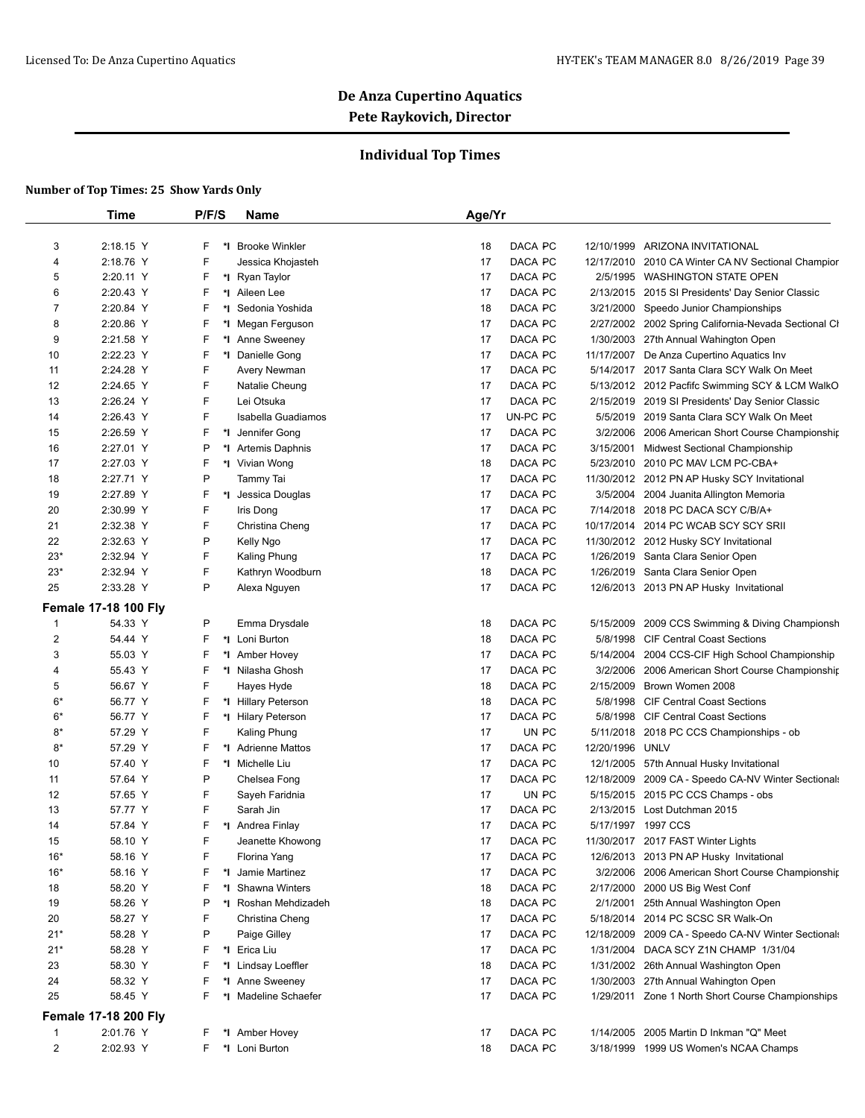## **Individual Top Times**

|                     | <b>Time</b>                 | P/F/S  | Name                                 | Age/Yr   |                    |                        |                                                              |
|---------------------|-----------------------------|--------|--------------------------------------|----------|--------------------|------------------------|--------------------------------------------------------------|
|                     |                             |        |                                      |          |                    |                        |                                                              |
| 3                   | 2:18.15 Y                   | F      | *I Brooke Winkler                    | 18       | DACA PC            |                        | 12/10/1999 ARIZONA INVITATIONAL                              |
| $\overline{4}$      | 2:18.76 Y                   | F      | Jessica Khojasteh                    | 17       | DACA PC            |                        | 12/17/2010 2010 CA Winter CA NV Sectional Champior           |
| 5                   | 2:20.11 Y                   | F      | *I Ryan Taylor                       | 17       | DACA PC            | 2/5/1995               | <b>WASHINGTON STATE OPEN</b>                                 |
| 6                   | 2:20.43 Y                   | F<br>F | *1 Aileen Lee                        | 17       | DACA PC            | 2/13/2015              | 2015 SI Presidents' Day Senior Classic                       |
| $\overline{7}$<br>8 | 2:20.84 Y<br>2:20.86 Y      | F      | *I Sedonia Yoshida                   | 18<br>17 | DACA PC<br>DACA PC | 3/21/2000<br>2/27/2002 | Speedo Junior Championships                                  |
| 9                   | 2:21.58 Y                   | F      | *I Megan Ferguson<br>*I Anne Sweeney | 17       | DACA PC            | 1/30/2003              | 2002 Spring California-Nevada Sectional Cl                   |
| 10                  | 2:22.23 Y                   | F      | *1 Danielle Gong                     | 17       | DACA PC            | 11/17/2007             | 27th Annual Wahington Open<br>De Anza Cupertino Aquatics Inv |
| 11                  | 2:24.28 Y                   | F      | Avery Newman                         | 17       | DACA PC            |                        | 5/14/2017 2017 Santa Clara SCY Walk On Meet                  |
| 12                  | 2:24.65 Y                   | F      | Natalie Cheung                       | 17       | DACA PC            |                        | 5/13/2012 2012 Pacfifc Swimming SCY & LCM WalkO              |
| 13                  | 2:26.24 Y                   | F      | Lei Otsuka                           | 17       | DACA PC            | 2/15/2019              | 2019 SI Presidents' Day Senior Classic                       |
| 14                  | 2:26.43 Y                   | F      | Isabella Guadiamos                   | 17       | UN-PC PC           | 5/5/2019               | 2019 Santa Clara SCY Walk On Meet                            |
| 15                  | 2:26.59 Y                   | F      | *1 Jennifer Gong                     | 17       | DACA PC            | 3/2/2006               | 2006 American Short Course Championship                      |
| 16                  | 2:27.01 Y                   | P      | *I Artemis Daphnis                   | 17       | DACA PC            | 3/15/2001              | <b>Midwest Sectional Championship</b>                        |
| 17                  |                             | F      |                                      |          | DACA PC            |                        | 5/23/2010 2010 PC MAV LCM PC-CBA+                            |
| 18                  | 2:27.03 Y<br>2:27.71 Y      | P      | *I Vivian Wong                       | 18<br>17 | DACA PC            |                        |                                                              |
|                     |                             | F      | Tammy Tai                            |          |                    |                        | 11/30/2012 2012 PN AP Husky SCY Invitational                 |
| 19                  | 2:27.89 Y                   |        | Jessica Douglas<br>*∣                | 17       | DACA PC            |                        | 3/5/2004 2004 Juanita Allington Memoria                      |
| 20                  | 2:30.99 Y                   | F      | Iris Dong                            | 17       | DACA PC            | 7/14/2018              | 2018 PC DACA SCY C/B/A+                                      |
| 21                  | 2:32.38 Y                   | F      | Christina Cheng                      | 17       | DACA PC            | 10/17/2014             | 2014 PC WCAB SCY SCY SRII                                    |
| 22                  | 2:32.63 Y                   | P      | Kelly Ngo                            | 17       | DACA PC            |                        | 11/30/2012 2012 Husky SCY Invitational                       |
| $23*$               | 2:32.94 Y                   | F      | <b>Kaling Phung</b>                  | 17       | DACA PC            |                        | 1/26/2019 Santa Clara Senior Open                            |
| $23*$               | 2:32.94 Y                   | F      | Kathryn Woodburn                     | 18       | DACA PC            | 1/26/2019              | Santa Clara Senior Open                                      |
| 25                  | 2:33.28 Y                   | P      | Alexa Nguyen                         | 17       | DACA PC            |                        | 12/6/2013 2013 PN AP Husky Invitational                      |
|                     | <b>Female 17-18 100 Fly</b> |        |                                      |          |                    |                        |                                                              |
| -1                  | 54.33 Y                     | P      | Emma Drysdale                        | 18       | DACA PC            | 5/15/2009              | 2009 CCS Swimming & Diving Championsh                        |
| 2                   | 54.44 Y                     | F      | *I Loni Burton                       | 18       | DACA PC            | 5/8/1998               | <b>CIF Central Coast Sections</b>                            |
| 3                   | 55.03 Y                     | F      | *1 Amber Hovey                       | 17       | DACA PC            | 5/14/2004              | 2004 CCS-CIF High School Championship                        |
| 4                   | 55.43 Y                     | F      | *I Nilasha Ghosh                     | 17       | DACA PC            | 3/2/2006               | 2006 American Short Course Championship                      |
| 5                   | 56.67 Y                     | F      | Hayes Hyde                           | 18       | DACA PC            | 2/15/2009              | Brown Women 2008                                             |
| 6*                  | 56.77 Y                     | F      | *I Hillary Peterson                  | 18       | DACA PC            | 5/8/1998               | <b>CIF Central Coast Sections</b>                            |
| $6*$                | 56.77 Y                     | F      | *I Hilary Peterson                   | 17       | DACA PC            | 5/8/1998               | <b>CIF Central Coast Sections</b>                            |
| $8*$                | 57.29 Y                     | F      | Kaling Phung                         | 17       | UN PC              | 5/11/2018              | 2018 PC CCS Championships - ob                               |
| $8*$                | 57.29 Y                     | F      | *1 Adrienne Mattos                   | 17       | DACA PC            | 12/20/1996             | UNLV                                                         |
| 10                  | 57.40 Y                     | F      | *1 Michelle Liu                      | 17       | DACA PC            |                        | 12/1/2005 57th Annual Husky Invitational                     |
| 11                  | 57.64 Y                     | P      | Chelsea Fong                         | 17       | DACA PC            |                        | 12/18/2009 2009 CA - Speedo CA-NV Winter Sectionals          |
| 12                  | 57.65 Y                     | F      | Sayeh Faridnia                       | 17       | UN PC              |                        | 5/15/2015 2015 PC CCS Champs - obs                           |
| 13                  | 57.77 Y                     | F      | Sarah Jin                            | 17       | DACA PC            |                        | 2/13/2015 Lost Dutchman 2015                                 |
| 14                  | 57.84 Y                     | F      | *I Andrea Finlay                     | 17       | DACA PC            |                        | 5/17/1997 1997 CCS                                           |
| 15                  | 58.10 Y                     | F      | Jeanette Khowong                     | 17       | DACA PC            |                        | 11/30/2017 2017 FAST Winter Lights                           |
| $16*$               | 58.16 Y                     | F      | Florina Yang                         | 17       | DACA PC            |                        | 12/6/2013 2013 PN AP Husky Invitational                      |
| $16*$               | 58.16 Y                     | F      | *I Jamie Martinez                    | 17       | DACA PC            | 3/2/2006               | 2006 American Short Course Championship                      |
| 18                  | 58.20 Y                     | F      | *I Shawna Winters                    | 18       | DACA PC            |                        | 2/17/2000 2000 US Big West Conf                              |
| 19                  | 58.26 Y                     | P      | *I Roshan Mehdizadeh                 | 18       | DACA PC            | 2/1/2001               | 25th Annual Washington Open                                  |
| 20                  | 58.27 Y                     | F      | Christina Cheng                      | 17       | DACA PC            |                        | 5/18/2014 2014 PC SCSC SR Walk-On                            |
| $21*$               | 58.28 Y                     | P      | Paige Gilley                         | 17       | DACA PC            | 12/18/2009             | 2009 CA - Speedo CA-NV Winter Sectionals                     |
| $21*$               | 58.28 Y                     | F      | *I Erica Liu                         | 17       | DACA PC            | 1/31/2004              | DACA SCY Z1N CHAMP 1/31/04                                   |
| 23                  | 58.30 Y                     | F      | *I Lindsay Loeffler                  | 18       | DACA PC            |                        | 1/31/2002 26th Annual Washington Open                        |
| 24                  | 58.32 Y                     | F      | *I Anne Sweeney                      | 17       | DACA PC            |                        | 1/30/2003 27th Annual Wahington Open                         |
| 25                  | 58.45 Y                     | F      | *I Madeline Schaefer                 | 17       | DACA PC            |                        | 1/29/2011 Zone 1 North Short Course Championships            |
|                     | <b>Female 17-18 200 Fly</b> |        |                                      |          |                    |                        |                                                              |
| $\mathbf{1}$        | 2:01.76 Y                   | F.     | *I Amber Hovey                       | 17       | DACA PC            | 1/14/2005              | 2005 Martin D Inkman "Q" Meet                                |
| $\overline{2}$      | 2:02.93 Y                   | F.     | *I Loni Burton                       | 18       | DACA PC            |                        | 3/18/1999 1999 US Women's NCAA Champs                        |
|                     |                             |        |                                      |          |                    |                        |                                                              |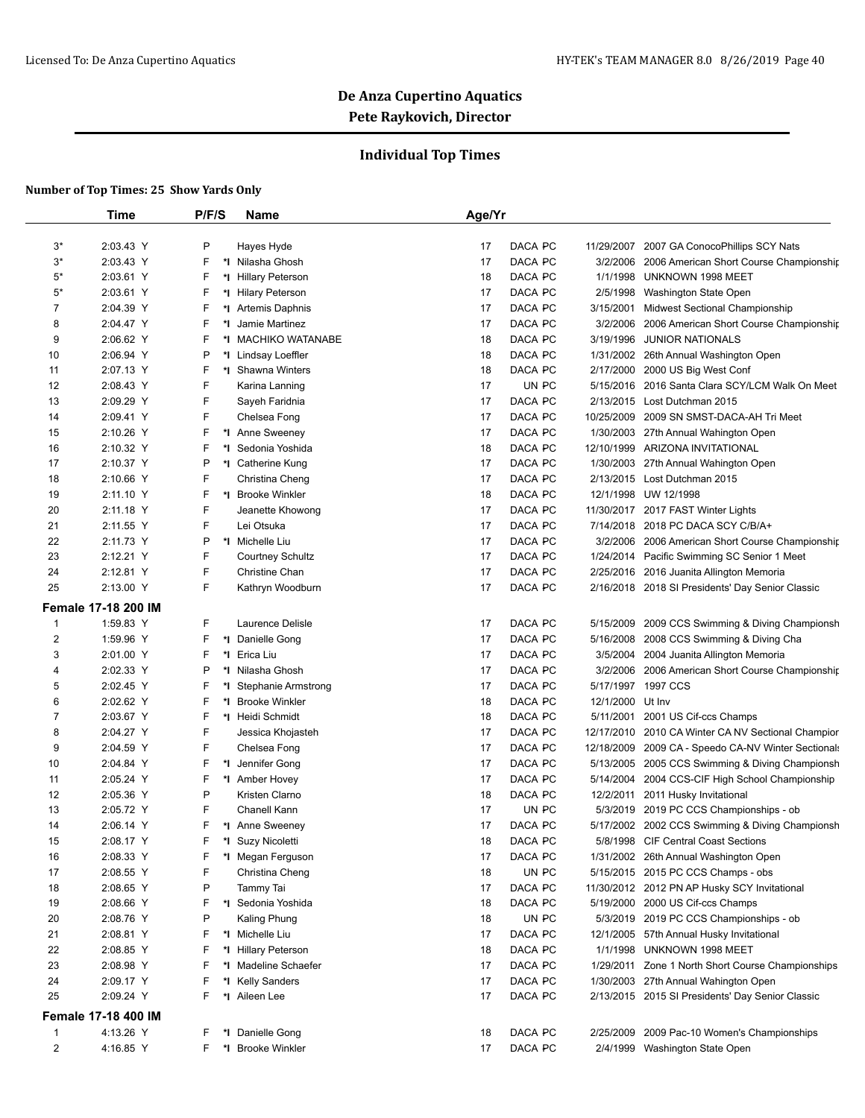## **Individual Top Times**

|       | <b>Time</b>                | P/F/S   | Name                    | Age/Yr        |                  |                                                     |
|-------|----------------------------|---------|-------------------------|---------------|------------------|-----------------------------------------------------|
|       |                            |         |                         |               |                  |                                                     |
| $3^*$ | 2:03.43 Y                  | P       | Hayes Hyde              | DACA PC<br>17 | 11/29/2007       | 2007 GA ConocoPhillips SCY Nats                     |
| 3*    | 2:03.43 Y                  | F       | *I Nilasha Ghosh        | 17<br>DACA PC |                  | 3/2/2006 2006 American Short Course Championship    |
| 5*    | 2:03.61 Y                  | F       | *I Hillary Peterson     | DACA PC<br>18 | 1/1/1998         | UNKNOWN 1998 MEET                                   |
| $5*$  | 2:03.61 Y                  | F       | *I Hilary Peterson      | DACA PC<br>17 | 2/5/1998         | Washington State Open                               |
| 7     | 2:04.39 Y                  | F       | *1 Artemis Daphnis      | 17<br>DACA PC |                  | 3/15/2001 Midwest Sectional Championship            |
| 8     | 2:04.47 Y                  | F       | *I Jamie Martinez       | DACA PC<br>17 | 3/2/2006         | 2006 American Short Course Championship             |
| 9     | 2:06.62 Y                  | F       | *I MACHIKO WATANABE     | 18<br>DACA PC | 3/19/1996        | <b>JUNIOR NATIONALS</b>                             |
| 10    | 2:06.94 Y                  | P       | *I Lindsay Loeffler     | 18<br>DACA PC |                  | 1/31/2002 26th Annual Washington Open               |
| 11    | 2:07.13 Y                  | F       | *I Shawna Winters       | DACA PC<br>18 |                  | 2/17/2000 2000 US Big West Conf                     |
| 12    | 2:08.43 Y                  | F       | Karina Lanning          | UN PC<br>17   |                  | 5/15/2016 2016 Santa Clara SCY/LCM Walk On Meet     |
| 13    | 2:09.29 Y                  | F       | Sayeh Faridnia          | 17<br>DACA PC |                  | 2/13/2015 Lost Dutchman 2015                        |
| 14    | 2:09.41 Y                  | F       | Chelsea Fong            | DACA PC<br>17 |                  | 10/25/2009 2009 SN SMST-DACA-AH Tri Meet            |
| 15    | 2:10.26 Y                  | F       | *I Anne Sweeney         | 17<br>DACA PC | 1/30/2003        | 27th Annual Wahington Open                          |
| 16    | 2:10.32 Y                  | F       | *I Sedonia Yoshida      | 18<br>DACA PC |                  | 12/10/1999 ARIZONA INVITATIONAL                     |
| 17    | 2:10.37 Y                  | P       | *I Catherine Kung       | DACA PC<br>17 |                  | 1/30/2003 27th Annual Wahington Open                |
| 18    | 2:10.66 Y                  | F       | Christina Cheng         | 17<br>DACA PC |                  | 2/13/2015 Lost Dutchman 2015                        |
| 19    | 2:11.10 Y                  | F       | *I Brooke Winkler       | 18<br>DACA PC |                  | 12/1/1998 UW 12/1998                                |
| 20    | 2:11.18 Y                  | F       | Jeanette Khowong        | 17<br>DACA PC |                  | 11/30/2017 2017 FAST Winter Lights                  |
| 21    | 2:11.55 Y                  | F       | Lei Otsuka              | 17<br>DACA PC |                  | 7/14/2018 2018 PC DACA SCY C/B/A+                   |
| 22    | 2:11.73 Y                  | P       | *I Michelle Liu         | 17<br>DACA PC |                  | 3/2/2006 2006 American Short Course Championship    |
| 23    | 2:12.21 Y                  | F       | <b>Courtney Schultz</b> | 17<br>DACA PC |                  | 1/24/2014 Pacific Swimming SC Senior 1 Meet         |
| 24    | 2:12.81 Y                  | F       | Christine Chan          | 17<br>DACA PC |                  | 2/25/2016 2016 Juanita Allington Memoria            |
| 25    | 2:13.00 Y                  | F       | Kathryn Woodburn        | 17<br>DACA PC |                  | 2/16/2018 2018 SI Presidents' Day Senior Classic    |
|       | <b>Female 17-18 200 IM</b> |         |                         |               |                  |                                                     |
| 1     | 1:59.83 Y                  | F.      | Laurence Delisle        | 17<br>DACA PC |                  | 5/15/2009 2009 CCS Swimming & Diving Championsh     |
| 2     | 1:59.96 Y                  | F.      | *I Danielle Gong        | DACA PC<br>17 |                  | 5/16/2008 2008 CCS Swimming & Diving Cha            |
| 3     | 2:01.00 Y                  | F       | *1 Erica Liu            | DACA PC<br>17 |                  | 3/5/2004 2004 Juanita Allington Memoria             |
| 4     | 2:02.33 Y                  | P       | *I Nilasha Ghosh        | 17<br>DACA PC |                  | 3/2/2006 2006 American Short Course Championship    |
| 5     | 2:02.45 Y                  | F       | *I Stephanie Armstrong  | DACA PC<br>17 |                  | 5/17/1997 1997 CCS                                  |
| 6     | 2:02.62 Y                  | F       | *I Brooke Winkler       | 18<br>DACA PC | 12/1/2000 Ut Inv |                                                     |
| 7     | 2:03.67 Y                  | F       | *1 Heidi Schmidt        | 18<br>DACA PC | 5/11/2001        | 2001 US Cif-ccs Champs                              |
| 8     | 2:04.27 Y                  | F       | Jessica Khojasteh       | DACA PC<br>17 |                  | 12/17/2010 2010 CA Winter CA NV Sectional Champior  |
| 9     | 2:04.59 Y                  | F       | Chelsea Fong            | 17<br>DACA PC |                  | 12/18/2009 2009 CA - Speedo CA-NV Winter Sectionals |
| 10    | 2:04.84 Y                  | F<br>*l | Jennifer Gong           | 17<br>DACA PC |                  | 5/13/2005 2005 CCS Swimming & Diving Championsh     |
| 11    | 2:05.24 Y                  | F       | *I Amber Hovey          | 17<br>DACA PC |                  | 5/14/2004 2004 CCS-CIF High School Championship     |
| 12    | 2:05.36 Y                  | P       | Kristen Clarno          | 18<br>DACA PC |                  | 12/2/2011 2011 Husky Invitational                   |
| 13    | 2:05.72 Y                  | F       | Chanell Kann            | 17<br>UN PC   |                  | 5/3/2019 2019 PC CCS Championships - ob             |
| 14    | 2:06.14 Y                  | F.      | *I Anne Sweenev         | 17<br>DACA PC |                  | 5/17/2002 2002 CCS Swimming & Diving Championsh     |
| 15    | 2:08.17 Y                  | F.      | *I Suzy Nicoletti       | 18<br>DACA PC |                  | 5/8/1998 CIF Central Coast Sections                 |
| 16    | 2:08.33 Y                  | F       | *I Megan Ferguson       | 17<br>DACA PC |                  | 1/31/2002 26th Annual Washington Open               |
| 17    | 2:08.55 Y                  | F       | Christina Cheng         | UN PC<br>18   |                  | 5/15/2015 2015 PC CCS Champs - obs                  |
| 18    | 2:08.65 Y                  | P       | Tammy Tai               | 17<br>DACA PC |                  | 11/30/2012 2012 PN AP Husky SCY Invitational        |
| 19    | 2:08.66 Y                  | F.      | *I Sedonia Yoshida      | DACA PC<br>18 |                  | 5/19/2000 2000 US Cif-ccs Champs                    |
| 20    | 2:08.76 Y                  | P       | Kaling Phung            | UN PC<br>18   |                  | 5/3/2019 2019 PC CCS Championships - ob             |
| 21    | 2:08.81 Y                  | F.      | *I Michelle Liu         | DACA PC<br>17 |                  | 12/1/2005 57th Annual Husky Invitational            |
| 22    | 2:08.85 Y                  | F       | *I Hillary Peterson     | 18<br>DACA PC |                  | 1/1/1998 UNKNOWN 1998 MEET                          |
| 23    | 2:08.98 Y                  | F       | *I Madeline Schaefer    | DACA PC<br>17 |                  | 1/29/2011 Zone 1 North Short Course Championships   |
| 24    | 2:09.17 Y                  | F       | *I Kelly Sanders        | DACA PC<br>17 |                  | 1/30/2003 27th Annual Wahington Open                |
| 25    | 2:09.24 Y                  | F.      | *I Aileen Lee           | DACA PC<br>17 |                  | 2/13/2015 2015 SI Presidents' Day Senior Classic    |
|       | <b>Female 17-18 400 IM</b> |         |                         |               |                  |                                                     |
| 1     | 4:13.26 Y                  | F.      | *1 Danielle Gong        | 18<br>DACA PC |                  | 2/25/2009 2009 Pac-10 Women's Championships         |
| 2     | 4:16.85 Y                  | F.      | *I Brooke Winkler       | DACA PC<br>17 |                  | 2/4/1999 Washington State Open                      |
|       |                            |         |                         |               |                  |                                                     |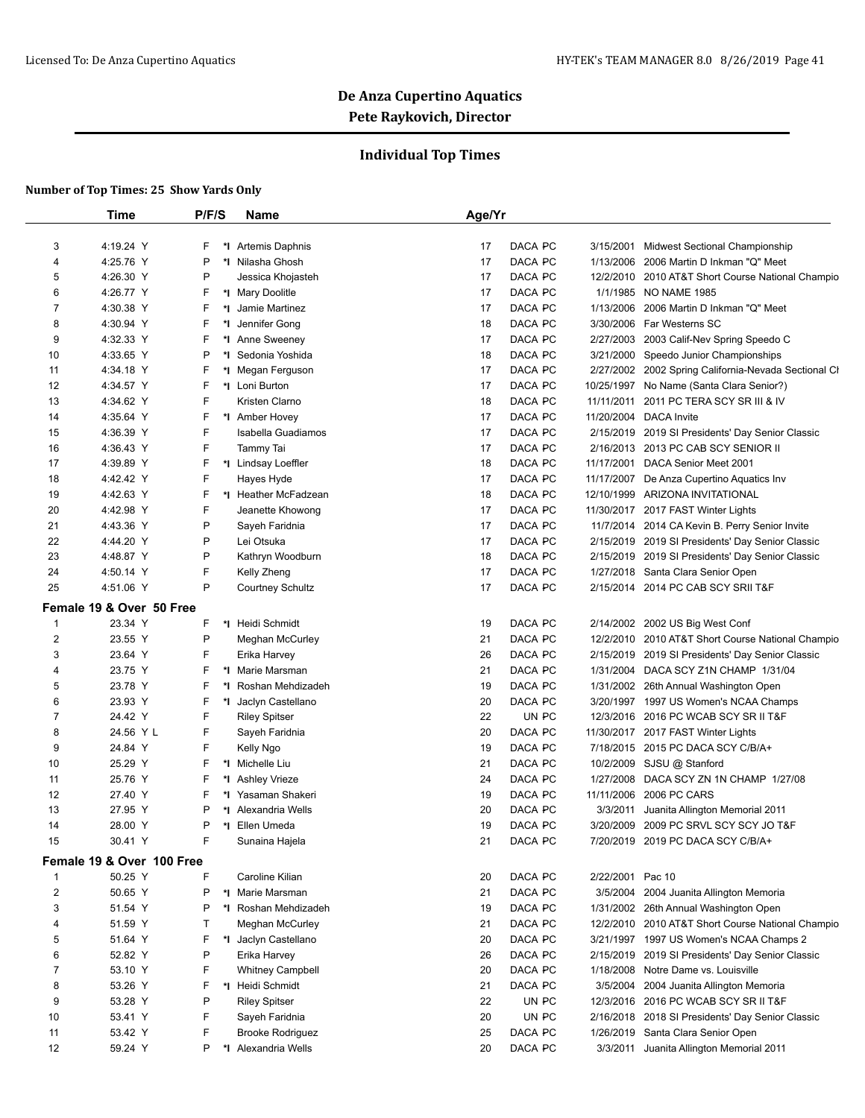## **Individual Top Times**

|                | <b>Time</b>               | P/F/S | Name                    | Age/Yr |         |            |                                                      |
|----------------|---------------------------|-------|-------------------------|--------|---------|------------|------------------------------------------------------|
|                |                           |       |                         |        |         |            |                                                      |
| 3              | 4:19.24 Y                 | F     | *1 Artemis Daphnis      | 17     | DACA PC | 3/15/2001  | Midwest Sectional Championship                       |
| 4              | 4:25.76 Y                 | P     | *I Nilasha Ghosh        | 17     | DACA PC | 1/13/2006  | 2006 Martin D Inkman "Q" Meet                        |
| 5              | 4:26.30 Y                 | P     | Jessica Khojasteh       | 17     | DACA PC |            | 12/2/2010 2010 AT&T Short Course National Champio    |
| 6              | 4:26.77 Y                 | F     | *I Mary Doolitle        | 17     | DACA PC | 1/1/1985   | <b>NO NAME 1985</b>                                  |
| 7              | 4:30.38 Y                 | F     | *I Jamie Martinez       | 17     | DACA PC | 1/13/2006  | 2006 Martin D Inkman "Q" Meet                        |
| 8              | 4:30.94 Y                 | F     | *I Jennifer Gong        | 18     | DACA PC | 3/30/2006  | Far Westerns SC                                      |
| 9              | 4:32.33 Y                 | F     | *I Anne Sweeney         | 17     | DACA PC | 2/27/2003  | 2003 Calif-Nev Spring Speedo C                       |
| 10             | 4:33.65 Y                 | P     | *I Sedonia Yoshida      | 18     | DACA PC | 3/21/2000  | Speedo Junior Championships                          |
| 11             | 4:34.18 Y                 | F     | *I Megan Ferguson       | 17     | DACA PC |            | 2/27/2002 2002 Spring California-Nevada Sectional Cl |
| 12             | 4:34.57 Y                 | F     | *I Loni Burton          | 17     | DACA PC | 10/25/1997 | No Name (Santa Clara Senior?)                        |
| 13             | 4:34.62 Y                 | F     | Kristen Clarno          | 18     | DACA PC | 11/11/2011 | 2011 PC TERA SCY SR III & IV                         |
| 14             | 4:35.64 Y                 | F     | *I Amber Hovey          | 17     | DACA PC |            | 11/20/2004 DACA Invite                               |
| 15             | 4:36.39 Y                 | F     | Isabella Guadiamos      | 17     | DACA PC | 2/15/2019  | 2019 SI Presidents' Day Senior Classic               |
| 16             | 4:36.43 Y                 | F     | Tammy Tai               | 17     | DACA PC |            | 2/16/2013 2013 PC CAB SCY SENIOR II                  |
| 17             | 4:39.89 Y                 | F     | *I Lindsay Loeffler     | 18     | DACA PC | 11/17/2001 | DACA Senior Meet 2001                                |
| 18             | 4:42.42 Y                 | F     | Hayes Hyde              | 17     | DACA PC | 11/17/2007 | De Anza Cupertino Aquatics Inv                       |
| 19             | 4:42.63 Y                 | F     | *I Heather McFadzean    | 18     | DACA PC | 12/10/1999 | ARIZONA INVITATIONAL                                 |
| 20             | 4:42.98 Y                 | F     | Jeanette Khowong        | 17     | DACA PC |            | 11/30/2017 2017 FAST Winter Lights                   |
| 21             | 4:43.36 Y                 | P     | Sayeh Faridnia          | 17     | DACA PC |            | 11/7/2014 2014 CA Kevin B. Perry Senior Invite       |
| 22             | 4:44.20 Y                 | P     | Lei Otsuka              | 17     | DACA PC |            | 2/15/2019 2019 SI Presidents' Day Senior Classic     |
| 23             | 4:48.87 Y                 | P     | Kathryn Woodburn        | 18     | DACA PC |            | 2/15/2019 2019 SI Presidents' Day Senior Classic     |
| 24             | 4:50.14 Y                 | F     | Kelly Zheng             | 17     | DACA PC |            | 1/27/2018 Santa Clara Senior Open                    |
| 25             | 4:51.06 Y                 | P     | <b>Courtney Schultz</b> | 17     | DACA PC |            | 2/15/2014 2014 PC CAB SCY SRII T&F                   |
|                | Female 19 & Over 50 Free  |       |                         |        |         |            |                                                      |
| 1              | 23.34 Y                   | F     | *I Heidi Schmidt        | 19     | DACA PC |            | 2/14/2002 2002 US Big West Conf                      |
| $\overline{2}$ | 23.55 Y                   | P     | Meghan McCurley         | 21     | DACA PC |            | 12/2/2010 2010 AT&T Short Course National Champio    |
| 3              | 23.64 Y                   | F     | Erika Harvey            | 26     | DACA PC |            | 2/15/2019 2019 SI Presidents' Day Senior Classic     |
| 4              | 23.75 Y                   | F     | *I Marie Marsman        | 21     | DACA PC |            | 1/31/2004 DACA SCY Z1N CHAMP 1/31/04                 |
| 5              | 23.78 Y                   | F     | *I Roshan Mehdizadeh    | 19     | DACA PC |            | 1/31/2002 26th Annual Washington Open                |
| 6              | 23.93 Y                   | F     | *I Jaclyn Castellano    | 20     | DACA PC |            | 3/20/1997 1997 US Women's NCAA Champs                |
| 7              | 24.42 Y                   | F     | <b>Riley Spitser</b>    | 22     | UN PC   |            | 12/3/2016 2016 PC WCAB SCY SR II T&F                 |
| 8              | 24.56 Y L                 | F     | Sayeh Faridnia          | 20     | DACA PC |            | 11/30/2017 2017 FAST Winter Lights                   |
| 9              | 24.84 Y                   | F     | Kelly Ngo               | 19     | DACA PC |            | 7/18/2015 2015 PC DACA SCY C/B/A+                    |
| 10             | 25.29 Y                   | F     | *I Michelle Liu         | 21     | DACA PC |            | 10/2/2009 SJSU @ Stanford                            |
| 11             | 25.76 Y                   | F     | *I Ashley Vrieze        | 24     | DACA PC | 1/27/2008  | DACA SCY ZN 1N CHAMP 1/27/08                         |
| 12             | 27.40 Y                   | F     | *1 Yasaman Shakeri      | 19     | DACA PC | 11/11/2006 | 2006 PC CARS                                         |
| 13             | 27.95 Y                   | P     | *I Alexandria Wells     | 20     | DACA PC | 3/3/2011   | Juanita Allington Memorial 2011                      |
| 14             | 28.00 Y                   | Ρ     | *I Ellen Umeda          | 19     | DACA PC |            | 3/20/2009 2009 PC SRVL SCY SCY JO T&F                |
| 15             | 30.41 Y                   |       | Sunaina Hajela          | 21     | DACA PC |            | 7/20/2019 2019 PC DACA SCY C/B/A+                    |
|                | Female 19 & Over 100 Free |       |                         |        |         |            |                                                      |
| 1              | 50.25 Y                   | F     | Caroline Kilian         | 20     | DACA PC | 2/22/2001  | Pac 10                                               |
| $\overline{2}$ | 50.65 Y                   | P     | *I Marie Marsman        | 21     | DACA PC | 3/5/2004   | 2004 Juanita Allington Memoria                       |
| 3              | 51.54 Y                   | P     | *I Roshan Mehdizadeh    | 19     | DACA PC |            | 1/31/2002 26th Annual Washington Open                |
| 4              | 51.59 Y                   | Т     | Meghan McCurley         | 21     | DACA PC | 12/2/2010  | 2010 AT&T Short Course National Champio              |
| 5              | 51.64 Y                   | F     | *I Jaclyn Castellano    | 20     | DACA PC | 3/21/1997  | 1997 US Women's NCAA Champs 2                        |
| 6              | 52.82 Y                   | P     | Erika Harvey            | 26     | DACA PC |            | 2/15/2019 2019 SI Presidents' Day Senior Classic     |
| 7              | 53.10 Y                   | F     | <b>Whitney Campbell</b> | 20     | DACA PC | 1/18/2008  | Notre Dame vs. Louisville                            |
| 8              | 53.26 Y                   | F     | *I Heidi Schmidt        | 21     | DACA PC | 3/5/2004   | 2004 Juanita Allington Memoria                       |
| 9              | 53.28 Y                   | P     | <b>Riley Spitser</b>    | 22     | UN PC   | 12/3/2016  | 2016 PC WCAB SCY SR II T&F                           |
| 10             | 53.41 Y                   | F     | Sayeh Faridnia          | 20     | UN PC   | 2/16/2018  | 2018 SI Presidents' Day Senior Classic               |
| 11             | 53.42 Y                   | F     | <b>Brooke Rodriguez</b> | 25     | DACA PC | 1/26/2019  | Santa Clara Senior Open                              |
| 12             | 59.24 Y                   | P     | *I Alexandria Wells     | 20     | DACA PC | 3/3/2011   | Juanita Allington Memorial 2011                      |
|                |                           |       |                         |        |         |            |                                                      |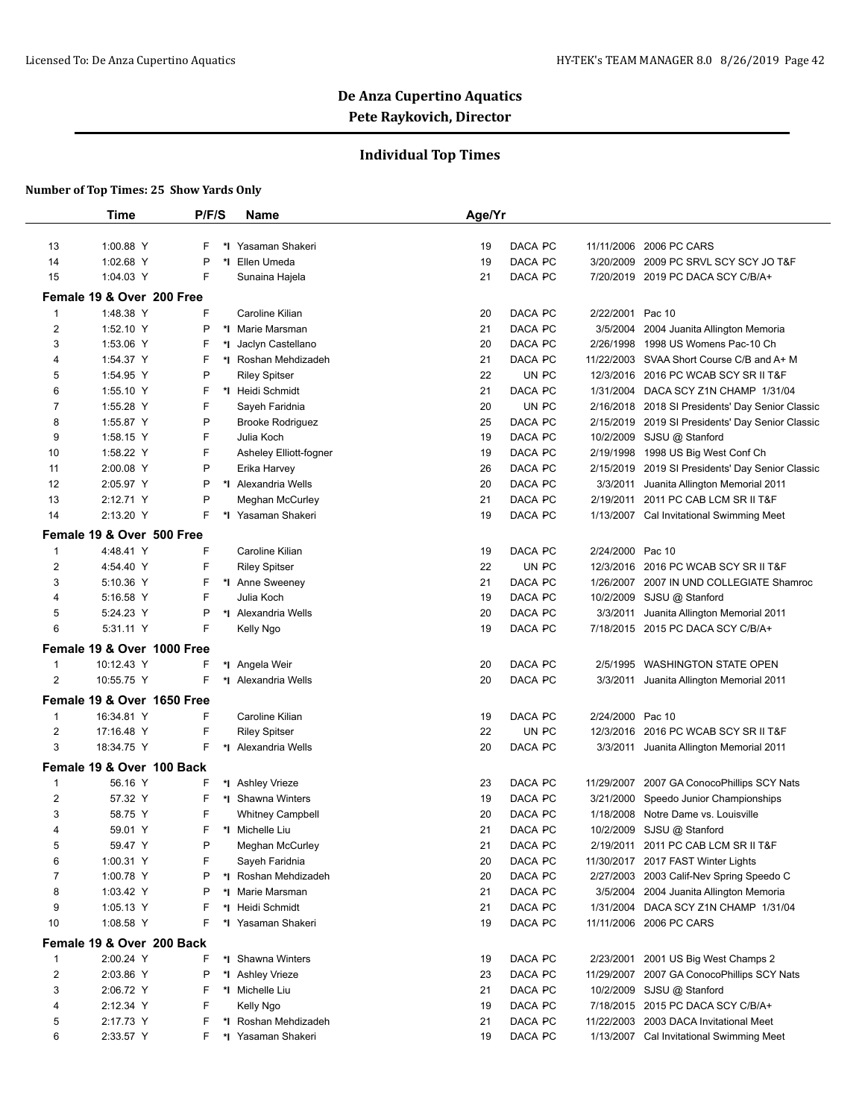## **Individual Top Times**

|                               | Time                       | P/F/S | <b>Name</b>                           | Age/Yr   |         |                  |                                                  |
|-------------------------------|----------------------------|-------|---------------------------------------|----------|---------|------------------|--------------------------------------------------|
|                               |                            |       |                                       |          |         |                  |                                                  |
| 13                            | 1:00.88 Y                  | F     | *I Yasaman Shakeri                    | 19       | DACA PC | 11/11/2006       | 2006 PC CARS                                     |
| 14                            | 1:02.68 Y                  | P     | *1 Ellen Umeda                        | 19       | DACA PC |                  | 3/20/2009 2009 PC SRVL SCY SCY JO T&F            |
| 15                            | 1:04.03 Y                  | F     | Sunaina Hajela                        | 21       | DACA PC |                  | 7/20/2019 2019 PC DACA SCY C/B/A+                |
|                               | Female 19 & Over 200 Free  |       |                                       |          |         |                  |                                                  |
| $\mathbf{1}$                  | 1:48.38 Y                  | F     | Caroline Kilian                       | 20       | DACA PC | 2/22/2001        | Pac 10                                           |
| $\overline{2}$                | 1:52.10 Y                  | P     | *I Marie Marsman                      | 21       | DACA PC | 3/5/2004         | 2004 Juanita Allington Memoria                   |
| 3                             | 1:53.06 Y                  | F     | *I Jaclyn Castellano                  | 20       | DACA PC | 2/26/1998        | 1998 US Womens Pac-10 Ch                         |
| 4                             | 1:54.37 Y                  | F     | *I Roshan Mehdizadeh                  | 21       | DACA PC |                  | 11/22/2003 SVAA Short Course C/B and A+ M        |
| 5                             | 1:54.95 Y                  | P     | <b>Riley Spitser</b>                  | 22       | UN PC   |                  | 12/3/2016 2016 PC WCAB SCY SR II T&F             |
| 6                             | 1:55.10 Y                  | F     | *I Heidi Schmidt                      | 21       | DACA PC |                  | 1/31/2004 DACA SCY Z1N CHAMP 1/31/04             |
| 7                             | 1:55.28 Y                  | F     | Sayeh Faridnia                        | 20       | UN PC   |                  | 2/16/2018 2018 SI Presidents' Day Senior Classic |
| 8                             | 1:55.87 Y                  | P     | <b>Brooke Rodriguez</b>               | 25       | DACA PC |                  | 2/15/2019 2019 SI Presidents' Day Senior Classic |
| 9                             | 1:58.15 Y                  | F     | Julia Koch                            | 19       | DACA PC |                  | 10/2/2009 SJSU @ Stanford                        |
| 10                            | 1:58.22 Y                  | F     | Asheley Elliott-fogner                | 19       | DACA PC |                  | 2/19/1998 1998 US Big West Conf Ch               |
| 11                            | 2:00.08 Y                  | P     | Erika Harvey                          | 26       | DACA PC |                  | 2/15/2019 2019 SI Presidents' Day Senior Classic |
| 12                            | 2:05.97 Y                  | P     | *I Alexandria Wells                   | 20       | DACA PC | 3/3/2011         | Juanita Allington Memorial 2011                  |
| 13                            | 2:12.71 Y                  | P     | Meghan McCurley                       | 21       | DACA PC | 2/19/2011        | 2011 PC CAB LCM SR II T&F                        |
| 14                            | 2:13.20 Y                  | F     | *I Yasaman Shakeri                    | 19       | DACA PC |                  | 1/13/2007 Cal Invitational Swimming Meet         |
|                               | Female 19 & Over 500 Free  |       |                                       |          |         |                  |                                                  |
| $\mathbf{1}$                  | 4:48.41 Y                  | F     | Caroline Kilian                       | 19       | DACA PC | 2/24/2000 Pac 10 |                                                  |
| $\overline{2}$                | 4:54.40 Y                  | F     | <b>Riley Spitser</b>                  | 22       | UN PC   |                  | 12/3/2016 2016 PC WCAB SCY SR II T&F             |
| 3                             | 5:10.36 Y                  | F     | *I Anne Sweeney                       | 21       | DACA PC | 1/26/2007        | 2007 IN UND COLLEGIATE Shamroc                   |
| 4                             | 5:16.58 Y                  | F     | Julia Koch                            | 19       | DACA PC |                  | 10/2/2009 SJSU @ Stanford                        |
| 5                             | 5:24.23 Y                  | P     | *I Alexandria Wells                   | 20       | DACA PC |                  | 3/3/2011 Juanita Allington Memorial 2011         |
| 6                             | 5:31.11 Y                  | F     | Kelly Ngo                             | 19       | DACA PC |                  | 7/18/2015 2015 PC DACA SCY C/B/A+                |
|                               | Female 19 & Over 1000 Free |       |                                       |          |         |                  |                                                  |
|                               |                            | F     |                                       |          | DACA PC |                  | 2/5/1995 WASHINGTON STATE OPEN                   |
| $\mathbf 1$<br>$\overline{2}$ | 10:12.43 Y<br>10:55.75 Y   | F     | *I Angela Weir<br>*I Alexandria Wells | 20<br>20 | DACA PC |                  |                                                  |
|                               |                            |       |                                       |          |         |                  | 3/3/2011 Juanita Allington Memorial 2011         |
|                               | Female 19 & Over 1650 Free |       |                                       |          |         |                  |                                                  |
| $\mathbf{1}$                  | 16:34.81 Y                 | F     | Caroline Kilian                       | 19       | DACA PC | 2/24/2000 Pac 10 |                                                  |
| $\overline{2}$                | 17:16.48 Y                 | F     | <b>Riley Spitser</b>                  | 22       | UN PC   |                  | 12/3/2016 2016 PC WCAB SCY SR II T&F             |
| 3                             | 18:34.75 Y                 | F     | *I Alexandria Wells                   | 20       | DACA PC |                  | 3/3/2011 Juanita Allington Memorial 2011         |
|                               | Female 19 & Over 100 Back  |       |                                       |          |         |                  |                                                  |
| $\mathbf{1}$                  | 56.16 Y                    | F     | *I Ashley Vrieze                      | 23       | DACA PC |                  | 11/29/2007 2007 GA ConocoPhillips SCY Nats       |
| $\overline{2}$                | 57.32 Y                    | F     | *I Shawna Winters                     | 19       | DACA PC |                  | 3/21/2000 Speedo Junior Championships            |
| 3                             | 58.75 Y                    | F     | <b>Whitney Campbell</b>               | 20       | DACA PC |                  | 1/18/2008 Notre Dame vs. Louisville              |
| 4                             | 59.01 Y                    | F     | *I Michelle Liu                       | 21       | DACA PC |                  | 10/2/2009 SJSU @ Stanford                        |
| 5                             | 59.47 Y                    | P     | Meghan McCurley                       | 21       | DACA PC |                  | 2/19/2011 2011 PC CAB LCM SR II T&F              |
| 6                             | 1:00.31 Y                  | F     | Sayeh Faridnia                        | 20       | DACA PC |                  | 11/30/2017 2017 FAST Winter Lights               |
| 7                             | 1:00.78 Y                  | P     | *I Roshan Mehdizadeh                  | 20       | DACA PC |                  | 2/27/2003 2003 Calif-Nev Spring Speedo C         |
| 8                             | 1:03.42 Y                  | P     | *I Marie Marsman                      | 21       | DACA PC |                  | 3/5/2004 2004 Juanita Allington Memoria          |
| 9                             | 1:05.13 Y                  | F     | *I Heidi Schmidt                      | 21       | DACA PC |                  | 1/31/2004 DACA SCY Z1N CHAMP 1/31/04             |
| 10                            | 1:08.58 Y                  | F     | *I Yasaman Shakeri                    | 19       | DACA PC |                  | 11/11/2006 2006 PC CARS                          |
|                               | Female 19 & Over 200 Back  |       |                                       |          |         |                  |                                                  |
| $\mathbf{1}$                  | 2:00.24 Y                  | F     | *I Shawna Winters                     | 19       | DACA PC |                  | 2/23/2001 2001 US Big West Champs 2              |
| $\overline{2}$                | 2:03.86 Y                  | P     | *I Ashley Vrieze                      | 23       | DACA PC |                  | 11/29/2007 2007 GA ConocoPhillips SCY Nats       |
| 3                             | 2:06.72 Y                  | F     | *I Michelle Liu                       | 21       | DACA PC |                  | 10/2/2009 SJSU @ Stanford                        |
| 4                             | 2:12.34 Y                  | F     | Kelly Ngo                             | 19       | DACA PC |                  | 7/18/2015 2015 PC DACA SCY C/B/A+                |
| 5                             | 2:17.73 Y                  | F     | *I Roshan Mehdizadeh                  | 21       | DACA PC | 11/22/2003       | 2003 DACA Invitational Meet                      |
| 6                             | 2:33.57 Y                  | F     | *I Yasaman Shakeri                    | 19       | DACA PC |                  | 1/13/2007 Cal Invitational Swimming Meet         |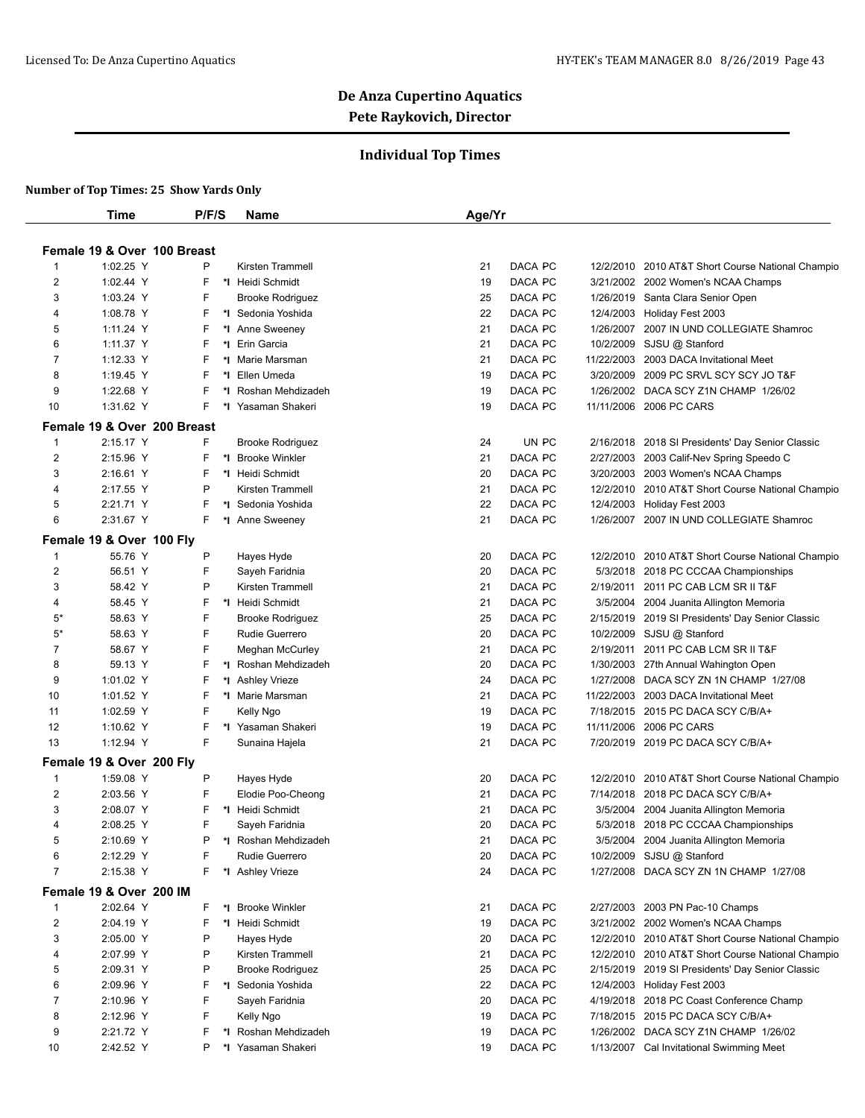## **Individual Top Times**

|                | Time                        | P/F/S  |    | Name                                  | Age/Yr   |                    |           |                                                                         |
|----------------|-----------------------------|--------|----|---------------------------------------|----------|--------------------|-----------|-------------------------------------------------------------------------|
|                |                             |        |    |                                       |          |                    |           |                                                                         |
|                | Female 19 & Over 100 Breast |        |    |                                       |          |                    |           |                                                                         |
| -1             | 1:02.25 Y                   | P      |    | Kirsten Trammell                      | 21       | DACA PC            |           | 12/2/2010 2010 AT&T Short Course National Champio                       |
| 2              | 1:02.44 Y                   | F      |    | *1 Heidi Schmidt                      | 19       | DACA PC            |           | 3/21/2002 2002 Women's NCAA Champs                                      |
| 3              | 1:03.24 Y                   | F      |    | <b>Brooke Rodriguez</b>               | 25       | DACA PC            |           | 1/26/2019 Santa Clara Senior Open                                       |
| 4              | 1:08.78 Y<br>1:11.24 Y      | F<br>F |    | *I Sedonia Yoshida<br>*1 Anne Sweeney | 22<br>21 | DACA PC<br>DACA PC |           | 12/4/2003 Holiday Fest 2003<br>1/26/2007 2007 IN UND COLLEGIATE Shamroc |
| 5<br>6         | 1:11.37 Y                   | F      |    | *1 Erin Garcia                        | 21       | DACA PC            |           | 10/2/2009 SJSU @ Stanford                                               |
| 7              | 1:12.33 Y                   | F      |    | *I Marie Marsman                      | 21       | DACA PC            |           | 11/22/2003 2003 DACA Invitational Meet                                  |
| 8              | 1:19.45 Y                   | F      |    | *I Ellen Umeda                        | 19       | DACA PC            | 3/20/2009 | 2009 PC SRVL SCY SCY JO T&F                                             |
| 9              | 1:22.68 Y                   | F      | *∣ | Roshan Mehdizadeh                     | 19       | DACA PC            |           | 1/26/2002 DACA SCY Z1N CHAMP 1/26/02                                    |
| 10             | 1:31.62 Y                   | F.     |    | *I Yasaman Shakeri                    | 19       | DACA PC            |           | 11/11/2006 2006 PC CARS                                                 |
|                |                             |        |    |                                       |          |                    |           |                                                                         |
|                | Female 19 & Over 200 Breast |        |    |                                       |          |                    |           |                                                                         |
| 1              | 2:15.17 Y                   | F      |    | <b>Brooke Rodriguez</b>               | 24       | UN PC              |           | 2/16/2018 2018 SI Presidents' Day Senior Classic                        |
| 2              | 2:15.96 Y                   | F      |    | *I Brooke Winkler                     | 21       | DACA PC            |           | 2/27/2003 2003 Calif-Nev Spring Speedo C                                |
| 3              | 2:16.61 Y                   | F      |    | *I Heidi Schmidt                      | 20       | DACA PC            |           | 3/20/2003 2003 Women's NCAA Champs                                      |
| 4              | 2:17.55 Y                   | P      |    | Kirsten Trammell                      | 21       | DACA PC            |           | 12/2/2010 2010 AT&T Short Course National Champio                       |
| 5              | 2:21.71 Y                   | F      |    | *I Sedonia Yoshida                    | 22       | DACA PC            |           | 12/4/2003 Holiday Fest 2003                                             |
| 6              | 2:31.67 Y                   | F      |    | *I Anne Sweeney                       | 21       | DACA PC            |           | 1/26/2007 2007 IN UND COLLEGIATE Shamroc                                |
|                | Female 19 & Over 100 Fly    |        |    |                                       |          |                    |           |                                                                         |
| 1              | 55.76 Y                     | P      |    | Hayes Hyde                            | 20       | DACA PC            |           | 12/2/2010 2010 AT&T Short Course National Champio                       |
| $\overline{2}$ | 56.51 Y                     | F      |    | Sayeh Faridnia                        | 20       | DACA PC            |           | 5/3/2018 2018 PC CCCAA Championships                                    |
| 3              | 58.42 Y                     | P      |    | <b>Kirsten Trammell</b>               | 21       | DACA PC            |           | 2/19/2011 2011 PC CAB LCM SR II T&F                                     |
| 4              | 58.45 Y                     | F      |    | *I Heidi Schmidt                      | 21       | DACA PC            |           | 3/5/2004 2004 Juanita Allington Memoria                                 |
| 5*             | 58.63 Y                     | F      |    | <b>Brooke Rodriguez</b>               | 25       | DACA PC            |           | 2/15/2019 2019 SI Presidents' Day Senior Classic                        |
| $5*$           | 58.63 Y                     | F      |    | Rudie Guerrero                        | 20       | DACA PC            |           | 10/2/2009 SJSU @ Stanford                                               |
| 7              | 58.67 Y                     | F      |    | <b>Meghan McCurley</b>                | 21       | DACA PC            | 2/19/2011 | 2011 PC CAB LCM SR II T&F                                               |
| 8              | 59.13 Y                     | F      | *∣ | Roshan Mehdizadeh                     | 20       | DACA PC            |           | 1/30/2003 27th Annual Wahington Open                                    |
| 9              | 1:01.02 Y                   | F      |    | *1 Ashley Vrieze                      | 24       | DACA PC            |           | 1/27/2008 DACA SCY ZN 1N CHAMP 1/27/08                                  |
| 10             | 1:01.52 Y                   | F      |    | *I Marie Marsman                      | 21       | DACA PC            |           | 11/22/2003 2003 DACA Invitational Meet                                  |
| 11             | 1:02.59 Y                   | F      |    | Kelly Ngo                             | 19       | DACA PC            |           | 7/18/2015 2015 PC DACA SCY C/B/A+                                       |
| 12             | 1:10.62 Y                   | F      |    | *1 Yasaman Shakeri                    | 19       | DACA PC            |           | 11/11/2006 2006 PC CARS                                                 |
| 13             | 1:12.94 Y                   | F      |    | Sunaina Hajela                        | 21       | DACA PC            |           | 7/20/2019 2019 PC DACA SCY C/B/A+                                       |
|                | Female 19 & Over 200 Fly    |        |    |                                       |          |                    |           |                                                                         |
| -1             | 1:59.08 Y                   | P      |    | Hayes Hyde                            | 20       | DACA PC            |           | 12/2/2010 2010 AT&T Short Course National Champio                       |
| 2              | 2:03.56 Y                   | F      |    | Elodie Poo-Cheong                     | 21       | DACA PC            |           | 7/14/2018 2018 PC DACA SCY C/B/A+                                       |
| 3              | 2:08.07 Y                   | F      |    | *I Heidi Schmidt                      | 21       | DACA PC            |           | 3/5/2004 2004 Juanita Allington Memoria                                 |
| 4              | 2:08.25 Y                   | F      |    | Sayeh Faridnia                        | 20       | DACA PC            |           | 5/3/2018 2018 PC CCCAA Championships                                    |
| 5              | 2:10.69 Y                   | D      |    | *I Roshan Mehdizadeh                  | 21       | DACA PC            |           | 3/5/2004 2004 Juanita Allington Memoria                                 |
| 6              | 2:12.29 Y                   | F      |    | Rudie Guerrero                        | 20       | DACA PC            |           | 10/2/2009 SJSU @ Stanford                                               |
| $\overline{7}$ | 2:15.38 Y                   | F.     |    | *I Ashley Vrieze                      | 24       | DACA PC            |           | 1/27/2008 DACA SCY ZN 1N CHAMP 1/27/08                                  |
|                | Female 19 & Over 200 IM     |        |    |                                       |          |                    |           |                                                                         |
| -1             | 2:02.64 Y                   | F.     |    | *I Brooke Winkler                     | 21       | DACA PC            |           | 2/27/2003 2003 PN Pac-10 Champs                                         |
| 2              | 2:04.19 Y                   | F      |    | *I Heidi Schmidt                      | 19       | DACA PC            |           | 3/21/2002 2002 Women's NCAA Champs                                      |
| 3              | 2:05.00 Y                   | P      |    | Hayes Hyde                            | 20       | DACA PC            |           | 12/2/2010 2010 AT&T Short Course National Champio                       |
| 4              | 2:07.99 Y                   | P      |    | Kirsten Trammell                      | 21       | DACA PC            |           | 12/2/2010 2010 AT&T Short Course National Champio                       |
| 5              | 2:09.31 Y                   | P      |    | <b>Brooke Rodriguez</b>               | 25       | DACA PC            |           | 2/15/2019 2019 SI Presidents' Day Senior Classic                        |
| 6              | 2:09.96 Y                   | F      |    | *I Sedonia Yoshida                    | 22       | DACA PC            |           | 12/4/2003 Holiday Fest 2003                                             |
| 7              | 2:10.96 Y                   | F      |    | Sayeh Faridnia                        | 20       | DACA PC            |           | 4/19/2018 2018 PC Coast Conference Champ                                |
| 8              | 2:12.96 Y                   | F      |    | Kelly Ngo                             | 19       | DACA PC            |           | 7/18/2015 2015 PC DACA SCY C/B/A+                                       |
| 9              | 2:21.72 Y                   | F      |    | *I Roshan Mehdizadeh                  | 19       | DACA PC            |           | 1/26/2002 DACA SCY Z1N CHAMP 1/26/02                                    |
| 10             | 2:42.52 Y                   | P      |    | *I Yasaman Shakeri                    | 19       | DACA PC            |           | 1/13/2007 Cal Invitational Swimming Meet                                |